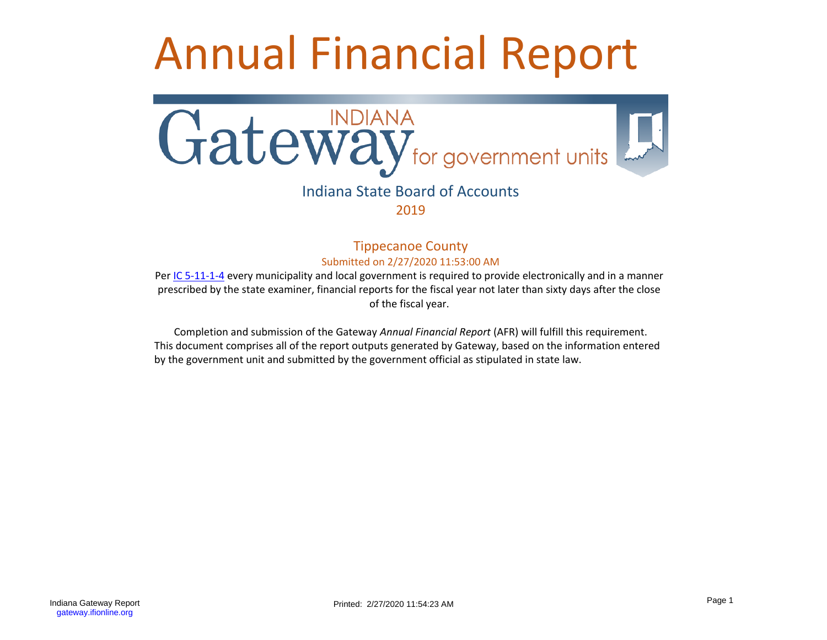# Annual Financial Report



## Indiana State Board of Accounts 2019

### Tippecanoe County Submitted on 2/27/2020 11:53:00 AM

Per [IC 5-11-1-4](http://www.in.gov/legislative/ic/code/title5/ar11/ch1.html#IC5-11-1-4) every municipality and local government is required to provide electronically and in a manner prescribed by the state examiner, financial reports for the fiscal year not later than sixty days after the close of the fiscal year.

Completion and submission of the Gateway *Annual Financial Report* (AFR) will fulfill this requirement. This document comprises all of the report outputs generated by Gateway, based on the information entered by the government unit and submitted by the government official as stipulated in state law.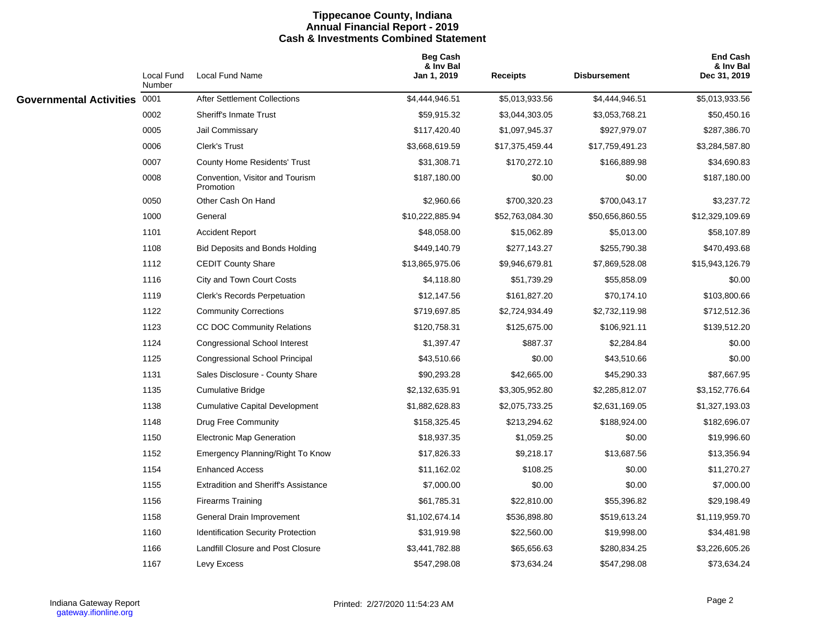#### **Tippecanoe County, Indiana Annual Financial Report - 2019 Cash & Investments Combined Statement**

|                              | Local Fund<br>Number | <b>Local Fund Name</b>                       | <b>Beg Cash</b><br>& Inv Bal<br>Jan 1, 2019 | <b>Receipts</b> | <b>Disbursement</b> | <b>End Cash</b><br>& Inv Bal<br>Dec 31, 2019 |
|------------------------------|----------------------|----------------------------------------------|---------------------------------------------|-----------------|---------------------|----------------------------------------------|
| Governmental Activities 0001 |                      | <b>After Settlement Collections</b>          | \$4,444,946.51                              | \$5,013,933.56  | \$4,444,946.51      | \$5,013,933.56                               |
|                              | 0002                 | <b>Sheriff's Inmate Trust</b>                | \$59,915.32                                 | \$3,044,303.05  | \$3,053,768.21      | \$50,450.16                                  |
|                              | 0005                 | Jail Commissary                              | \$117,420.40                                | \$1,097,945.37  | \$927,979.07        | \$287,386.70                                 |
|                              | 0006                 | Clerk's Trust                                | \$3,668,619.59                              | \$17,375,459.44 | \$17,759,491.23     | \$3,284,587.80                               |
|                              | 0007                 | <b>County Home Residents' Trust</b>          | \$31,308.71                                 | \$170,272.10    | \$166,889.98        | \$34,690.83                                  |
|                              | 0008                 | Convention, Visitor and Tourism<br>Promotion | \$187,180.00                                | \$0.00          | \$0.00              | \$187,180.00                                 |
|                              | 0050                 | Other Cash On Hand                           | \$2,960.66                                  | \$700,320.23    | \$700,043.17        | \$3,237.72                                   |
|                              | 1000                 | General                                      | \$10,222,885.94                             | \$52,763,084.30 | \$50,656,860.55     | \$12,329,109.69                              |
|                              | 1101                 | <b>Accident Report</b>                       | \$48,058.00                                 | \$15,062.89     | \$5,013.00          | \$58,107.89                                  |
|                              | 1108                 | <b>Bid Deposits and Bonds Holding</b>        | \$449,140.79                                | \$277,143.27    | \$255,790.38        | \$470,493.68                                 |
|                              | 1112                 | <b>CEDIT County Share</b>                    | \$13,865,975.06                             | \$9,946,679.81  | \$7,869,528.08      | \$15,943,126.79                              |
|                              | 1116                 | City and Town Court Costs                    | \$4,118.80                                  | \$51,739.29     | \$55,858.09         | \$0.00                                       |
|                              | 1119                 | <b>Clerk's Records Perpetuation</b>          | \$12,147.56                                 | \$161,827.20    | \$70,174.10         | \$103,800.66                                 |
|                              | 1122                 | <b>Community Corrections</b>                 | \$719,697.85                                | \$2,724,934.49  | \$2,732,119.98      | \$712,512.36                                 |
|                              | 1123                 | CC DOC Community Relations                   | \$120,758.31                                | \$125,675.00    | \$106,921.11        | \$139,512.20                                 |
|                              | 1124                 | <b>Congressional School Interest</b>         | \$1,397.47                                  | \$887.37        | \$2,284.84          | \$0.00                                       |
|                              | 1125                 | <b>Congressional School Principal</b>        | \$43,510.66                                 | \$0.00          | \$43,510.66         | \$0.00                                       |
|                              | 1131                 | Sales Disclosure - County Share              | \$90,293.28                                 | \$42,665.00     | \$45,290.33         | \$87,667.95                                  |
|                              | 1135                 | <b>Cumulative Bridge</b>                     | \$2,132,635.91                              | \$3,305,952.80  | \$2,285,812.07      | \$3,152,776.64                               |
|                              | 1138                 | <b>Cumulative Capital Development</b>        | \$1,882,628.83                              | \$2,075,733.25  | \$2,631,169.05      | \$1,327,193.03                               |
|                              | 1148                 | Drug Free Community                          | \$158,325.45                                | \$213,294.62    | \$188,924.00        | \$182,696.07                                 |
|                              | 1150                 | <b>Electronic Map Generation</b>             | \$18,937.35                                 | \$1,059.25      | \$0.00              | \$19,996.60                                  |
|                              | 1152                 | Emergency Planning/Right To Know             | \$17,826.33                                 | \$9,218.17      | \$13,687.56         | \$13,356.94                                  |
|                              | 1154                 | <b>Enhanced Access</b>                       | \$11,162.02                                 | \$108.25        | \$0.00              | \$11,270.27                                  |
|                              | 1155                 | <b>Extradition and Sheriff's Assistance</b>  | \$7,000.00                                  | \$0.00          | \$0.00              | \$7,000.00                                   |
|                              | 1156                 | <b>Firearms Training</b>                     | \$61,785.31                                 | \$22,810.00     | \$55,396.82         | \$29,198.49                                  |
|                              | 1158                 | General Drain Improvement                    | \$1,102,674.14                              | \$536,898.80    | \$519,613.24        | \$1,119,959.70                               |
|                              | 1160                 | <b>Identification Security Protection</b>    | \$31,919.98                                 | \$22,560.00     | \$19,998.00         | \$34,481.98                                  |
|                              | 1166                 | Landfill Closure and Post Closure            | \$3,441,782.88                              | \$65,656.63     | \$280,834.25        | \$3,226,605.26                               |
|                              | 1167                 | Levy Excess                                  | \$547,298.08                                | \$73,634.24     | \$547,298.08        | \$73,634.24                                  |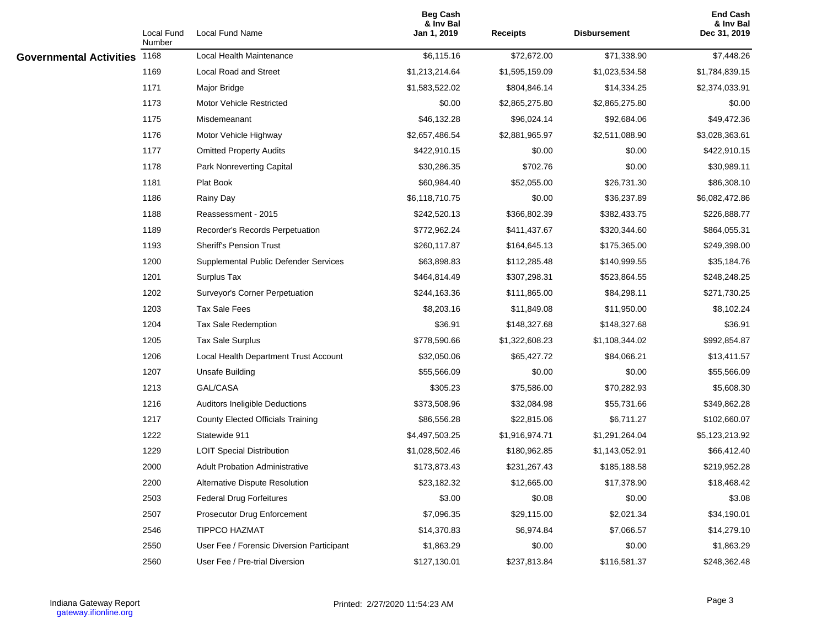|                                | Local Fund<br>Number | Local Fund Name                           | <b>Beg Cash</b><br>& Inv Bal<br>Jan 1, 2019 | <b>Receipts</b> | Disbursement   | <b>End Cash</b><br>& Inv Bal<br>Dec 31, 2019 |
|--------------------------------|----------------------|-------------------------------------------|---------------------------------------------|-----------------|----------------|----------------------------------------------|
| <b>Governmental Activities</b> | 1168                 | Local Health Maintenance                  | \$6,115.16                                  | \$72,672.00     | \$71,338.90    | \$7,448.26                                   |
|                                | 1169                 | <b>Local Road and Street</b>              | \$1,213,214.64                              | \$1,595,159.09  | \$1,023,534.58 | \$1,784,839.15                               |
|                                | 1171                 | Major Bridge                              | \$1,583,522.02                              | \$804,846.14    | \$14,334.25    | \$2,374,033.91                               |
|                                | 1173                 | <b>Motor Vehicle Restricted</b>           | \$0.00                                      | \$2,865,275.80  | \$2,865,275.80 | \$0.00                                       |
|                                | 1175                 | Misdemeanant                              | \$46,132.28                                 | \$96,024.14     | \$92,684.06    | \$49,472.36                                  |
|                                | 1176                 | Motor Vehicle Highway                     | \$2,657,486.54                              | \$2,881,965.97  | \$2,511,088.90 | \$3,028,363.61                               |
|                                | 1177                 | <b>Omitted Property Audits</b>            | \$422,910.15                                | \$0.00          | \$0.00         | \$422,910.15                                 |
|                                | 1178                 | Park Nonreverting Capital                 | \$30,286.35                                 | \$702.76        | \$0.00         | \$30,989.11                                  |
|                                | 1181                 | Plat Book                                 | \$60,984.40                                 | \$52,055.00     | \$26,731.30    | \$86,308.10                                  |
|                                | 1186                 | Rainy Day                                 | \$6,118,710.75                              | \$0.00          | \$36,237.89    | \$6,082,472.86                               |
|                                | 1188                 | Reassessment - 2015                       | \$242,520.13                                | \$366,802.39    | \$382,433.75   | \$226,888.77                                 |
|                                | 1189                 | Recorder's Records Perpetuation           | \$772,962.24                                | \$411,437.67    | \$320,344.60   | \$864,055.31                                 |
|                                | 1193                 | <b>Sheriff's Pension Trust</b>            | \$260,117.87                                | \$164,645.13    | \$175,365.00   | \$249,398.00                                 |
|                                | 1200                 | Supplemental Public Defender Services     | \$63,898.83                                 | \$112,285.48    | \$140,999.55   | \$35,184.76                                  |
|                                | 1201                 | Surplus Tax                               | \$464,814.49                                | \$307,298.31    | \$523,864.55   | \$248,248.25                                 |
|                                | 1202                 | Surveyor's Corner Perpetuation            | \$244,163.36                                | \$111,865.00    | \$84,298.11    | \$271,730.25                                 |
|                                | 1203                 | <b>Tax Sale Fees</b>                      | \$8,203.16                                  | \$11,849.08     | \$11,950.00    | \$8,102.24                                   |
|                                | 1204                 | <b>Tax Sale Redemption</b>                | \$36.91                                     | \$148,327.68    | \$148,327.68   | \$36.91                                      |
|                                | 1205                 | <b>Tax Sale Surplus</b>                   | \$778,590.66                                | \$1,322,608.23  | \$1,108,344.02 | \$992,854.87                                 |
|                                | 1206                 | Local Health Department Trust Account     | \$32,050.06                                 | \$65,427.72     | \$84,066.21    | \$13,411.57                                  |
|                                | 1207                 | Unsafe Building                           | \$55,566.09                                 | \$0.00          | \$0.00         | \$55,566.09                                  |
|                                | 1213                 | GAL/CASA                                  | \$305.23                                    | \$75,586.00     | \$70,282.93    | \$5,608.30                                   |
|                                | 1216                 | Auditors Ineligible Deductions            | \$373,508.96                                | \$32,084.98     | \$55,731.66    | \$349,862.28                                 |
|                                | 1217                 | <b>County Elected Officials Training</b>  | \$86,556.28                                 | \$22,815.06     | \$6,711.27     | \$102,660.07                                 |
|                                | 1222                 | Statewide 911                             | \$4,497,503.25                              | \$1,916,974.71  | \$1,291,264.04 | \$5,123,213.92                               |
|                                | 1229                 | <b>LOIT Special Distribution</b>          | \$1,028,502.46                              | \$180,962.85    | \$1,143,052.91 | \$66,412.40                                  |
|                                | 2000                 | <b>Adult Probation Administrative</b>     | \$173,873.43                                | \$231,267.43    | \$185,188.58   | \$219,952.28                                 |
|                                | 2200                 | Alternative Dispute Resolution            | \$23,182.32                                 | \$12,665.00     | \$17,378.90    | \$18,468.42                                  |
|                                | 2503                 | <b>Federal Drug Forfeitures</b>           | \$3.00                                      | \$0.08          | \$0.00         | \$3.08                                       |
|                                | 2507                 | Prosecutor Drug Enforcement               | \$7,096.35                                  | \$29,115.00     | \$2,021.34     | \$34,190.01                                  |
|                                | 2546                 | <b>TIPPCO HAZMAT</b>                      | \$14,370.83                                 | \$6,974.84      | \$7,066.57     | \$14,279.10                                  |
|                                | 2550                 | User Fee / Forensic Diversion Participant | \$1,863.29                                  | \$0.00          | \$0.00         | \$1,863.29                                   |
|                                | 2560                 | User Fee / Pre-trial Diversion            | \$127,130.01                                | \$237,813.84    | \$116,581.37   | \$248,362.48                                 |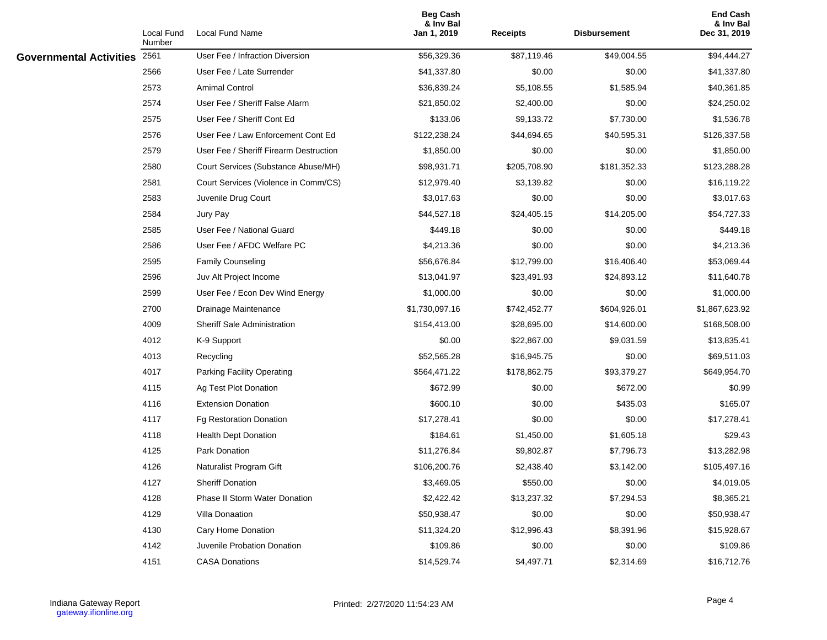|                                | Local Fund<br>Number | <b>Local Fund Name</b>                 | <b>Beg Cash</b><br>& Inv Bal<br>Jan 1, 2019 | <b>Receipts</b> | <b>Disbursement</b> | <b>End Cash</b><br>& Inv Bal<br>Dec 31, 2019 |
|--------------------------------|----------------------|----------------------------------------|---------------------------------------------|-----------------|---------------------|----------------------------------------------|
| <b>Governmental Activities</b> | 2561                 | User Fee / Infraction Diversion        | \$56,329.36                                 | \$87,119.46     | \$49,004.55         | \$94,444.27                                  |
|                                | 2566                 | User Fee / Late Surrender              | \$41,337.80                                 | \$0.00          | \$0.00              | \$41,337.80                                  |
|                                | 2573                 | <b>Amimal Control</b>                  | \$36,839.24                                 | \$5,108.55      | \$1,585.94          | \$40,361.85                                  |
|                                | 2574                 | User Fee / Sheriff False Alarm         | \$21,850.02                                 | \$2,400.00      | \$0.00              | \$24,250.02                                  |
|                                | 2575                 | User Fee / Sheriff Cont Ed             | \$133.06                                    | \$9,133.72      | \$7,730.00          | \$1,536.78                                   |
|                                | 2576                 | User Fee / Law Enforcement Cont Ed     | \$122,238.24                                | \$44,694.65     | \$40,595.31         | \$126,337.58                                 |
|                                | 2579                 | User Fee / Sheriff Firearm Destruction | \$1,850.00                                  | \$0.00          | \$0.00              | \$1,850.00                                   |
|                                | 2580                 | Court Services (Substance Abuse/MH)    | \$98,931.71                                 | \$205,708.90    | \$181,352.33        | \$123,288.28                                 |
|                                | 2581                 | Court Services (Violence in Comm/CS)   | \$12,979.40                                 | \$3,139.82      | \$0.00              | \$16,119.22                                  |
|                                | 2583                 | Juvenile Drug Court                    | \$3,017.63                                  | \$0.00          | \$0.00              | \$3,017.63                                   |
|                                | 2584                 | Jury Pay                               | \$44,527.18                                 | \$24,405.15     | \$14,205.00         | \$54,727.33                                  |
|                                | 2585                 | User Fee / National Guard              | \$449.18                                    | \$0.00          | \$0.00              | \$449.18                                     |
|                                | 2586                 | User Fee / AFDC Welfare PC             | \$4,213.36                                  | \$0.00          | \$0.00              | \$4,213.36                                   |
|                                | 2595                 | <b>Family Counseling</b>               | \$56,676.84                                 | \$12,799.00     | \$16,406.40         | \$53,069.44                                  |
|                                | 2596                 | Juv Alt Project Income                 | \$13,041.97                                 | \$23,491.93     | \$24,893.12         | \$11,640.78                                  |
|                                | 2599                 | User Fee / Econ Dev Wind Energy        | \$1,000.00                                  | \$0.00          | \$0.00              | \$1,000.00                                   |
|                                | 2700                 | Drainage Maintenance                   | \$1,730,097.16                              | \$742,452.77    | \$604,926.01        | \$1,867,623.92                               |
|                                | 4009                 | <b>Sheriff Sale Administration</b>     | \$154,413.00                                | \$28,695.00     | \$14,600.00         | \$168,508.00                                 |
|                                | 4012                 | K-9 Support                            | \$0.00                                      | \$22,867.00     | \$9,031.59          | \$13,835.41                                  |
|                                | 4013                 | Recycling                              | \$52,565.28                                 | \$16,945.75     | \$0.00              | \$69,511.03                                  |
|                                | 4017                 | Parking Facility Operating             | \$564,471.22                                | \$178,862.75    | \$93,379.27         | \$649,954.70                                 |
|                                | 4115                 | Ag Test Plot Donation                  | \$672.99                                    | \$0.00          | \$672.00            | \$0.99                                       |
|                                | 4116                 | <b>Extension Donation</b>              | \$600.10                                    | \$0.00          | \$435.03            | \$165.07                                     |
|                                | 4117                 | Fg Restoration Donation                | \$17,278.41                                 | \$0.00          | \$0.00              | \$17,278.41                                  |
|                                | 4118                 | <b>Health Dept Donation</b>            | \$184.61                                    | \$1,450.00      | \$1,605.18          | \$29.43                                      |
|                                | 4125                 | Park Donation                          | \$11,276.84                                 | \$9,802.87      | \$7,796.73          | \$13,282.98                                  |
|                                | 4126                 | Naturalist Program Gift                | \$106,200.76                                | \$2,438.40      | \$3,142.00          | \$105,497.16                                 |
|                                | 4127                 | Sheriff Donation                       | \$3,469.05                                  | \$550.00        | \$0.00              | \$4,019.05                                   |
|                                | 4128                 | Phase II Storm Water Donation          | \$2,422.42                                  | \$13,237.32     | \$7,294.53          | \$8,365.21                                   |
|                                | 4129                 | Villa Donaation                        | \$50,938.47                                 | \$0.00          | \$0.00              | \$50,938.47                                  |
|                                | 4130                 | Cary Home Donation                     | \$11,324.20                                 | \$12,996.43     | \$8,391.96          | \$15,928.67                                  |
|                                | 4142                 | Juvenile Probation Donation            | \$109.86                                    | \$0.00          | \$0.00              | \$109.86                                     |
|                                | 4151                 | <b>CASA Donations</b>                  | \$14,529.74                                 | \$4,497.71      | \$2,314.69          | \$16,712.76                                  |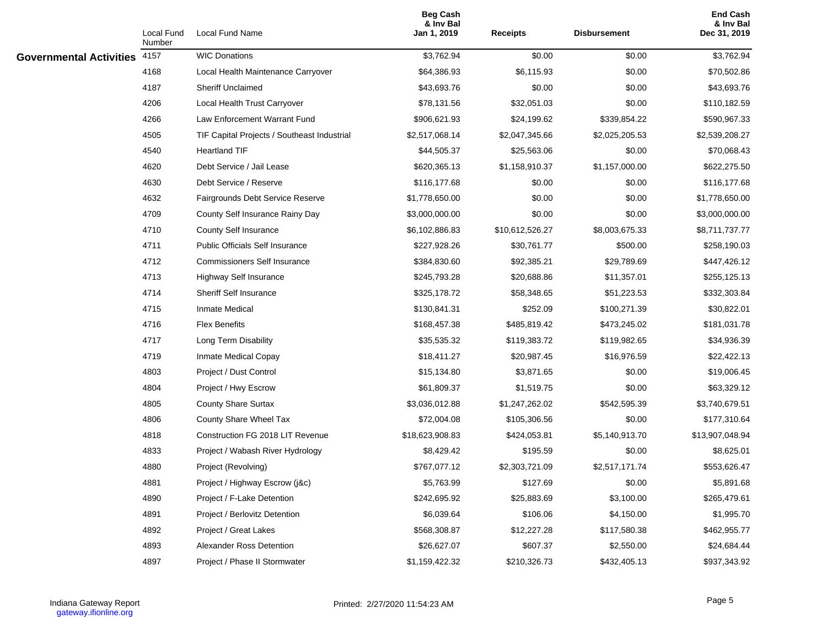|                                | Local Fund<br>Number | Local Fund Name                             | <b>Beg Cash</b><br>& Inv Bal<br>Jan 1, 2019 | <b>Receipts</b> | <b>Disbursement</b> | <b>End Cash</b><br>& Inv Bal<br>Dec 31, 2019 |
|--------------------------------|----------------------|---------------------------------------------|---------------------------------------------|-----------------|---------------------|----------------------------------------------|
| <b>Governmental Activities</b> | 4157                 | <b>WIC Donations</b>                        | \$3,762.94                                  | \$0.00          | \$0.00              | \$3,762.94                                   |
|                                | 4168                 | Local Health Maintenance Carryover          | \$64,386.93                                 | \$6,115.93      | \$0.00              | \$70,502.86                                  |
|                                | 4187                 | <b>Sheriff Unclaimed</b>                    | \$43,693.76                                 | \$0.00          | \$0.00              | \$43,693.76                                  |
|                                | 4206                 | Local Health Trust Carryover                | \$78,131.56                                 | \$32,051.03     | \$0.00              | \$110,182.59                                 |
|                                | 4266                 | Law Enforcement Warrant Fund                | \$906,621.93                                | \$24,199.62     | \$339,854.22        | \$590,967.33                                 |
|                                | 4505                 | TIF Capital Projects / Southeast Industrial | \$2,517,068.14                              | \$2,047,345.66  | \$2,025,205.53      | \$2,539,208.27                               |
|                                | 4540                 | <b>Heartland TIF</b>                        | \$44,505.37                                 | \$25,563.06     | \$0.00              | \$70,068.43                                  |
|                                | 4620                 | Debt Service / Jail Lease                   | \$620,365.13                                | \$1,158,910.37  | \$1,157,000.00      | \$622,275.50                                 |
|                                | 4630                 | Debt Service / Reserve                      | \$116,177.68                                | \$0.00          | \$0.00              | \$116,177.68                                 |
|                                | 4632                 | Fairgrounds Debt Service Reserve            | \$1,778,650.00                              | \$0.00          | \$0.00              | \$1,778,650.00                               |
|                                | 4709                 | County Self Insurance Rainy Day             | \$3,000,000.00                              | \$0.00          | \$0.00              | \$3,000,000.00                               |
|                                | 4710                 | County Self Insurance                       | \$6,102,886.83                              | \$10,612,526.27 | \$8,003,675.33      | \$8,711,737.77                               |
|                                | 4711                 | <b>Public Officials Self Insurance</b>      | \$227,928.26                                | \$30,761.77     | \$500.00            | \$258,190.03                                 |
|                                | 4712                 | <b>Commissioners Self Insurance</b>         | \$384,830.60                                | \$92,385.21     | \$29,789.69         | \$447,426.12                                 |
|                                | 4713                 | <b>Highway Self Insurance</b>               | \$245,793.28                                | \$20,688.86     | \$11,357.01         | \$255,125.13                                 |
|                                | 4714                 | <b>Sheriff Self Insurance</b>               | \$325,178.72                                | \$58,348.65     | \$51,223.53         | \$332,303.84                                 |
|                                | 4715                 | <b>Inmate Medical</b>                       | \$130,841.31                                | \$252.09        | \$100,271.39        | \$30,822.01                                  |
|                                | 4716                 | <b>Flex Benefits</b>                        | \$168,457.38                                | \$485,819.42    | \$473,245.02        | \$181,031.78                                 |
|                                | 4717                 | Long Term Disability                        | \$35,535.32                                 | \$119,383.72    | \$119,982.65        | \$34,936.39                                  |
|                                | 4719                 | Inmate Medical Copay                        | \$18,411.27                                 | \$20,987.45     | \$16,976.59         | \$22,422.13                                  |
|                                | 4803                 | Project / Dust Control                      | \$15,134.80                                 | \$3,871.65      | \$0.00              | \$19,006.45                                  |
|                                | 4804                 | Project / Hwy Escrow                        | \$61,809.37                                 | \$1,519.75      | \$0.00              | \$63,329.12                                  |
|                                | 4805                 | <b>County Share Surtax</b>                  | \$3,036,012.88                              | \$1,247,262.02  | \$542,595.39        | \$3,740,679.51                               |
|                                | 4806                 | County Share Wheel Tax                      | \$72,004.08                                 | \$105,306.56    | \$0.00              | \$177,310.64                                 |
|                                | 4818                 | Construction FG 2018 LIT Revenue            | \$18,623,908.83                             | \$424,053.81    | \$5,140,913.70      | \$13,907,048.94                              |
|                                | 4833                 | Project / Wabash River Hydrology            | \$8,429.42                                  | \$195.59        | \$0.00              | \$8,625.01                                   |
|                                | 4880                 | Project (Revolving)                         | \$767,077.12                                | \$2,303,721.09  | \$2,517,171.74      | \$553,626.47                                 |
|                                | 4881                 | Project / Highway Escrow (j&c)              | \$5,763.99                                  | \$127.69        | \$0.00              | \$5,891.68                                   |
|                                | 4890                 | Project / F-Lake Detention                  | \$242,695.92                                | \$25,883.69     | \$3,100.00          | \$265,479.61                                 |
|                                | 4891                 | Project / Berlovitz Detention               | \$6,039.64                                  | \$106.06        | \$4,150.00          | \$1,995.70                                   |
|                                | 4892                 | Project / Great Lakes                       | \$568,308.87                                | \$12,227.28     | \$117,580.38        | \$462,955.77                                 |
|                                | 4893                 | Alexander Ross Detention                    | \$26,627.07                                 | \$607.37        | \$2,550.00          | \$24,684.44                                  |
|                                | 4897                 | Project / Phase II Stormwater               | \$1,159,422.32                              | \$210,326.73    | \$432,405.13        | \$937,343.92                                 |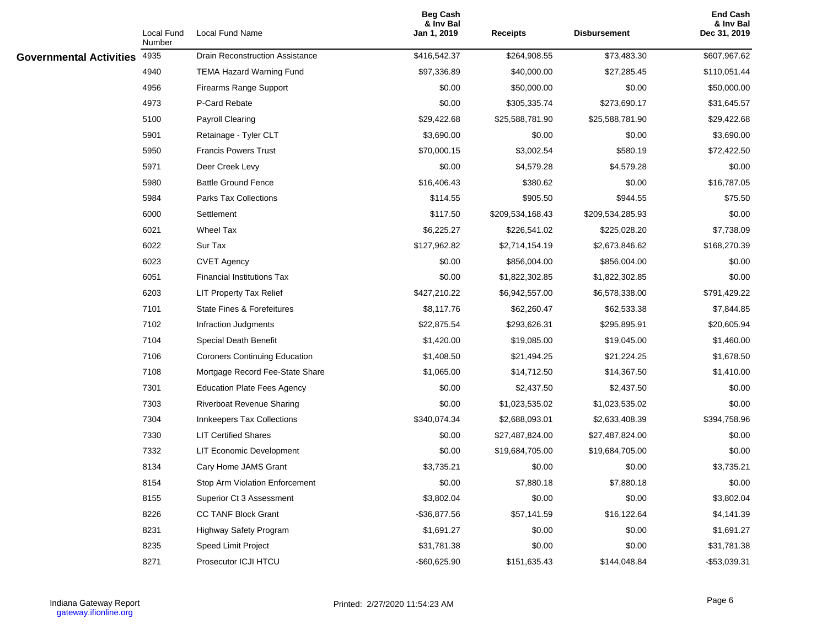|                                | Local Fund<br>Number | Local Fund Name                        | <b>Beg Cash</b><br>& Inv Bal<br>Jan 1, 2019 | <b>Receipts</b>  | <b>Disbursement</b> | <b>End Cash</b><br>& Inv Bal<br>Dec 31, 2019 |
|--------------------------------|----------------------|----------------------------------------|---------------------------------------------|------------------|---------------------|----------------------------------------------|
| <b>Governmental Activities</b> | 4935                 | <b>Drain Reconstruction Assistance</b> | \$416,542.37                                | \$264,908.55     | \$73,483.30         | \$607,967.62                                 |
|                                | 4940                 | <b>TEMA Hazard Warning Fund</b>        | \$97,336.89                                 | \$40,000.00      | \$27,285.45         | \$110,051.44                                 |
|                                | 4956                 | <b>Firearms Range Support</b>          | \$0.00                                      | \$50,000.00      | \$0.00              | \$50,000.00                                  |
|                                | 4973                 | P-Card Rebate                          | \$0.00                                      | \$305,335.74     | \$273,690.17        | \$31,645.57                                  |
|                                | 5100                 | Payroll Clearing                       | \$29,422.68                                 | \$25,588,781.90  | \$25,588,781.90     | \$29,422.68                                  |
|                                | 5901                 | Retainage - Tyler CLT                  | \$3,690.00                                  | \$0.00           | \$0.00              | \$3,690.00                                   |
|                                | 5950                 | <b>Francis Powers Trust</b>            | \$70,000.15                                 | \$3,002.54       | \$580.19            | \$72,422.50                                  |
|                                | 5971                 | Deer Creek Levy                        | \$0.00                                      | \$4,579.28       | \$4,579.28          | \$0.00                                       |
|                                | 5980                 | <b>Battle Ground Fence</b>             | \$16,406.43                                 | \$380.62         | \$0.00              | \$16,787.05                                  |
|                                | 5984                 | Parks Tax Collections                  | \$114.55                                    | \$905.50         | \$944.55            | \$75.50                                      |
|                                | 6000                 | Settlement                             | \$117.50                                    | \$209,534,168.43 | \$209,534,285.93    | \$0.00                                       |
|                                | 6021                 | Wheel Tax                              | \$6,225.27                                  | \$226,541.02     | \$225,028.20        | \$7,738.09                                   |
|                                | 6022                 | Sur Tax                                | \$127,962.82                                | \$2,714,154.19   | \$2,673,846.62      | \$168,270.39                                 |
|                                | 6023                 | <b>CVET Agency</b>                     | \$0.00                                      | \$856,004.00     | \$856,004.00        | \$0.00                                       |
|                                | 6051                 | <b>Financial Institutions Tax</b>      | \$0.00                                      | \$1,822,302.85   | \$1,822,302.85      | \$0.00                                       |
|                                | 6203                 | <b>LIT Property Tax Relief</b>         | \$427,210.22                                | \$6,942,557.00   | \$6,578,338.00      | \$791,429.22                                 |
|                                | 7101                 | <b>State Fines &amp; Forefeitures</b>  | \$8,117.76                                  | \$62,260.47      | \$62,533.38         | \$7,844.85                                   |
|                                | 7102                 | Infraction Judgments                   | \$22,875.54                                 | \$293,626.31     | \$295,895.91        | \$20,605.94                                  |
|                                | 7104                 | Special Death Benefit                  | \$1,420.00                                  | \$19,085.00      | \$19,045.00         | \$1,460.00                                   |
|                                | 7106                 | <b>Coroners Continuing Education</b>   | \$1,408.50                                  | \$21,494.25      | \$21,224.25         | \$1,678.50                                   |
|                                | 7108                 | Mortgage Record Fee-State Share        | \$1,065.00                                  | \$14,712.50      | \$14,367.50         | \$1,410.00                                   |
|                                | 7301                 | <b>Education Plate Fees Agency</b>     | \$0.00                                      | \$2,437.50       | \$2,437.50          | \$0.00                                       |
|                                | 7303                 | Riverboat Revenue Sharing              | \$0.00                                      | \$1,023,535.02   | \$1,023,535.02      | \$0.00                                       |
|                                | 7304                 | Innkeepers Tax Collections             | \$340,074.34                                | \$2,688,093.01   | \$2,633,408.39      | \$394,758.96                                 |
|                                | 7330                 | <b>LIT Certified Shares</b>            | \$0.00                                      | \$27,487,824.00  | \$27,487,824.00     | \$0.00                                       |
|                                | 7332                 | LIT Economic Development               | \$0.00                                      | \$19,684,705.00  | \$19,684,705.00     | \$0.00                                       |
|                                | 8134                 | Cary Home JAMS Grant                   | \$3,735.21                                  | \$0.00           | \$0.00              | \$3,735.21                                   |
|                                | 8154                 | Stop Arm Violation Enforcement         | \$0.00                                      | \$7,880.18       | \$7,880.18          | \$0.00                                       |
|                                | 8155                 | Superior Ct 3 Assessment               | \$3,802.04                                  | \$0.00           | \$0.00              | \$3,802.04                                   |
|                                | 8226                 | <b>CC TANF Block Grant</b>             | $-$36,877.56$                               | \$57,141.59      | \$16,122.64         | \$4,141.39                                   |
|                                | 8231                 | Highway Safety Program                 | \$1,691.27                                  | \$0.00           | \$0.00              | \$1,691.27                                   |
|                                | 8235                 | Speed Limit Project                    | \$31,781.38                                 | \$0.00           | \$0.00              | \$31,781.38                                  |
|                                | 8271                 | Prosecutor ICJI HTCU                   | $-$60,625.90$                               | \$151,635.43     | \$144,048.84        | -\$53,039.31                                 |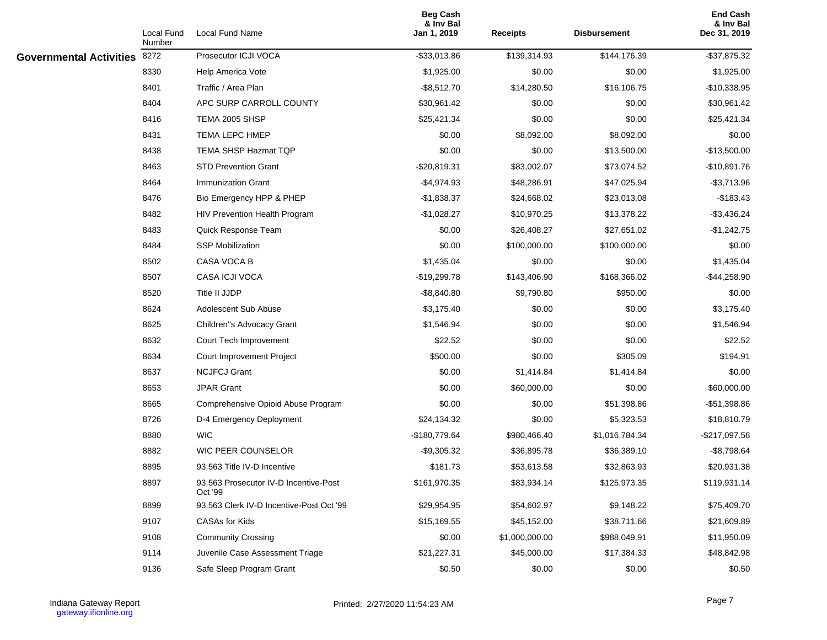|                                | Local Fund<br>Number | Local Fund Name                                  | <b>Beg Cash</b><br>& Inv Bal<br>Jan 1, 2019 | <b>Receipts</b> | <b>Disbursement</b> | <b>End Cash</b><br>& Inv Bal<br>Dec 31, 2019 |
|--------------------------------|----------------------|--------------------------------------------------|---------------------------------------------|-----------------|---------------------|----------------------------------------------|
| <b>Governmental Activities</b> | 8272                 | Prosecutor ICJI VOCA                             | $-$ \$33,013.86                             | \$139,314.93    | \$144,176.39        | $-$ \$37,875.32                              |
|                                | 8330                 | Help America Vote                                | \$1,925.00                                  | \$0.00          | \$0.00              | \$1,925.00                                   |
|                                | 8401                 | Traffic / Area Plan                              | $-$ \$8,512.70                              | \$14,280.50     | \$16,106.75         | $-$10,338.95$                                |
|                                | 8404                 | APC SURP CARROLL COUNTY                          | \$30,961.42                                 | \$0.00          | \$0.00              | \$30,961.42                                  |
|                                | 8416                 | TEMA 2005 SHSP                                   | \$25,421.34                                 | \$0.00          | \$0.00              | \$25,421.34                                  |
|                                | 8431                 | TEMA LEPC HMEP                                   | \$0.00                                      | \$8,092.00      | \$8,092.00          | \$0.00                                       |
|                                | 8438                 | <b>TEMA SHSP Hazmat TQP</b>                      | \$0.00                                      | \$0.00          | \$13,500.00         | $-$13,500.00$                                |
|                                | 8463                 | <b>STD Prevention Grant</b>                      | $-$20,819.31$                               | \$83,002.07     | \$73,074.52         | $-$10,891.76$                                |
|                                | 8464                 | <b>Immunization Grant</b>                        | $-$4,974.93$                                | \$48,286.91     | \$47,025.94         | $-$3,713.96$                                 |
|                                | 8476                 | Bio Emergency HPP & PHEP                         | $-$1,838.37$                                | \$24,668.02     | \$23,013.08         | $-$183.43$                                   |
|                                | 8482                 | HIV Prevention Health Program                    | $-$1,028.27$                                | \$10,970.25     | \$13,378.22         | $-$3,436.24$                                 |
|                                | 8483                 | Quick Response Team                              | \$0.00                                      | \$26,408.27     | \$27,651.02         | $-$1,242.75$                                 |
|                                | 8484                 | <b>SSP Mobilization</b>                          | \$0.00                                      | \$100,000.00    | \$100,000.00        | \$0.00                                       |
|                                | 8502                 | CASA VOCA B                                      | \$1,435.04                                  | \$0.00          | \$0.00              | \$1,435.04                                   |
|                                | 8507                 | CASA ICJI VOCA                                   | -\$19,299.78                                | \$143,406.90    | \$168,366.02        | $-$44,258.90$                                |
|                                | 8520                 | Title II JJDP                                    | $-$ \$8,840.80                              | \$9,790.80      | \$950.00            | \$0.00                                       |
|                                | 8624                 | Adolescent Sub Abuse                             | \$3,175.40                                  | \$0.00          | \$0.00              | \$3,175.40                                   |
|                                | 8625                 | Children"s Advocacy Grant                        | \$1,546.94                                  | \$0.00          | \$0.00              | \$1,546.94                                   |
|                                | 8632                 | Court Tech Improvement                           | \$22.52                                     | \$0.00          | \$0.00              | \$22.52                                      |
|                                | 8634                 | Court Improvement Project                        | \$500.00                                    | \$0.00          | \$305.09            | \$194.91                                     |
|                                | 8637                 | <b>NCJFCJ Grant</b>                              | \$0.00                                      | \$1,414.84      | \$1,414.84          | \$0.00                                       |
|                                | 8653                 | <b>JPAR Grant</b>                                | \$0.00                                      | \$60,000.00     | \$0.00              | \$60,000.00                                  |
|                                | 8665                 | Comprehensive Opioid Abuse Program               | \$0.00                                      | \$0.00          | \$51,398.86         | $-$51,398.86$                                |
|                                | 8726                 | D-4 Emergency Deployment                         | \$24,134.32                                 | \$0.00          | \$5,323.53          | \$18,810.79                                  |
|                                | 8880                 | <b>WIC</b>                                       | $-$180,779.64$                              | \$980,466.40    | \$1,016,784.34      | $-$217,097.58$                               |
|                                | 8882                 | WIC PEER COUNSELOR                               | $-$9,305.32$                                | \$36,895.78     | \$36,389.10         | $-$8,798.64$                                 |
|                                | 8895                 | 93.563 Title IV-D Incentive                      | \$181.73                                    | \$53,613.58     | \$32,863.93         | \$20,931.38                                  |
|                                | 8897                 | 93.563 Prosecutor IV-D Incentive-Post<br>Oct '99 | \$161,970.35                                | \$83,934.14     | \$125,973.35        | \$119,931.14                                 |
|                                | 8899                 | 93.563 Clerk IV-D Incentive-Post Oct '99         | \$29,954.95                                 | \$54,602.97     | \$9,148.22          | \$75,409.70                                  |
|                                | 9107                 | CASAs for Kids                                   | \$15,169.55                                 | \$45,152.00     | \$38,711.66         | \$21,609.89                                  |
|                                | 9108                 | <b>Community Crossing</b>                        | \$0.00                                      | \$1,000,000.00  | \$988,049.91        | \$11,950.09                                  |
|                                | 9114                 | Juvenile Case Assessment Triage                  | \$21,227.31                                 | \$45,000.00     | \$17,384.33         | \$48,842.98                                  |
|                                | 9136                 | Safe Sleep Program Grant                         | \$0.50                                      | \$0.00          | \$0.00              | \$0.50                                       |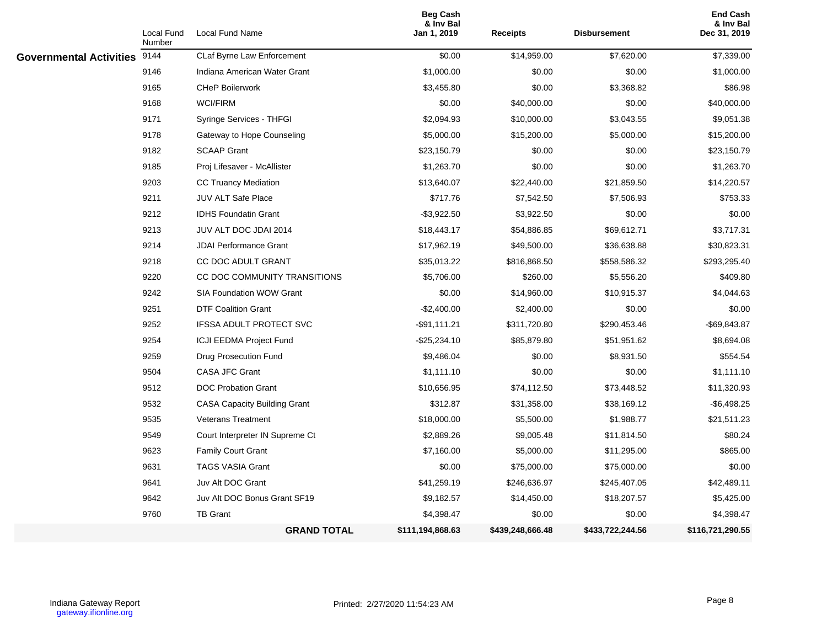|                                | Local Fund<br>Number | Local Fund Name                     | <b>Beg Cash</b><br>& Inv Bal<br>Jan 1, 2019 | <b>Receipts</b>  | <b>Disbursement</b> | <b>End Cash</b><br>& Inv Bal<br>Dec 31, 2019 |
|--------------------------------|----------------------|-------------------------------------|---------------------------------------------|------------------|---------------------|----------------------------------------------|
| <b>Governmental Activities</b> | 9144                 | CLaf Byrne Law Enforcement          | \$0.00                                      | \$14,959.00      | \$7,620.00          | \$7,339.00                                   |
|                                | 9146                 | Indiana American Water Grant        | \$1,000.00                                  | \$0.00           | \$0.00              | \$1,000.00                                   |
|                                | 9165                 | <b>CHeP Boilerwork</b>              | \$3,455.80                                  | \$0.00           | \$3,368.82          | \$86.98                                      |
|                                | 9168                 | <b>WCI/FIRM</b>                     | \$0.00                                      | \$40,000.00      | \$0.00              | \$40,000.00                                  |
|                                | 9171                 | Syringe Services - THFGI            | \$2,094.93                                  | \$10,000.00      | \$3,043.55          | \$9,051.38                                   |
|                                | 9178                 | Gateway to Hope Counseling          | \$5,000.00                                  | \$15,200.00      | \$5,000.00          | \$15,200.00                                  |
|                                | 9182                 | <b>SCAAP Grant</b>                  | \$23,150.79                                 | \$0.00           | \$0.00              | \$23,150.79                                  |
|                                | 9185                 | Proj Lifesaver - McAllister         | \$1,263.70                                  | \$0.00           | \$0.00              | \$1,263.70                                   |
|                                | 9203                 | <b>CC Truancy Mediation</b>         | \$13,640.07                                 | \$22,440.00      | \$21,859.50         | \$14,220.57                                  |
|                                | 9211                 | <b>JUV ALT Safe Place</b>           | \$717.76                                    | \$7,542.50       | \$7,506.93          | \$753.33                                     |
|                                | 9212                 | <b>IDHS Foundatin Grant</b>         | $-$ \$3,922.50                              | \$3,922.50       | \$0.00              | \$0.00                                       |
|                                | 9213                 | JUV ALT DOC JDAI 2014               | \$18,443.17                                 | \$54,886.85      | \$69,612.71         | \$3,717.31                                   |
|                                | 9214                 | <b>JDAI Performance Grant</b>       | \$17,962.19                                 | \$49,500.00      | \$36,638.88         | \$30,823.31                                  |
|                                | 9218                 | CC DOC ADULT GRANT                  | \$35,013.22                                 | \$816,868.50     | \$558,586.32        | \$293,295.40                                 |
|                                | 9220                 | CC DOC COMMUNITY TRANSITIONS        | \$5,706.00                                  | \$260.00         | \$5,556.20          | \$409.80                                     |
|                                | 9242                 | <b>SIA Foundation WOW Grant</b>     | \$0.00                                      | \$14,960.00      | \$10,915.37         | \$4,044.63                                   |
|                                | 9251                 | <b>DTF Coalition Grant</b>          | $-$2,400.00$                                | \$2,400.00       | \$0.00              | \$0.00                                       |
|                                | 9252                 | <b>IFSSA ADULT PROTECT SVC</b>      | -\$91,111.21                                | \$311,720.80     | \$290,453.46        | $-$ \$69,843.87                              |
|                                | 9254                 | <b>ICJI EEDMA Project Fund</b>      | $-$ \$25,234.10                             | \$85,879.80      | \$51,951.62         | \$8,694.08                                   |
|                                | 9259                 | Drug Prosecution Fund               | \$9,486.04                                  | \$0.00           | \$8,931.50          | \$554.54                                     |
|                                | 9504                 | <b>CASA JFC Grant</b>               | \$1,111.10                                  | \$0.00           | \$0.00              | \$1,111.10                                   |
|                                | 9512                 | <b>DOC Probation Grant</b>          | \$10,656.95                                 | \$74,112.50      | \$73,448.52         | \$11,320.93                                  |
|                                | 9532                 | <b>CASA Capacity Building Grant</b> | \$312.87                                    | \$31,358.00      | \$38,169.12         | $-$6,498.25$                                 |
|                                | 9535                 | <b>Veterans Treatment</b>           | \$18,000.00                                 | \$5,500.00       | \$1,988.77          | \$21,511.23                                  |
|                                | 9549                 | Court Interpreter IN Supreme Ct     | \$2,889.26                                  | \$9,005.48       | \$11,814.50         | \$80.24                                      |
|                                | 9623                 | <b>Family Court Grant</b>           | \$7,160.00                                  | \$5,000.00       | \$11,295.00         | \$865.00                                     |
|                                | 9631                 | <b>TAGS VASIA Grant</b>             | \$0.00                                      | \$75,000.00      | \$75,000.00         | \$0.00                                       |
|                                | 9641                 | Juv Alt DOC Grant                   | \$41,259.19                                 | \$246,636.97     | \$245,407.05        | \$42,489.11                                  |
|                                | 9642                 | Juv Alt DOC Bonus Grant SF19        | \$9,182.57                                  | \$14,450.00      | \$18,207.57         | \$5,425.00                                   |
|                                | 9760                 | <b>TB Grant</b>                     | \$4,398.47                                  | \$0.00           | \$0.00              | \$4,398.47                                   |
|                                |                      | <b>GRAND TOTAL</b>                  | \$111,194,868.63                            | \$439,248,666.48 | \$433,722,244.56    | \$116,721,290.55                             |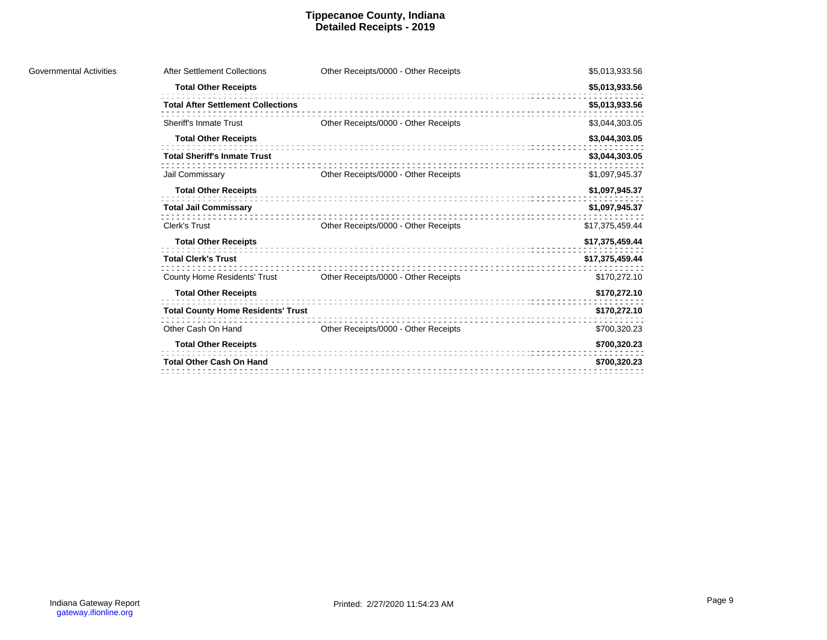#### **Tippecanoe County, Indiana Detailed Receipts - 2019**

| After Settlement Collections              | Other Receipts/0000 - Other Receipts | \$5,013,933.56  |
|-------------------------------------------|--------------------------------------|-----------------|
| <b>Total Other Receipts</b>               |                                      | \$5,013,933.56  |
| <b>Total After Settlement Collections</b> |                                      | \$5,013,933.56  |
| Sheriff's Inmate Trust                    | Other Receipts/0000 - Other Receipts | \$3,044,303.05  |
| <b>Total Other Receipts</b>               |                                      | \$3,044,303.05  |
| <b>Total Sheriff's Inmate Trust</b>       |                                      | \$3,044,303.05  |
| Jail Commissary                           | Other Receipts/0000 - Other Receipts | \$1,097,945.37  |
| <b>Total Other Receipts</b>               |                                      | \$1,097,945.37  |
| <b>Total Jail Commissary</b>              |                                      | \$1,097,945.37  |
| Clerk's Trust                             | Other Receipts/0000 - Other Receipts | \$17,375,459.44 |
| <b>Total Other Receipts</b>               |                                      | \$17,375,459.44 |
| <b>Total Clerk's Trust</b>                |                                      | \$17,375,459.44 |
| <b>County Home Residents' Trust</b>       | Other Receipts/0000 - Other Receipts | \$170,272.10    |
| <b>Total Other Receipts</b>               |                                      | \$170,272.10    |
| <b>Total County Home Residents' Trust</b> |                                      | \$170,272.10    |
| Other Cash On Hand                        | Other Receipts/0000 - Other Receipts | \$700,320.23    |
| <b>Total Other Receipts</b>               |                                      | \$700,320.23    |
| <b>Total Other Cash On Hand</b>           |                                      | \$700,320.23    |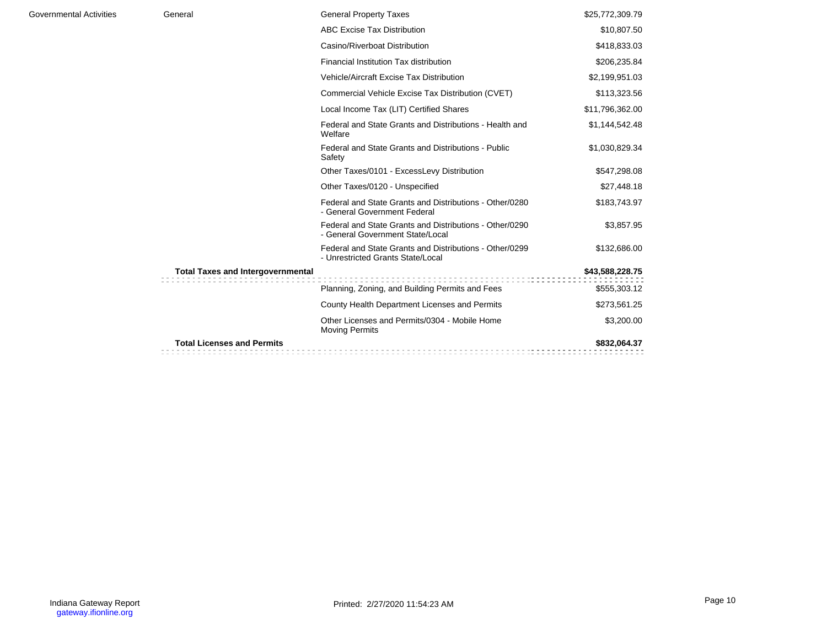| General                                  | <b>General Property Taxes</b>                                                                | \$25,772,309.79 |
|------------------------------------------|----------------------------------------------------------------------------------------------|-----------------|
|                                          | <b>ABC Excise Tax Distribution</b>                                                           | \$10,807.50     |
|                                          | Casino/Riverboat Distribution                                                                | \$418,833.03    |
|                                          | Financial Institution Tax distribution                                                       | \$206,235.84    |
|                                          | Vehicle/Aircraft Excise Tax Distribution                                                     | \$2,199,951.03  |
|                                          | Commercial Vehicle Excise Tax Distribution (CVET)                                            | \$113,323.56    |
|                                          | Local Income Tax (LIT) Certified Shares                                                      | \$11,796,362.00 |
|                                          | Federal and State Grants and Distributions - Health and<br>Welfare                           | \$1,144,542.48  |
|                                          | Federal and State Grants and Distributions - Public<br>Safety                                | \$1,030,829.34  |
|                                          | Other Taxes/0101 - ExcessLevy Distribution                                                   | \$547,298.08    |
|                                          | Other Taxes/0120 - Unspecified                                                               | \$27,448.18     |
|                                          | Federal and State Grants and Distributions - Other/0280<br>- General Government Federal      | \$183,743.97    |
|                                          | Federal and State Grants and Distributions - Other/0290<br>- General Government State/Local  | \$3,857.95      |
|                                          | Federal and State Grants and Distributions - Other/0299<br>- Unrestricted Grants State/Local | \$132,686.00    |
| <b>Total Taxes and Intergovernmental</b> |                                                                                              | \$43,588,228.75 |
|                                          | Planning, Zoning, and Building Permits and Fees                                              | \$555,303.12    |
|                                          | County Health Department Licenses and Permits                                                | \$273,561.25    |
|                                          | Other Licenses and Permits/0304 - Mobile Home<br><b>Moving Permits</b>                       | \$3,200.00      |
| <b>Total Licenses and Permits</b>        |                                                                                              | \$832,064.37    |
|                                          |                                                                                              |                 |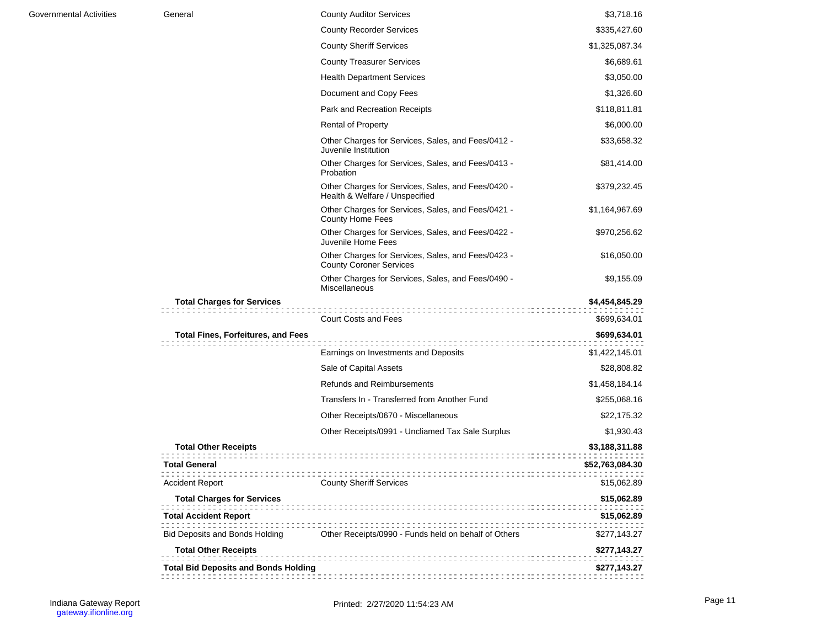| Governmental Activities | General                                     | <b>County Auditor Services</b>                                                       | \$3,718.16      |
|-------------------------|---------------------------------------------|--------------------------------------------------------------------------------------|-----------------|
|                         |                                             | <b>County Recorder Services</b>                                                      | \$335,427.60    |
|                         |                                             | <b>County Sheriff Services</b>                                                       | \$1,325,087.34  |
|                         |                                             | <b>County Treasurer Services</b>                                                     | \$6,689.61      |
|                         |                                             | <b>Health Department Services</b>                                                    | \$3,050.00      |
|                         |                                             | Document and Copy Fees                                                               | \$1,326.60      |
|                         |                                             | Park and Recreation Receipts                                                         | \$118,811.81    |
|                         |                                             | <b>Rental of Property</b>                                                            | \$6,000.00      |
|                         |                                             | Other Charges for Services, Sales, and Fees/0412 -<br>Juvenile Institution           | \$33,658.32     |
|                         |                                             | Other Charges for Services, Sales, and Fees/0413 -<br>Probation                      | \$81,414.00     |
|                         |                                             | Other Charges for Services, Sales, and Fees/0420 -<br>Health & Welfare / Unspecified | \$379,232.45    |
|                         |                                             | Other Charges for Services, Sales, and Fees/0421 -<br>County Home Fees               | \$1,164,967.69  |
|                         |                                             | Other Charges for Services, Sales, and Fees/0422 -<br>Juvenile Home Fees             | \$970,256.62    |
|                         |                                             | Other Charges for Services, Sales, and Fees/0423 -<br><b>County Coroner Services</b> | \$16,050.00     |
|                         |                                             | Other Charges for Services, Sales, and Fees/0490 -<br><b>Miscellaneous</b>           | \$9,155.09      |
|                         | <b>Total Charges for Services</b>           |                                                                                      | \$4,454,845.29  |
|                         |                                             | <b>Court Costs and Fees</b>                                                          | \$699,634.01    |
|                         | <b>Total Fines, Forfeitures, and Fees</b>   | ,,,,,,,,,,,,,,,,,,,                                                                  | \$699,634.01    |
|                         |                                             | Earnings on Investments and Deposits                                                 | \$1,422,145.01  |
|                         |                                             | Sale of Capital Assets                                                               | \$28,808.82     |
|                         |                                             | <b>Refunds and Reimbursements</b>                                                    | \$1,458,184.14  |
|                         |                                             | Transfers In - Transferred from Another Fund                                         | \$255,068.16    |
|                         |                                             | Other Receipts/0670 - Miscellaneous                                                  | \$22,175.32     |
|                         |                                             | Other Receipts/0991 - Uncliamed Tax Sale Surplus                                     | \$1,930.43      |
|                         | <b>Total Other Receipts</b>                 |                                                                                      | \$3,188,311.88  |
|                         | <b>Total General</b>                        |                                                                                      | \$52,763,084.30 |
|                         | <b>Accident Report</b>                      | <b>County Sheriff Services</b>                                                       | \$15,062.89     |
|                         | <b>Total Charges for Services</b>           |                                                                                      | \$15,062.89     |
|                         | <b>Total Accident Report</b>                |                                                                                      | \$15,062.89     |
|                         | <b>Bid Deposits and Bonds Holding</b>       | Other Receipts/0990 - Funds held on behalf of Others                                 | \$277,143.27    |
|                         | <b>Total Other Receipts</b>                 |                                                                                      | \$277,143.27    |
|                         | <b>Total Bid Deposits and Bonds Holding</b> |                                                                                      | \$277,143.27    |
|                         |                                             |                                                                                      |                 |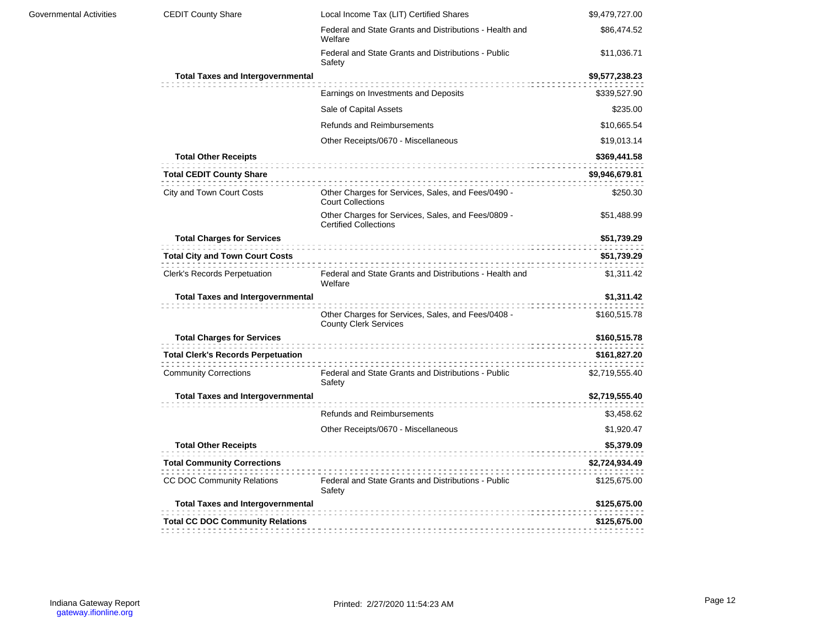| <b>Governmental Activities</b> | <b>CEDIT County Share</b>                                      | Local Income Tax (LIT) Certified Shares                                            | \$9,479,727.00 |  |  |  |
|--------------------------------|----------------------------------------------------------------|------------------------------------------------------------------------------------|----------------|--|--|--|
|                                |                                                                | Federal and State Grants and Distributions - Health and<br>Welfare                 | \$86,474.52    |  |  |  |
|                                |                                                                | Federal and State Grants and Distributions - Public<br>Safety                      | \$11,036.71    |  |  |  |
|                                | <b>Total Taxes and Intergovernmental</b>                       |                                                                                    | \$9,577,238.23 |  |  |  |
|                                |                                                                | Earnings on Investments and Deposits                                               | \$339,527.90   |  |  |  |
|                                |                                                                | Sale of Capital Assets                                                             | \$235.00       |  |  |  |
|                                |                                                                | Refunds and Reimbursements                                                         | \$10,665.54    |  |  |  |
|                                |                                                                | Other Receipts/0670 - Miscellaneous                                                | \$19,013.14    |  |  |  |
|                                | <b>Total Other Receipts</b><br><b>Total CEDIT County Share</b> |                                                                                    |                |  |  |  |
|                                | City and Town Court Costs                                      | Other Charges for Services, Sales, and Fees/0490 -<br><b>Court Collections</b>     | \$250.30       |  |  |  |
|                                |                                                                | Other Charges for Services, Sales, and Fees/0809 -<br><b>Certified Collections</b> | \$51,488.99    |  |  |  |
|                                | <b>Total Charges for Services</b><br>\$51,739.29               |                                                                                    |                |  |  |  |
|                                | <b>Total City and Town Court Costs</b>                         |                                                                                    | \$51,739.29    |  |  |  |
|                                | Clerk's Records Perpetuation                                   | Federal and State Grants and Distributions - Health and<br>Welfare                 | \$1,311.42     |  |  |  |
|                                | <b>Total Taxes and Intergovernmental</b>                       |                                                                                    | \$1,311.42     |  |  |  |
|                                |                                                                | Other Charges for Services, Sales, and Fees/0408 -<br><b>County Clerk Services</b> | \$160,515.78   |  |  |  |
|                                | <b>Total Charges for Services</b>                              |                                                                                    | \$160,515.78   |  |  |  |
|                                | <b>Total Clerk's Records Perpetuation</b>                      |                                                                                    | \$161,827.20   |  |  |  |
|                                | <b>Community Corrections</b>                                   | Federal and State Grants and Distributions - Public<br>Safety                      | \$2,719,555.40 |  |  |  |
|                                | <b>Total Taxes and Intergovernmental</b>                       |                                                                                    | \$2,719,555.40 |  |  |  |
|                                |                                                                | <b>Refunds and Reimbursements</b>                                                  | \$3,458.62     |  |  |  |
|                                |                                                                | Other Receipts/0670 - Miscellaneous                                                | \$1,920.47     |  |  |  |
|                                | <b>Total Other Receipts</b>                                    |                                                                                    | \$5,379.09     |  |  |  |
|                                | <b>Total Community Corrections</b>                             |                                                                                    | \$2,724,934.49 |  |  |  |
|                                | CC DOC Community Relations                                     | Federal and State Grants and Distributions - Public<br>Safety                      | \$125,675.00   |  |  |  |
|                                | <b>Total Taxes and Intergovernmental</b>                       |                                                                                    | \$125,675.00   |  |  |  |
|                                |                                                                |                                                                                    |                |  |  |  |
|                                | <b>Total CC DOC Community Relations</b>                        |                                                                                    | \$125,675.00   |  |  |  |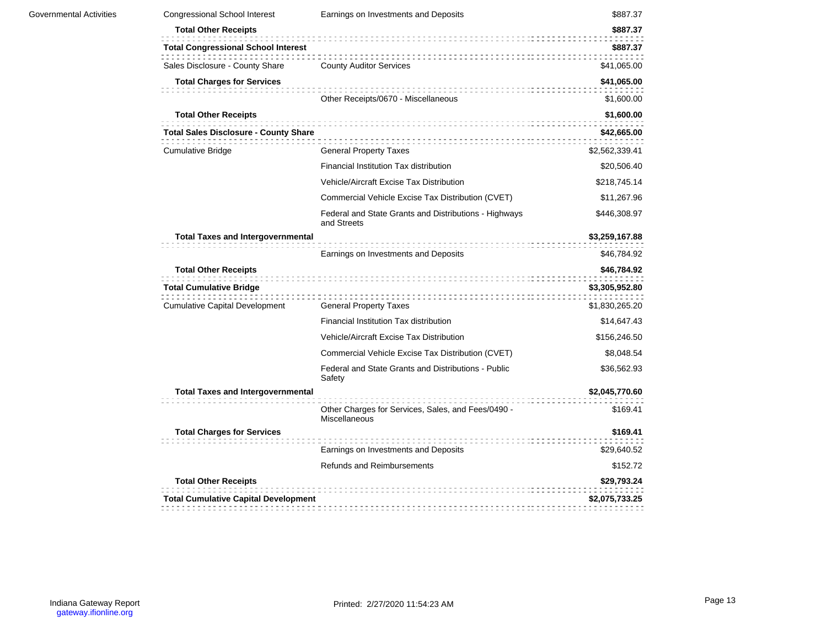| <b>Congressional School Interest</b>         | Earnings on Investments and Deposits                                 | \$887.37                |
|----------------------------------------------|----------------------------------------------------------------------|-------------------------|
| <b>Total Other Receipts</b>                  |                                                                      | \$887.37                |
| <b>Total Congressional School Interest</b>   |                                                                      | \$887.37                |
| Sales Disclosure - County Share              | <b>County Auditor Services</b>                                       | \$41,065.00             |
| <b>Total Charges for Services</b>            |                                                                      | \$41,065.00             |
|                                              | Other Receipts/0670 - Miscellaneous                                  | \$1,600.00              |
| <b>Total Other Receipts</b>                  |                                                                      | \$1,600.00              |
| <b>Total Sales Disclosure - County Share</b> |                                                                      | \$42,665.00             |
| <b>Cumulative Bridge</b>                     | <b>General Property Taxes</b>                                        | \$2,562,339.41          |
|                                              | Financial Institution Tax distribution                               | \$20,506.40             |
|                                              | Vehicle/Aircraft Excise Tax Distribution                             | \$218,745.14            |
|                                              | Commercial Vehicle Excise Tax Distribution (CVET)                    | \$11,267.96             |
|                                              | Federal and State Grants and Distributions - Highways<br>and Streets | \$446,308.97            |
| <b>Total Taxes and Intergovernmental</b>     |                                                                      | \$3,259,167.88          |
|                                              | Earnings on Investments and Deposits                                 | \$46,784.92             |
| <b>Total Other Receipts</b>                  |                                                                      | \$46,784.92             |
| <b>Total Cumulative Bridge</b>               |                                                                      | \$3,305,952.80          |
| <b>Cumulative Capital Development</b>        | <b>General Property Taxes</b>                                        | \$1,830,265.20          |
|                                              | Financial Institution Tax distribution                               | \$14,647.43             |
|                                              | Vehicle/Aircraft Excise Tax Distribution                             | \$156,246.50            |
|                                              | Commercial Vehicle Excise Tax Distribution (CVET)                    | \$8,048.54              |
|                                              | Federal and State Grants and Distributions - Public<br>Safety        | \$36,562.93             |
| <b>Total Taxes and Intergovernmental</b>     |                                                                      | \$2,045,770.60          |
|                                              | Other Charges for Services, Sales, and Fees/0490 -<br>Miscellaneous  | \$169.41                |
| <b>Total Charges for Services</b>            |                                                                      | \$169.41                |
|                                              | Earnings on Investments and Deposits                                 | \$29,640.52             |
|                                              |                                                                      |                         |
|                                              | <b>Refunds and Reimbursements</b>                                    |                         |
| <b>Total Other Receipts</b>                  |                                                                      | \$152.72<br>\$29,793.24 |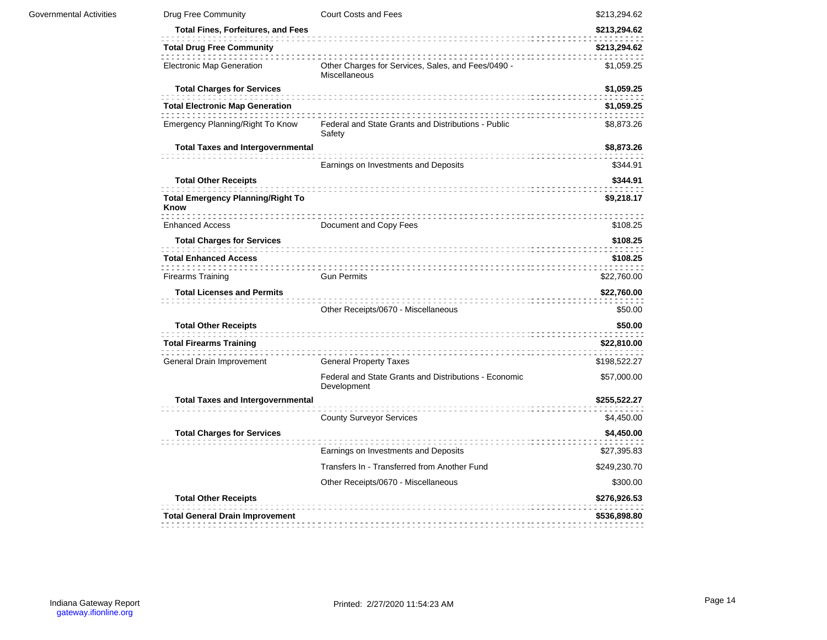| Governmental Activities | Drug Free Community                                       | Court Costs and Fees                                                 | \$213,294.62 |  |
|-------------------------|-----------------------------------------------------------|----------------------------------------------------------------------|--------------|--|
|                         | <b>Total Fines, Forfeitures, and Fees</b><br>\$213,294.62 |                                                                      |              |  |
|                         | <b>Total Drug Free Community</b>                          |                                                                      | \$213,294.62 |  |
|                         | <b>Electronic Map Generation</b>                          | Other Charges for Services, Sales, and Fees/0490 -<br>Miscellaneous  | \$1,059.25   |  |
|                         | <b>Total Charges for Services</b>                         |                                                                      | \$1,059.25   |  |
|                         | <b>Total Electronic Map Generation</b>                    |                                                                      | \$1,059.25   |  |
|                         | Emergency Planning/Right To Know                          | Federal and State Grants and Distributions - Public<br>Safety        | \$8,873.26   |  |
|                         | <b>Total Taxes and Intergovernmental</b>                  |                                                                      | \$8,873.26   |  |
|                         |                                                           | Earnings on Investments and Deposits                                 | \$344.91     |  |
|                         | <b>Total Other Receipts</b>                               |                                                                      | \$344.91     |  |
|                         | <b>Total Emergency Planning/Right To</b><br>Know          |                                                                      | \$9,218.17   |  |
|                         | <b>Enhanced Access</b>                                    | Document and Copy Fees                                               | \$108.25     |  |
|                         | <b>Total Charges for Services</b>                         |                                                                      | \$108.25     |  |
|                         | <b>Total Enhanced Access</b>                              |                                                                      | \$108.25     |  |
|                         | <b>Firearms Training</b>                                  | <b>Gun Permits</b>                                                   | \$22,760.00  |  |
|                         | <b>Total Licenses and Permits</b>                         |                                                                      | \$22,760.00  |  |
|                         |                                                           | Other Receipts/0670 - Miscellaneous                                  | \$50.00      |  |
|                         | <b>Total Other Receipts</b>                               |                                                                      | \$50.00      |  |
|                         | <b>Total Firearms Training</b>                            |                                                                      | \$22,810.00  |  |
|                         | General Drain Improvement                                 | <b>General Property Taxes</b>                                        | \$198,522.27 |  |
|                         |                                                           | Federal and State Grants and Distributions - Economic<br>Development | \$57,000.00  |  |
|                         | <b>Total Taxes and Intergovernmental</b>                  |                                                                      | \$255,522.27 |  |
|                         |                                                           | <b>County Surveyor Services</b>                                      | \$4,450.00   |  |
|                         | <b>Total Charges for Services</b>                         |                                                                      | \$4,450.00   |  |
|                         |                                                           | Earnings on Investments and Deposits                                 | \$27,395.83  |  |
|                         |                                                           | Transfers In - Transferred from Another Fund                         | \$249,230.70 |  |
|                         |                                                           | Other Receipts/0670 - Miscellaneous                                  | \$300.00     |  |
|                         | <b>Total Other Receipts</b>                               |                                                                      | \$276,926.53 |  |
|                         | <b>Total General Drain Improvement</b>                    |                                                                      | \$536,898.80 |  |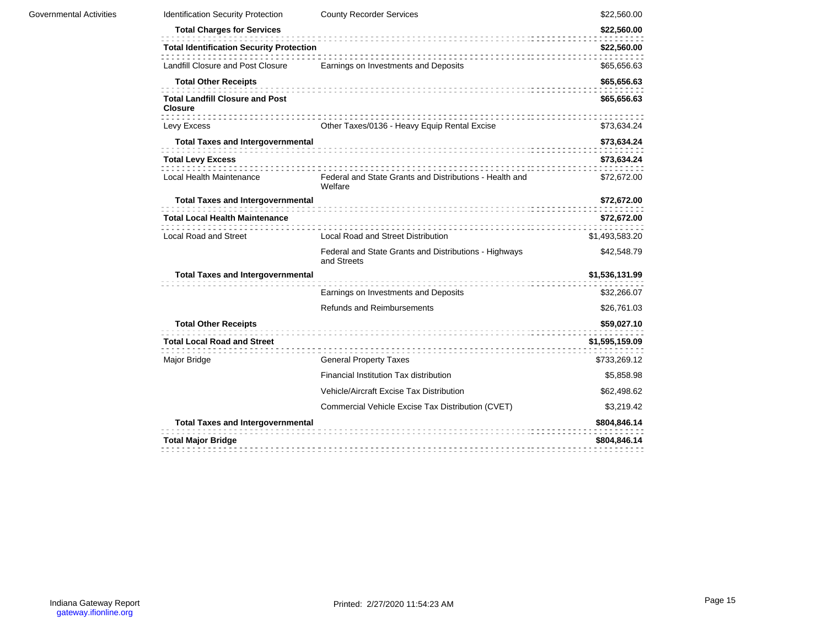| Identification Security Protection                       | <b>County Recorder Services</b>                                      | \$22,560.00    |
|----------------------------------------------------------|----------------------------------------------------------------------|----------------|
| <b>Total Charges for Services</b>                        |                                                                      | \$22,560.00    |
| <b>Total Identification Security Protection</b>          |                                                                      | \$22,560.00    |
| Landfill Closure and Post Closure                        | Earnings on Investments and Deposits                                 | \$65,656.63    |
| <b>Total Other Receipts</b>                              |                                                                      | \$65,656.63    |
| <b>Total Landfill Closure and Post</b><br><b>Closure</b> |                                                                      | \$65,656.63    |
| Levy Excess                                              | Other Taxes/0136 - Heavy Equip Rental Excise                         | \$73,634.24    |
| <b>Total Taxes and Intergovernmental</b>                 |                                                                      | \$73,634.24    |
| <b>Total Levy Excess</b>                                 |                                                                      | \$73,634.24    |
| Local Health Maintenance                                 | Federal and State Grants and Distributions - Health and<br>Welfare   | \$72,672.00    |
| <b>Total Taxes and Intergovernmental</b>                 |                                                                      | \$72,672.00    |
| <b>Total Local Health Maintenance</b>                    |                                                                      | \$72,672.00    |
| <b>Local Road and Street</b>                             | <b>Local Road and Street Distribution</b>                            | \$1,493,583.20 |
|                                                          | Federal and State Grants and Distributions - Highways<br>and Streets | \$42,548.79    |
| <b>Total Taxes and Intergovernmental</b>                 |                                                                      | \$1,536,131.99 |
|                                                          | Earnings on Investments and Deposits                                 | \$32,266.07    |
|                                                          | <b>Refunds and Reimbursements</b>                                    | \$26,761.03    |
| <b>Total Other Receipts</b>                              |                                                                      | \$59,027.10    |
| <b>Total Local Road and Street</b>                       |                                                                      | \$1,595,159.09 |
| Major Bridge                                             | <b>General Property Taxes</b>                                        | \$733,269.12   |
|                                                          | Financial Institution Tax distribution                               | \$5,858.98     |
|                                                          | Vehicle/Aircraft Excise Tax Distribution                             | \$62,498.62    |
|                                                          | Commercial Vehicle Excise Tax Distribution (CVET)                    | \$3,219.42     |
| <b>Total Taxes and Intergovernmental</b>                 |                                                                      | \$804,846.14   |
| <b>Total Major Bridge</b>                                |                                                                      | \$804,846.14   |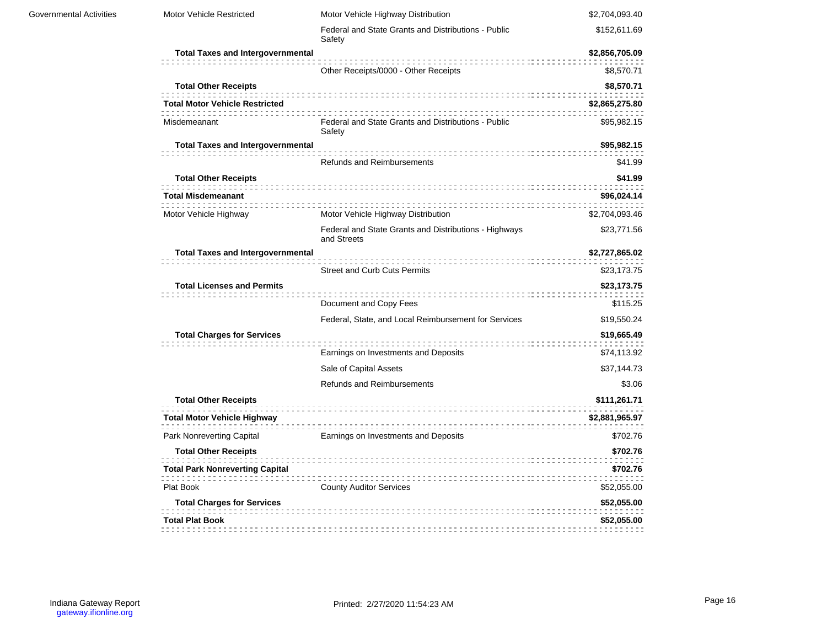| Governmental Activities | Motor Vehicle Restricted                 | Motor Vehicle Highway Distribution                                   | \$2,704,093.40 |  |  |
|-------------------------|------------------------------------------|----------------------------------------------------------------------|----------------|--|--|
|                         |                                          | Federal and State Grants and Distributions - Public<br>Safety        | \$152,611.69   |  |  |
|                         | <b>Total Taxes and Intergovernmental</b> |                                                                      | \$2,856,705.09 |  |  |
|                         |                                          | Other Receipts/0000 - Other Receipts                                 | \$8,570.71     |  |  |
|                         | <b>Total Other Receipts</b>              |                                                                      | \$8,570.71     |  |  |
|                         | <b>Total Motor Vehicle Restricted</b>    |                                                                      | \$2,865,275.80 |  |  |
|                         | Misdemeanant                             | Federal and State Grants and Distributions - Public<br>Safety        | \$95,982.15    |  |  |
|                         | <b>Total Taxes and Intergovernmental</b> |                                                                      | \$95,982.15    |  |  |
|                         |                                          | <b>Refunds and Reimbursements</b>                                    | \$41.99        |  |  |
|                         | <b>Total Other Receipts</b>              |                                                                      | \$41.99        |  |  |
|                         | <b>Total Misdemeanant</b>                |                                                                      | \$96,024.14    |  |  |
|                         | Motor Vehicle Highway                    | Motor Vehicle Highway Distribution                                   | \$2,704,093.46 |  |  |
|                         |                                          | Federal and State Grants and Distributions - Highways<br>and Streets | \$23,771.56    |  |  |
|                         | <b>Total Taxes and Intergovernmental</b> |                                                                      | \$2,727,865.02 |  |  |
|                         |                                          | <b>Street and Curb Cuts Permits</b>                                  | \$23,173.75    |  |  |
|                         | <b>Total Licenses and Permits</b>        |                                                                      | \$23,173.75    |  |  |
|                         |                                          | Document and Copy Fees<br>\$115.25                                   |                |  |  |
|                         |                                          | Federal, State, and Local Reimbursement for Services                 | \$19,550.24    |  |  |
|                         | <b>Total Charges for Services</b>        |                                                                      | \$19,665.49    |  |  |
|                         |                                          | Earnings on Investments and Deposits                                 | \$74,113.92    |  |  |
|                         |                                          | Sale of Capital Assets                                               | \$37,144.73    |  |  |
|                         |                                          | <b>Refunds and Reimbursements</b>                                    | \$3.06         |  |  |
|                         | <b>Total Other Receipts</b>              |                                                                      | \$111,261.71   |  |  |
|                         | <b>Total Motor Vehicle Highway</b>       |                                                                      | \$2,881,965.97 |  |  |
|                         | Park Nonreverting Capital                | Earnings on Investments and Deposits                                 | \$702.76       |  |  |
|                         | <b>Total Other Receipts</b>              |                                                                      | \$702.76       |  |  |
|                         | <b>Total Park Nonreverting Capital</b>   |                                                                      | \$702.76       |  |  |
|                         | Plat Book                                | <b>County Auditor Services</b>                                       | \$52,055.00    |  |  |
|                         | <b>Total Charges for Services</b>        |                                                                      | \$52,055.00    |  |  |
|                         | <b>Total Plat Book</b>                   |                                                                      | \$52,055.00    |  |  |
|                         |                                          |                                                                      |                |  |  |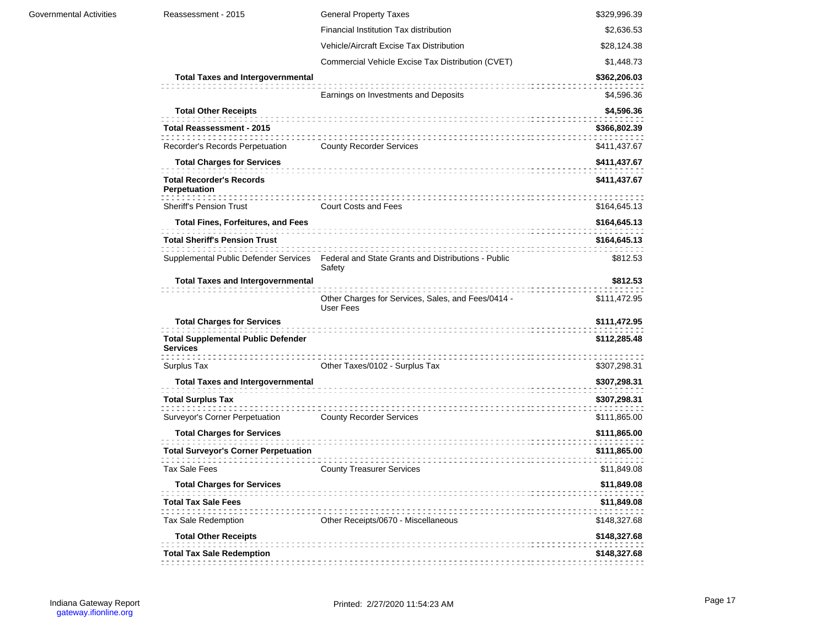| <b>Total Charges for Services</b>                            |                                                                                                     | \$411,437.67                 |
|--------------------------------------------------------------|-----------------------------------------------------------------------------------------------------|------------------------------|
| <b>Total Recorder's Records</b><br>Perpetuation              |                                                                                                     | \$411,437.67                 |
| <b>Sheriff's Pension Trust</b>                               | <b>Court Costs and Fees</b>                                                                         | \$164,645.13                 |
| <b>Total Fines, Forfeitures, and Fees</b>                    |                                                                                                     | \$164,645.13                 |
| <b>Total Sheriff's Pension Trust</b>                         |                                                                                                     | \$164,645.13                 |
|                                                              | Supplemental Public Defender Services Federal and State Grants and Distributions - Public<br>Safety | \$812.53                     |
| <b>Total Taxes and Intergovernmental</b>                     | Other Charges for Services, Sales, and Fees/0414 -<br>User Fees                                     | \$812.53<br>\$111,472.95     |
| <b>Total Charges for Services</b>                            |                                                                                                     | \$111,472.95                 |
| <b>Total Supplemental Public Defender</b><br><b>Services</b> |                                                                                                     | \$112,285.48                 |
| Surplus Tax                                                  | Other Taxes/0102 - Surplus Tax                                                                      | \$307,298.31                 |
| <b>Total Taxes and Intergovernmental</b>                     |                                                                                                     | \$307,298.31                 |
| <b>Total Surplus Tax</b>                                     |                                                                                                     | \$307,298.31                 |
|                                                              | <b>County Recorder Services</b>                                                                     | \$111,865.00                 |
| Surveyor's Corner Perpetuation                               |                                                                                                     |                              |
| <b>Total Charges for Services</b>                            |                                                                                                     | \$111,865.00                 |
| <b>Total Surveyor's Corner Perpetuation</b>                  |                                                                                                     | \$111,865.00                 |
| <b>Tax Sale Fees</b>                                         | <b>County Treasurer Services</b>                                                                    | \$11,849.08                  |
| <b>Total Charges for Services</b>                            |                                                                                                     | \$11,849.08                  |
| <b>Total Tax Sale Fees</b>                                   |                                                                                                     | \$11,849.08                  |
| Tax Sale Redemption                                          | Other Receipts/0670 - Miscellaneous                                                                 | \$148,327.68                 |
| <b>Total Other Receipts</b>                                  |                                                                                                     |                              |
| <b>Total Tax Sale Redemption</b>                             |                                                                                                     | \$148,327.68<br>\$148,327.68 |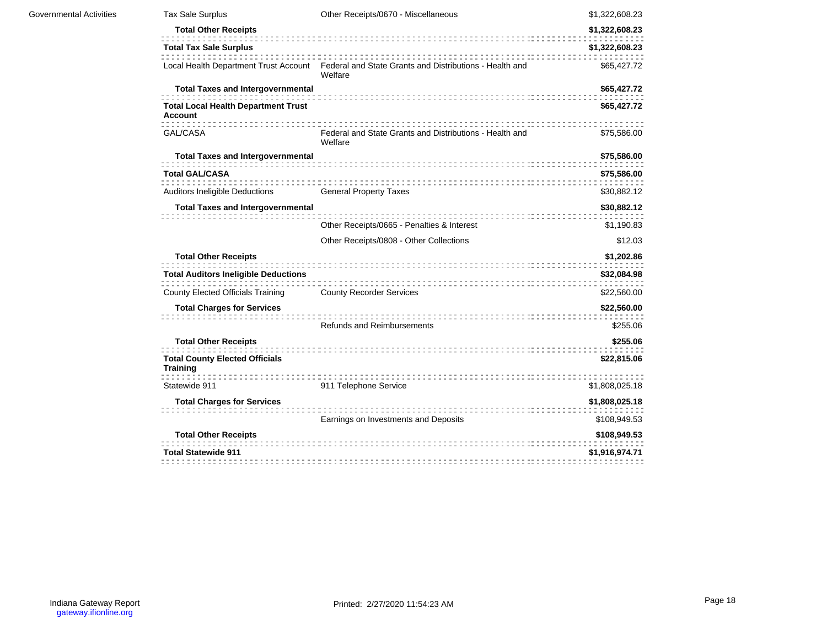| <b>Governmental Activities</b> | Tax Sale Surplus                                             | Other Receipts/0670 - Miscellaneous                                                                      | \$1,322,608.23 |
|--------------------------------|--------------------------------------------------------------|----------------------------------------------------------------------------------------------------------|----------------|
|                                | <b>Total Other Receipts</b>                                  |                                                                                                          | \$1,322,608.23 |
|                                | <b>Total Tax Sale Surplus</b>                                |                                                                                                          | \$1,322,608.23 |
|                                |                                                              | Local Health Department Trust Account Federal and State Grants and Distributions - Health and<br>Welfare | \$65,427.72    |
|                                | <b>Total Taxes and Intergovernmental</b>                     |                                                                                                          | \$65,427.72    |
|                                | <b>Total Local Health Department Trust</b><br><b>Account</b> |                                                                                                          | \$65,427.72    |
|                                | GAL/CASA                                                     | Federal and State Grants and Distributions - Health and<br>Welfare                                       | \$75,586.00    |
|                                | <b>Total Taxes and Intergovernmental</b>                     |                                                                                                          | \$75,586.00    |
|                                | <b>Total GAL/CASA</b>                                        |                                                                                                          | \$75,586.00    |
|                                | Auditors Ineligible Deductions                               | <b>General Property Taxes</b>                                                                            | \$30,882.12    |
|                                | <b>Total Taxes and Intergovernmental</b>                     |                                                                                                          | \$30,882.12    |
|                                |                                                              | Other Receipts/0665 - Penalties & Interest                                                               | \$1,190.83     |
|                                |                                                              | Other Receipts/0808 - Other Collections                                                                  | \$12.03        |
|                                | <b>Total Other Receipts</b>                                  |                                                                                                          | \$1,202.86     |
|                                | <b>Total Auditors Ineligible Deductions</b>                  |                                                                                                          | \$32,084.98    |
|                                | <b>County Elected Officials Training</b>                     | <b>County Recorder Services</b>                                                                          | \$22,560.00    |
|                                | <b>Total Charges for Services</b>                            |                                                                                                          | \$22,560.00    |
|                                |                                                              | <b>Refunds and Reimbursements</b>                                                                        | \$255.06       |
|                                | <b>Total Other Receipts</b>                                  |                                                                                                          | \$255.06       |
|                                | <b>Total County Elected Officials</b><br><b>Training</b>     |                                                                                                          | \$22,815.06    |
|                                | Statewide 911                                                | 911 Telephone Service                                                                                    | \$1,808,025.18 |
|                                | <b>Total Charges for Services</b>                            |                                                                                                          | \$1,808,025.18 |
|                                |                                                              | Earnings on Investments and Deposits                                                                     | \$108,949.53   |
|                                | <b>Total Other Receipts</b>                                  |                                                                                                          | \$108,949.53   |
|                                | <b>Total Statewide 911</b>                                   |                                                                                                          | \$1,916,974.71 |
|                                |                                                              |                                                                                                          |                |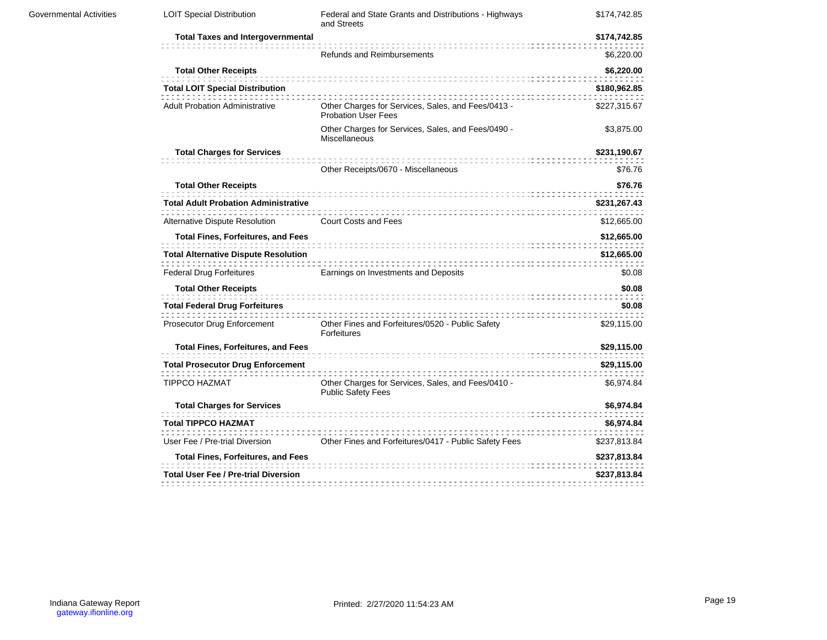| Governmental Activities | <b>LOIT Special Distribution</b>            | Federal and State Grants and Distributions - Highways<br>and Streets             | \$174,742.85                                                                                                                                                                                                                                         |  |  |
|-------------------------|---------------------------------------------|----------------------------------------------------------------------------------|------------------------------------------------------------------------------------------------------------------------------------------------------------------------------------------------------------------------------------------------------|--|--|
|                         | <b>Total Taxes and Intergovernmental</b>    |                                                                                  | \$174,742.85                                                                                                                                                                                                                                         |  |  |
|                         |                                             | <b>Refunds and Reimbursements</b>                                                | \$6,220.00                                                                                                                                                                                                                                           |  |  |
|                         | <b>Total Other Receipts</b>                 |                                                                                  | \$6,220.00                                                                                                                                                                                                                                           |  |  |
|                         | <b>Total LOIT Special Distribution</b>      |                                                                                  | \$180,962.85<br>\$227,315.67<br>\$3,875.00<br>\$231,190.67<br>\$76.76<br>\$76.76<br>\$231,267.43<br>\$12,665.00<br>\$12,665.00<br>\$12,665.00<br>\$0.08<br>\$0.08<br>\$0.08<br>\$29,115.00<br>\$29,115.00<br>\$29,115.00<br>\$6,974.84<br>\$6,974.84 |  |  |
|                         | <b>Adult Probation Administrative</b>       | Other Charges for Services, Sales, and Fees/0413 -<br><b>Probation User Fees</b> |                                                                                                                                                                                                                                                      |  |  |
|                         |                                             | Other Charges for Services, Sales, and Fees/0490 -<br>Miscellaneous              |                                                                                                                                                                                                                                                      |  |  |
|                         | <b>Total Charges for Services</b>           |                                                                                  |                                                                                                                                                                                                                                                      |  |  |
|                         |                                             | Other Receipts/0670 - Miscellaneous                                              |                                                                                                                                                                                                                                                      |  |  |
|                         | <b>Total Other Receipts</b>                 |                                                                                  |                                                                                                                                                                                                                                                      |  |  |
|                         | <b>Total Adult Probation Administrative</b> |                                                                                  |                                                                                                                                                                                                                                                      |  |  |
|                         | Alternative Dispute Resolution              | <b>Court Costs and Fees</b>                                                      |                                                                                                                                                                                                                                                      |  |  |
|                         | <b>Total Fines, Forfeitures, and Fees</b>   |                                                                                  |                                                                                                                                                                                                                                                      |  |  |
|                         | <b>Total Alternative Dispute Resolution</b> |                                                                                  |                                                                                                                                                                                                                                                      |  |  |
|                         | <b>Federal Drug Forfeitures</b>             | Earnings on Investments and Deposits                                             |                                                                                                                                                                                                                                                      |  |  |
|                         | <b>Total Other Receipts</b>                 |                                                                                  |                                                                                                                                                                                                                                                      |  |  |
|                         | <b>Total Federal Drug Forfeitures</b>       |                                                                                  |                                                                                                                                                                                                                                                      |  |  |
|                         | Prosecutor Drug Enforcement                 | Other Fines and Forfeitures/0520 - Public Safety<br>Forfeitures                  |                                                                                                                                                                                                                                                      |  |  |
|                         | <b>Total Fines, Forfeitures, and Fees</b>   |                                                                                  |                                                                                                                                                                                                                                                      |  |  |
|                         | <b>Total Prosecutor Drug Enforcement</b>    |                                                                                  |                                                                                                                                                                                                                                                      |  |  |
|                         | <b>TIPPCO HAZMAT</b>                        | Other Charges for Services, Sales, and Fees/0410 -<br><b>Public Safety Fees</b>  |                                                                                                                                                                                                                                                      |  |  |
|                         | <b>Total Charges for Services</b>           |                                                                                  |                                                                                                                                                                                                                                                      |  |  |
|                         | <b>Total TIPPCO HAZMAT</b>                  |                                                                                  | \$6,974.84                                                                                                                                                                                                                                           |  |  |
|                         | User Fee / Pre-trial Diversion              | Other Fines and Forfeitures/0417 - Public Safety Fees                            | \$237,813.84                                                                                                                                                                                                                                         |  |  |
|                         | <b>Total Fines, Forfeitures, and Fees</b>   |                                                                                  | \$237,813.84                                                                                                                                                                                                                                         |  |  |
|                         | <b>Total User Fee / Pre-trial Diversion</b> |                                                                                  | \$237,813.84                                                                                                                                                                                                                                         |  |  |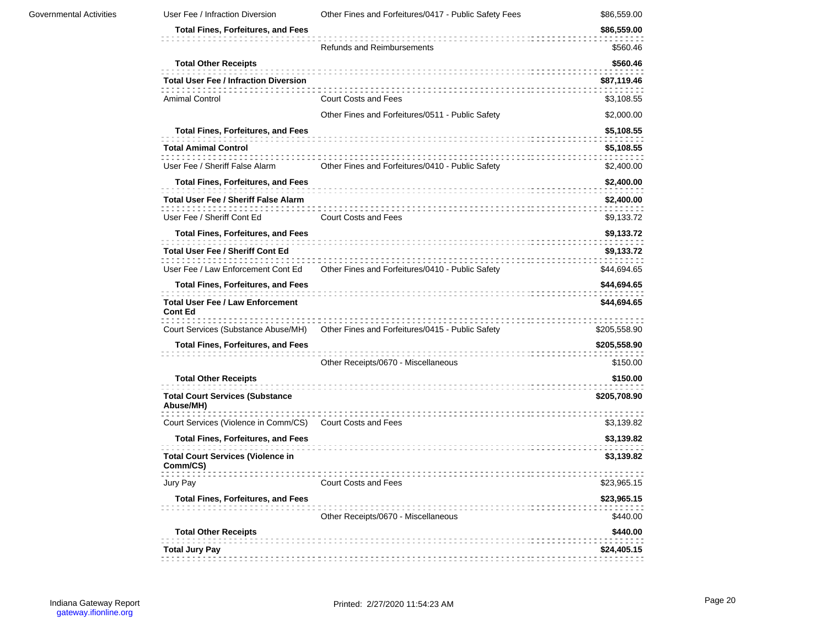| <b>Governmental Activities</b> | User Fee / Infraction Diversion                           | Other Fines and Forfeitures/0417 - Public Safety Fees | \$86,559.00                                                                                                                                                                                                                                                                                                                                                                              |  |
|--------------------------------|-----------------------------------------------------------|-------------------------------------------------------|------------------------------------------------------------------------------------------------------------------------------------------------------------------------------------------------------------------------------------------------------------------------------------------------------------------------------------------------------------------------------------------|--|
|                                | <b>Total Fines, Forfeitures, and Fees</b>                 |                                                       | \$86,559.00                                                                                                                                                                                                                                                                                                                                                                              |  |
|                                |                                                           | <b>Refunds and Reimbursements</b>                     | \$560.46<br>\$560.46<br>\$87,119.46<br>\$3,108.55<br>\$2,000.00<br>\$5,108.55<br>\$5,108.55<br>\$2,400.00<br>\$2,400.00<br>\$2,400.00<br>\$9,133.72<br>\$9,133.72<br>\$9,133.72<br>\$44,694.65<br>\$44,694.65<br>\$44,694.65<br>\$205,558.90<br>\$205,558.90<br>\$150.00<br>\$150.00<br>\$205,708.90<br>\$3,139.82<br>\$3,139.82<br>\$3,139.82<br>\$23,965.15<br>\$23,965.15<br>\$440.00 |  |
|                                | <b>Total Other Receipts</b>                               |                                                       |                                                                                                                                                                                                                                                                                                                                                                                          |  |
|                                | <b>Total User Fee / Infraction Diversion</b>              |                                                       |                                                                                                                                                                                                                                                                                                                                                                                          |  |
|                                | <b>Amimal Control</b>                                     | <b>Court Costs and Fees</b>                           |                                                                                                                                                                                                                                                                                                                                                                                          |  |
|                                |                                                           | Other Fines and Forfeitures/0511 - Public Safety      |                                                                                                                                                                                                                                                                                                                                                                                          |  |
|                                | <b>Total Fines, Forfeitures, and Fees</b>                 |                                                       |                                                                                                                                                                                                                                                                                                                                                                                          |  |
|                                | <b>Total Amimal Control</b>                               |                                                       |                                                                                                                                                                                                                                                                                                                                                                                          |  |
|                                | User Fee / Sheriff False Alarm                            | Other Fines and Forfeitures/0410 - Public Safety      |                                                                                                                                                                                                                                                                                                                                                                                          |  |
|                                | <b>Total Fines, Forfeitures, and Fees</b>                 |                                                       |                                                                                                                                                                                                                                                                                                                                                                                          |  |
|                                | Total User Fee / Sheriff False Alarm                      |                                                       |                                                                                                                                                                                                                                                                                                                                                                                          |  |
|                                | User Fee / Sheriff Cont Ed                                | <b>Court Costs and Fees</b>                           |                                                                                                                                                                                                                                                                                                                                                                                          |  |
|                                | <b>Total Fines, Forfeitures, and Fees</b>                 |                                                       |                                                                                                                                                                                                                                                                                                                                                                                          |  |
|                                | <b>Total User Fee / Sheriff Cont Ed</b>                   |                                                       |                                                                                                                                                                                                                                                                                                                                                                                          |  |
|                                | User Fee / Law Enforcement Cont Ed                        | Other Fines and Forfeitures/0410 - Public Safety      |                                                                                                                                                                                                                                                                                                                                                                                          |  |
|                                | <b>Total Fines, Forfeitures, and Fees</b>                 |                                                       |                                                                                                                                                                                                                                                                                                                                                                                          |  |
|                                | <b>Total User Fee / Law Enforcement</b><br><b>Cont Ed</b> |                                                       |                                                                                                                                                                                                                                                                                                                                                                                          |  |
|                                | Court Services (Substance Abuse/MH)                       | Other Fines and Forfeitures/0415 - Public Safety      |                                                                                                                                                                                                                                                                                                                                                                                          |  |
|                                | <b>Total Fines, Forfeitures, and Fees</b>                 |                                                       |                                                                                                                                                                                                                                                                                                                                                                                          |  |
|                                |                                                           | Other Receipts/0670 - Miscellaneous                   |                                                                                                                                                                                                                                                                                                                                                                                          |  |
|                                | <b>Total Other Receipts</b>                               |                                                       |                                                                                                                                                                                                                                                                                                                                                                                          |  |
|                                | <b>Total Court Services (Substance</b><br>Abuse/MH)       |                                                       |                                                                                                                                                                                                                                                                                                                                                                                          |  |
|                                | Court Services (Violence in Comm/CS)                      | <br><b>Court Costs and Fees</b>                       |                                                                                                                                                                                                                                                                                                                                                                                          |  |
|                                | <b>Total Fines, Forfeitures, and Fees</b>                 |                                                       |                                                                                                                                                                                                                                                                                                                                                                                          |  |
|                                | <b>Total Court Services (Violence in</b><br>Comm/CS)      |                                                       |                                                                                                                                                                                                                                                                                                                                                                                          |  |
|                                | Jury Pay                                                  | Court Costs and Fees                                  |                                                                                                                                                                                                                                                                                                                                                                                          |  |
|                                | <b>Total Fines, Forfeitures, and Fees</b>                 | Other Receipts/0670 - Miscellaneous                   |                                                                                                                                                                                                                                                                                                                                                                                          |  |
|                                | <b>Total Other Receipts</b>                               |                                                       | \$440.00                                                                                                                                                                                                                                                                                                                                                                                 |  |
|                                | <b>Total Jury Pay</b>                                     |                                                       | \$24,405.15                                                                                                                                                                                                                                                                                                                                                                              |  |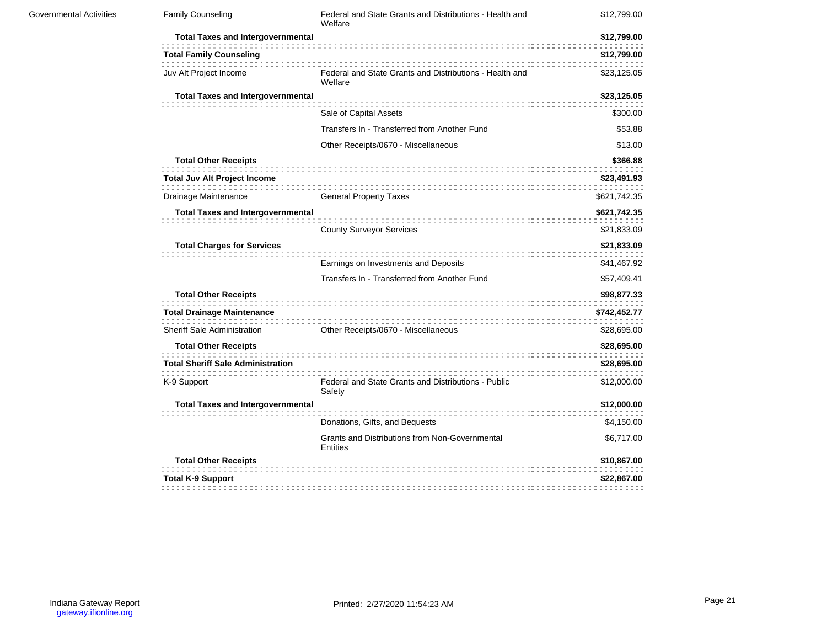| Governmental Activities | <b>Family Counseling</b>                                                                        | Federal and State Grants and Distributions - Health and<br>Welfare                                    | \$12,799.00                                |
|-------------------------|-------------------------------------------------------------------------------------------------|-------------------------------------------------------------------------------------------------------|--------------------------------------------|
|                         | <b>Total Taxes and Intergovernmental</b>                                                        |                                                                                                       | \$12,799.00                                |
|                         | <b>Total Family Counseling</b>                                                                  |                                                                                                       | \$12,799.00                                |
|                         | Juv Alt Project Income                                                                          | Federal and State Grants and Distributions - Health and<br>Welfare                                    | \$23,125.05                                |
|                         | <b>Total Taxes and Intergovernmental</b>                                                        |                                                                                                       | \$23,125.05                                |
|                         |                                                                                                 | Sale of Capital Assets                                                                                | \$300.00                                   |
|                         |                                                                                                 | Transfers In - Transferred from Another Fund                                                          | \$53.88                                    |
|                         |                                                                                                 | Other Receipts/0670 - Miscellaneous                                                                   | \$13.00                                    |
|                         | <b>Total Other Receipts</b>                                                                     |                                                                                                       | \$366.88                                   |
|                         | <b>Total Juv Alt Project Income</b>                                                             |                                                                                                       | \$23,491.93                                |
|                         | Drainage Maintenance                                                                            | <b>General Property Taxes</b>                                                                         | \$621,742.35                               |
|                         | <b>Total Taxes and Intergovernmental</b>                                                        |                                                                                                       | \$621,742.35<br>\$21,833.09                |
|                         | <b>Total Charges for Services</b>                                                               | <b>County Surveyor Services</b><br>\$21,833.09<br>Earnings on Investments and Deposits<br>\$41,467.92 |                                            |
|                         |                                                                                                 | Transfers In - Transferred from Another Fund                                                          | \$57,409.41                                |
|                         | <b>Total Other Receipts</b><br><b>Total Drainage Maintenance</b><br>Sheriff Sale Administration | Other Receipts/0670 - Miscellaneous                                                                   | \$98,877.33<br>\$742,452.77<br>\$28,695.00 |
|                         | <b>Total Other Receipts</b>                                                                     |                                                                                                       | \$28,695.00                                |
|                         | <b>Total Sheriff Sale Administration</b>                                                        |                                                                                                       | \$28,695.00                                |
|                         | K-9 Support                                                                                     | Federal and State Grants and Distributions - Public<br>Safety                                         | \$12,000.00                                |
|                         | <b>Total Taxes and Intergovernmental</b>                                                        |                                                                                                       | \$12,000.00                                |
|                         |                                                                                                 | Donations, Gifts, and Bequests                                                                        | \$4,150.00                                 |
|                         |                                                                                                 | Grants and Distributions from Non-Governmental<br><b>Entities</b>                                     | \$6,717.00                                 |
|                         | <b>Total Other Receipts</b>                                                                     |                                                                                                       | \$10,867.00                                |
|                         | <b>Total K-9 Support</b>                                                                        |                                                                                                       | \$22,867.00                                |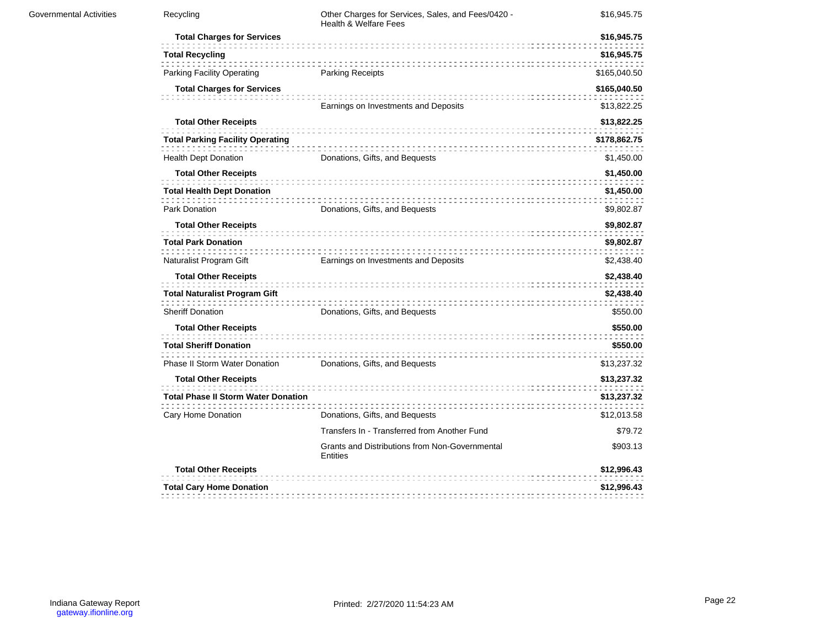| <b>Governmental Activities</b> | Recycling                                  | Other Charges for Services, Sales, and Fees/0420 -<br><b>Health &amp; Welfare Fees</b> | \$16,945.75  |
|--------------------------------|--------------------------------------------|----------------------------------------------------------------------------------------|--------------|
|                                | <b>Total Charges for Services</b>          |                                                                                        | \$16,945.75  |
|                                | <b>Total Recycling</b>                     |                                                                                        | \$16,945.75  |
|                                | <b>Parking Facility Operating</b>          | <b>Parking Receipts</b>                                                                | \$165,040.50 |
|                                | <b>Total Charges for Services</b>          |                                                                                        | \$165,040.50 |
|                                |                                            | Earnings on Investments and Deposits                                                   | \$13,822.25  |
|                                | <b>Total Other Receipts</b>                |                                                                                        | \$13,822.25  |
|                                | <b>Total Parking Facility Operating</b>    |                                                                                        | \$178,862.75 |
|                                | <b>Health Dept Donation</b>                | Donations, Gifts, and Bequests                                                         | \$1,450.00   |
|                                | <b>Total Other Receipts</b>                |                                                                                        | \$1,450.00   |
|                                | <b>Total Health Dept Donation</b>          | .                                                                                      | \$1,450.00   |
|                                | Park Donation                              | Donations, Gifts, and Bequests                                                         | \$9,802.87   |
|                                | <b>Total Other Receipts</b>                |                                                                                        | \$9,802.87   |
|                                | <b>Total Park Donation</b>                 |                                                                                        | \$9,802.87   |
|                                | Naturalist Program Gift                    | Earnings on Investments and Deposits                                                   | \$2,438.40   |
|                                | <b>Total Other Receipts</b>                |                                                                                        | \$2,438.40   |
|                                | <b>Total Naturalist Program Gift</b>       |                                                                                        | \$2,438.40   |
|                                | <b>Sheriff Donation</b>                    | Donations, Gifts, and Bequests                                                         | \$550.00     |
|                                | <b>Total Other Receipts</b>                |                                                                                        | \$550.00     |
|                                | <b>Total Sheriff Donation</b>              |                                                                                        | \$550.00     |
|                                | Phase II Storm Water Donation              | Donations, Gifts, and Bequests                                                         | \$13,237.32  |
|                                | <b>Total Other Receipts</b>                |                                                                                        | \$13,237.32  |
|                                | <b>Total Phase II Storm Water Donation</b> |                                                                                        | \$13,237.32  |
|                                | Cary Home Donation                         | Donations, Gifts, and Bequests                                                         | \$12,013.58  |
|                                |                                            | Transfers In - Transferred from Another Fund                                           | \$79.72      |
|                                |                                            | Grants and Distributions from Non-Governmental<br><b>Entities</b>                      | \$903.13     |
|                                | <b>Total Other Receipts</b>                |                                                                                        | \$12,996.43  |
|                                | <b>Total Cary Home Donation</b>            |                                                                                        | \$12,996.43  |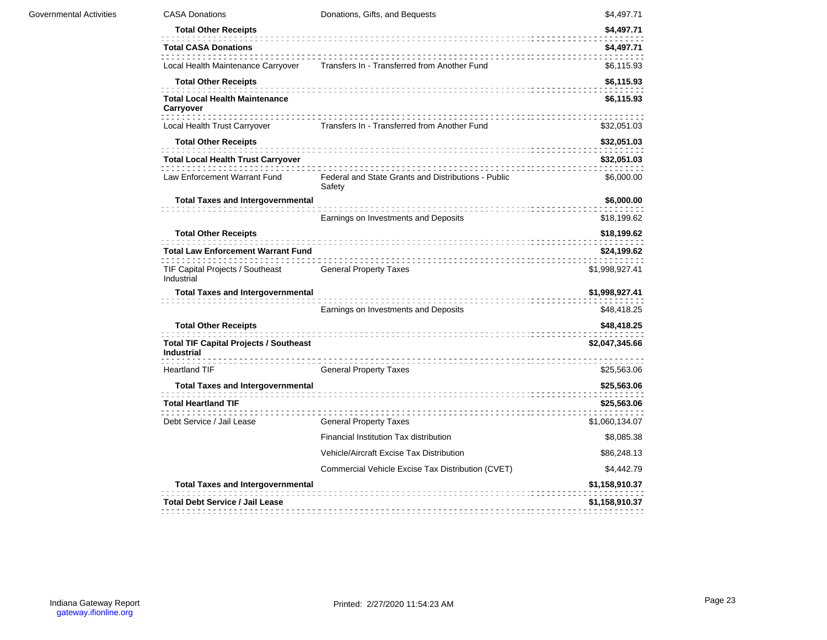| <b>CASA Donations</b>                                              | Donations, Gifts, and Bequests                                | \$4,497.71     |
|--------------------------------------------------------------------|---------------------------------------------------------------|----------------|
| <b>Total Other Receipts</b>                                        |                                                               | \$4,497.71     |
| <b>Total CASA Donations</b>                                        |                                                               | \$4,497.71     |
| Local Health Maintenance Carryover                                 | Transfers In - Transferred from Another Fund                  | \$6,115.93     |
| <b>Total Other Receipts</b>                                        |                                                               | \$6,115.93     |
| <b>Total Local Health Maintenance</b><br>Carryover                 |                                                               | \$6,115.93     |
| Local Health Trust Carryover                                       | Transfers In - Transferred from Another Fund                  | \$32,051.03    |
| <b>Total Other Receipts</b>                                        |                                                               | \$32,051.03    |
| <b>Total Local Health Trust Carryover</b>                          |                                                               | \$32,051.03    |
| Law Enforcement Warrant Fund                                       | Federal and State Grants and Distributions - Public<br>Safety | \$6,000.00     |
| <b>Total Taxes and Intergovernmental</b>                           |                                                               | \$6,000.00     |
|                                                                    | Earnings on Investments and Deposits                          | \$18,199.62    |
| <b>Total Other Receipts</b>                                        |                                                               | \$18,199.62    |
| <b>Total Law Enforcement Warrant Fund</b>                          |                                                               | \$24,199.62    |
| TIF Capital Projects / Southeast<br>Industrial                     | <b>General Property Taxes</b>                                 | \$1,998,927.41 |
| <b>Total Taxes and Intergovernmental</b>                           |                                                               | \$1,998,927.41 |
|                                                                    | Earnings on Investments and Deposits                          | \$48,418.25    |
| <b>Total Other Receipts</b>                                        |                                                               | \$48,418.25    |
| <b>Total TIF Capital Projects / Southeast</b><br><b>Industrial</b> |                                                               | \$2,047,345.66 |
| <b>Heartland TIF</b>                                               | <b>General Property Taxes</b>                                 | \$25,563.06    |
| <b>Total Taxes and Intergovernmental</b>                           |                                                               | \$25,563.06    |
| <b>Total Heartland TIF</b>                                         |                                                               | \$25,563.06    |
| Debt Service / Jail Lease                                          | <b>General Property Taxes</b>                                 | \$1,060,134.07 |
|                                                                    | Financial Institution Tax distribution                        | \$8,085.38     |
|                                                                    | Vehicle/Aircraft Excise Tax Distribution                      | \$86,248.13    |
|                                                                    | Commercial Vehicle Excise Tax Distribution (CVET)             | \$4,442.79     |
|                                                                    |                                                               |                |
| <b>Total Taxes and Intergovernmental</b>                           |                                                               | \$1,158,910.37 |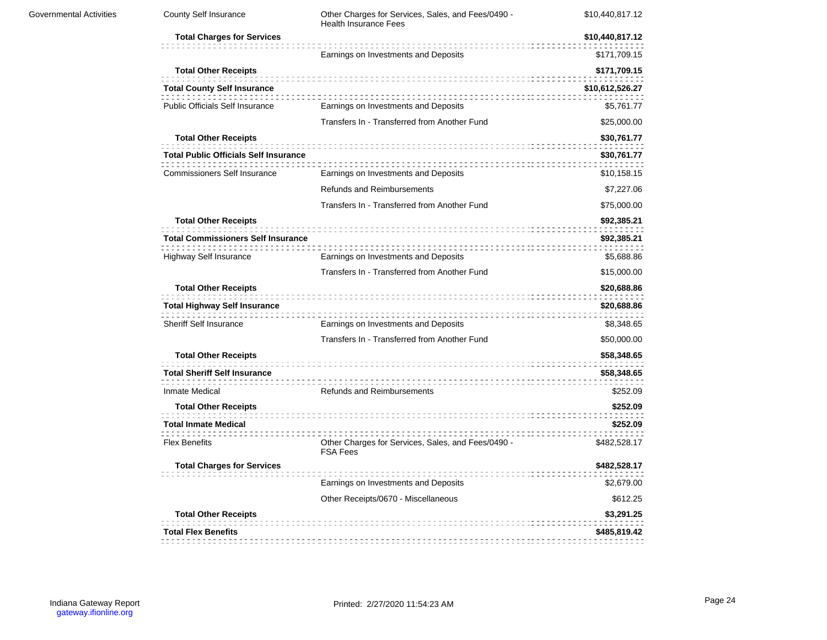| <b>Governmental Activities</b> | County Self Insurance                                                                                     | Other Charges for Services, Sales, and Fees/0490 -<br><b>Health Insurance Fees</b> | \$10,440,817.12                                                            |  |
|--------------------------------|-----------------------------------------------------------------------------------------------------------|------------------------------------------------------------------------------------|----------------------------------------------------------------------------|--|
|                                | <b>Total Charges for Services</b>                                                                         |                                                                                    | \$10,440,817.12<br>\$30,761.77<br>\$8,348.65<br>\$50,000.00<br>\$58,348.65 |  |
|                                |                                                                                                           | Earnings on Investments and Deposits                                               | \$171,709.15                                                               |  |
|                                | <b>Total Other Receipts</b><br><b>Total County Self Insurance</b>                                         |                                                                                    | \$171,709.15<br>\$10,612,526.27                                            |  |
|                                | <b>Public Officials Self Insurance</b>                                                                    | Earnings on Investments and Deposits                                               | \$5,761.77                                                                 |  |
|                                |                                                                                                           | Transfers In - Transferred from Another Fund                                       | \$25,000.00                                                                |  |
|                                | <b>Total Other Receipts</b><br><b>Total Public Officials Self Insurance</b>                               |                                                                                    | \$30,761.77                                                                |  |
|                                | <b>Commissioners Self Insurance</b>                                                                       | Earnings on Investments and Deposits                                               | \$10,158.15                                                                |  |
|                                |                                                                                                           | Refunds and Reimbursements                                                         | \$7,227.06                                                                 |  |
|                                |                                                                                                           | Transfers In - Transferred from Another Fund                                       | \$75,000.00                                                                |  |
|                                | <b>Total Other Receipts</b><br><b>Total Commissioners Self Insurance</b><br><b>Highway Self Insurance</b> | Earnings on Investments and Deposits                                               | \$92,385.21<br>\$92,385.21<br>\$5,688.86                                   |  |
|                                |                                                                                                           | Transfers In - Transferred from Another Fund                                       | \$15,000.00                                                                |  |
|                                | <b>Total Other Receipts</b>                                                                               |                                                                                    | \$20,688.86                                                                |  |
|                                | <b>Total Highway Self Insurance</b>                                                                       |                                                                                    | \$20,688.86                                                                |  |
|                                | Sheriff Self Insurance                                                                                    | Earnings on Investments and Deposits                                               |                                                                            |  |
|                                |                                                                                                           | Transfers In - Transferred from Another Fund                                       |                                                                            |  |
|                                | <b>Total Other Receipts</b>                                                                               |                                                                                    |                                                                            |  |
|                                | <b>Total Sheriff Self Insurance</b>                                                                       |                                                                                    | \$58,348.65                                                                |  |
|                                | Inmate Medical                                                                                            | Refunds and Reimbursements                                                         | \$252.09                                                                   |  |
|                                | <b>Total Other Receipts</b>                                                                               |                                                                                    | \$252.09                                                                   |  |
|                                | <b>Total Inmate Medical</b>                                                                               |                                                                                    | \$252.09                                                                   |  |
|                                | <b>Flex Benefits</b>                                                                                      | Other Charges for Services, Sales, and Fees/0490 -<br><b>FSA Fees</b>              | \$482,528.17                                                               |  |
|                                | <b>Total Charges for Services</b>                                                                         |                                                                                    | \$482,528.17                                                               |  |
|                                |                                                                                                           | Earnings on Investments and Deposits                                               | \$2,679.00                                                                 |  |
|                                |                                                                                                           | Other Receipts/0670 - Miscellaneous                                                | \$612.25                                                                   |  |
|                                | <b>Total Other Receipts</b>                                                                               |                                                                                    | \$3,291.25                                                                 |  |
|                                | <b>Total Flex Benefits</b>                                                                                |                                                                                    | \$485,819.42                                                               |  |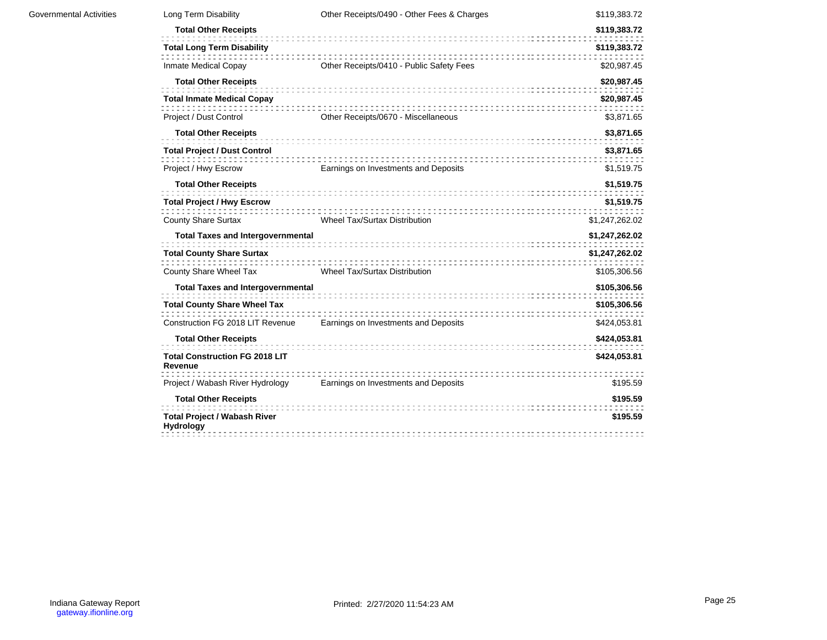| Long Term Disability                                    | Other Receipts/0490 - Other Fees & Charges | \$119,383.72   |
|---------------------------------------------------------|--------------------------------------------|----------------|
| <b>Total Other Receipts</b>                             |                                            | \$119,383.72   |
| <b>Total Long Term Disability</b>                       |                                            | \$119,383.72   |
| Inmate Medical Copay                                    | Other Receipts/0410 - Public Safety Fees   | \$20,987.45    |
| <b>Total Other Receipts</b>                             |                                            | \$20,987.45    |
| <b>Total Inmate Medical Copay</b>                       |                                            | \$20,987.45    |
| Project / Dust Control                                  | Other Receipts/0670 - Miscellaneous        | \$3,871.65     |
| <b>Total Other Receipts</b>                             |                                            | \$3,871.65     |
| <b>Total Project / Dust Control</b>                     |                                            | \$3,871.65     |
| Project / Hwy Escrow                                    | Earnings on Investments and Deposits       | \$1,519.75     |
| <b>Total Other Receipts</b>                             |                                            | \$1,519.75     |
| <b>Total Project / Hwy Escrow</b>                       |                                            | \$1,519.75     |
| <b>County Share Surtax</b>                              | <b>Wheel Tax/Surtax Distribution</b>       | \$1,247,262.02 |
| <b>Total Taxes and Intergovernmental</b>                |                                            | \$1,247,262.02 |
| <b>Total County Share Surtax</b>                        |                                            | \$1,247,262.02 |
| County Share Wheel Tax                                  | <b>Wheel Tax/Surtax Distribution</b>       | \$105,306.56   |
| <b>Total Taxes and Intergovernmental</b>                |                                            | \$105,306.56   |
| <b>Total County Share Wheel Tax</b>                     |                                            | \$105,306.56   |
| Construction FG 2018 LIT Revenue                        | Earnings on Investments and Deposits       | \$424,053.81   |
| <b>Total Other Receipts</b>                             |                                            | \$424,053.81   |
| <b>Total Construction FG 2018 LIT</b><br>Revenue        |                                            | \$424,053.81   |
| Project / Wabash River Hydrology                        | Earnings on Investments and Deposits       | \$195.59       |
| <b>Total Other Receipts</b>                             |                                            | \$195.59       |
| <b>Total Project / Wabash River</b><br><b>Hydrology</b> |                                            | \$195.59       |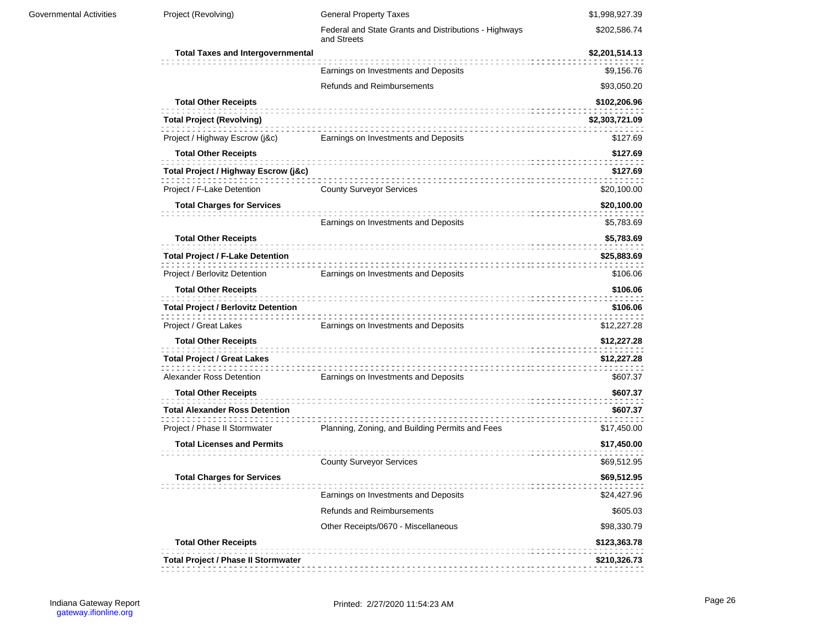| Governmental Activities | Project (Revolving)                                                       | <b>General Property Taxes</b>                                        | \$1,998,927.39               |
|-------------------------|---------------------------------------------------------------------------|----------------------------------------------------------------------|------------------------------|
|                         |                                                                           | Federal and State Grants and Distributions - Highways<br>and Streets | \$202,586.74                 |
|                         | <b>Total Taxes and Intergovernmental</b>                                  |                                                                      | \$2,201,514.13               |
|                         |                                                                           | Earnings on Investments and Deposits                                 | \$9,156.76                   |
|                         |                                                                           | Refunds and Reimbursements                                           | \$93,050.20                  |
|                         | <b>Total Other Receipts</b>                                               |                                                                      | \$102,206.96                 |
|                         | <b>Total Project (Revolving)</b>                                          |                                                                      | \$2,303,721.09               |
|                         | Project / Highway Escrow (j&c)                                            | Earnings on Investments and Deposits                                 | \$127.69                     |
|                         | <b>Total Other Receipts</b>                                               |                                                                      | \$127.69                     |
|                         | Total Project / Highway Escrow (j&c)                                      |                                                                      | \$127.69                     |
|                         | Project / F-Lake Detention                                                | <b>County Surveyor Services</b>                                      | \$20,100.00                  |
|                         | <b>Total Charges for Services</b>                                         |                                                                      | \$20,100.00                  |
|                         |                                                                           | Earnings on Investments and Deposits                                 | \$5,783.69                   |
|                         | <b>Total Other Receipts</b>                                               |                                                                      | \$5,783.69                   |
|                         | <b>Total Project / F-Lake Detention</b>                                   |                                                                      | \$25,883.69                  |
|                         | Project / Berlovitz Detention                                             | Earnings on Investments and Deposits                                 | \$106.06                     |
|                         | <b>Total Other Receipts</b>                                               |                                                                      | \$106.06                     |
|                         | <b>Total Project / Berlovitz Detention</b>                                |                                                                      | \$106.06                     |
|                         | Project / Great Lakes                                                     | Earnings on Investments and Deposits                                 | \$12,227.28                  |
|                         | <b>Total Other Receipts</b>                                               |                                                                      | \$12,227.28                  |
|                         | <b>Total Project / Great Lakes</b>                                        |                                                                      | \$12,227.28                  |
|                         | Alexander Ross Detention                                                  | Earnings on Investments and Deposits                                 | \$607.37                     |
|                         | <b>Total Other Receipts</b>                                               |                                                                      | \$607.37                     |
|                         | <b>Total Alexander Ross Detention</b>                                     |                                                                      | \$607.37                     |
|                         | Project / Phase II Stormwater                                             | Planning, Zoning, and Building Permits and Fees                      | \$17,450.00                  |
|                         | <b>Total Licenses and Permits</b>                                         |                                                                      | \$17,450.00                  |
|                         |                                                                           | <b>County Surveyor Services</b>                                      | \$69,512.95                  |
|                         | <b>Total Charges for Services</b>                                         |                                                                      | \$69,512.95                  |
|                         |                                                                           | Earnings on Investments and Deposits                                 | \$24,427.96                  |
|                         |                                                                           | Refunds and Reimbursements                                           | \$605.03                     |
|                         |                                                                           | Other Receipts/0670 - Miscellaneous                                  | \$98,330.79                  |
|                         | <b>Total Other Receipts</b><br><b>Total Project / Phase II Stormwater</b> |                                                                      | \$123,363.78<br>\$210,326.73 |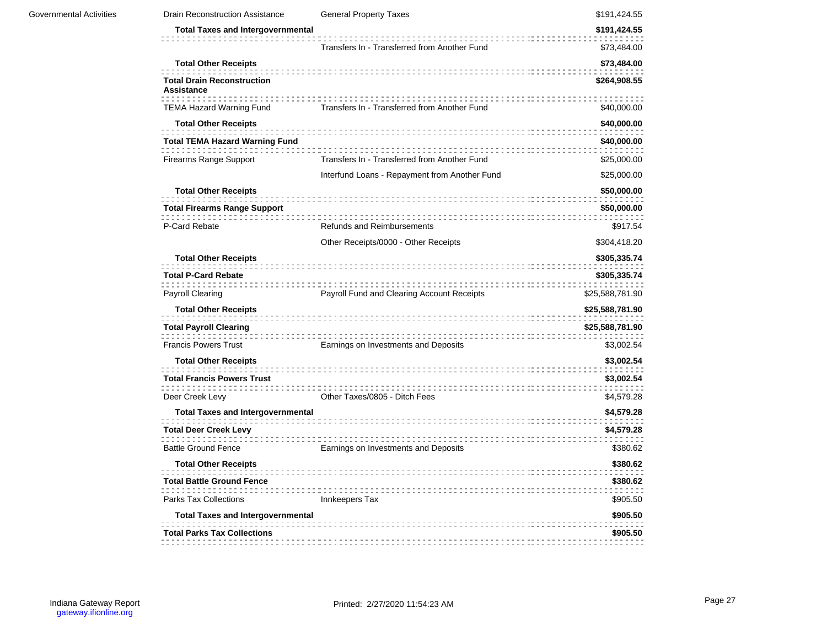| Governmental Activities | <b>Drain Reconstruction Assistance</b>                 | <b>General Property Taxes</b>                 | \$191,424.55    |
|-------------------------|--------------------------------------------------------|-----------------------------------------------|-----------------|
|                         | <b>Total Taxes and Intergovernmental</b>               |                                               | \$191,424.55    |
|                         |                                                        | Transfers In - Transferred from Another Fund  | \$73,484.00     |
|                         | <b>Total Other Receipts</b>                            |                                               | \$73,484.00     |
|                         | <b>Total Drain Reconstruction</b><br><b>Assistance</b> |                                               | \$264,908.55    |
|                         | <b>TEMA Hazard Warning Fund</b>                        | Transfers In - Transferred from Another Fund  | \$40,000.00     |
|                         | <b>Total Other Receipts</b>                            |                                               | \$40,000.00     |
|                         | <b>Total TEMA Hazard Warning Fund</b>                  |                                               | \$40,000.00     |
|                         | Firearms Range Support                                 | Transfers In - Transferred from Another Fund  | \$25,000.00     |
|                         |                                                        | Interfund Loans - Repayment from Another Fund | \$25,000.00     |
|                         | <b>Total Other Receipts</b>                            |                                               | \$50,000.00     |
|                         | <b>Total Firearms Range Support</b>                    |                                               | \$50,000.00     |
|                         | P-Card Rebate                                          | Refunds and Reimbursements                    | \$917.54        |
|                         |                                                        | Other Receipts/0000 - Other Receipts          | \$304,418.20    |
|                         | <b>Total Other Receipts</b>                            |                                               | \$305,335.74    |
|                         | <b>Total P-Card Rebate</b>                             |                                               | \$305,335.74    |
|                         | <b>Payroll Clearing</b>                                | Payroll Fund and Clearing Account Receipts    | \$25,588,781.90 |
|                         | <b>Total Other Receipts</b>                            |                                               | \$25,588,781.90 |
|                         | <b>Total Payroll Clearing</b>                          |                                               | \$25,588,781.90 |
|                         | <b>Francis Powers Trust</b>                            | Earnings on Investments and Deposits          | \$3,002.54      |
|                         | <b>Total Other Receipts</b>                            |                                               | \$3,002.54      |
|                         | <b>Total Francis Powers Trust</b>                      |                                               | \$3,002.54      |
|                         | Deer Creek Levy                                        | Other Taxes/0805 - Ditch Fees                 | \$4,579.28      |
|                         | <b>Total Taxes and Intergovernmental</b>               |                                               | \$4,579.28      |
|                         | <b>Total Deer Creek Levy</b>                           |                                               | \$4,579.28      |
|                         | <b>Battle Ground Fence</b>                             | Earnings on Investments and Deposits          | \$380.62        |
|                         | <b>Total Other Receipts</b>                            |                                               | \$380.62        |
|                         | <b>Total Battle Ground Fence</b>                       |                                               | \$380.62        |
|                         | Parks Tax Collections                                  | Innkeepers Tax                                | \$905.50        |
|                         | <b>Total Taxes and Intergovernmental</b>               |                                               | \$905.50        |
|                         | <b>Total Parks Tax Collections</b>                     |                                               | \$905.50        |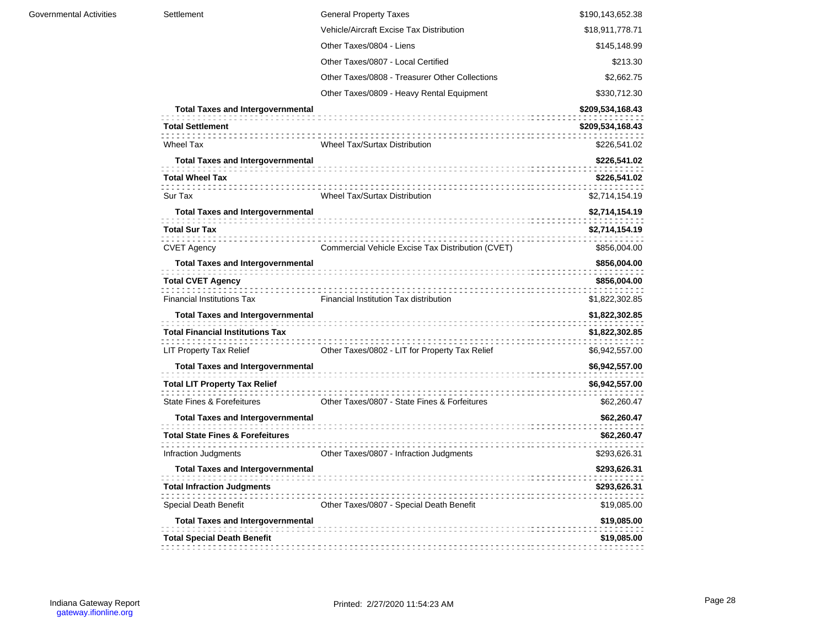| Settlement                                  | <b>General Property Taxes</b>                     | \$190,143,652.38 |
|---------------------------------------------|---------------------------------------------------|------------------|
|                                             | Vehicle/Aircraft Excise Tax Distribution          | \$18,911,778.71  |
|                                             | Other Taxes/0804 - Liens                          | \$145,148.99     |
|                                             | Other Taxes/0807 - Local Certified                | \$213.30         |
|                                             | Other Taxes/0808 - Treasurer Other Collections    | \$2,662.75       |
|                                             | Other Taxes/0809 - Heavy Rental Equipment         | \$330,712.30     |
| <b>Total Taxes and Intergovernmental</b>    |                                                   | \$209,534,168.43 |
| <b>Total Settlement</b>                     |                                                   | \$209,534,168.43 |
| <b>Wheel Tax</b>                            | Wheel Tax/Surtax Distribution                     | \$226,541.02     |
| <b>Total Taxes and Intergovernmental</b>    |                                                   | \$226,541.02     |
| <b>Total Wheel Tax</b>                      |                                                   | \$226,541.02     |
| Sur Tax                                     | Wheel Tax/Surtax Distribution                     | \$2,714,154.19   |
| <b>Total Taxes and Intergovernmental</b>    |                                                   | \$2,714,154.19   |
| <b>Total Sur Tax</b>                        |                                                   | \$2,714,154.19   |
| <b>CVET Agency</b>                          | Commercial Vehicle Excise Tax Distribution (CVET) | \$856,004.00     |
| <b>Total Taxes and Intergovernmental</b>    |                                                   | \$856,004.00     |
| <b>Total CVET Agency</b>                    |                                                   | \$856,004.00     |
| <b>Financial Institutions Tax</b>           | Financial Institution Tax distribution            | \$1,822,302.85   |
| <b>Total Taxes and Intergovernmental</b>    |                                                   | \$1,822,302.85   |
| <b>Total Financial Institutions Tax</b>     |                                                   | \$1,822,302.85   |
| <b>LIT Property Tax Relief</b>              | Other Taxes/0802 - LIT for Property Tax Relief    | \$6,942,557.00   |
| <b>Total Taxes and Intergovernmental</b>    |                                                   | \$6,942,557.00   |
| <b>Total LIT Property Tax Relief</b>        |                                                   | \$6,942,557.00   |
| <b>State Fines &amp; Forefeitures</b>       | Other Taxes/0807 - State Fines & Forfeitures      | \$62,260.47      |
| <b>Total Taxes and Intergovernmental</b>    |                                                   | \$62,260.47      |
| <b>Total State Fines &amp; Forefeitures</b> |                                                   | \$62,260.47      |
| Infraction Judgments                        | Other Taxes/0807 - Infraction Judgments           | \$293,626.31     |
| <b>Total Taxes and Intergovernmental</b>    |                                                   | \$293,626.31     |
| <b>Total Infraction Judgments</b>           |                                                   | \$293,626.31     |
| Special Death Benefit                       | Other Taxes/0807 - Special Death Benefit          | \$19,085.00      |
| <b>Total Taxes and Intergovernmental</b>    |                                                   | \$19,085.00      |
| <b>Total Special Death Benefit</b>          |                                                   | \$19,085.00      |
|                                             |                                                   |                  |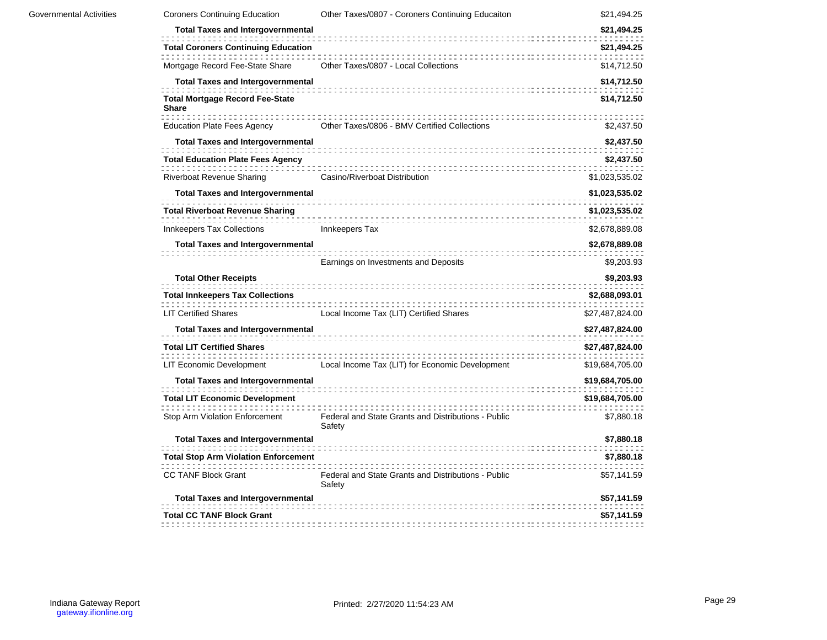| Governmental Activities | <b>Coroners Continuing Education</b>                   | Other Taxes/0807 - Coroners Continuing Educaiton              | \$21,494.25     |
|-------------------------|--------------------------------------------------------|---------------------------------------------------------------|-----------------|
|                         | <b>Total Taxes and Intergovernmental</b>               |                                                               | \$21,494.25     |
|                         | <b>Total Coroners Continuing Education</b>             | .                                                             | \$21,494.25     |
|                         | Mortgage Record Fee-State Share                        | Other Taxes/0807 - Local Collections                          | \$14,712.50     |
|                         | <b>Total Taxes and Intergovernmental</b>               |                                                               | \$14,712.50     |
|                         | <b>Total Mortgage Record Fee-State</b><br><b>Share</b> |                                                               | \$14,712.50     |
|                         | Education Plate Fees Agency                            | Other Taxes/0806 - BMV Certified Collections                  | \$2,437.50      |
|                         | <b>Total Taxes and Intergovernmental</b>               |                                                               | \$2,437.50      |
|                         | <b>Total Education Plate Fees Agency</b>               |                                                               | \$2,437.50      |
|                         | <b>Riverboat Revenue Sharing</b>                       | Casino/Riverboat Distribution                                 | \$1,023,535.02  |
|                         | <b>Total Taxes and Intergovernmental</b>               |                                                               | \$1,023,535.02  |
|                         | <b>Total Riverboat Revenue Sharing</b>                 |                                                               | \$1,023,535.02  |
|                         | Innkeepers Tax Collections                             | Innkeepers Tax                                                | \$2,678,889.08  |
|                         | <b>Total Taxes and Intergovernmental</b>               |                                                               | \$2,678,889.08  |
|                         |                                                        | Earnings on Investments and Deposits                          | \$9,203.93      |
|                         | <b>Total Other Receipts</b>                            |                                                               | \$9,203.93      |
|                         | <b>Total Innkeepers Tax Collections</b>                |                                                               | \$2,688,093.01  |
|                         | <b>LIT Certified Shares</b>                            | Local Income Tax (LIT) Certified Shares                       | \$27,487,824.00 |
|                         | <b>Total Taxes and Intergovernmental</b>               |                                                               | \$27,487,824.00 |
|                         | <b>Total LIT Certified Shares</b>                      |                                                               | \$27,487,824.00 |
|                         | LIT Economic Development                               | Local Income Tax (LIT) for Economic Development               | \$19,684,705.00 |
|                         | <b>Total Taxes and Intergovernmental</b>               |                                                               | \$19,684,705.00 |
|                         | <b>Total LIT Economic Development</b>                  |                                                               | \$19,684,705.00 |
|                         | Stop Arm Violation Enforcement                         | Federal and State Grants and Distributions - Public<br>Safety | \$7,880.18      |
|                         | <b>Total Taxes and Intergovernmental</b>               |                                                               | \$7,880.18      |
|                         | <b>Total Stop Arm Violation Enforcement</b>            |                                                               | \$7,880.18      |
|                         | <b>CC TANF Block Grant</b>                             | Federal and State Grants and Distributions - Public<br>Safety | \$57,141.59     |
|                         | <b>Total Taxes and Intergovernmental</b>               |                                                               | \$57,141.59     |
|                         | <b>Total CC TANF Block Grant</b>                       |                                                               | \$57,141.59     |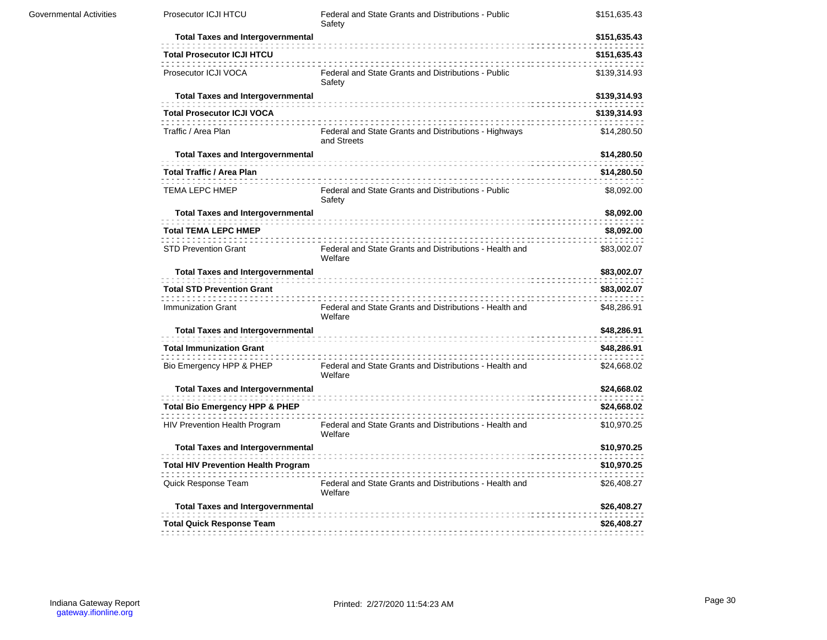| Prosecutor ICJI HTCU                       | Federal and State Grants and Distributions - Public<br>Safety        | \$151,635.43 |
|--------------------------------------------|----------------------------------------------------------------------|--------------|
| <b>Total Taxes and Intergovernmental</b>   |                                                                      | \$151,635.43 |
| <b>Total Prosecutor ICJI HTCU</b>          |                                                                      | \$151,635.43 |
| Prosecutor ICJI VOCA                       | Federal and State Grants and Distributions - Public<br>Safety        | \$139,314.93 |
| <b>Total Taxes and Intergovernmental</b>   |                                                                      | \$139,314.93 |
| <b>Total Prosecutor ICJI VOCA</b>          |                                                                      | \$139,314.93 |
| Traffic / Area Plan                        | Federal and State Grants and Distributions - Highways<br>and Streets | \$14,280.50  |
| <b>Total Taxes and Intergovernmental</b>   |                                                                      | \$14,280.50  |
| <b>Total Traffic / Area Plan</b>           |                                                                      | \$14,280.50  |
| <b>TEMA LEPC HMEP</b>                      | Federal and State Grants and Distributions - Public<br>Safety        | \$8,092.00   |
| <b>Total Taxes and Intergovernmental</b>   |                                                                      | \$8,092.00   |
| <b>Total TEMA LEPC HMEP</b>                |                                                                      | \$8,092.00   |
| <b>STD Prevention Grant</b>                | Federal and State Grants and Distributions - Health and<br>Welfare   | \$83,002.07  |
| <b>Total Taxes and Intergovernmental</b>   |                                                                      | \$83,002.07  |
| <b>Total STD Prevention Grant</b>          |                                                                      | \$83,002.07  |
| Immunization Grant                         | Federal and State Grants and Distributions - Health and<br>Welfare   | \$48,286.91  |
| <b>Total Taxes and Intergovernmental</b>   |                                                                      | \$48,286.91  |
| <b>Total Immunization Grant</b>            |                                                                      | \$48,286.91  |
| Bio Emergency HPP & PHEP                   | Federal and State Grants and Distributions - Health and<br>Welfare   | \$24,668.02  |
| <b>Total Taxes and Intergovernmental</b>   |                                                                      | \$24,668.02  |
| <b>Total Bio Emergency HPP &amp; PHEP</b>  |                                                                      | \$24,668.02  |
| HIV Prevention Health Program              | Federal and State Grants and Distributions - Health and<br>Welfare   | \$10,970.25  |
| <b>Total Taxes and Intergovernmental</b>   |                                                                      | \$10,970.25  |
| <b>Total HIV Prevention Health Program</b> |                                                                      | \$10,970.25  |
| Quick Response Team                        | Federal and State Grants and Distributions - Health and<br>Welfare   | \$26,408.27  |
| <b>Total Taxes and Intergovernmental</b>   |                                                                      | \$26,408.27  |
| <b>Total Quick Response Team</b>           |                                                                      | \$26,408.27  |
|                                            |                                                                      |              |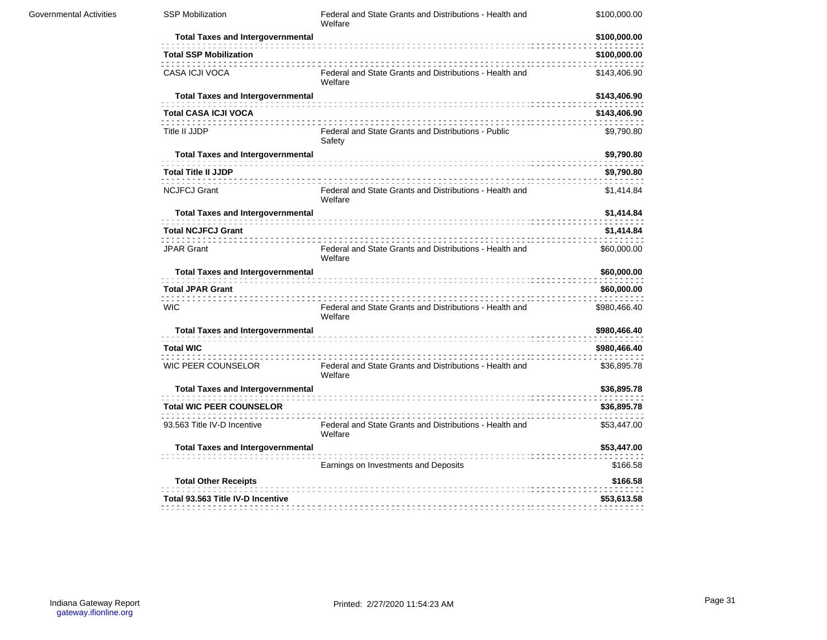| <b>Governmental Activities</b> | <b>SSP Mobilization</b>                  | Federal and State Grants and Distributions - Health and<br>Welfare | \$100,000.00 |
|--------------------------------|------------------------------------------|--------------------------------------------------------------------|--------------|
|                                | <b>Total Taxes and Intergovernmental</b> |                                                                    | \$100,000.00 |
|                                | <b>Total SSP Mobilization</b>            |                                                                    | \$100,000.00 |
|                                | CASA ICJI VOCA                           | Federal and State Grants and Distributions - Health and<br>Welfare | \$143,406.90 |
|                                | <b>Total Taxes and Intergovernmental</b> |                                                                    | \$143,406.90 |
|                                | <b>Total CASA ICJI VOCA</b>              |                                                                    | \$143,406.90 |
|                                | Title II JJDP                            | Federal and State Grants and Distributions - Public<br>Safety      | \$9,790.80   |
|                                | <b>Total Taxes and Intergovernmental</b> |                                                                    | \$9,790.80   |
|                                | <b>Total Title II JJDP</b>               |                                                                    | \$9,790.80   |
|                                | <b>NCJFCJ Grant</b>                      | Federal and State Grants and Distributions - Health and<br>Welfare | \$1,414.84   |
|                                | <b>Total Taxes and Intergovernmental</b> |                                                                    | \$1,414.84   |
|                                | <b>Total NCJFCJ Grant</b>                |                                                                    | \$1,414.84   |
|                                | <b>JPAR Grant</b>                        | Federal and State Grants and Distributions - Health and<br>Welfare | \$60,000.00  |
|                                | <b>Total Taxes and Intergovernmental</b> |                                                                    | \$60,000.00  |
|                                | <b>Total JPAR Grant</b>                  |                                                                    | \$60,000.00  |
|                                | <b>WIC</b>                               | Federal and State Grants and Distributions - Health and<br>Welfare | \$980,466.40 |
|                                | <b>Total Taxes and Intergovernmental</b> |                                                                    | \$980,466.40 |
|                                | <b>Total WIC</b>                         |                                                                    | \$980,466.40 |
|                                | <b>WIC PEER COUNSELOR</b>                | Federal and State Grants and Distributions - Health and<br>Welfare | \$36,895.78  |
|                                | <b>Total Taxes and Intergovernmental</b> |                                                                    | \$36,895.78  |
|                                | <b>Total WIC PEER COUNSELOR</b>          |                                                                    | \$36,895.78  |
|                                | 93.563 Title IV-D Incentive              | Federal and State Grants and Distributions - Health and<br>Welfare | \$53,447.00  |
|                                | <b>Total Taxes and Intergovernmental</b> |                                                                    | \$53,447.00  |
|                                |                                          | Earnings on Investments and Deposits                               | \$166.58     |
|                                | <b>Total Other Receipts</b>              |                                                                    | \$166.58     |
|                                | Total 93.563 Title IV-D Incentive        |                                                                    | \$53,613.58  |
|                                |                                          |                                                                    |              |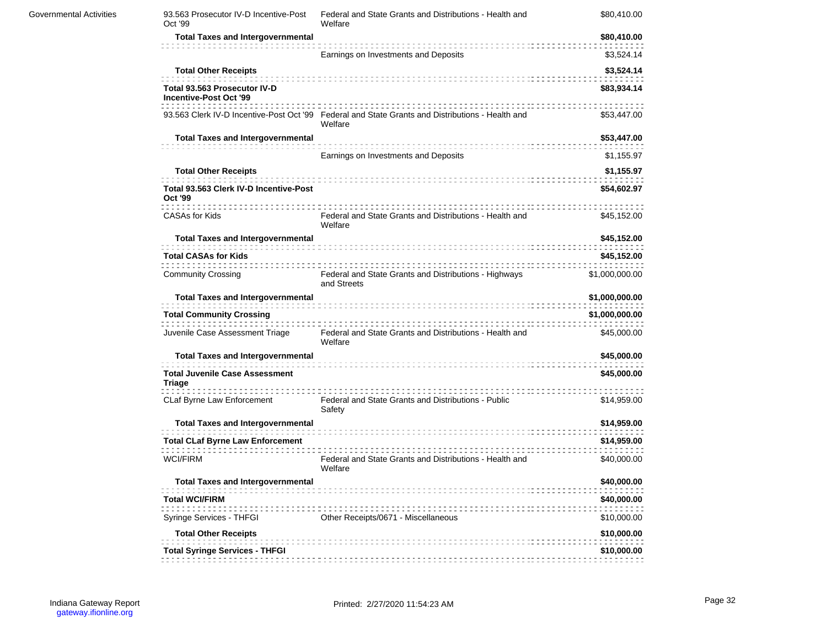| 93.563 Prosecutor IV-D Incentive-Post<br>Oct '99       | Federal and State Grants and Distributions - Health and<br>Welfare                                          | \$80,410.00    |
|--------------------------------------------------------|-------------------------------------------------------------------------------------------------------------|----------------|
| <b>Total Taxes and Intergovernmental</b>               |                                                                                                             | \$80,410.00    |
|                                                        | Earnings on Investments and Deposits                                                                        | \$3,524.14     |
| <b>Total Other Receipts</b>                            |                                                                                                             | \$3,524.14     |
| Total 93.563 Prosecutor IV-D<br>Incentive-Post Oct '99 |                                                                                                             | \$83,934.14    |
|                                                        | 93.563 Clerk IV-D Incentive-Post Oct '99 Federal and State Grants and Distributions - Health and<br>Welfare | \$53,447.00    |
| <b>Total Taxes and Intergovernmental</b>               |                                                                                                             | \$53,447.00    |
|                                                        | Earnings on Investments and Deposits                                                                        | \$1,155.97     |
| <b>Total Other Receipts</b>                            |                                                                                                             | \$1,155.97     |
| Total 93.563 Clerk IV-D Incentive-Post<br>Oct '99      |                                                                                                             | \$54,602.97    |
| CASAs for Kids                                         | Federal and State Grants and Distributions - Health and<br>Welfare                                          | \$45,152.00    |
| <b>Total Taxes and Intergovernmental</b>               |                                                                                                             | \$45,152.00    |
| <b>Total CASAs for Kids</b>                            |                                                                                                             | \$45,152.00    |
| <b>Community Crossing</b>                              | Federal and State Grants and Distributions - Highways<br>and Streets                                        | \$1,000,000.00 |
| <b>Total Taxes and Intergovernmental</b>               |                                                                                                             | \$1,000,000.00 |
| <b>Total Community Crossing</b>                        |                                                                                                             | \$1,000,000.00 |
| Juvenile Case Assessment Triage                        | Federal and State Grants and Distributions - Health and<br>Welfare                                          | \$45,000.00    |
| <b>Total Taxes and Intergovernmental</b>               |                                                                                                             | \$45,000.00    |
| <b>Total Juvenile Case Assessment</b><br>Triage        |                                                                                                             | \$45,000.00    |
| CLaf Byrne Law Enforcement                             | Federal and State Grants and Distributions - Public<br>Safety                                               | \$14,959.00    |
| <b>Total Taxes and Intergovernmental</b>               |                                                                                                             | \$14,959.00    |
| <b>Total CLaf Byrne Law Enforcement</b>                |                                                                                                             | \$14,959.00    |
| <b>WCI/FIRM</b>                                        | Federal and State Grants and Distributions - Health and<br>Welfare                                          | \$40,000.00    |
| <b>Total Taxes and Intergovernmental</b>               |                                                                                                             | \$40,000.00    |
| <b>Total WCI/FIRM</b>                                  |                                                                                                             | \$40,000.00    |
| Syringe Services - THFGI                               | Other Receipts/0671 - Miscellaneous                                                                         | \$10,000.00    |
| <b>Total Other Receipts</b>                            |                                                                                                             | \$10,000.00    |
| <b>Total Syringe Services - THFGI</b>                  |                                                                                                             | \$10,000.00    |
|                                                        |                                                                                                             |                |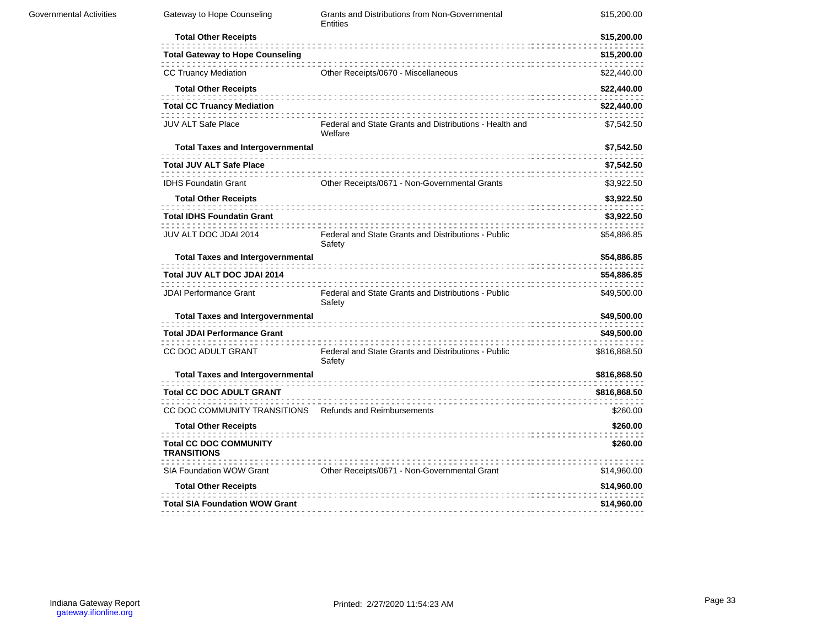| <b>Governmental Activities</b> | Gateway to Hope Counseling                              | Grants and Distributions from Non-Governmental<br>Entities         | \$15,200.00  |
|--------------------------------|---------------------------------------------------------|--------------------------------------------------------------------|--------------|
|                                | <b>Total Other Receipts</b>                             |                                                                    | \$15,200.00  |
|                                | <b>Total Gateway to Hope Counseling</b>                 |                                                                    | \$15,200.00  |
|                                | <b>CC Truancy Mediation</b>                             | Other Receipts/0670 - Miscellaneous                                | \$22,440.00  |
|                                | <b>Total Other Receipts</b>                             |                                                                    | \$22,440.00  |
|                                | <b>Total CC Truancy Mediation</b>                       |                                                                    | \$22,440.00  |
|                                | <b>JUV ALT Safe Place</b>                               | Federal and State Grants and Distributions - Health and<br>Welfare | \$7,542.50   |
|                                | <b>Total Taxes and Intergovernmental</b>                |                                                                    | \$7,542.50   |
|                                | <b>Total JUV ALT Safe Place</b>                         |                                                                    | \$7,542.50   |
|                                | <b>IDHS Foundatin Grant</b>                             | Other Receipts/0671 - Non-Governmental Grants                      | \$3,922.50   |
|                                | <b>Total Other Receipts</b>                             |                                                                    | \$3,922.50   |
|                                | <b>Total IDHS Foundatin Grant</b>                       |                                                                    | \$3,922.50   |
|                                | JUV ALT DOC JDAI 2014                                   | Federal and State Grants and Distributions - Public<br>Safety      | \$54,886.85  |
|                                | <b>Total Taxes and Intergovernmental</b>                |                                                                    | \$54,886.85  |
|                                | Total JUV ALT DOC JDAI 2014                             |                                                                    | \$54,886.85  |
|                                | <b>JDAI Performance Grant</b>                           | Federal and State Grants and Distributions - Public<br>Safety      | \$49,500.00  |
|                                | <b>Total Taxes and Intergovernmental</b>                |                                                                    | \$49,500.00  |
|                                | <b>Total JDAI Performance Grant</b>                     |                                                                    | \$49,500.00  |
|                                | CC DOC ADULT GRANT                                      | Federal and State Grants and Distributions - Public<br>Safety      | \$816,868.50 |
|                                | <b>Total Taxes and Intergovernmental</b>                |                                                                    | \$816,868.50 |
|                                | <b>Total CC DOC ADULT GRANT</b>                         |                                                                    | \$816,868.50 |
|                                | CC DOC COMMUNITY TRANSITIONS Refunds and Reimbursements |                                                                    | \$260.00     |
|                                | <b>Total Other Receipts</b>                             |                                                                    | \$260.00     |
|                                | <b>Total CC DOC COMMUNITY</b><br><b>TRANSITIONS</b>     |                                                                    | \$260.00     |
|                                | SIA Foundation WOW Grant                                | Other Receipts/0671 - Non-Governmental Grant                       | \$14,960.00  |
|                                | <b>Total Other Receipts</b>                             |                                                                    | \$14,960.00  |
|                                | <b>Total SIA Foundation WOW Grant</b>                   |                                                                    | \$14,960.00  |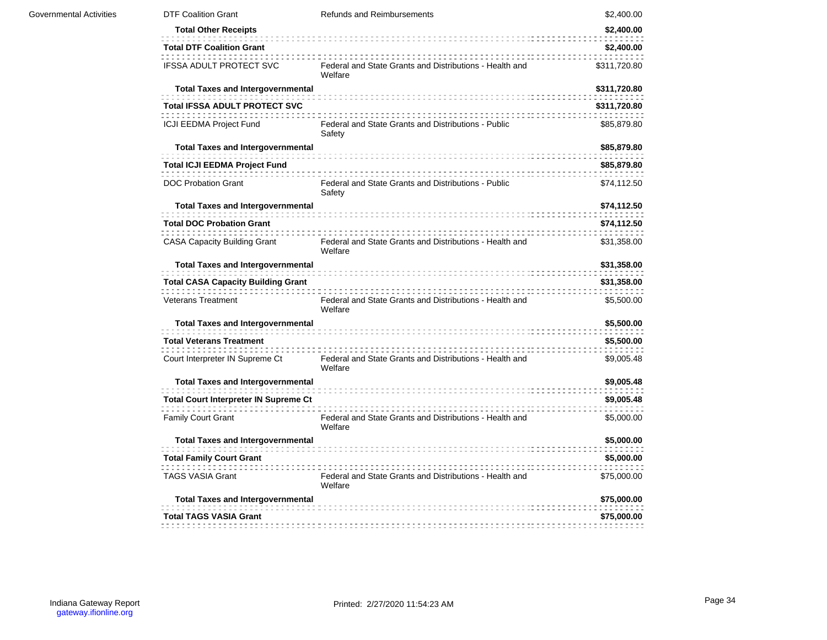| <b>Governmental Activities</b> | <b>DTF Coalition Grant</b>                   | Refunds and Reimbursements                                         | \$2,400.00   |
|--------------------------------|----------------------------------------------|--------------------------------------------------------------------|--------------|
|                                | <b>Total Other Receipts</b>                  |                                                                    | \$2,400.00   |
|                                | <b>Total DTF Coalition Grant</b>             |                                                                    | \$2,400.00   |
|                                | <b>IFSSA ADULT PROTECT SVC</b>               | Federal and State Grants and Distributions - Health and<br>Welfare | \$311,720.80 |
|                                | <b>Total Taxes and Intergovernmental</b>     |                                                                    | \$311,720.80 |
|                                | <b>Total IFSSA ADULT PROTECT SVC</b>         |                                                                    | \$311,720.80 |
|                                | ICJI EEDMA Project Fund                      | Federal and State Grants and Distributions - Public<br>Safety      | \$85,879.80  |
|                                | <b>Total Taxes and Intergovernmental</b>     |                                                                    | \$85,879.80  |
|                                | <b>Total ICJI EEDMA Project Fund</b>         |                                                                    | \$85,879.80  |
|                                | <b>DOC Probation Grant</b>                   | Federal and State Grants and Distributions - Public<br>Safety      | \$74,112.50  |
|                                | <b>Total Taxes and Intergovernmental</b>     |                                                                    | \$74,112.50  |
|                                | <b>Total DOC Probation Grant</b>             |                                                                    | \$74,112.50  |
|                                | <b>CASA Capacity Building Grant</b>          | Federal and State Grants and Distributions - Health and<br>Welfare | \$31,358.00  |
|                                | <b>Total Taxes and Intergovernmental</b>     |                                                                    | \$31,358.00  |
|                                | <b>Total CASA Capacity Building Grant</b>    |                                                                    | \$31,358.00  |
|                                | <b>Veterans Treatment</b>                    | Federal and State Grants and Distributions - Health and<br>Welfare | \$5,500.00   |
|                                | <b>Total Taxes and Intergovernmental</b>     |                                                                    | \$5,500.00   |
|                                | <b>Total Veterans Treatment</b>              |                                                                    | \$5,500.00   |
|                                | Court Interpreter IN Supreme Ct              | Federal and State Grants and Distributions - Health and<br>Welfare | \$9,005.48   |
|                                | <b>Total Taxes and Intergovernmental</b>     |                                                                    | \$9,005.48   |
|                                | <b>Total Court Interpreter IN Supreme Ct</b> |                                                                    | \$9,005.48   |
|                                | Family Court Grant                           | Federal and State Grants and Distributions - Health and<br>Welfare | \$5,000.00   |
|                                | <b>Total Taxes and Intergovernmental</b>     |                                                                    | \$5,000.00   |
|                                | <b>Total Family Court Grant</b>              |                                                                    | \$5,000.00   |
|                                | <b>TAGS VASIA Grant</b>                      | Federal and State Grants and Distributions - Health and<br>Welfare | \$75,000.00  |
|                                | <b>Total Taxes and Intergovernmental</b>     |                                                                    | \$75,000.00  |
|                                | <b>Total TAGS VASIA Grant</b>                |                                                                    | \$75,000.00  |
|                                |                                              |                                                                    |              |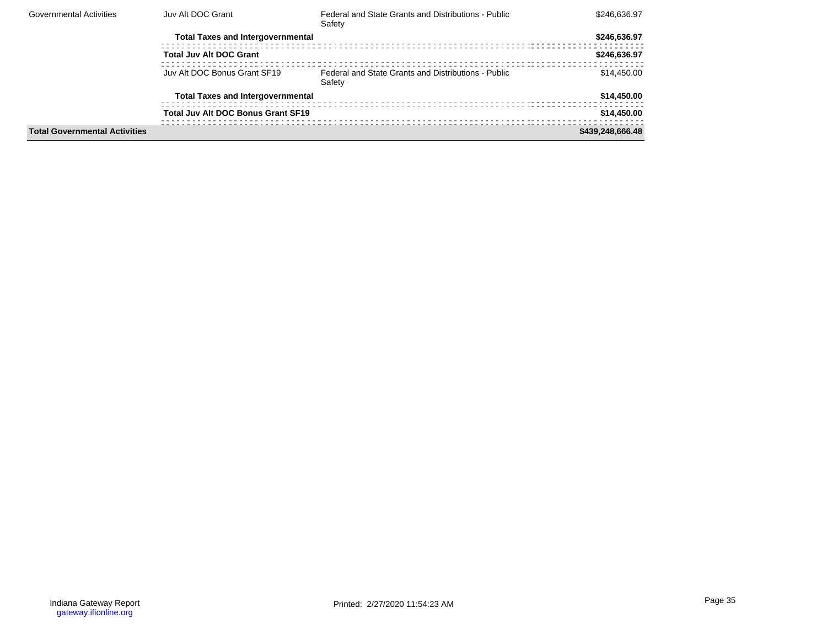| <b>Governmental Activities</b>       | Juv Alt DOC Grant                         | Federal and State Grants and Distributions - Public<br>Safety | \$246.636.97     |
|--------------------------------------|-------------------------------------------|---------------------------------------------------------------|------------------|
|                                      | <b>Total Taxes and Intergovernmental</b>  |                                                               | \$246,636.97     |
|                                      | <b>Total Juv Alt DOC Grant</b>            |                                                               | \$246.636.97     |
|                                      | Juv Alt DOC Bonus Grant SF19              | Federal and State Grants and Distributions - Public<br>Safety | \$14,450,00      |
|                                      | <b>Total Taxes and Intergovernmental</b>  |                                                               | \$14,450.00      |
|                                      | <b>Total Juv Alt DOC Bonus Grant SF19</b> |                                                               | \$14,450.00      |
| <b>Total Governmental Activities</b> |                                           |                                                               | \$439,248,666.48 |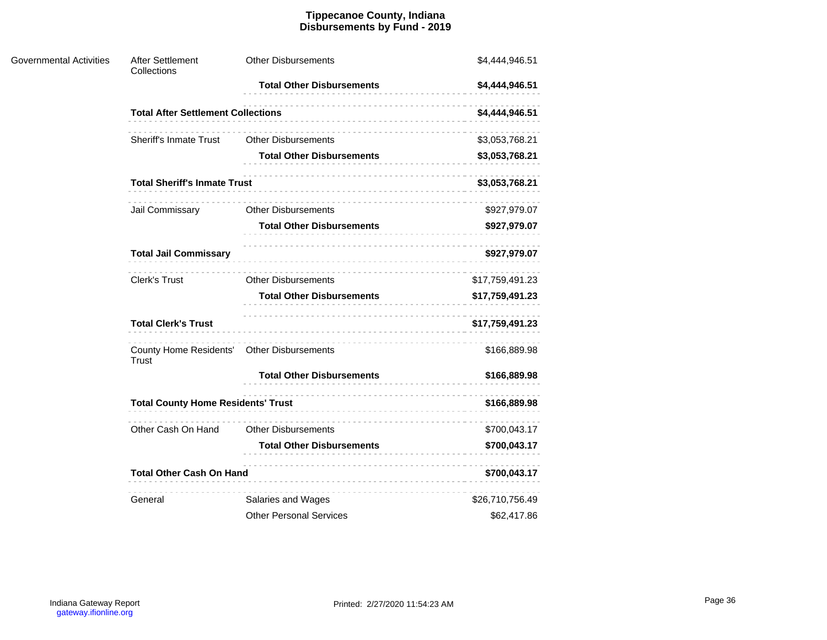#### **Tippecanoe County, Indiana Disbursements by Fund - 2019**

| <b>Governmental Activities</b> | After Settlement<br>Collections                            | <b>Other Disbursements</b>       | \$4,444,946.51  |
|--------------------------------|------------------------------------------------------------|----------------------------------|-----------------|
|                                |                                                            | <b>Total Other Disbursements</b> | \$4,444,946.51  |
|                                | <b>Total After Settlement Collections</b>                  |                                  | \$4,444,946.51  |
|                                | <b>Sheriff's Inmate Trust</b>                              | <b>Other Disbursements</b>       | \$3,053,768.21  |
|                                |                                                            | <b>Total Other Disbursements</b> | \$3,053,768.21  |
|                                | <b>Total Sheriff's Inmate Trust</b>                        |                                  | \$3,053,768.21  |
|                                | Jail Commissary                                            | <b>Other Disbursements</b>       | \$927,979.07    |
|                                |                                                            | <b>Total Other Disbursements</b> | \$927,979.07    |
|                                | <b>Total Jail Commissary</b>                               |                                  | \$927,979.07    |
|                                | Clerk's Trust                                              | <b>Other Disbursements</b>       | \$17,759,491.23 |
|                                |                                                            | <b>Total Other Disbursements</b> | \$17,759,491.23 |
|                                | <b>Total Clerk's Trust</b>                                 |                                  | \$17,759,491.23 |
|                                | County Home Residents' Other Disbursements<br><b>Trust</b> |                                  | \$166,889.98    |
|                                |                                                            | <b>Total Other Disbursements</b> | \$166,889.98    |
|                                | <b>Total County Home Residents' Trust</b>                  |                                  | \$166,889.98    |
|                                | Other Cash On Hand                                         | <b>Other Disbursements</b>       | \$700,043.17    |
|                                |                                                            | <b>Total Other Disbursements</b> | \$700,043.17    |
|                                | <b>Total Other Cash On Hand</b>                            |                                  | \$700,043.17    |
|                                | General                                                    | Salaries and Wages               | \$26,710,756.49 |
|                                |                                                            | <b>Other Personal Services</b>   | \$62,417.86     |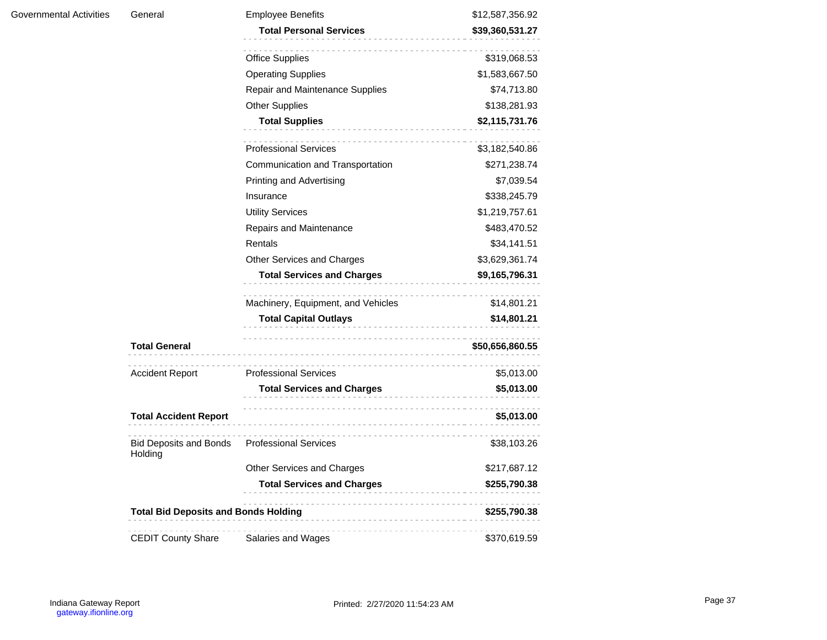| <b>Governmental Activities</b><br>General |                                             | <b>Employee Benefits</b>                      | \$12,587,356.92  |
|-------------------------------------------|---------------------------------------------|-----------------------------------------------|------------------|
|                                           |                                             | <b>Total Personal Services</b>                | \$39,360,531.27  |
|                                           |                                             |                                               |                  |
|                                           |                                             | <b>Office Supplies</b>                        | \$319,068.53     |
|                                           |                                             | <b>Operating Supplies</b>                     | \$1,583,667.50   |
|                                           |                                             | Repair and Maintenance Supplies               | \$74,713.80      |
|                                           |                                             | <b>Other Supplies</b>                         | \$138,281.93     |
|                                           |                                             | <b>Total Supplies</b>                         | \$2,115,731.76   |
|                                           |                                             | <b>Professional Services</b>                  | \$3,182,540.86   |
|                                           |                                             | Communication and Transportation              | \$271,238.74     |
|                                           |                                             | Printing and Advertising                      | \$7,039.54       |
|                                           |                                             | Insurance                                     | \$338,245.79     |
|                                           |                                             | <b>Utility Services</b>                       | \$1,219,757.61   |
|                                           |                                             | Repairs and Maintenance                       | \$483,470.52     |
|                                           |                                             | Rentals                                       | \$34,141.51      |
|                                           |                                             | Other Services and Charges                    | \$3,629,361.74   |
|                                           |                                             | <b>Total Services and Charges</b>             | \$9,165,796.31   |
|                                           |                                             | Machinery, Equipment, and Vehicles            | .<br>\$14,801.21 |
|                                           |                                             | <b>Total Capital Outlays</b>                  | \$14,801.21      |
| <b>Total General</b>                      |                                             |                                               | \$50,656,860.55  |
|                                           |                                             |                                               |                  |
| <b>Accident Report</b>                    |                                             | <b>Professional Services</b>                  | \$5,013.00       |
|                                           |                                             | <b>Total Services and Charges</b>             | \$5,013.00       |
|                                           | <b>Total Accident Report</b>                |                                               | \$5,013.00       |
| Holding                                   |                                             | Bid Deposits and Bonds  Professional Services | \$38,103.26      |
|                                           |                                             | Other Services and Charges                    | \$217,687.12     |
|                                           |                                             | <b>Total Services and Charges</b>             | \$255,790.38     |
|                                           | <b>Total Bid Deposits and Bonds Holding</b> |                                               | \$255,790.38     |
|                                           | <b>CEDIT County Share</b>                   | Salaries and Wages                            | \$370,619.59     |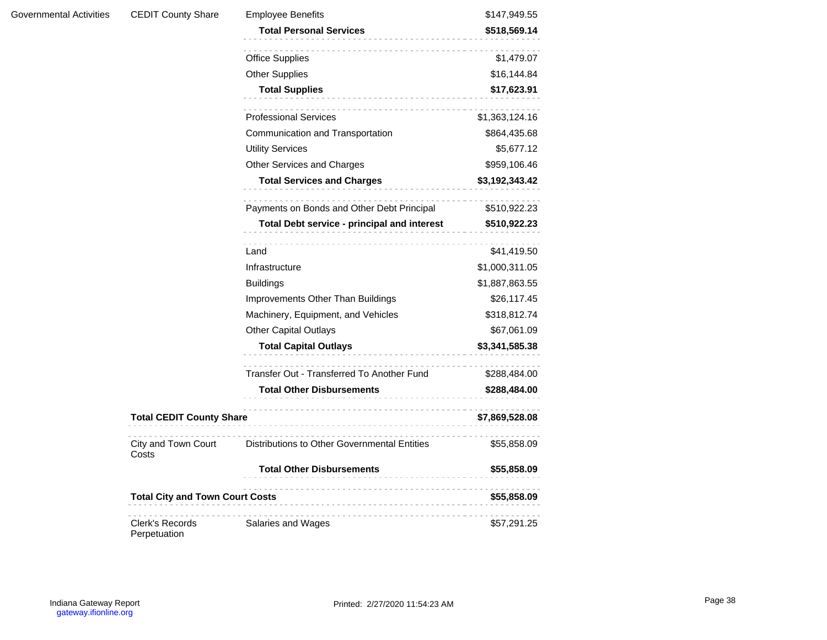| <b>CEDIT County Share</b>              | <b>Employee Benefits</b>                        | \$147,949.55               |
|----------------------------------------|-------------------------------------------------|----------------------------|
|                                        | <b>Total Personal Services</b>                  | \$518,569.14               |
|                                        |                                                 |                            |
|                                        | <b>Office Supplies</b><br><b>Other Supplies</b> | \$1,479.07                 |
|                                        | <b>Total Supplies</b>                           | \$16,144.84<br>\$17,623.91 |
|                                        |                                                 |                            |
|                                        | <b>Professional Services</b>                    | \$1,363,124.16             |
|                                        | Communication and Transportation                | \$864,435.68               |
|                                        | <b>Utility Services</b>                         | \$5,677.12                 |
|                                        | Other Services and Charges                      | \$959,106.46               |
|                                        | <b>Total Services and Charges</b>               | \$3,192,343.42             |
|                                        | Payments on Bonds and Other Debt Principal      | \$510,922.23               |
|                                        | Total Debt service - principal and interest     | \$510,922.23               |
|                                        | Land                                            | \$41,419.50                |
|                                        | Infrastructure                                  | \$1,000,311.05             |
|                                        | <b>Buildings</b>                                | \$1,887,863.55             |
|                                        | Improvements Other Than Buildings               | \$26,117.45                |
|                                        | Machinery, Equipment, and Vehicles              | \$318,812.74               |
|                                        | <b>Other Capital Outlays</b>                    | \$67,061.09                |
|                                        | <b>Total Capital Outlays</b>                    | \$3,341,585.38             |
|                                        | Transfer Out - Transferred To Another Fund      | \$288,484.00               |
|                                        | <b>Total Other Disbursements</b>                | \$288,484.00               |
| <b>Total CEDIT County Share</b>        |                                                 | \$7,869,528.08             |
| City and Town Court<br>Costs           | Distributions to Other Governmental Entities    | \$55,858.09                |
|                                        | <b>Total Other Disbursements</b>                | \$55,858.09                |
| <b>Total City and Town Court Costs</b> |                                                 | \$55,858.09                |
| <b>Clerk's Records</b><br>Perpetuation | Salaries and Wages                              | \$57,291.25                |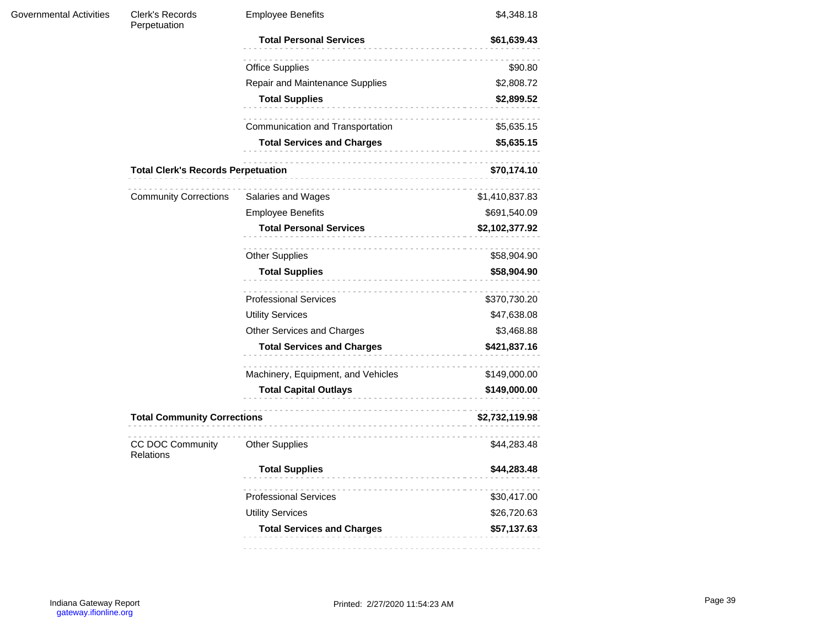| <b>Governmental Activities</b> | Clerk's Records<br>Perpetuation           | <b>Employee Benefits</b>              | \$4,348.18     |
|--------------------------------|-------------------------------------------|---------------------------------------|----------------|
|                                |                                           | <b>Total Personal Services</b><br>.   | \$61,639.43    |
|                                |                                           | <b>Office Supplies</b>                | \$90.80        |
|                                |                                           | Repair and Maintenance Supplies       | \$2,808.72     |
|                                |                                           | <b>Total Supplies</b><br>.            | \$2,899.52     |
|                                |                                           | .<br>Communication and Transportation | \$5,635.15     |
|                                |                                           | <b>Total Services and Charges</b>     | \$5,635.15     |
|                                | <b>Total Clerk's Records Perpetuation</b> |                                       | \$70,174.10    |
|                                | <b>Community Corrections</b>              | Salaries and Wages                    | \$1,410,837.83 |
|                                |                                           | <b>Employee Benefits</b>              | \$691,540.09   |
|                                |                                           | <b>Total Personal Services</b>        | \$2,102,377.92 |
|                                |                                           | <b>Other Supplies</b>                 | \$58,904.90    |
|                                |                                           | <b>Total Supplies</b>                 | \$58,904.90    |
|                                |                                           | <b>Professional Services</b>          | \$370,730.20   |
|                                |                                           | <b>Utility Services</b>               | \$47,638.08    |
|                                |                                           | Other Services and Charges            | \$3,468.88     |
|                                |                                           | <b>Total Services and Charges</b>     | \$421,837.16   |
|                                |                                           | Machinery, Equipment, and Vehicles    | \$149,000.00   |
|                                |                                           | <b>Total Capital Outlays</b>          | \$149,000.00   |
|                                | <b>Total Community Corrections</b>        |                                       | \$2,732,119.98 |
|                                | CC DOC Community<br><b>Relations</b>      | <b>Other Supplies</b>                 | \$44,283.48    |
|                                |                                           | <b>Total Supplies</b>                 | \$44,283.48    |
|                                |                                           | <b>Professional Services</b>          | \$30,417.00    |
|                                |                                           | <b>Utility Services</b>               | \$26,720.63    |
|                                |                                           | <b>Total Services and Charges</b>     | \$57,137.63    |
|                                |                                           |                                       |                |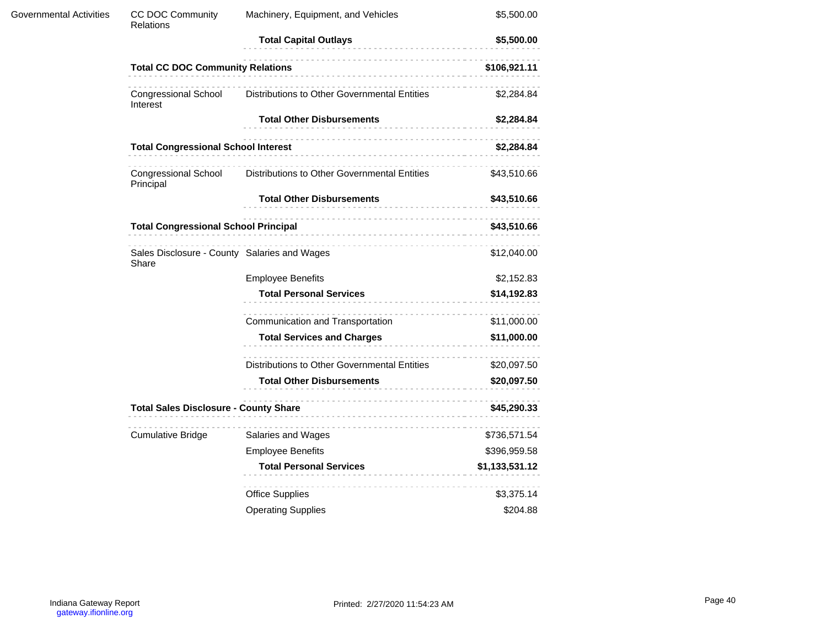| <b>Governmental Activities</b> | <b>CC DOC Community</b><br>Relations                  | Machinery, Equipment, and Vehicles                                                                                                                                                                                              | \$5,500.00     |
|--------------------------------|-------------------------------------------------------|---------------------------------------------------------------------------------------------------------------------------------------------------------------------------------------------------------------------------------|----------------|
|                                |                                                       | \$5,500.00<br>.                                                                                                                                                                                                                 |                |
|                                | <b>Total CC DOC Community Relations</b>               |                                                                                                                                                                                                                                 | \$106,921.11   |
|                                | <b>Congressional School</b><br>Interest               | Distributions to Other Governmental Entities                                                                                                                                                                                    | \$2,284.84     |
|                                |                                                       | <b>Total Other Disbursements</b>                                                                                                                                                                                                | \$2,284.84     |
|                                | <b>Total Congressional School Interest</b>            |                                                                                                                                                                                                                                 | \$2,284.84     |
|                                | <b>Congressional School</b><br>Principal              | Distributions to Other Governmental Entities                                                                                                                                                                                    | \$43,510.66    |
|                                |                                                       | <b>Total Other Disbursements</b>                                                                                                                                                                                                | \$43,510.66    |
|                                |                                                       | Total Congressional School Principal<br>Subsequent School School (Subsequent School School School School School School School School School School School School School School School School School School School School School | \$43,510.66    |
|                                | Sales Disclosure - County Salaries and Wages<br>Share |                                                                                                                                                                                                                                 | \$12,040.00    |
|                                |                                                       | <b>Employee Benefits</b>                                                                                                                                                                                                        | \$2,152.83     |
|                                |                                                       | <b>Total Personal Services</b>                                                                                                                                                                                                  | \$14,192.83    |
|                                |                                                       | Communication and Transportation                                                                                                                                                                                                | \$11,000.00    |
|                                |                                                       | <b>Total Services and Charges</b>                                                                                                                                                                                               | \$11,000.00    |
|                                |                                                       | Distributions to Other Governmental Entities                                                                                                                                                                                    | \$20,097.50    |
|                                |                                                       | <b>Total Other Disbursements</b>                                                                                                                                                                                                | \$20,097.50    |
|                                | <b>Total Sales Disclosure - County Share</b>          |                                                                                                                                                                                                                                 | \$45,290.33    |
|                                | <b>Cumulative Bridge</b>                              | Salaries and Wages                                                                                                                                                                                                              | \$736,571.54   |
|                                |                                                       | <b>Employee Benefits</b>                                                                                                                                                                                                        | \$396,959.58   |
|                                |                                                       | <b>Total Personal Services</b>                                                                                                                                                                                                  | \$1,133,531.12 |
|                                |                                                       | <b>Office Supplies</b>                                                                                                                                                                                                          | \$3,375.14     |
|                                |                                                       | <b>Operating Supplies</b>                                                                                                                                                                                                       | \$204.88       |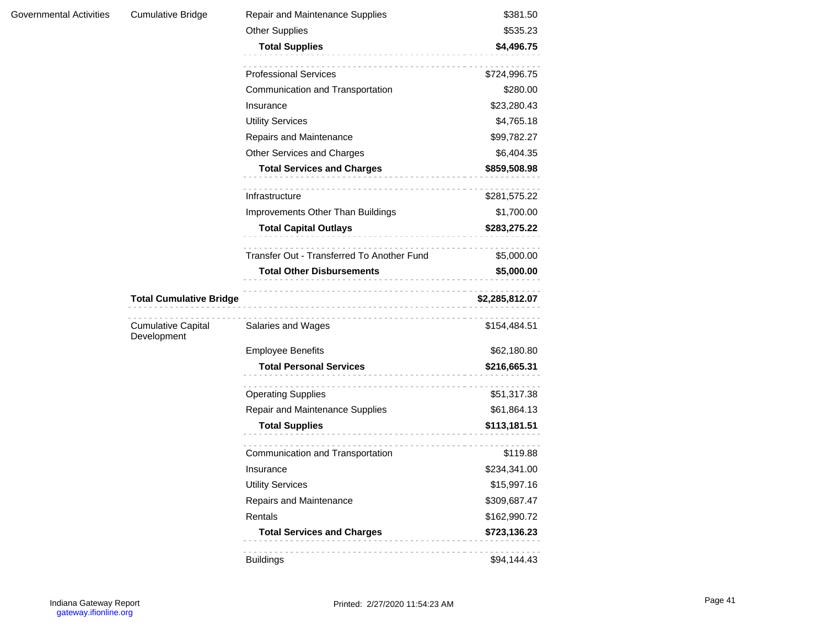| Governmental Activities | <b>Cumulative Bridge</b>                 | Repair and Maintenance Supplies                          | \$381.50                    |
|-------------------------|------------------------------------------|----------------------------------------------------------|-----------------------------|
|                         |                                          | <b>Other Supplies</b>                                    | \$535.23                    |
|                         |                                          | <b>Total Supplies</b>                                    | \$4,496.75                  |
|                         |                                          |                                                          |                             |
|                         |                                          | <b>Professional Services</b>                             | \$724,996.75                |
|                         |                                          | Communication and Transportation                         | \$280.00                    |
|                         |                                          | Insurance                                                | \$23,280.43                 |
|                         |                                          | <b>Utility Services</b>                                  | \$4,765.18                  |
|                         |                                          | Repairs and Maintenance                                  | \$99,782.27                 |
|                         |                                          | Other Services and Charges                               | \$6,404.35                  |
|                         |                                          | <b>Total Services and Charges</b>                        | \$859,508.98                |
|                         |                                          | Infrastructure                                           | \$281,575.22                |
|                         |                                          | Improvements Other Than Buildings                        | \$1,700.00                  |
|                         |                                          |                                                          | \$283,275.22                |
|                         |                                          | Transfer Out - Transferred To Another Fund               | \$5,000.00                  |
|                         |                                          | <b>Total Other Disbursements</b>                         | \$5,000.00                  |
|                         |                                          |                                                          |                             |
|                         |                                          |                                                          |                             |
|                         | <b>Total Cumulative Bridge</b>           |                                                          | \$2,285,812.07              |
|                         | <b>Cumulative Capital</b><br>Development | Salaries and Wages                                       | \$154,484.51                |
|                         |                                          | <b>Employee Benefits</b>                                 | \$62,180.80                 |
|                         |                                          | <b>Total Personal Services</b>                           | \$216,665.31                |
|                         |                                          |                                                          | \$51,317.38                 |
|                         |                                          | <b>Operating Supplies</b>                                |                             |
|                         |                                          | Repair and Maintenance Supplies<br><b>Total Supplies</b> | \$61,864.13<br>\$113,181.51 |
|                         |                                          | -----------------------------                            |                             |
|                         |                                          | Communication and Transportation                         | \$119.88                    |
|                         |                                          | Insurance                                                | \$234,341.00                |
|                         |                                          | <b>Utility Services</b>                                  | \$15,997.16                 |
|                         |                                          | Repairs and Maintenance                                  | \$309,687.47                |
|                         |                                          | Rentals                                                  | \$162,990.72                |
|                         |                                          | <b>Total Services and Charges</b>                        | \$723,136.23                |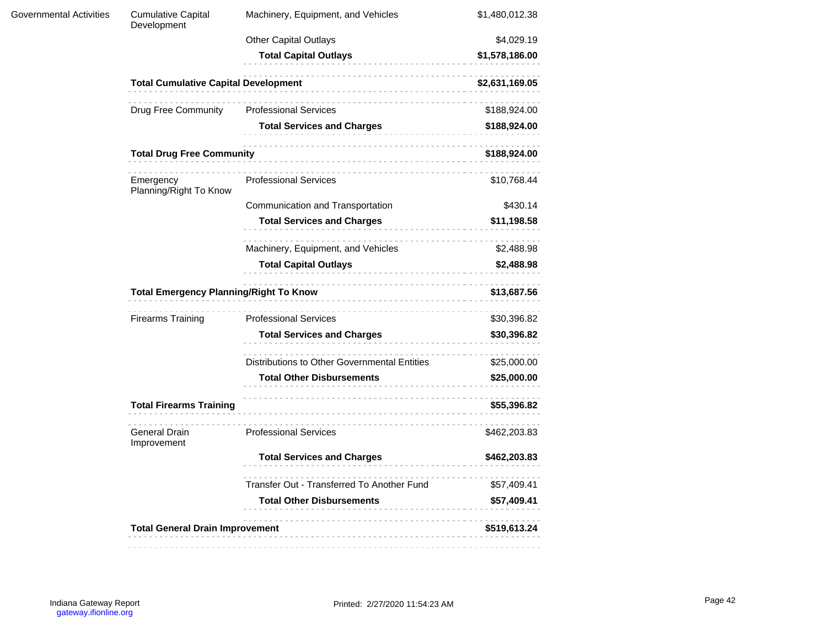| <b>Governmental Activities</b> | <b>Cumulative Capital</b><br>Development      | Machinery, Equipment, and Vehicles           | \$1,480,012.38 |  |
|--------------------------------|-----------------------------------------------|----------------------------------------------|----------------|--|
|                                |                                               | <b>Other Capital Outlays</b>                 | \$4,029.19     |  |
|                                |                                               | <b>Total Capital Outlays</b>                 | \$1,578,186.00 |  |
|                                | <b>Total Cumulative Capital Development</b>   |                                              | \$2,631,169.05 |  |
|                                | <b>Drug Free Community</b>                    | <b>Professional Services</b>                 | \$188,924.00   |  |
|                                |                                               | <b>Total Services and Charges</b>            | \$188,924.00   |  |
|                                | <b>Total Drug Free Community</b>              | .                                            | \$188,924.00   |  |
|                                | Emergency<br>Planning/Right To Know           | <b>Professional Services</b>                 | \$10,768.44    |  |
|                                |                                               | Communication and Transportation             | \$430.14       |  |
|                                |                                               | <b>Total Services and Charges</b>            | \$11,198.58    |  |
|                                |                                               | Machinery, Equipment, and Vehicles           | \$2,488.98     |  |
|                                |                                               | <b>Total Capital Outlays</b>                 | \$2,488.98     |  |
|                                | <b>Total Emergency Planning/Right To Know</b> | \$13,687.56                                  |                |  |
|                                | <b>Firearms Training</b>                      | <b>Professional Services</b>                 | \$30,396.82    |  |
|                                |                                               | <b>Total Services and Charges</b>            | \$30,396.82    |  |
|                                |                                               | Distributions to Other Governmental Entities | \$25,000.00    |  |
|                                |                                               | <b>Total Other Disbursements</b>             | \$25,000.00    |  |
|                                | <b>Total Firearms Training</b>                | \$55,396.82                                  |                |  |
|                                | General Drain<br>Improvement                  | <b>Professional Services</b>                 | \$462,203.83   |  |
|                                |                                               | <b>Total Services and Charges</b>            | \$462,203.83   |  |
|                                |                                               | Transfer Out - Transferred To Another Fund   | \$57,409.41    |  |
|                                |                                               | <b>Total Other Disbursements</b>             | \$57,409.41    |  |
|                                | <b>Total General Drain Improvement</b>        |                                              | \$519,613.24   |  |
|                                |                                               |                                              |                |  |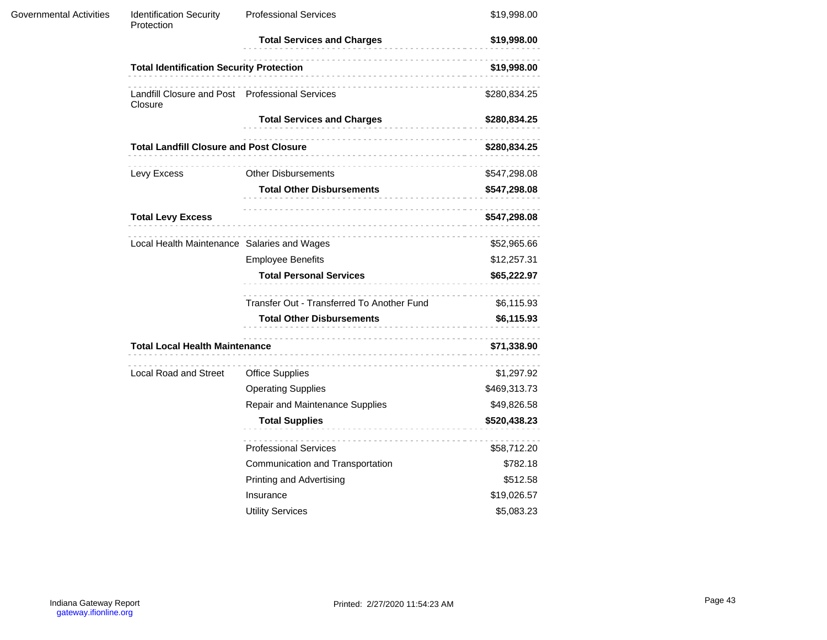| <b>Governmental Activities</b> | <b>Identification Security</b><br>Protection               | <b>Professional Services</b>               | \$19,998.00  |
|--------------------------------|------------------------------------------------------------|--------------------------------------------|--------------|
|                                |                                                            | <b>Total Services and Charges</b>          | \$19,998.00  |
|                                | <b>Total Identification Security Protection</b>            |                                            | \$19,998.00  |
|                                | Landfill Closure and Post Professional Services<br>Closure |                                            | \$280,834.25 |
|                                |                                                            | <b>Total Services and Charges</b>          | \$280,834.25 |
|                                | <b>Total Landfill Closure and Post Closure</b>             |                                            | \$280,834.25 |
|                                | Levy Excess                                                | <b>Other Disbursements</b>                 | \$547,298.08 |
|                                |                                                            | <b>Total Other Disbursements</b>           | \$547,298.08 |
|                                | <b>Total Levy Excess</b>                                   |                                            | \$547,298.08 |
|                                | Local Health Maintenance Salaries and Wages                |                                            | \$52,965.66  |
|                                |                                                            | <b>Employee Benefits</b>                   | \$12,257.31  |
|                                |                                                            | <b>Total Personal Services</b>             | \$65,222.97  |
|                                |                                                            | Transfer Out - Transferred To Another Fund | \$6,115.93   |
|                                |                                                            | <b>Total Other Disbursements</b>           | \$6,115.93   |
|                                | <b>Total Local Health Maintenance</b>                      |                                            | \$71,338.90  |
|                                | <b>Local Road and Street</b>                               | <b>Office Supplies</b>                     | \$1,297.92   |
|                                |                                                            | <b>Operating Supplies</b>                  | \$469,313.73 |
|                                |                                                            | Repair and Maintenance Supplies            | \$49,826.58  |
|                                |                                                            | <b>Total Supplies</b>                      | \$520,438.23 |
|                                |                                                            | <b>Professional Services</b>               | \$58,712.20  |
|                                |                                                            | Communication and Transportation           | \$782.18     |
|                                |                                                            | <b>Printing and Advertising</b>            | \$512.58     |
|                                |                                                            | Insurance                                  | \$19,026.57  |
|                                |                                                            | <b>Utility Services</b>                    | \$5,083.23   |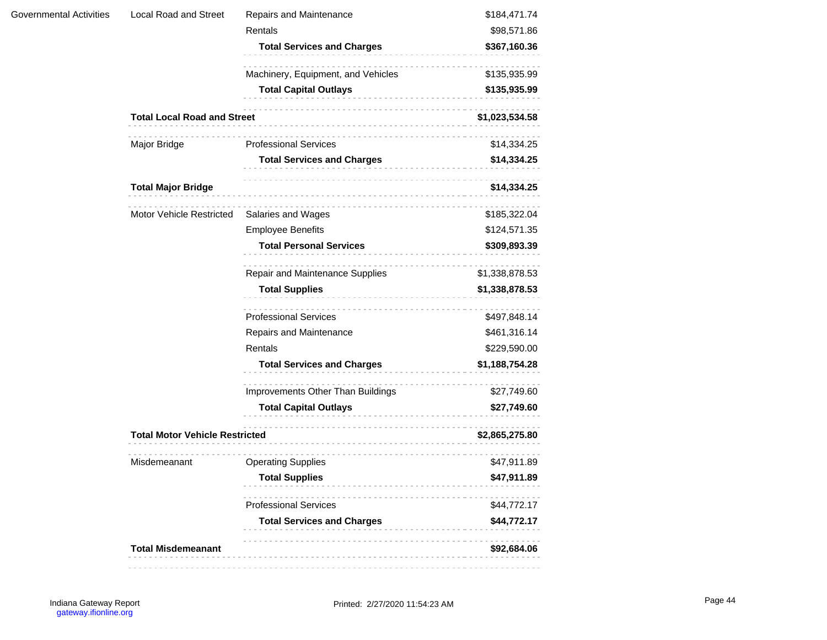|                         | <b>Total Misdemeanant</b>             |                                                      | \$92,684.06                 |
|-------------------------|---------------------------------------|------------------------------------------------------|-----------------------------|
|                         |                                       | <b>Total Services and Charges</b>                    | \$44,772.17                 |
|                         |                                       | <b>Professional Services</b>                         | \$44,772.17                 |
|                         |                                       | <b>Total Supplies</b>                                | \$47,911.89                 |
|                         | Misdemeanant                          | <b>Operating Supplies</b>                            | \$47,911.89                 |
|                         | <b>Total Motor Vehicle Restricted</b> |                                                      | \$2,865,275.80              |
|                         |                                       |                                                      |                             |
|                         |                                       | <b>Total Capital Outlays</b><br>-------------------- | \$27,749.60                 |
|                         |                                       | Improvements Other Than Buildings                    | \$27,749.60                 |
|                         |                                       | <b>Total Services and Charges</b>                    | \$1,188,754.28              |
|                         |                                       | Rentals                                              | \$229,590.00                |
|                         |                                       | Repairs and Maintenance                              | \$461,316.14                |
|                         |                                       | <b>Professional Services</b>                         | \$497,848.14                |
|                         |                                       | <b>Total Supplies</b>                                | \$1,338,878.53              |
|                         |                                       | Repair and Maintenance Supplies                      | \$1,338,878.53              |
|                         |                                       | <b>Total Personal Services</b>                       | \$309,893.39                |
|                         |                                       | <b>Employee Benefits</b>                             | \$124,571.35                |
|                         | Motor Vehicle Restricted              | Salaries and Wages                                   | \$185,322.04                |
|                         | <b>Total Major Bridge</b>             |                                                      | \$14,334.25                 |
|                         |                                       |                                                      |                             |
|                         |                                       | <b>Total Services and Charges</b>                    | \$14,334.25                 |
|                         | Major Bridge                          | <b>Professional Services</b>                         | \$14,334.25                 |
|                         | <b>Total Local Road and Street</b>    |                                                      | \$1,023,534.58              |
|                         |                                       | <b>Total Capital Outlays</b>                         | \$135,935.99                |
|                         |                                       | Machinery, Equipment, and Vehicles                   | \$135,935.99                |
|                         |                                       |                                                      |                             |
|                         |                                       | Rentals<br><b>Total Services and Charges</b>         | \$98,571.86<br>\$367,160.36 |
| Governmental Activities | Local Road and Street                 | Repairs and Maintenance                              | \$184,471.74                |
|                         |                                       |                                                      |                             |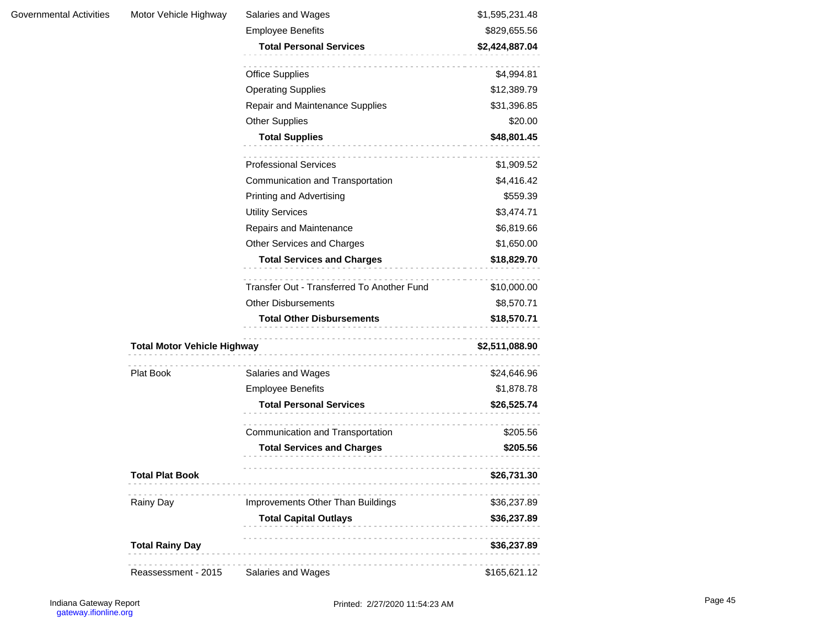| <b>Governmental Activities</b> |  |
|--------------------------------|--|
|--------------------------------|--|

| Governmental Activities | Motor Vehicle Highway              | Salaries and Wages                                        | \$1,595,231.48 |
|-------------------------|------------------------------------|-----------------------------------------------------------|----------------|
|                         |                                    | <b>Employee Benefits</b>                                  | \$829,655.56   |
|                         |                                    | <b>Total Personal Services</b>                            | \$2,424,887.04 |
|                         |                                    | <b>Office Supplies</b>                                    | \$4,994.81     |
|                         |                                    | <b>Operating Supplies</b>                                 | \$12,389.79    |
|                         |                                    | Repair and Maintenance Supplies                           | \$31,396.85    |
|                         |                                    | <b>Other Supplies</b>                                     | \$20.00        |
|                         |                                    | <b>Total Supplies</b>                                     | \$48,801.45    |
|                         |                                    | <b>Professional Services</b>                              | \$1,909.52     |
|                         |                                    | Communication and Transportation                          | \$4,416.42     |
|                         |                                    | Printing and Advertising                                  | \$559.39       |
|                         |                                    | <b>Utility Services</b>                                   | \$3,474.71     |
|                         |                                    | Repairs and Maintenance                                   | \$6,819.66     |
|                         |                                    | Other Services and Charges                                | \$1,650.00     |
|                         | <b>Total Services and Charges</b>  |                                                           | \$18,829.70    |
|                         |                                    | Transfer Out - Transferred To Another Fund                | \$10,000.00    |
|                         |                                    | <b>Other Disbursements</b>                                | \$8,570.71     |
|                         |                                    | <b>Total Other Disbursements</b>                          | \$18,570.71    |
|                         | <b>Total Motor Vehicle Highway</b> |                                                           | \$2,511,088.90 |
|                         | Plat Book                          | Salaries and Wages                                        | \$24,646.96    |
|                         |                                    | <b>Employee Benefits</b>                                  | \$1,878.78     |
|                         |                                    | <b>Total Personal Services</b>                            | \$26,525.74    |
|                         |                                    | .<br>Communication and Transportation                     | \$205.56       |
|                         |                                    | <b>Total Services and Charges</b><br>-------------------- | \$205.56       |
|                         | <b>Total Plat Book</b>             |                                                           | \$26,731.30    |
|                         | Rainy Day                          | Improvements Other Than Buildings                         | \$36,237.89    |
|                         |                                    | <b>Total Capital Outlays</b>                              | \$36,237.89    |
|                         | <b>Total Rainy Day</b>             |                                                           | \$36,237.89    |
|                         | Reassessment - 2015                | Salaries and Wages                                        | \$165,621.12   |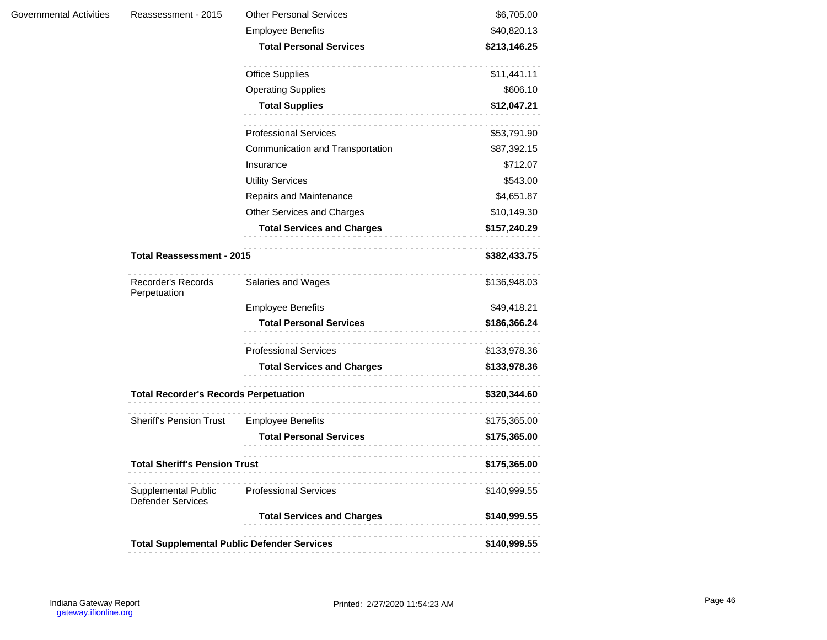| <b>Governmental Activities</b> |  |
|--------------------------------|--|
|                                |  |

| Governmental Activities | Reassessment - 2015                             | <b>Other Personal Services</b>                     | \$6,705.00   |
|-------------------------|-------------------------------------------------|----------------------------------------------------|--------------|
|                         |                                                 | <b>Employee Benefits</b>                           | \$40,820.13  |
|                         |                                                 | <b>Total Personal Services</b>                     | \$213,146.25 |
|                         |                                                 | <b>Office Supplies</b>                             | \$11,441.11  |
|                         |                                                 | <b>Operating Supplies</b>                          | \$606.10     |
|                         |                                                 | <b>Total Supplies</b>                              | \$12,047.21  |
|                         |                                                 | <b>Professional Services</b>                       | \$53,791.90  |
|                         |                                                 | Communication and Transportation                   | \$87,392.15  |
|                         |                                                 | Insurance                                          | \$712.07     |
|                         |                                                 | <b>Utility Services</b>                            | \$543.00     |
|                         |                                                 | Repairs and Maintenance                            | \$4,651.87   |
|                         |                                                 | Other Services and Charges                         | \$10,149.30  |
|                         |                                                 | <b>Total Services and Charges</b>                  | \$157,240.29 |
|                         | <b>Total Reassessment - 2015</b>                |                                                    | \$382,433.75 |
|                         | Recorder's Records<br>Perpetuation              | Salaries and Wages                                 | \$136,948.03 |
|                         |                                                 | <b>Employee Benefits</b>                           | \$49,418.21  |
|                         |                                                 | <b>Total Personal Services</b>                     | \$186,366.24 |
|                         |                                                 | <b>Professional Services</b>                       | \$133,978.36 |
|                         |                                                 | <b>Total Services and Charges</b>                  | \$133,978.36 |
|                         | <b>Total Recorder's Records Perpetuation</b>    |                                                    | \$320,344.60 |
|                         | <b>Sheriff's Pension Trust</b>                  | <b>Employee Benefits</b>                           | \$175,365.00 |
|                         |                                                 | <b>Total Personal Services</b><br>.                | \$175,365.00 |
|                         | <b>Total Sheriff's Pension Trust</b>            |                                                    | \$175,365.00 |
|                         | Supplemental Public<br><b>Defender Services</b> | <b>Professional Services</b>                       | \$140,999.55 |
|                         |                                                 | <b>Total Services and Charges</b>                  | \$140,999.55 |
|                         |                                                 | <b>Total Supplemental Public Defender Services</b> |              |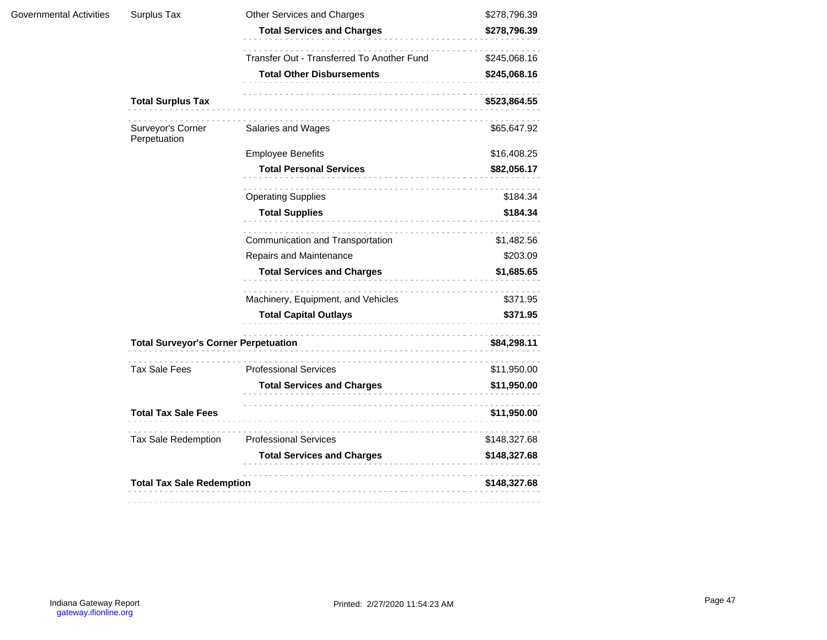| Governmental Activities | Surplus Tax                                 | Other Services and Charges                 | \$278,796.39 |  |
|-------------------------|---------------------------------------------|--------------------------------------------|--------------|--|
|                         |                                             | <b>Total Services and Charges</b>          | \$278,796.39 |  |
|                         |                                             | Transfer Out - Transferred To Another Fund | \$245,068.16 |  |
|                         |                                             | <b>Total Other Disbursements</b>           | \$245,068.16 |  |
|                         | <b>Total Surplus Tax</b>                    |                                            | \$523,864.55 |  |
|                         | Surveyor's Corner<br>Perpetuation           | Salaries and Wages                         | \$65,647.92  |  |
|                         |                                             | <b>Employee Benefits</b>                   | \$16,408.25  |  |
|                         |                                             | <b>Total Personal Services</b>             | \$82,056.17  |  |
|                         |                                             | <b>Operating Supplies</b>                  | \$184.34     |  |
|                         |                                             | <b>Total Supplies</b>                      | \$184.34     |  |
|                         |                                             | .<br>Communication and Transportation      | \$1,482.56   |  |
|                         |                                             | Repairs and Maintenance                    | \$203.09     |  |
|                         |                                             | <b>Total Services and Charges</b>          | \$1,685.65   |  |
|                         |                                             | Machinery, Equipment, and Vehicles         | \$371.95     |  |
|                         |                                             | <b>Total Capital Outlays</b>               | \$371.95     |  |
|                         | <b>Total Surveyor's Corner Perpetuation</b> |                                            | \$84,298.11  |  |
|                         | <b>Tax Sale Fees</b>                        | .<br><b>Professional Services</b>          | \$11,950.00  |  |
|                         |                                             | <b>Total Services and Charges</b>          | \$11,950.00  |  |
|                         | <b>Total Tax Sale Fees</b>                  |                                            | \$11,950.00  |  |
|                         | <b>Tax Sale Redemption</b>                  | <b>Professional Services</b>               | \$148,327.68 |  |
|                         |                                             | <b>Total Services and Charges</b>          | \$148,327.68 |  |
|                         | <b>Total Tax Sale Redemption</b>            |                                            | \$148,327.68 |  |
|                         |                                             |                                            |              |  |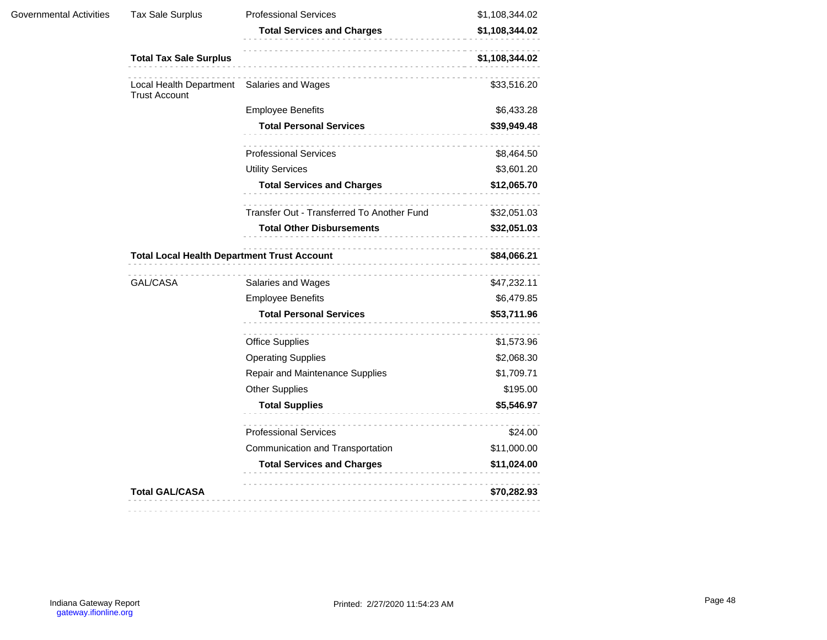| Governmental Activities | <b>Tax Sale Surplus</b>                                            | <b>Professional Services</b>               | \$1,108,344.02 |  |
|-------------------------|--------------------------------------------------------------------|--------------------------------------------|----------------|--|
|                         |                                                                    | <b>Total Services and Charges</b>          | \$1,108,344.02 |  |
|                         | <b>Total Tax Sale Surplus</b>                                      | .                                          | \$1,108,344.02 |  |
|                         | Local Health Department Salaries and Wages<br><b>Trust Account</b> |                                            | \$33,516.20    |  |
|                         |                                                                    | <b>Employee Benefits</b>                   | \$6,433.28     |  |
|                         |                                                                    | <b>Total Personal Services</b>             | \$39,949.48    |  |
|                         |                                                                    | <b>Professional Services</b>               | \$8,464.50     |  |
|                         |                                                                    | <b>Utility Services</b>                    | \$3,601.20     |  |
|                         |                                                                    | <b>Total Services and Charges</b>          | \$12,065.70    |  |
|                         |                                                                    | Transfer Out - Transferred To Another Fund | \$32,051.03    |  |
|                         |                                                                    | <b>Total Other Disbursements</b>           | \$32,051.03    |  |
|                         | <b>Total Local Health Department Trust Account</b><br>\$84,066.21  |                                            |                |  |
|                         | GAL/CASA                                                           | Salaries and Wages                         | \$47,232.11    |  |
|                         |                                                                    | <b>Employee Benefits</b>                   | \$6,479.85     |  |
|                         |                                                                    | <b>Total Personal Services</b>             | \$53,711.96    |  |
|                         |                                                                    | <b>Office Supplies</b>                     | \$1,573.96     |  |
|                         |                                                                    | <b>Operating Supplies</b>                  | \$2,068.30     |  |
|                         |                                                                    | Repair and Maintenance Supplies            | \$1,709.71     |  |
|                         |                                                                    | <b>Other Supplies</b>                      | \$195.00       |  |
|                         |                                                                    | <b>Total Supplies</b>                      | \$5,546.97     |  |
|                         |                                                                    | <b>Professional Services</b>               | \$24.00        |  |
|                         |                                                                    | Communication and Transportation           | \$11,000.00    |  |
|                         |                                                                    | <b>Total Services and Charges</b>          | \$11,024.00    |  |
|                         |                                                                    | .                                          |                |  |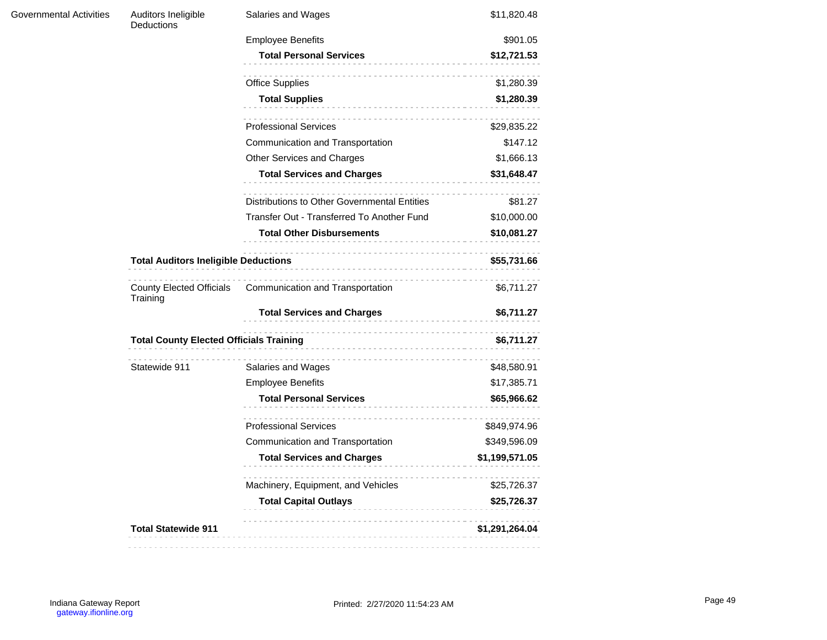| Governmental Activities | Auditors Ineligible<br>Deductions              | Salaries and Wages                           | \$11,820.48    |  |
|-------------------------|------------------------------------------------|----------------------------------------------|----------------|--|
|                         |                                                | <b>Employee Benefits</b>                     | \$901.05       |  |
|                         |                                                | <b>Total Personal Services</b>               | \$12,721.53    |  |
|                         |                                                | <b>Office Supplies</b>                       | \$1,280.39     |  |
|                         |                                                | <b>Total Supplies</b>                        | \$1,280.39     |  |
|                         |                                                | <b>Professional Services</b>                 | \$29,835.22    |  |
|                         |                                                | Communication and Transportation             | \$147.12       |  |
|                         |                                                | Other Services and Charges                   | \$1,666.13     |  |
|                         |                                                | <b>Total Services and Charges</b>            | \$31,648.47    |  |
|                         |                                                | Distributions to Other Governmental Entities | \$81.27        |  |
|                         |                                                | Transfer Out - Transferred To Another Fund   | \$10,000.00    |  |
|                         |                                                | <b>Total Other Disbursements</b>             | \$10,081.27    |  |
|                         | <b>Total Auditors Ineligible Deductions</b>    |                                              | \$55,731.66    |  |
|                         | <b>County Elected Officials</b><br>Training    | Communication and Transportation             | \$6,711.27     |  |
|                         |                                                | <b>Total Services and Charges</b>            | \$6,711.27     |  |
|                         | <b>Total County Elected Officials Training</b> | \$6,711.27                                   |                |  |
|                         | Statewide 911                                  | Salaries and Wages                           | \$48,580.91    |  |
|                         |                                                | <b>Employee Benefits</b>                     | \$17,385.71    |  |
|                         |                                                | <b>Total Personal Services</b>               | \$65,966.62    |  |
|                         |                                                | <b>Professional Services</b>                 | \$849,974.96   |  |
|                         |                                                | Communication and Transportation             | \$349,596.09   |  |
|                         |                                                | <b>Total Services and Charges</b>            | \$1,199,571.05 |  |
|                         |                                                | Machinery, Equipment, and Vehicles           | \$25,726.37    |  |
|                         |                                                | <b>Total Capital Outlays</b>                 | \$25,726.37    |  |
|                         | <b>Total Statewide 911</b>                     |                                              | \$1,291,264.04 |  |
|                         |                                                |                                              |                |  |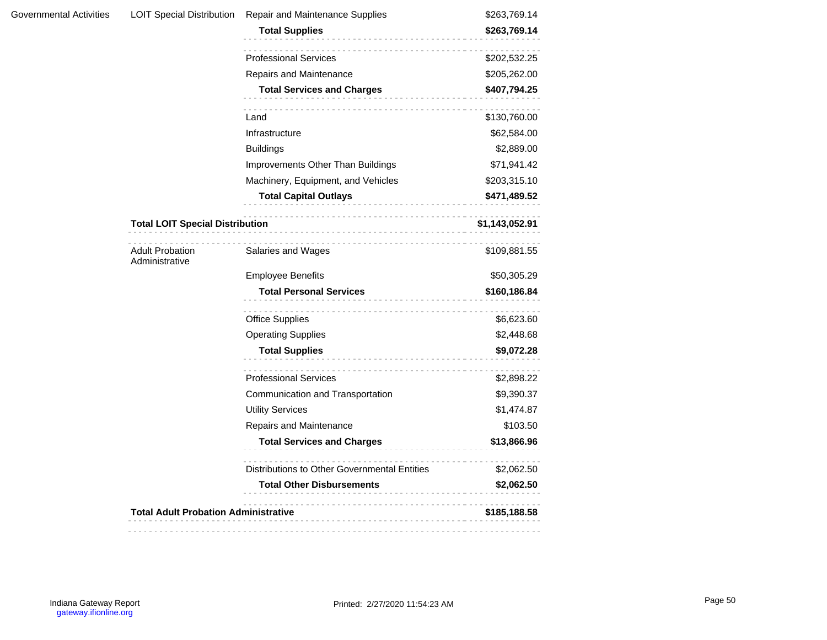| Governmental Activities | <b>LOIT Special Distribution</b>            | Repair and Maintenance Supplies                                         | \$263,769.14                |
|-------------------------|---------------------------------------------|-------------------------------------------------------------------------|-----------------------------|
|                         |                                             | <b>Total Supplies</b>                                                   | \$263,769.14                |
|                         |                                             | <b>Professional Services</b>                                            | \$202,532.25                |
|                         |                                             | Repairs and Maintenance                                                 | \$205,262.00                |
|                         |                                             | <b>Total Services and Charges</b>                                       | \$407,794.25                |
|                         |                                             |                                                                         |                             |
|                         |                                             | Land<br>Infrastructure                                                  | \$130,760.00<br>\$62,584.00 |
|                         |                                             | <b>Buildings</b>                                                        | \$2,889.00                  |
|                         |                                             |                                                                         | \$71,941.42                 |
|                         |                                             | Improvements Other Than Buildings<br>Machinery, Equipment, and Vehicles | \$203,315.10                |
|                         |                                             | <b>Total Capital Outlays</b>                                            | \$471,489.52                |
|                         |                                             |                                                                         |                             |
|                         | <b>Total LOIT Special Distribution</b>      | \$1,143,052.91                                                          |                             |
|                         | <b>Adult Probation</b><br>Administrative    | Salaries and Wages                                                      | \$109,881.55                |
|                         |                                             | <b>Employee Benefits</b>                                                | \$50,305.29                 |
|                         |                                             | <b>Total Personal Services</b>                                          | \$160,186.84                |
|                         |                                             | <b>Office Supplies</b>                                                  | \$6,623.60                  |
|                         |                                             | <b>Operating Supplies</b>                                               | \$2,448.68                  |
|                         |                                             | <b>Total Supplies</b>                                                   | \$9,072.28                  |
|                         |                                             | <b>Professional Services</b>                                            | \$2,898.22                  |
|                         |                                             | Communication and Transportation                                        | \$9,390.37                  |
|                         |                                             | <b>Utility Services</b>                                                 | \$1,474.87                  |
|                         |                                             | Repairs and Maintenance                                                 | \$103.50                    |
|                         |                                             | <b>Total Services and Charges</b>                                       | \$13,866.96                 |
|                         |                                             | Distributions to Other Governmental Entities                            | \$2,062.50                  |
|                         |                                             | <b>Total Other Disbursements</b>                                        | \$2,062.50                  |
|                         |                                             |                                                                         |                             |
|                         | <b>Total Adult Probation Administrative</b> |                                                                         | \$185,188.58                |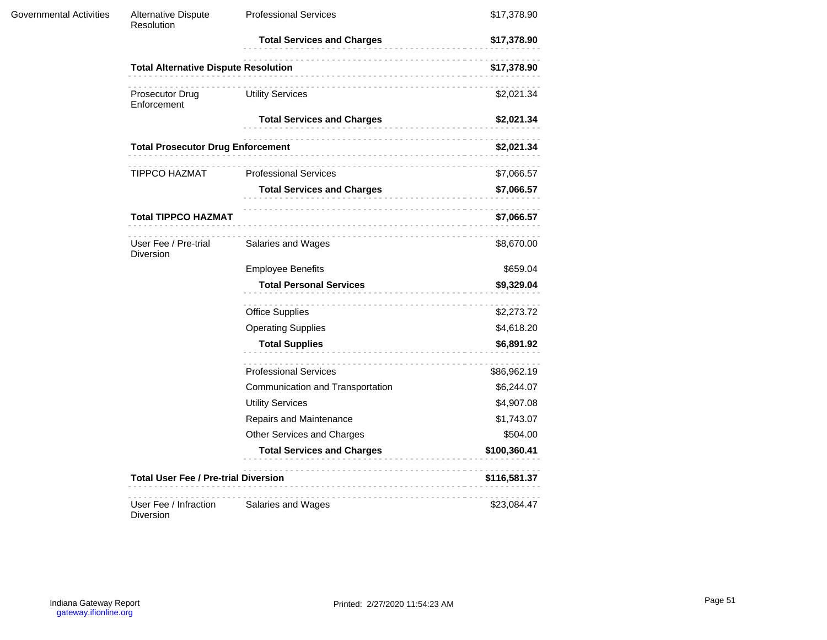| <b>Governmental Activities</b> | <b>Alternative Dispute</b><br>Resolution    | <b>Professional Services</b>      | \$17,378.90  |
|--------------------------------|---------------------------------------------|-----------------------------------|--------------|
|                                |                                             | <b>Total Services and Charges</b> | \$17,378.90  |
|                                | <b>Total Alternative Dispute Resolution</b> |                                   | \$17,378.90  |
|                                | Prosecutor Drug<br>Enforcement              | <b>Utility Services</b>           | \$2,021.34   |
|                                |                                             | <b>Total Services and Charges</b> | \$2,021.34   |
|                                | <b>Total Prosecutor Drug Enforcement</b>    |                                   | \$2,021.34   |
|                                | TIPPCO HAZMAT                               | <b>Professional Services</b>      | \$7,066.57   |
|                                |                                             | <b>Total Services and Charges</b> | \$7,066.57   |
|                                | <b>Total TIPPCO HAZMAT</b>                  |                                   | \$7,066.57   |
|                                | User Fee / Pre-trial<br>Diversion           | Salaries and Wages                | \$8,670.00   |
|                                |                                             | <b>Employee Benefits</b>          | \$659.04     |
|                                |                                             | <b>Total Personal Services</b>    | \$9,329.04   |
|                                |                                             | <b>Office Supplies</b>            | \$2,273.72   |
|                                |                                             | <b>Operating Supplies</b>         | \$4,618.20   |
|                                |                                             | <b>Total Supplies</b>             | \$6,891.92   |
|                                |                                             | <b>Professional Services</b>      | \$86,962.19  |
|                                |                                             | Communication and Transportation  | \$6,244.07   |
|                                |                                             | <b>Utility Services</b>           | \$4,907.08   |
|                                |                                             | Repairs and Maintenance           | \$1,743.07   |
|                                |                                             | Other Services and Charges        | \$504.00     |
|                                |                                             | <b>Total Services and Charges</b> | \$100,360.41 |
|                                | <b>Total User Fee / Pre-trial Diversion</b> |                                   | \$116,581.37 |
|                                | User Fee / Infraction<br>Diversion          | Salaries and Wages                | \$23,084.47  |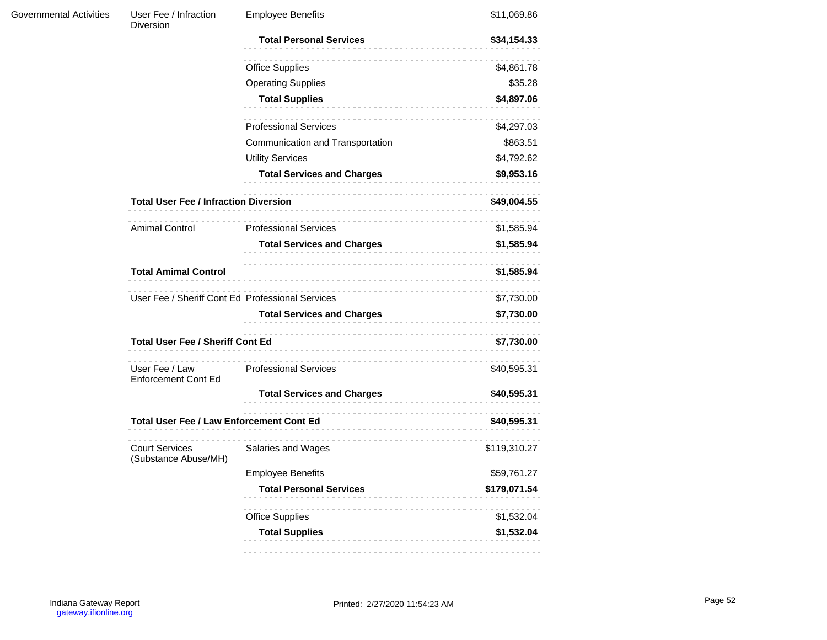| Governmental Activities | User Fee / Infraction<br>Diversion              | <b>Employee Benefits</b>                                       | \$11,069.86                                           |  |
|-------------------------|-------------------------------------------------|----------------------------------------------------------------|-------------------------------------------------------|--|
|                         |                                                 | <b>Total Personal Services</b>                                 | \$34,154.33                                           |  |
|                         |                                                 | <b>Office Supplies</b>                                         | \$4,861.78                                            |  |
|                         |                                                 | <b>Operating Supplies</b>                                      | \$35.28                                               |  |
|                         |                                                 | <b>Total Supplies</b><br>.                                     | \$4,897.06                                            |  |
|                         |                                                 | <b>Professional Services</b>                                   | \$4,297.03                                            |  |
|                         |                                                 | Communication and Transportation                               | \$863.51                                              |  |
|                         |                                                 | <b>Utility Services</b>                                        | \$4,792.62                                            |  |
|                         |                                                 | <b>Total Services and Charges</b>                              | \$9,953.16                                            |  |
|                         | <b>Total User Fee / Infraction Diversion</b>    |                                                                | \$49,004.55<br>\$1,585.94<br>\$1,585.94<br>\$1,585.94 |  |
|                         | <b>Amimal Control</b>                           | <b>Professional Services</b>                                   |                                                       |  |
|                         |                                                 | <b>Total Services and Charges</b>                              |                                                       |  |
|                         | <b>Total Amimal Control</b>                     |                                                                |                                                       |  |
|                         |                                                 | User Fee / Sheriff Cont Ed Professional Services<br>\$7,730.00 |                                                       |  |
|                         |                                                 | <b>Total Services and Charges</b>                              | \$7,730.00                                            |  |
|                         | <b>Total User Fee / Sheriff Cont Ed</b>         |                                                                | \$7,730.00                                            |  |
|                         | User Fee / Law<br><b>Enforcement Cont Ed</b>    | <b>Professional Services</b>                                   | \$40,595.31                                           |  |
|                         |                                                 | <b>Total Services and Charges</b>                              | \$40,595.31                                           |  |
|                         | <b>Total User Fee / Law Enforcement Cont Ed</b> |                                                                | \$40,595.31                                           |  |
|                         | <b>Court Services</b><br>(Substance Abuse/MH)   | Salaries and Wages                                             | \$119,310.27                                          |  |
|                         |                                                 | <b>Employee Benefits</b>                                       | \$59,761.27                                           |  |
|                         |                                                 | <b>Total Personal Services</b>                                 | \$179,071.54                                          |  |
|                         |                                                 | <b>Office Supplies</b>                                         | \$1,532.04                                            |  |
|                         |                                                 | <b>Total Supplies</b>                                          | \$1,532.04                                            |  |
|                         |                                                 |                                                                |                                                       |  |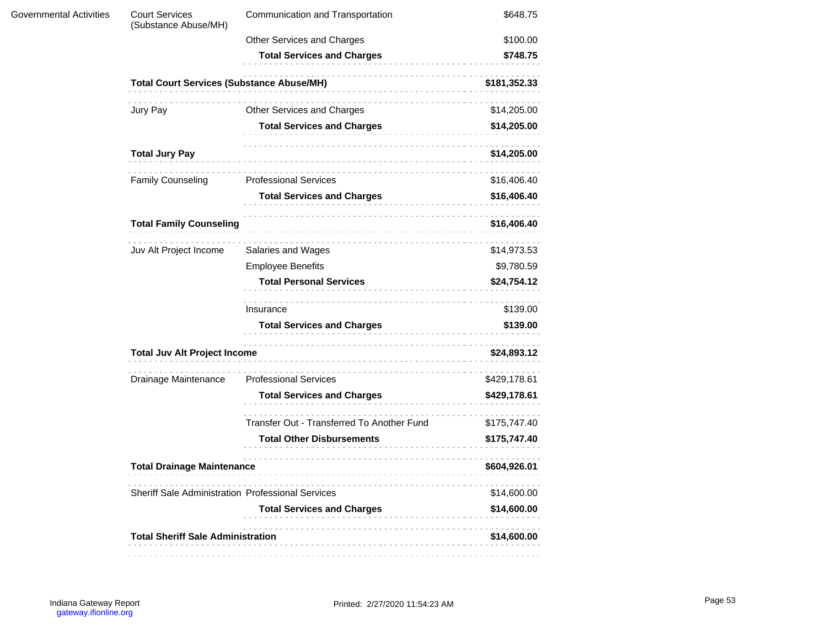| <b>Governmental Activities</b> | <b>Court Services</b><br>(Substance Abuse/MH)            | Communication and Transportation           | \$648.75     |  |
|--------------------------------|----------------------------------------------------------|--------------------------------------------|--------------|--|
|                                |                                                          | Other Services and Charges                 | \$100.00     |  |
|                                |                                                          | <b>Total Services and Charges</b>          | \$748.75     |  |
|                                | <b>Total Court Services (Substance Abuse/MH)</b>         |                                            | \$181,352.33 |  |
|                                | Jury Pay                                                 | Other Services and Charges                 | \$14,205.00  |  |
|                                |                                                          | <b>Total Services and Charges</b>          | \$14,205.00  |  |
|                                | <b>Total Jury Pay</b>                                    |                                            | \$14,205.00  |  |
|                                | <b>Family Counseling</b>                                 | <b>Professional Services</b>               | \$16,406.40  |  |
|                                |                                                          | <b>Total Services and Charges</b>          | \$16,406.40  |  |
|                                | <b>Total Family Counseling</b>                           |                                            | \$16,406.40  |  |
|                                | Juv Alt Project Income                                   | Salaries and Wages                         | \$14,973.53  |  |
|                                |                                                          | <b>Employee Benefits</b>                   | \$9,780.59   |  |
|                                |                                                          | <b>Total Personal Services</b>             | \$24,754.12  |  |
|                                |                                                          | Insurance                                  | \$139.00     |  |
|                                |                                                          | <b>Total Services and Charges</b>          | \$139.00     |  |
|                                | <b>Total Juv Alt Project Income</b>                      |                                            | \$24,893.12  |  |
|                                | Drainage Maintenance                                     | <b>Professional Services</b>               | \$429,178.61 |  |
|                                |                                                          | <b>Total Services and Charges</b>          | \$429,178.61 |  |
|                                |                                                          | Transfer Out - Transferred To Another Fund | \$175,747.40 |  |
|                                |                                                          | <b>Total Other Disbursements</b>           | \$175,747.40 |  |
|                                | <b>Total Drainage Maintenance</b>                        |                                            | \$604,926.01 |  |
|                                | <b>Sheriff Sale Administration Professional Services</b> |                                            | \$14,600.00  |  |
|                                |                                                          | <b>Total Services and Charges</b>          | \$14,600.00  |  |
|                                | <b>Total Sheriff Sale Administration</b>                 |                                            | \$14,600.00  |  |
|                                |                                                          |                                            |              |  |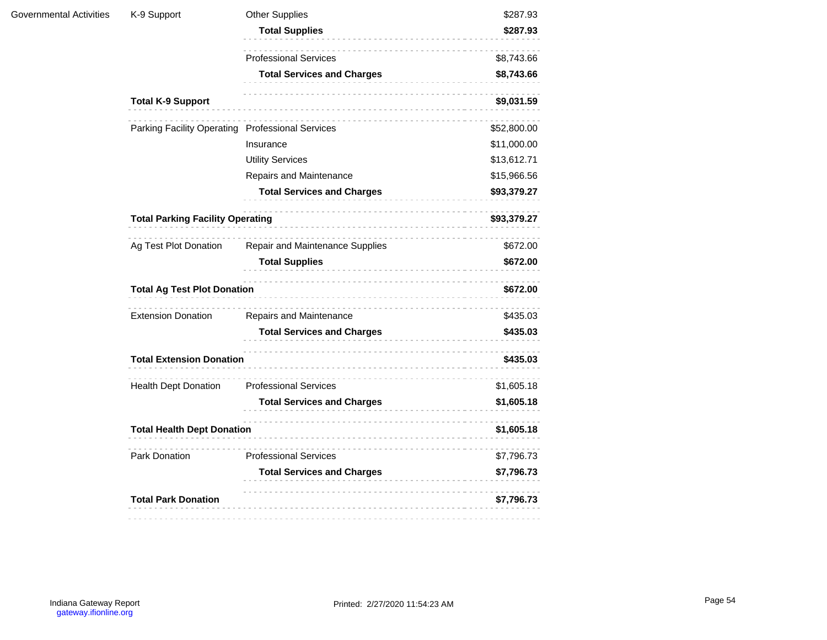| Governmental Activities | K-9 Support                                      | <b>Other Supplies</b>             | \$287.93    |
|-------------------------|--------------------------------------------------|-----------------------------------|-------------|
|                         |                                                  | <b>Total Supplies</b>             | \$287.93    |
|                         |                                                  | <b>Professional Services</b>      | \$8,743.66  |
|                         |                                                  | <b>Total Services and Charges</b> | \$8,743.66  |
|                         | <b>Total K-9 Support</b>                         |                                   | \$9,031.59  |
|                         | Parking Facility Operating Professional Services |                                   | \$52,800.00 |
|                         |                                                  | Insurance                         | \$11,000.00 |
|                         |                                                  | <b>Utility Services</b>           | \$13,612.71 |
|                         |                                                  | Repairs and Maintenance           | \$15,966.56 |
|                         |                                                  | <b>Total Services and Charges</b> | \$93,379.27 |
|                         | <b>Total Parking Facility Operating</b>          | \$93,379.27                       |             |
|                         | Ag Test Plot Donation                            | Repair and Maintenance Supplies   | \$672.00    |
|                         |                                                  | <b>Total Supplies</b>             | \$672.00    |
|                         | <b>Total Ag Test Plot Donation</b>               |                                   | \$672.00    |
|                         | <b>Extension Donation</b>                        | Repairs and Maintenance           | \$435.03    |
|                         |                                                  | <b>Total Services and Charges</b> | \$435.03    |
|                         | <b>Total Extension Donation</b>                  |                                   | \$435.03    |
|                         | <b>Health Dept Donation</b>                      | <b>Professional Services</b>      | \$1,605.18  |
|                         |                                                  | <b>Total Services and Charges</b> | \$1,605.18  |
|                         | <b>Total Health Dept Donation</b>                |                                   | \$1,605.18  |
|                         | Park Donation                                    | <b>Professional Services</b>      | \$7,796.73  |
|                         |                                                  | <b>Total Services and Charges</b> | \$7,796.73  |
|                         | <b>Total Park Donation</b>                       |                                   | \$7,796.73  |
|                         |                                                  |                                   |             |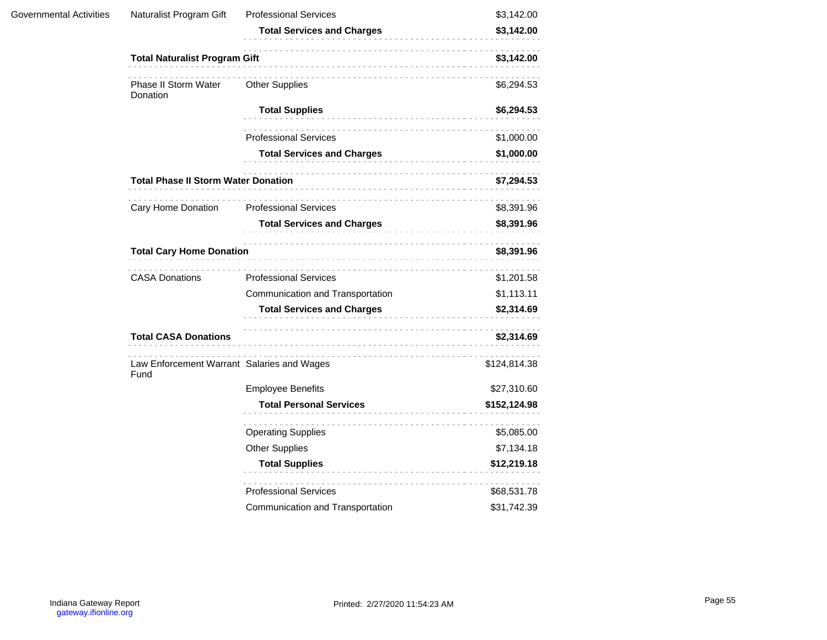| Governmental Activities | Naturalist Program Gift                            | <b>Professional Services</b>      | \$3,142.00   |
|-------------------------|----------------------------------------------------|-----------------------------------|--------------|
|                         |                                                    | <b>Total Services and Charges</b> | \$3,142.00   |
|                         | <b>Total Naturalist Program Gift</b>               |                                   | \$3,142.00   |
|                         | Phase II Storm Water<br>Donation                   | <b>Other Supplies</b>             | \$6,294.53   |
|                         |                                                    | <b>Total Supplies</b>             | \$6,294.53   |
|                         |                                                    | <b>Professional Services</b>      | \$1,000.00   |
|                         |                                                    | <b>Total Services and Charges</b> | \$1,000.00   |
|                         | <b>Total Phase II Storm Water Donation</b>         |                                   | \$7,294.53   |
|                         | Cary Home Donation                                 | <b>Professional Services</b>      | \$8,391.96   |
|                         |                                                    | <b>Total Services and Charges</b> | \$8,391.96   |
|                         | <b>Total Cary Home Donation</b>                    | .                                 |              |
|                         | <b>CASA Donations</b>                              | <b>Professional Services</b>      | \$1,201.58   |
|                         |                                                    | Communication and Transportation  | \$1,113.11   |
|                         |                                                    | <b>Total Services and Charges</b> | \$2,314.69   |
|                         | <b>Total CASA Donations</b>                        |                                   | \$2,314.69   |
|                         | Law Enforcement Warrant Salaries and Wages<br>Fund |                                   | \$124,814.38 |
|                         |                                                    | <b>Employee Benefits</b>          | \$27,310.60  |
|                         |                                                    | <b>Total Personal Services</b>    | \$152,124.98 |
|                         |                                                    | <b>Operating Supplies</b>         | \$5,085.00   |
|                         |                                                    | <b>Other Supplies</b>             | \$7,134.18   |
|                         |                                                    | <b>Total Supplies</b>             | \$12,219.18  |
|                         |                                                    | <b>Professional Services</b>      | \$68,531.78  |
|                         |                                                    | Communication and Transportation  | \$31,742.39  |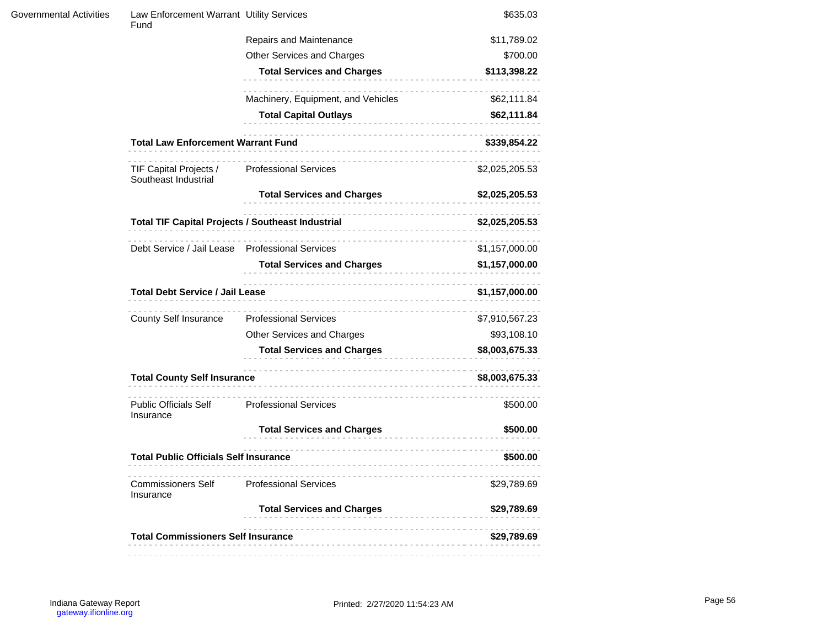| Governmental Activities | Law Enforcement Warrant Utility Services<br>Fund         |                                                            | \$635.03       |
|-------------------------|----------------------------------------------------------|------------------------------------------------------------|----------------|
|                         |                                                          | Repairs and Maintenance                                    | \$11,789.02    |
|                         |                                                          | Other Services and Charges                                 | \$700.00       |
|                         |                                                          | <b>Total Services and Charges</b>                          | \$113,398.22   |
|                         |                                                          | Machinery, Equipment, and Vehicles                         | \$62,111.84    |
|                         |                                                          | <b>Total Capital Outlays</b>                               | \$62,111.84    |
|                         | <b>Total Law Enforcement Warrant Fund</b>                |                                                            | \$339,854.22   |
|                         | TIF Capital Projects /<br>Southeast Industrial           | <b>Professional Services</b>                               | \$2,025,205.53 |
|                         |                                                          | <b>Total Services and Charges</b>                          | \$2,025,205.53 |
|                         | <b>Total TIF Capital Projects / Southeast Industrial</b> | <br> -------------------------                             | \$2,025,205.53 |
|                         | Debt Service / Jail Lease                                | <b>Professional Services</b>                               | \$1,157,000.00 |
|                         |                                                          | <b>Total Services and Charges</b>                          | \$1,157,000.00 |
|                         | <b>Total Debt Service / Jail Lease</b>                   |                                                            | \$1,157,000.00 |
|                         | <b>County Self Insurance</b>                             | <b>Professional Services</b>                               | \$7,910,567.23 |
|                         |                                                          | Other Services and Charges                                 | \$93,108.10    |
|                         |                                                          | <b>Total Services and Charges</b>                          | \$8,003,675.33 |
|                         | <b>Total County Self Insurance</b>                       |                                                            | \$8,003,675.33 |
|                         | <b>Public Officials Self</b><br>Insurance                | --------------------------<br><b>Professional Services</b> | \$500.00       |
|                         |                                                          | <b>Total Services and Charges</b>                          | \$500.00       |
|                         | <b>Total Public Officials Self Insurance</b>             |                                                            | \$500.00       |
|                         | <b>Commissioners Self</b><br>Insurance                   | <b>Professional Services</b>                               | \$29,789.69    |
|                         |                                                          | <b>Total Services and Charges</b>                          | \$29,789.69    |
|                         | <b>Total Commissioners Self Insurance</b>                |                                                            | \$29,789.69    |
|                         |                                                          |                                                            |                |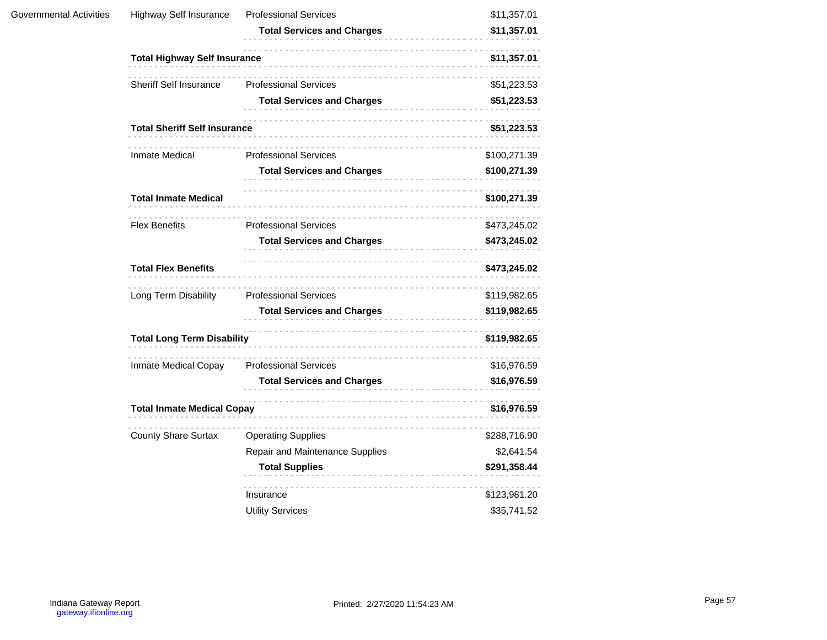| Governmental Activities | <b>Highway Self Insurance</b>       | <b>Professional Services</b>      | \$11,357.01  |
|-------------------------|-------------------------------------|-----------------------------------|--------------|
|                         |                                     | <b>Total Services and Charges</b> | \$11,357.01  |
|                         | <b>Total Highway Self Insurance</b> |                                   | \$11,357.01  |
|                         | Sheriff Self Insurance              | <b>Professional Services</b>      | \$51,223.53  |
|                         |                                     | <b>Total Services and Charges</b> | \$51,223.53  |
|                         | <b>Total Sheriff Self Insurance</b> |                                   | \$51,223.53  |
|                         | Inmate Medical                      | <b>Professional Services</b>      | \$100,271.39 |
|                         |                                     | <b>Total Services and Charges</b> | \$100,271.39 |
|                         | <b>Total Inmate Medical</b>         |                                   | \$100,271.39 |
|                         | <b>Flex Benefits</b>                | <b>Professional Services</b>      | \$473,245.02 |
|                         |                                     | <b>Total Services and Charges</b> | \$473,245.02 |
|                         | <b>Total Flex Benefits</b>          |                                   | \$473,245.02 |
|                         | Long Term Disability                | <b>Professional Services</b>      | \$119,982.65 |
|                         |                                     | <b>Total Services and Charges</b> | \$119,982.65 |
|                         | <b>Total Long Term Disability</b>   |                                   | \$119,982.65 |
|                         | Inmate Medical Copay                | <b>Professional Services</b>      | \$16,976.59  |
|                         |                                     | <b>Total Services and Charges</b> | \$16,976.59  |
|                         | <b>Total Inmate Medical Copay</b>   |                                   | \$16,976.59  |
|                         | <b>County Share Surtax</b>          | .<br><b>Operating Supplies</b>    | \$288,716.90 |
|                         |                                     | Repair and Maintenance Supplies   | \$2,641.54   |
|                         |                                     | <b>Total Supplies</b>             | \$291,358.44 |
|                         |                                     | Insurance                         | \$123,981.20 |
|                         |                                     | <b>Utility Services</b>           | \$35,741.52  |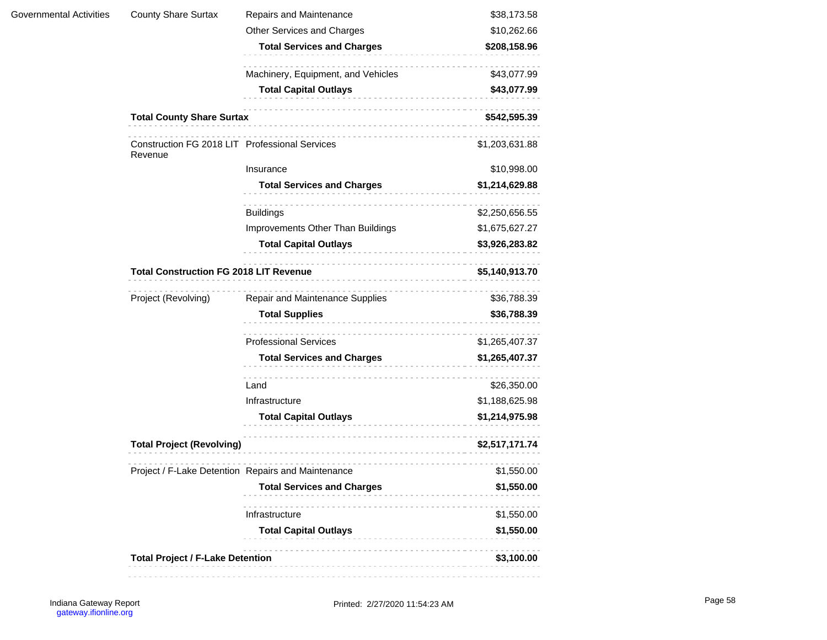|                                                       | Other Services and Charges         | \$10,262.66                                                                                                                              |  |
|-------------------------------------------------------|------------------------------------|------------------------------------------------------------------------------------------------------------------------------------------|--|
|                                                       | <b>Total Services and Charges</b>  | \$208,158.96                                                                                                                             |  |
|                                                       | Machinery, Equipment, and Vehicles | \$43,077.99                                                                                                                              |  |
|                                                       | <b>Total Capital Outlays</b>       | \$43,077.99                                                                                                                              |  |
| <b>Total County Share Surtax</b>                      |                                    | \$542,595.39                                                                                                                             |  |
| Revenue                                               |                                    | \$1,203,631.88                                                                                                                           |  |
|                                                       | Insurance                          | \$10,998.00                                                                                                                              |  |
|                                                       | <b>Total Services and Charges</b>  | \$1,214,629.88                                                                                                                           |  |
|                                                       | <b>Buildings</b>                   | \$2,250,656.55                                                                                                                           |  |
|                                                       | Improvements Other Than Buildings  | \$1,675,627.27                                                                                                                           |  |
|                                                       | <b>Total Capital Outlays</b>       | \$3,926,283.82                                                                                                                           |  |
| <b>Total Construction FG 2018 LIT Revenue</b>         |                                    | \$5,140,913.70                                                                                                                           |  |
| Project (Revolving)                                   | Repair and Maintenance Supplies    | \$36,788.39                                                                                                                              |  |
|                                                       | <b>Total Supplies</b>              | \$36,788.39                                                                                                                              |  |
|                                                       | <b>Professional Services</b>       | \$1,265,407.37                                                                                                                           |  |
|                                                       | <b>Total Services and Charges</b>  | \$1,265,407.37                                                                                                                           |  |
|                                                       | Land                               | \$26,350.00                                                                                                                              |  |
|                                                       | Infrastructure                     | \$1,188,625.98                                                                                                                           |  |
|                                                       | <b>Total Capital Outlays</b>       | \$1,214,975.98                                                                                                                           |  |
|                                                       |                                    | \$2,517,171.74                                                                                                                           |  |
|                                                       |                                    | \$1,550.00                                                                                                                               |  |
|                                                       | <b>Total Services and Charges</b>  | \$1,550.00                                                                                                                               |  |
|                                                       | Infrastructure                     | \$1,550.00                                                                                                                               |  |
|                                                       | <b>Total Capital Outlays</b>       | \$1,550.00                                                                                                                               |  |
| <b>Total Project / F-Lake Detention</b><br>\$3,100.00 |                                    |                                                                                                                                          |  |
|                                                       |                                    | Construction FG 2018 LIT Professional Services<br><b>Total Project (Revolving)</b><br>Project / F-Lake Detention Repairs and Maintenance |  |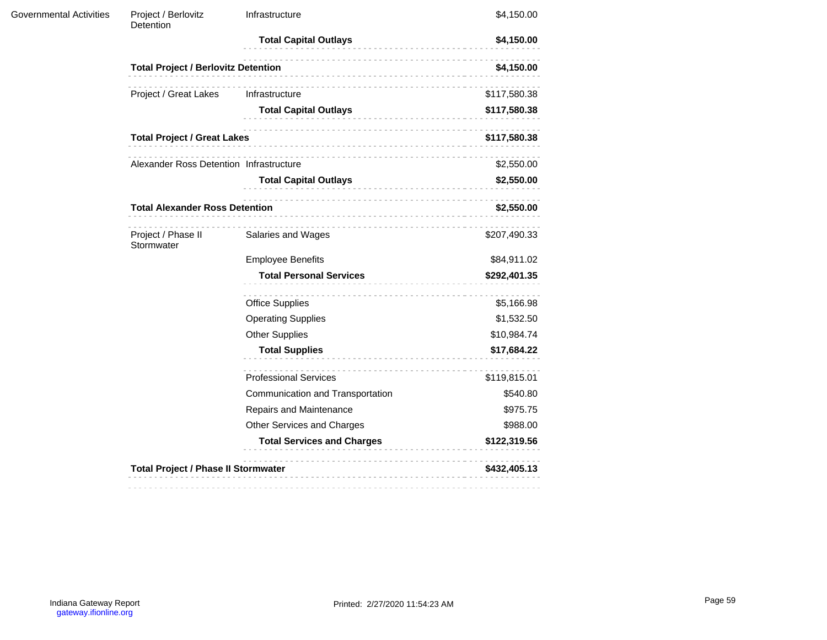| <b>Governmental Activities</b> | Project / Berlovitz<br>Detention           | Infrastructure                                                                                                             | \$4,150.00   |
|--------------------------------|--------------------------------------------|----------------------------------------------------------------------------------------------------------------------------|--------------|
|                                |                                            | <b>Total Capital Outlays</b>                                                                                               | \$4,150.00   |
|                                | <b>Total Project / Berlovitz Detention</b> | \$4,150.00<br>Infrastructure<br><b>Total Capital Outlays</b><br>\$117,580.38<br>\$2,550.00<br><b>Total Capital Outlays</b> |              |
|                                | Project / Great Lakes                      |                                                                                                                            | \$117,580.38 |
|                                |                                            |                                                                                                                            | \$117,580.38 |
|                                | <b>Total Project / Great Lakes</b>         |                                                                                                                            |              |
|                                | Alexander Ross Detention Infrastructure    | Salaries and Wages                                                                                                         |              |
|                                |                                            |                                                                                                                            | \$2,550.00   |
|                                | <b>Total Alexander Ross Detention</b>      |                                                                                                                            | \$2,550.00   |
|                                | Project / Phase II<br>Stormwater           |                                                                                                                            | \$207,490.33 |
|                                |                                            | <b>Employee Benefits</b>                                                                                                   | \$84,911.02  |
|                                |                                            | <b>Total Personal Services</b>                                                                                             | \$292,401.35 |
|                                |                                            | <b>Office Supplies</b>                                                                                                     | \$5,166.98   |
|                                |                                            | <b>Operating Supplies</b>                                                                                                  | \$1,532.50   |
|                                |                                            | <b>Other Supplies</b>                                                                                                      | \$10,984.74  |
|                                |                                            | <b>Total Supplies</b>                                                                                                      | \$17,684.22  |
|                                |                                            | <b>Professional Services</b>                                                                                               | \$119,815.01 |
|                                |                                            | Communication and Transportation                                                                                           | \$540.80     |
|                                |                                            | Repairs and Maintenance                                                                                                    | \$975.75     |
|                                |                                            | Other Services and Charges                                                                                                 | \$988.00     |
|                                |                                            | <b>Total Services and Charges</b>                                                                                          | \$122,319.56 |
|                                | <b>Total Project / Phase II Stormwater</b> |                                                                                                                            | \$432,405.13 |
|                                |                                            |                                                                                                                            |              |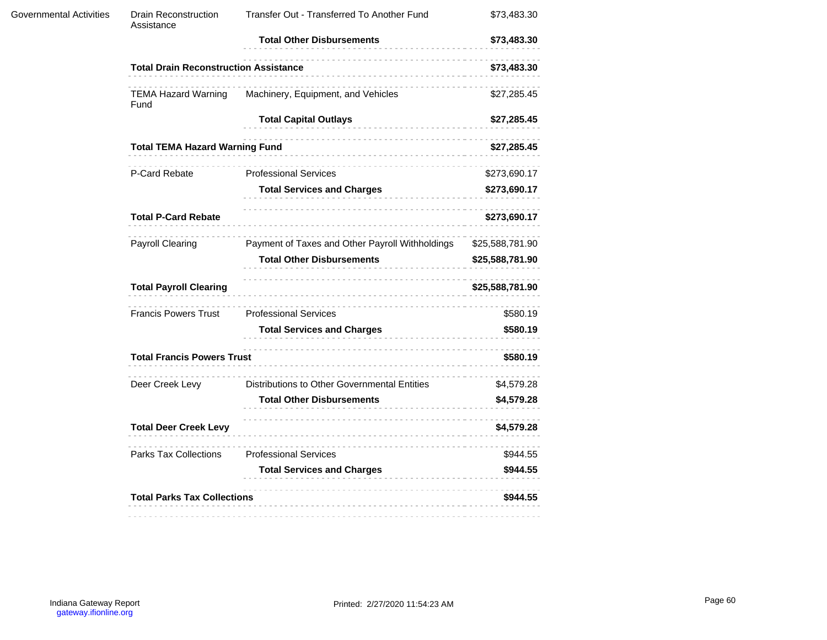| <b>Governmental Activities</b> | <b>Drain Reconstruction</b><br>Assistance    | Transfer Out - Transferred To Another Fund      | \$73,483.30     |
|--------------------------------|----------------------------------------------|-------------------------------------------------|-----------------|
|                                |                                              | <b>Total Other Disbursements</b>                | \$73,483.30     |
|                                | <b>Total Drain Reconstruction Assistance</b> |                                                 | \$73,483.30     |
|                                | <b>TEMA Hazard Warning</b><br>Fund           | Machinery, Equipment, and Vehicles              | \$27,285.45     |
|                                |                                              | <b>Total Capital Outlays</b>                    | \$27,285.45     |
|                                | <b>Total TEMA Hazard Warning Fund</b>        |                                                 | \$27,285.45     |
|                                | P-Card Rebate                                | <b>Professional Services</b>                    | \$273,690.17    |
|                                |                                              | <b>Total Services and Charges</b>               | \$273,690.17    |
|                                | <b>Total P-Card Rebate</b>                   |                                                 | \$273,690.17    |
|                                | Payroll Clearing                             | Payment of Taxes and Other Payroll Withholdings | \$25,588,781.90 |
|                                |                                              | <b>Total Other Disbursements</b>                | \$25,588,781.90 |
|                                | <b>Total Payroll Clearing</b>                |                                                 | \$25,588,781.90 |
|                                | <b>Francis Powers Trust</b>                  | <b>Professional Services</b>                    | \$580.19        |
|                                |                                              | <b>Total Services and Charges</b>               | \$580.19        |
|                                | <b>Total Francis Powers Trust</b>            |                                                 | \$580.19        |
|                                | Deer Creek Levy                              | Distributions to Other Governmental Entities    | \$4,579.28      |
|                                |                                              | <b>Total Other Disbursements</b>                | \$4,579.28      |
|                                | <b>Total Deer Creek Levy</b>                 |                                                 | \$4,579.28      |
|                                | Parks Tax Collections                        | <b>Professional Services</b>                    | \$944.55        |
|                                |                                              | <b>Total Services and Charges</b>               | \$944.55        |
|                                | <b>Total Parks Tax Collections</b>           |                                                 | \$944.55        |
|                                |                                              |                                                 |                 |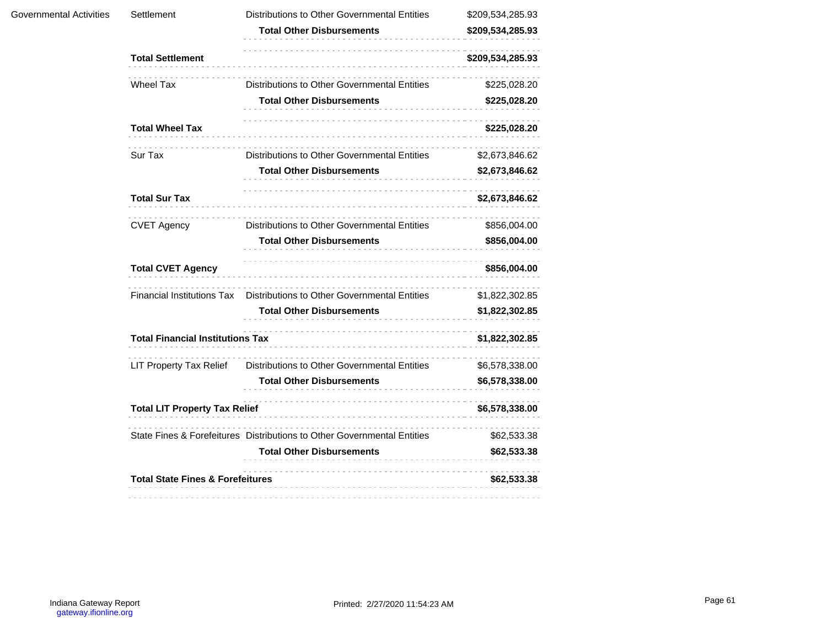| Governmental Activities | Settlement                                  | Distributions to Other Governmental Entities                            | \$209,534,285.93 |
|-------------------------|---------------------------------------------|-------------------------------------------------------------------------|------------------|
|                         |                                             | <b>Total Other Disbursements</b>                                        | \$209,534,285.93 |
|                         | <b>Total Settlement</b>                     |                                                                         | \$209,534,285.93 |
|                         | <b>Wheel Tax</b>                            | Distributions to Other Governmental Entities                            | \$225,028.20     |
|                         |                                             | <b>Total Other Disbursements</b>                                        | \$225,028.20     |
|                         | <b>Total Wheel Tax</b>                      |                                                                         | \$225,028.20     |
|                         | Sur Tax                                     | Distributions to Other Governmental Entities                            | \$2,673,846.62   |
|                         |                                             | <b>Total Other Disbursements</b>                                        | \$2,673,846.62   |
|                         | <b>Total Sur Tax</b>                        |                                                                         | \$2,673,846.62   |
|                         | <b>CVET Agency</b>                          | Distributions to Other Governmental Entities                            | \$856,004.00     |
|                         |                                             | <b>Total Other Disbursements</b>                                        | \$856,004.00     |
|                         | <b>Total CVET Agency</b>                    |                                                                         | \$856,004.00     |
|                         | <b>Financial Institutions Tax</b>           | Distributions to Other Governmental Entities                            | \$1,822,302.85   |
|                         |                                             | <b>Total Other Disbursements</b>                                        | \$1,822,302.85   |
|                         | <b>Total Financial Institutions Tax</b>     |                                                                         | \$1,822,302.85   |
|                         | <b>LIT Property Tax Relief</b>              | Distributions to Other Governmental Entities                            | \$6,578,338.00   |
|                         |                                             | <b>Total Other Disbursements</b>                                        | \$6,578,338.00   |
|                         | <b>Total LIT Property Tax Relief</b>        |                                                                         | \$6,578,338.00   |
|                         |                                             | State Fines & Forefeitures Distributions to Other Governmental Entities | \$62,533.38      |
|                         |                                             | <b>Total Other Disbursements</b>                                        | \$62,533.38      |
|                         | <b>Total State Fines &amp; Forefeitures</b> |                                                                         | \$62,533.38      |
|                         |                                             |                                                                         |                  |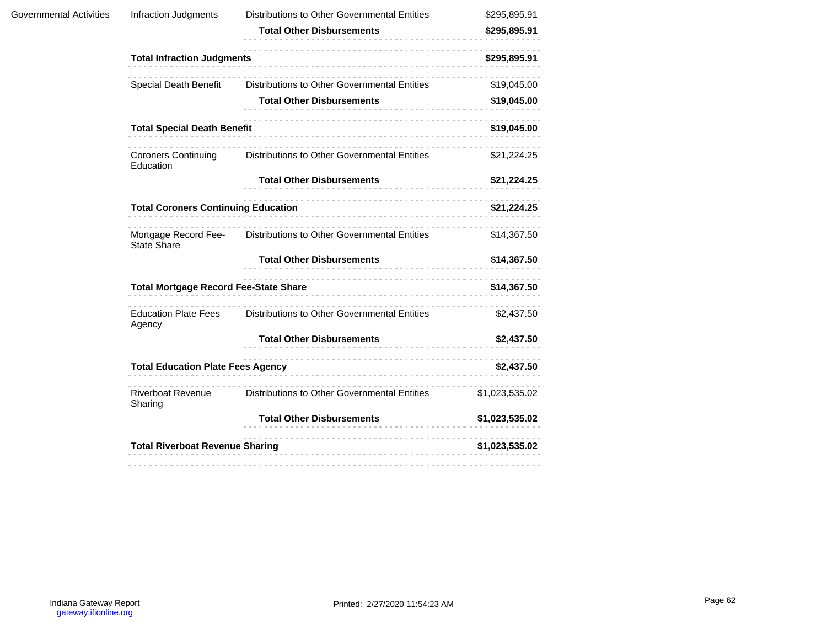| Governmental Activities | Infraction Judgments                       | Distributions to Other Governmental Entities                      | \$295,895.91   |
|-------------------------|--------------------------------------------|-------------------------------------------------------------------|----------------|
|                         |                                            | <b>Total Other Disbursements</b>                                  | \$295,895.91   |
|                         | <b>Total Infraction Judgments</b>          |                                                                   | \$295,895.91   |
|                         | Special Death Benefit                      | Distributions to Other Governmental Entities                      | \$19,045.00    |
|                         |                                            | <b>Total Other Disbursements</b>                                  | \$19,045.00    |
|                         | <b>Total Special Death Benefit</b>         |                                                                   | \$19,045.00    |
|                         | <b>Coroners Continuing</b><br>Education    | Distributions to Other Governmental Entities                      | \$21,224.25    |
|                         |                                            | <b>Total Other Disbursements</b>                                  | \$21,224.25    |
|                         | <b>Total Coroners Continuing Education</b> |                                                                   | \$21,224.25    |
|                         | <b>State Share</b>                         | Mortgage Record Fee- Distributions to Other Governmental Entities | \$14,367.50    |
|                         |                                            | <b>Total Other Disbursements</b>                                  | \$14,367.50    |
|                         |                                            | Total Mortgage Record Fee-State Share<br>and the State Share      | \$14,367.50    |
|                         | <b>Education Plate Fees</b><br>Agency      | Distributions to Other Governmental Entities                      | \$2,437.50     |
|                         |                                            | <b>Total Other Disbursements</b>                                  | \$2,437.50     |
|                         | <b>Total Education Plate Fees Agency</b>   |                                                                   | \$2,437.50     |
|                         | Riverboat Revenue<br>Sharing               | Distributions to Other Governmental Entities                      | \$1,023,535.02 |
|                         |                                            | <b>Total Other Disbursements</b>                                  | \$1,023,535.02 |
|                         | <b>Total Riverboat Revenue Sharing</b>     |                                                                   | \$1,023,535.02 |
|                         |                                            | -------------------------------------                             |                |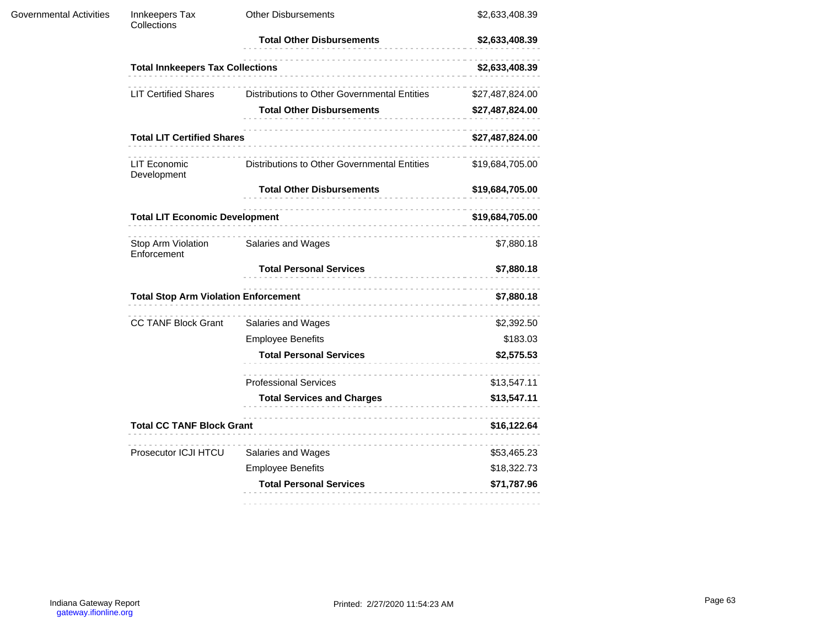| <b>Governmental Activities</b> | Innkeepers Tax<br>Collections               | <b>Other Disbursements</b>                      | \$2,633,408.39                                                                                       |  |
|--------------------------------|---------------------------------------------|-------------------------------------------------|------------------------------------------------------------------------------------------------------|--|
|                                |                                             | <b>Total Other Disbursements</b>                | \$2,633,408.39                                                                                       |  |
|                                | <b>Total Innkeepers Tax Collections</b>     |                                                 | \$2,633,408.39                                                                                       |  |
|                                | <b>LIT Certified Shares</b>                 | Distributions to Other Governmental Entities    | \$27,487,824.00                                                                                      |  |
|                                |                                             | <b>Total Other Disbursements</b>                | \$27,487,824.00                                                                                      |  |
|                                | <b>Total LIT Certified Shares</b>           |                                                 | \$27,487,824.00<br>\$19,684,705.00<br>\$19,684,705.00<br>\$19,684,705.00<br>\$7,880.18<br>\$7,880.18 |  |
|                                | LIT Economic<br>Development                 | Distributions to Other Governmental Entities    |                                                                                                      |  |
|                                |                                             | <b>Total Other Disbursements</b>                |                                                                                                      |  |
|                                | <b>Total LIT Economic Development</b>       |                                                 |                                                                                                      |  |
|                                | Stop Arm Violation<br>Enforcement           | Salaries and Wages                              |                                                                                                      |  |
|                                |                                             | <b>Total Personal Services</b>                  |                                                                                                      |  |
|                                | <b>Total Stop Arm Violation Enforcement</b> |                                                 | \$7,880.18                                                                                           |  |
|                                | <b>CC TANF Block Grant</b>                  | Salaries and Wages                              | \$2,392.50                                                                                           |  |
|                                |                                             | <b>Employee Benefits</b>                        | \$183.03                                                                                             |  |
|                                |                                             | <b>Total Personal Services</b>                  | \$2,575.53                                                                                           |  |
|                                |                                             | <b>Professional Services</b>                    | \$13,547.11                                                                                          |  |
|                                |                                             | <b>Total Services and Charges</b>               | \$13,547.11                                                                                          |  |
|                                |                                             | <b>Total CC TANF Block Grant</b><br>\$16,122.64 |                                                                                                      |  |
|                                | Prosecutor ICJI HTCU                        | Salaries and Wages                              | \$53,465.23                                                                                          |  |
|                                |                                             | <b>Employee Benefits</b>                        | \$18,322.73                                                                                          |  |
|                                |                                             | <b>Total Personal Services</b>                  | \$71,787.96                                                                                          |  |
|                                |                                             |                                                 |                                                                                                      |  |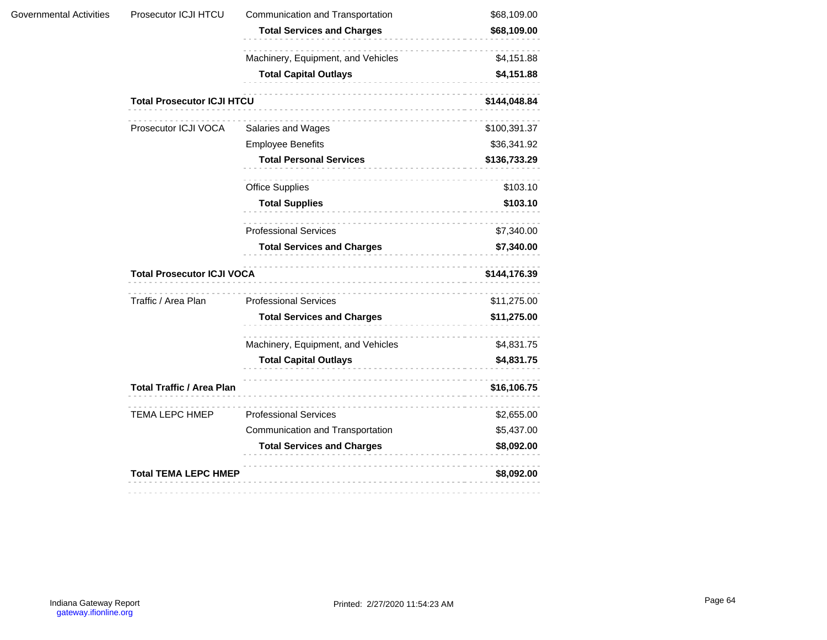| Prosecutor ICJI HTCU              | Communication and Transportation   | \$68,109.00                                                                                          |  |
|-----------------------------------|------------------------------------|------------------------------------------------------------------------------------------------------|--|
|                                   | <b>Total Services and Charges</b>  | \$68,109.00                                                                                          |  |
|                                   | Machinery, Equipment, and Vehicles | \$4,151.88                                                                                           |  |
|                                   | <b>Total Capital Outlays</b><br>.  | \$4,151.88                                                                                           |  |
| <b>Total Prosecutor ICJI HTCU</b> |                                    | \$144,048.84                                                                                         |  |
| Prosecutor ICJI VOCA              | Salaries and Wages                 | \$100,391.37                                                                                         |  |
|                                   | <b>Employee Benefits</b>           | \$36,341.92                                                                                          |  |
|                                   | <b>Total Personal Services</b>     | \$136,733.29                                                                                         |  |
|                                   | <b>Office Supplies</b>             | \$103.10<br>\$103.10<br>\$7,340.00<br>\$7,340.00<br>\$144,176.39<br>\$11,275.00<br>\$11,275.00       |  |
|                                   | <b>Total Supplies</b>              |                                                                                                      |  |
|                                   | <b>Professional Services</b>       |                                                                                                      |  |
|                                   | <b>Total Services and Charges</b>  |                                                                                                      |  |
|                                   |                                    |                                                                                                      |  |
| Traffic / Area Plan               | <b>Professional Services</b>       |                                                                                                      |  |
|                                   | <b>Total Services and Charges</b>  |                                                                                                      |  |
|                                   | Machinery, Equipment, and Vehicles | \$4,831.75                                                                                           |  |
|                                   | <b>Total Capital Outlays</b>       | \$4,831.75                                                                                           |  |
|                                   |                                    | \$16,106.75                                                                                          |  |
| <b>TEMA LEPC HMEP</b>             | <b>Professional Services</b>       | \$2,655.00                                                                                           |  |
|                                   | Communication and Transportation   | \$5,437.00                                                                                           |  |
|                                   | <b>Total Services and Charges</b>  | \$8,092.00                                                                                           |  |
|                                   |                                    | \$8,092.00                                                                                           |  |
|                                   |                                    | <b>Total Prosecutor ICJI VOCA</b><br><b>Total Traffic / Area Plan</b><br><b>Total TEMA LEPC HMEP</b> |  |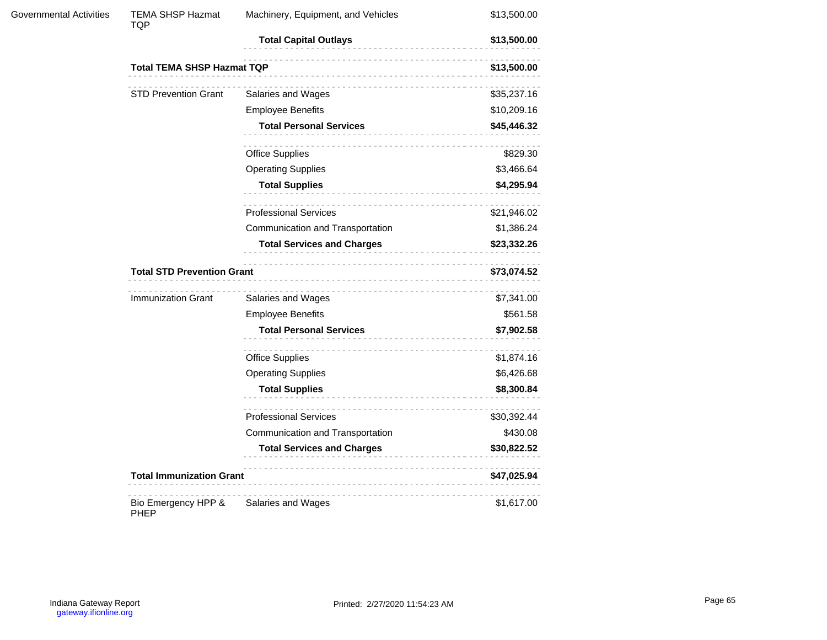| <b>Governmental Activities</b> | TEMA SHSP Hazmat<br>TQP            | Machinery, Equipment, and Vehicles | \$13,500.00 |
|--------------------------------|------------------------------------|------------------------------------|-------------|
|                                |                                    | <b>Total Capital Outlays</b>       | \$13,500.00 |
|                                | <b>Total TEMA SHSP Hazmat TQP</b>  |                                    | \$13,500.00 |
|                                | <b>STD Prevention Grant</b>        | .<br>Salaries and Wages            | \$35,237.16 |
|                                |                                    | <b>Employee Benefits</b>           | \$10,209.16 |
|                                |                                    | <b>Total Personal Services</b>     | \$45,446.32 |
|                                |                                    | <b>Office Supplies</b>             | \$829.30    |
|                                |                                    | <b>Operating Supplies</b>          | \$3,466.64  |
|                                |                                    | <b>Total Supplies</b><br>.         | \$4,295.94  |
|                                |                                    | <b>Professional Services</b>       | \$21,946.02 |
|                                |                                    | Communication and Transportation   | \$1,386.24  |
|                                |                                    | <b>Total Services and Charges</b>  | \$23,332.26 |
|                                | <b>Total STD Prevention Grant</b>  | \$73,074.52                        |             |
|                                | <b>Immunization Grant</b>          | Salaries and Wages                 | \$7,341.00  |
|                                |                                    | <b>Employee Benefits</b>           | \$561.58    |
|                                |                                    | <b>Total Personal Services</b>     | \$7,902.58  |
|                                |                                    | <b>Office Supplies</b>             | \$1,874.16  |
|                                |                                    | <b>Operating Supplies</b>          | \$6,426.68  |
|                                |                                    | <b>Total Supplies</b>              | \$8,300.84  |
|                                |                                    | .<br><b>Professional Services</b>  | \$30,392.44 |
|                                |                                    | Communication and Transportation   | \$430.08    |
|                                |                                    | <b>Total Services and Charges</b>  | \$30,822.52 |
|                                | <b>Total Immunization Grant</b>    |                                    | \$47,025.94 |
|                                | Bio Emergency HPP &<br><b>PHEP</b> | Salaries and Wages                 | \$1,617.00  |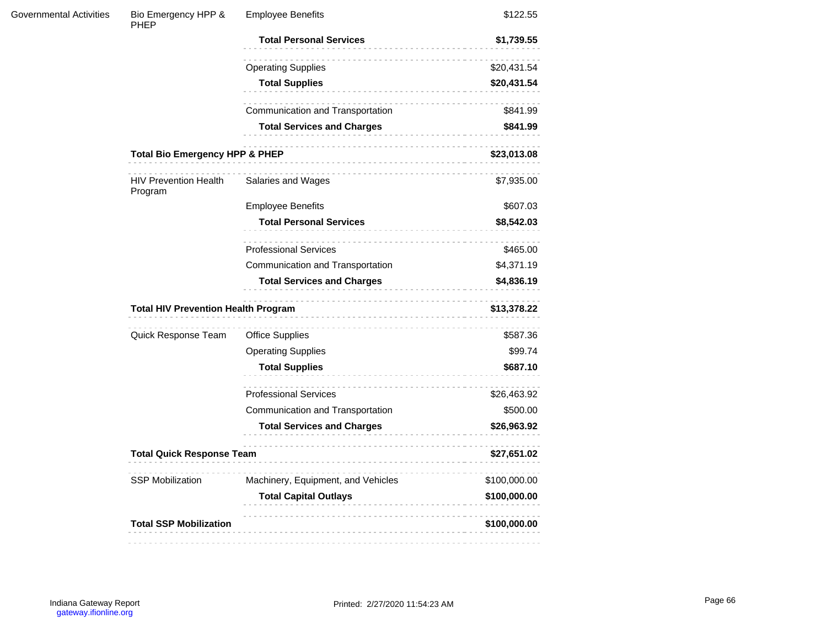| Bio Emergency HPP &<br>PHEP             | <b>Employee Benefits</b>           | \$122.55                                                                                                                    |
|-----------------------------------------|------------------------------------|-----------------------------------------------------------------------------------------------------------------------------|
|                                         | <b>Total Personal Services</b>     | \$1,739.55                                                                                                                  |
|                                         | <b>Operating Supplies</b>          | \$20,431.54                                                                                                                 |
|                                         | <b>Total Supplies</b><br>.         | \$20,431.54                                                                                                                 |
|                                         | Communication and Transportation   | \$841.99                                                                                                                    |
|                                         | <b>Total Services and Charges</b>  | \$841.99                                                                                                                    |
|                                         | \$23,013.08                        |                                                                                                                             |
| <b>HIV Prevention Health</b><br>Program | Salaries and Wages                 | \$7,935.00                                                                                                                  |
|                                         | <b>Employee Benefits</b>           | \$607.03                                                                                                                    |
|                                         | <b>Total Personal Services</b>     | \$8,542.03                                                                                                                  |
|                                         | <b>Professional Services</b>       | \$465.00                                                                                                                    |
|                                         | Communication and Transportation   | \$4,371.19                                                                                                                  |
|                                         | <b>Total Services and Charges</b>  | \$4,836.19                                                                                                                  |
|                                         |                                    | \$13,378.22                                                                                                                 |
| Quick Response Team                     | <b>Office Supplies</b>             | \$587.36                                                                                                                    |
|                                         | <b>Operating Supplies</b>          | \$99.74                                                                                                                     |
|                                         | <b>Total Supplies</b>              | \$687.10                                                                                                                    |
|                                         | <b>Professional Services</b>       | \$26,463.92                                                                                                                 |
|                                         | Communication and Transportation   | \$500.00                                                                                                                    |
|                                         | <b>Total Services and Charges</b>  | \$26,963.92                                                                                                                 |
|                                         | .                                  | \$27,651.02                                                                                                                 |
| <b>SSP Mobilization</b>                 | Machinery, Equipment, and Vehicles | \$100,000.00                                                                                                                |
|                                         | <b>Total Capital Outlays</b>       | \$100,000.00                                                                                                                |
| <b>Total SSP Mobilization</b>           |                                    | \$100,000.00                                                                                                                |
|                                         |                                    | <b>Total Bio Emergency HPP &amp; PHEP</b><br><b>Total HIV Prevention Health Program</b><br><b>Total Quick Response Team</b> |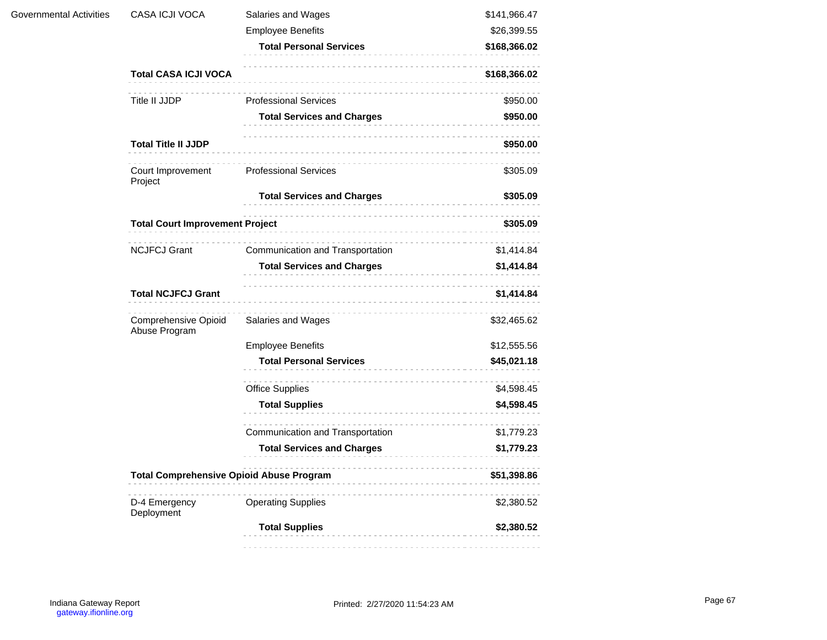| Governmental Activities | CASA ICJI VOCA                                  | Salaries and Wages                | \$141,966.47 |
|-------------------------|-------------------------------------------------|-----------------------------------|--------------|
|                         |                                                 | <b>Employee Benefits</b>          | \$26,399.55  |
|                         |                                                 | <b>Total Personal Services</b>    | \$168,366.02 |
|                         | <b>Total CASA ICJI VOCA</b>                     | .                                 | \$168,366.02 |
|                         | Title II JJDP                                   | <b>Professional Services</b>      | \$950.00     |
|                         |                                                 | <b>Total Services and Charges</b> | \$950.00     |
|                         | <b>Total Title II JJDP</b>                      | __________________________        | \$950.00     |
|                         | Court Improvement<br>Project                    | <b>Professional Services</b>      | \$305.09     |
|                         |                                                 | <b>Total Services and Charges</b> | \$305.09     |
|                         | <b>Total Court Improvement Project</b>          | .                                 | \$305.09     |
|                         | <b>NCJFCJ Grant</b>                             | Communication and Transportation  | \$1,414.84   |
|                         |                                                 | <b>Total Services and Charges</b> | \$1,414.84   |
|                         | <b>Total NCJFCJ Grant</b>                       |                                   | \$1,414.84   |
|                         | Comprehensive Opioid<br>Abuse Program           | Salaries and Wages                | \$32,465.62  |
|                         |                                                 | <b>Employee Benefits</b>          | \$12,555.56  |
|                         |                                                 | <b>Total Personal Services</b>    | \$45,021.18  |
|                         |                                                 | Office Supplies                   | \$4,598.45   |
|                         |                                                 | <b>Total Supplies</b>             | \$4,598.45   |
|                         |                                                 | Communication and Transportation  | \$1,779.23   |
|                         |                                                 | <b>Total Services and Charges</b> | \$1,779.23   |
|                         | <b>Total Comprehensive Opioid Abuse Program</b> |                                   | \$51,398.86  |
|                         | D-4 Emergency<br>Deployment                     | .<br><b>Operating Supplies</b>    | \$2,380.52   |
|                         |                                                 | <b>Total Supplies</b>             | \$2,380.52   |
|                         |                                                 |                                   |              |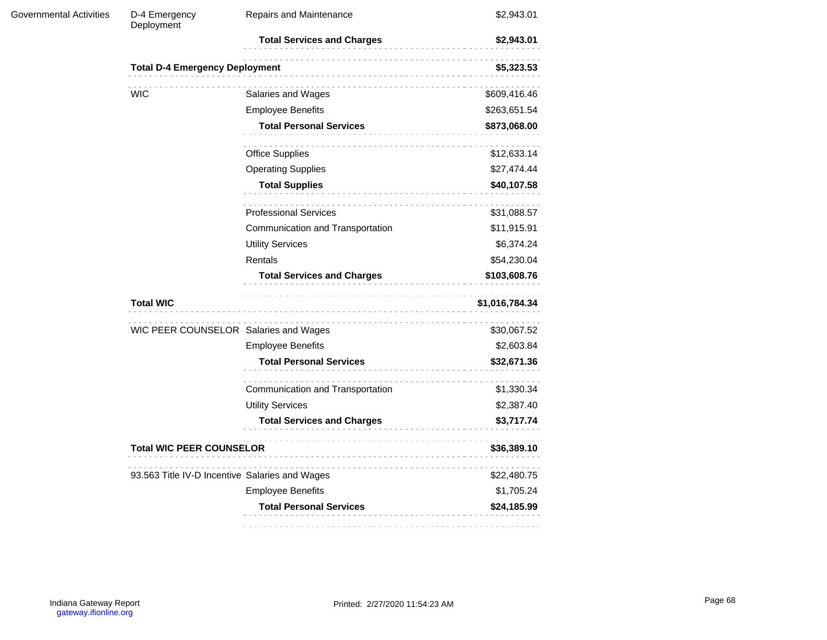| <b>Governmental Activities</b> | D-4 Emergency<br>Deployment                    | Repairs and Maintenance           | \$2,943.01                                                                                                                                                                                                                                                                  |  |  |
|--------------------------------|------------------------------------------------|-----------------------------------|-----------------------------------------------------------------------------------------------------------------------------------------------------------------------------------------------------------------------------------------------------------------------------|--|--|
|                                |                                                | <b>Total Services and Charges</b> | \$2,943.01                                                                                                                                                                                                                                                                  |  |  |
|                                | <b>Total D-4 Emergency Deployment</b>          |                                   | \$5,323.53                                                                                                                                                                                                                                                                  |  |  |
|                                | <b>WIC</b>                                     | Salaries and Wages                | \$609,416.46                                                                                                                                                                                                                                                                |  |  |
|                                |                                                | <b>Employee Benefits</b>          | \$263,651.54<br>\$873,068.00<br>\$12,633.14<br>\$27,474.44<br>\$40,107.58<br>\$31,088.57<br>\$11,915.91<br>\$6,374.24<br>\$54,230.04<br>\$103,608.76<br>\$1,016,784.34<br>\$30,067.52<br>\$2,603.84<br>\$32,671.36<br>\$1,330.34<br>\$2,387.40<br>\$3,717.74<br>\$36,389.10 |  |  |
|                                |                                                | <b>Total Personal Services</b>    |                                                                                                                                                                                                                                                                             |  |  |
|                                |                                                | <b>Office Supplies</b>            |                                                                                                                                                                                                                                                                             |  |  |
|                                |                                                | <b>Operating Supplies</b>         |                                                                                                                                                                                                                                                                             |  |  |
|                                |                                                | <b>Total Supplies</b><br>.        |                                                                                                                                                                                                                                                                             |  |  |
|                                |                                                | .<br><b>Professional Services</b> |                                                                                                                                                                                                                                                                             |  |  |
|                                |                                                | Communication and Transportation  |                                                                                                                                                                                                                                                                             |  |  |
|                                |                                                | <b>Utility Services</b>           |                                                                                                                                                                                                                                                                             |  |  |
|                                |                                                | Rentals                           |                                                                                                                                                                                                                                                                             |  |  |
|                                |                                                | <b>Total Services and Charges</b> |                                                                                                                                                                                                                                                                             |  |  |
|                                | <b>Total WIC</b>                               |                                   |                                                                                                                                                                                                                                                                             |  |  |
|                                | WIC PEER COUNSELOR Salaries and Wages          |                                   |                                                                                                                                                                                                                                                                             |  |  |
|                                |                                                | <b>Employee Benefits</b>          |                                                                                                                                                                                                                                                                             |  |  |
|                                |                                                | <b>Total Personal Services</b>    |                                                                                                                                                                                                                                                                             |  |  |
|                                |                                                | Communication and Transportation  |                                                                                                                                                                                                                                                                             |  |  |
|                                |                                                | <b>Utility Services</b>           |                                                                                                                                                                                                                                                                             |  |  |
|                                |                                                | <b>Total Services and Charges</b> |                                                                                                                                                                                                                                                                             |  |  |
|                                | <b>Total WIC PEER COUNSELOR</b>                |                                   |                                                                                                                                                                                                                                                                             |  |  |
|                                | 93.563 Title IV-D Incentive Salaries and Wages |                                   | \$22,480.75                                                                                                                                                                                                                                                                 |  |  |
|                                |                                                | <b>Employee Benefits</b>          | \$1,705.24                                                                                                                                                                                                                                                                  |  |  |
|                                |                                                | <b>Total Personal Services</b>    | \$24,185.99                                                                                                                                                                                                                                                                 |  |  |
|                                |                                                |                                   |                                                                                                                                                                                                                                                                             |  |  |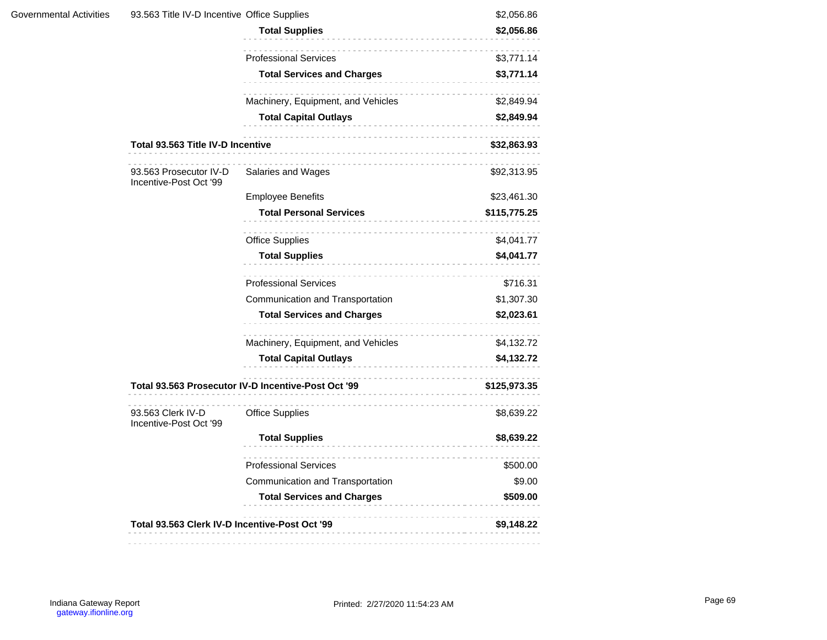|                                                  | 93.563 Title IV-D Incentive Office Supplies                                                                      |                                                                                          |  |  |  |
|--------------------------------------------------|------------------------------------------------------------------------------------------------------------------|------------------------------------------------------------------------------------------|--|--|--|
|                                                  | <b>Total Supplies</b>                                                                                            | \$2,056.86                                                                               |  |  |  |
|                                                  | <b>Professional Services</b>                                                                                     | \$3,771.14                                                                               |  |  |  |
|                                                  | <b>Total Services and Charges</b>                                                                                | \$3,771.14                                                                               |  |  |  |
|                                                  | Machinery, Equipment, and Vehicles                                                                               | \$2,849.94                                                                               |  |  |  |
|                                                  | <b>Total Capital Outlays</b>                                                                                     | \$2,849.94                                                                               |  |  |  |
|                                                  |                                                                                                                  | \$32,863.93                                                                              |  |  |  |
| 93.563 Prosecutor IV-D<br>Incentive-Post Oct '99 | Salaries and Wages                                                                                               | \$92,313.95                                                                              |  |  |  |
|                                                  | <b>Employee Benefits</b>                                                                                         | \$23,461.30                                                                              |  |  |  |
|                                                  | <b>Total Personal Services</b>                                                                                   | \$115,775.25                                                                             |  |  |  |
|                                                  | <b>Office Supplies</b>                                                                                           | \$4,041.77                                                                               |  |  |  |
|                                                  | <b>Total Supplies</b>                                                                                            | \$4,041.77                                                                               |  |  |  |
|                                                  | <b>Professional Services</b>                                                                                     | \$716.31                                                                                 |  |  |  |
|                                                  | .<br>Communication and Transportation<br><b>Total Services and Charges</b><br>Machinery, Equipment, and Vehicles | \$1,307.30                                                                               |  |  |  |
|                                                  |                                                                                                                  | \$2,023.61                                                                               |  |  |  |
|                                                  |                                                                                                                  | \$4,132.72                                                                               |  |  |  |
|                                                  | <b>Total Capital Outlays</b><br>.                                                                                | \$4,132.72                                                                               |  |  |  |
|                                                  |                                                                                                                  | \$125,973.35                                                                             |  |  |  |
| 93.563 Clerk IV-D<br>Incentive-Post Oct '99      | <b>Office Supplies</b>                                                                                           | \$8,639.22                                                                               |  |  |  |
|                                                  | <b>Total Supplies</b><br>.                                                                                       | \$8,639.22                                                                               |  |  |  |
|                                                  | <b>Professional Services</b>                                                                                     | \$500.00                                                                                 |  |  |  |
|                                                  | Communication and Transportation                                                                                 | \$9.00                                                                                   |  |  |  |
|                                                  | <b>Total Services and Charges</b>                                                                                | \$509.00                                                                                 |  |  |  |
| Total 93.563 Clerk IV-D Incentive-Post Oct '99   |                                                                                                                  | \$9,148.22                                                                               |  |  |  |
|                                                  |                                                                                                                  | Total 93.563 Title IV-D Incentive<br>Total 93.563 Prosecutor IV-D Incentive-Post Oct '99 |  |  |  |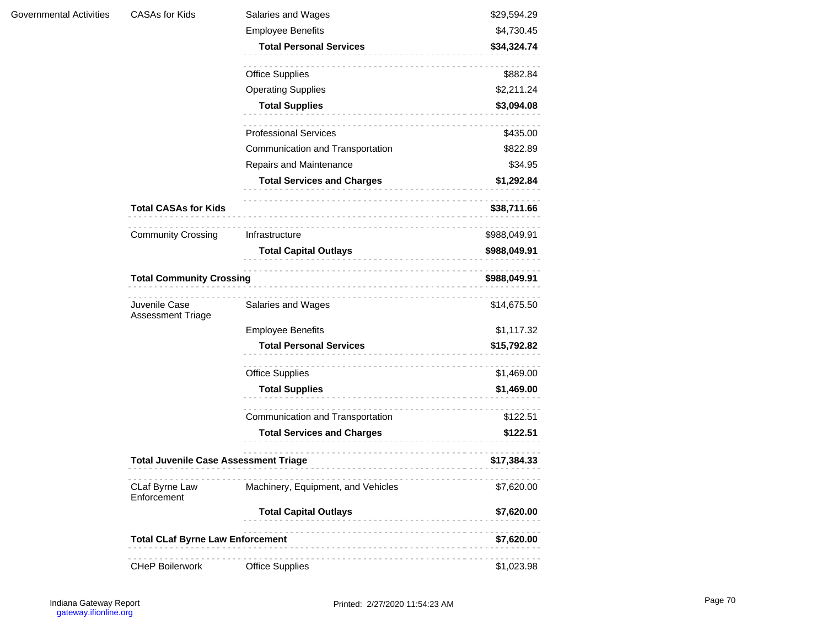| Governmental Activities | <b>CASAs for Kids</b>                        | Salaries and Wages                 | \$29,594.29  |
|-------------------------|----------------------------------------------|------------------------------------|--------------|
|                         |                                              | <b>Employee Benefits</b>           | \$4,730.45   |
|                         |                                              | <b>Total Personal Services</b>     | \$34,324.74  |
|                         |                                              | <b>Office Supplies</b>             | \$882.84     |
|                         |                                              | <b>Operating Supplies</b>          | \$2,211.24   |
|                         |                                              | <b>Total Supplies</b>              | \$3,094.08   |
|                         |                                              | <b>Professional Services</b>       | \$435.00     |
|                         |                                              | Communication and Transportation   | \$822.89     |
|                         |                                              | Repairs and Maintenance            | \$34.95      |
|                         |                                              | <b>Total Services and Charges</b>  | \$1,292.84   |
|                         | <b>Total CASAs for Kids</b>                  |                                    | \$38,711.66  |
|                         | <b>Community Crossing</b>                    | Infrastructure                     | \$988,049.91 |
|                         |                                              | <b>Total Capital Outlays</b>       | \$988,049.91 |
|                         | <b>Total Community Crossing</b>              |                                    | \$988,049.91 |
|                         | Juvenile Case<br>Assessment Triage           | Salaries and Wages                 | \$14,675.50  |
|                         |                                              | <b>Employee Benefits</b>           | \$1,117.32   |
|                         |                                              | <b>Total Personal Services</b>     | \$15,792.82  |
|                         |                                              | <b>Office Supplies</b>             | \$1,469.00   |
|                         |                                              | <b>Total Supplies</b>              | \$1,469.00   |
|                         |                                              | Communication and Transportation   | \$122.51     |
|                         |                                              | <b>Total Services and Charges</b>  | \$122.51     |
|                         | <b>Total Juvenile Case Assessment Triage</b> |                                    | \$17,384.33  |
|                         | CLaf Byrne Law<br>Enforcement                | Machinery, Equipment, and Vehicles | \$7,620.00   |
|                         |                                              | <b>Total Capital Outlays</b>       | \$7,620.00   |
|                         | <b>Total CLaf Byrne Law Enforcement</b>      |                                    | \$7,620.00   |
|                         | <b>CHeP Boilerwork</b>                       | <b>Office Supplies</b>             | \$1,023.98   |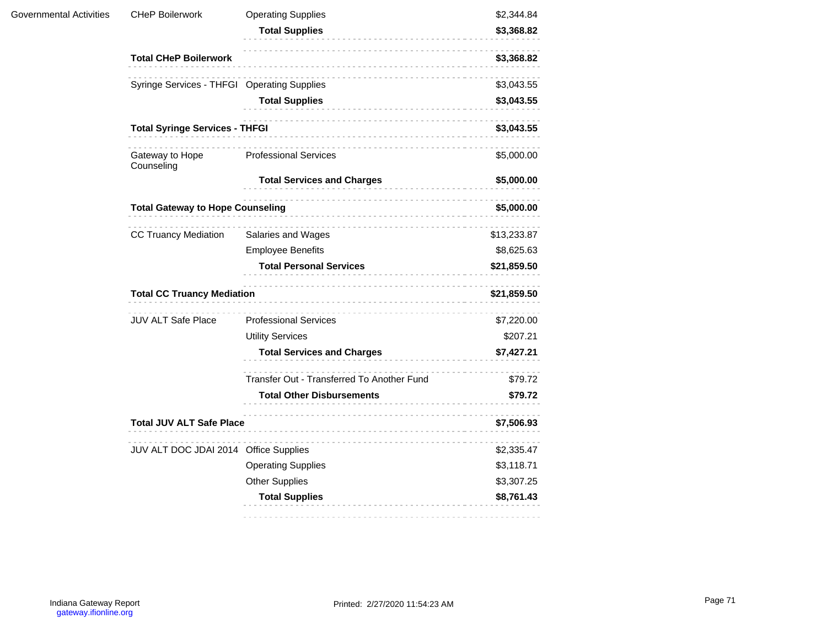| Governmental Activities | <b>CHeP Boilerwork</b>                      | <b>Operating Supplies</b>                  | \$2,344.84  |
|-------------------------|---------------------------------------------|--------------------------------------------|-------------|
|                         |                                             | <b>Total Supplies</b>                      | \$3,368.82  |
|                         | <b>Total CHeP Boilerwork</b>                |                                            | \$3,368.82  |
|                         | Syringe Services - THFGI Operating Supplies |                                            | \$3,043.55  |
|                         |                                             | <b>Total Supplies</b>                      | \$3,043.55  |
|                         | <b>Total Syringe Services - THFGI</b>       | \$3,043.55                                 |             |
|                         | Gateway to Hope<br>Counseling               | <b>Professional Services</b>               | \$5,000.00  |
|                         |                                             | <b>Total Services and Charges</b>          | \$5,000.00  |
|                         | <b>Total Gateway to Hope Counseling</b>     |                                            | \$5,000.00  |
|                         | <b>CC Truancy Mediation</b>                 | Salaries and Wages                         | \$13,233.87 |
|                         |                                             | <b>Employee Benefits</b>                   | \$8,625.63  |
|                         |                                             | <b>Total Personal Services</b>             | \$21,859.50 |
|                         | <b>Total CC Truancy Mediation</b>           |                                            | \$21,859.50 |
|                         | <b>JUV ALT Safe Place</b>                   | <b>Professional Services</b>               | \$7,220.00  |
|                         |                                             | <b>Utility Services</b>                    | \$207.21    |
|                         |                                             | <b>Total Services and Charges</b>          | \$7,427.21  |
|                         |                                             | Transfer Out - Transferred To Another Fund | \$79.72     |
|                         |                                             | <b>Total Other Disbursements</b>           | \$79.72     |
|                         | <b>Total JUV ALT Safe Place</b>             |                                            | \$7,506.93  |
|                         | JUV ALT DOC JDAI 2014 Office Supplies       |                                            | \$2,335.47  |
|                         |                                             | <b>Operating Supplies</b>                  | \$3,118.71  |
|                         |                                             | <b>Other Supplies</b>                      | \$3,307.25  |
|                         |                                             | <b>Total Supplies</b>                      | \$8,761.43  |
|                         |                                             |                                            |             |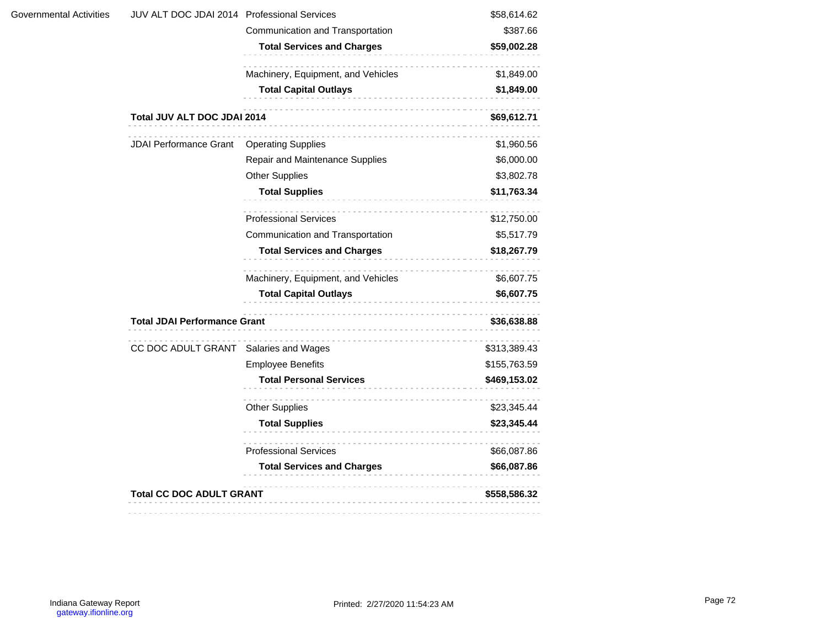| Governmental Activities | JUV ALT DOC JDAI 2014 Professional Services |                                    | \$58,614.62  |
|-------------------------|---------------------------------------------|------------------------------------|--------------|
|                         |                                             | Communication and Transportation   | \$387.66     |
|                         |                                             | <b>Total Services and Charges</b>  | \$59,002.28  |
|                         |                                             | Machinery, Equipment, and Vehicles | \$1,849.00   |
|                         |                                             | <b>Total Capital Outlays</b>       | \$1,849.00   |
|                         | Total JUV ALT DOC JDAI 2014                 |                                    | \$69,612.71  |
|                         | <b>JDAI Performance Grant</b>               | <b>Operating Supplies</b>          | \$1,960.56   |
|                         |                                             | Repair and Maintenance Supplies    | \$6,000.00   |
|                         |                                             | <b>Other Supplies</b>              | \$3,802.78   |
|                         |                                             | <b>Total Supplies</b>              | \$11,763.34  |
|                         |                                             | <b>Professional Services</b>       | \$12,750.00  |
|                         |                                             | Communication and Transportation   | \$5,517.79   |
|                         |                                             | <b>Total Services and Charges</b>  | \$18,267.79  |
|                         |                                             | Machinery, Equipment, and Vehicles | \$6,607.75   |
|                         |                                             | <b>Total Capital Outlays</b>       | \$6,607.75   |
|                         | <b>Total JDAI Performance Grant</b>         |                                    | \$36,638.88  |
|                         | CC DOC ADULT GRANT Salaries and Wages       |                                    | \$313,389.43 |
|                         |                                             | <b>Employee Benefits</b>           | \$155,763.59 |
|                         |                                             | <b>Total Personal Services</b>     | \$469,153.02 |
|                         |                                             | <b>Other Supplies</b>              | \$23,345.44  |
|                         |                                             | <b>Total Supplies</b>              | \$23,345.44  |
|                         |                                             | <b>Professional Services</b>       | \$66,087.86  |
|                         |                                             | <b>Total Services and Charges</b>  | \$66,087.86  |
|                         | <b>Total CC DOC ADULT GRANT</b>             |                                    | \$558,586.32 |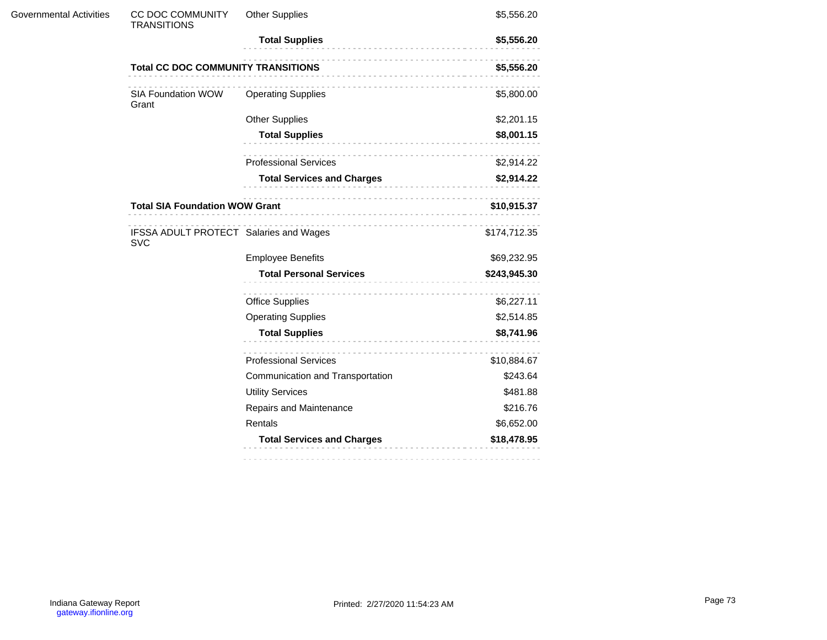| Governmental Activities | <b>CC DOC COMMUNITY</b><br><b>TRANSITIONS</b>        | <b>Other Supplies</b>             | \$5,556.20   |
|-------------------------|------------------------------------------------------|-----------------------------------|--------------|
|                         |                                                      | <b>Total Supplies</b>             | \$5,556.20   |
|                         | <b>Total CC DOC COMMUNITY TRANSITIONS</b>            |                                   | \$5,556.20   |
|                         | SIA Foundation WOW<br>Grant                          | <b>Operating Supplies</b>         | \$5,800.00   |
|                         |                                                      | <b>Other Supplies</b>             | \$2,201.15   |
|                         |                                                      | <b>Total Supplies</b>             | \$8,001.15   |
|                         |                                                      | <b>Professional Services</b>      | \$2,914.22   |
|                         |                                                      | <b>Total Services and Charges</b> | \$2,914.22   |
|                         | <b>Total SIA Foundation WOW Grant</b>                | \$10,915.37                       |              |
|                         | IFSSA ADULT PROTECT Salaries and Wages<br><b>SVC</b> |                                   | \$174,712.35 |
|                         |                                                      | <b>Employee Benefits</b>          | \$69,232.95  |
|                         |                                                      | <b>Total Personal Services</b>    | \$243,945.30 |
|                         |                                                      | <b>Office Supplies</b>            | \$6,227.11   |
|                         |                                                      | <b>Operating Supplies</b>         | \$2,514.85   |
|                         |                                                      | <b>Total Supplies</b>             | \$8,741.96   |
|                         |                                                      | <b>Professional Services</b>      | \$10,884.67  |
|                         |                                                      | Communication and Transportation  | \$243.64     |
|                         |                                                      | <b>Utility Services</b>           | \$481.88     |
|                         |                                                      | Repairs and Maintenance           | \$216.76     |
|                         |                                                      | Rentals                           | \$6,652.00   |
|                         |                                                      | <b>Total Services and Charges</b> | \$18,478.95  |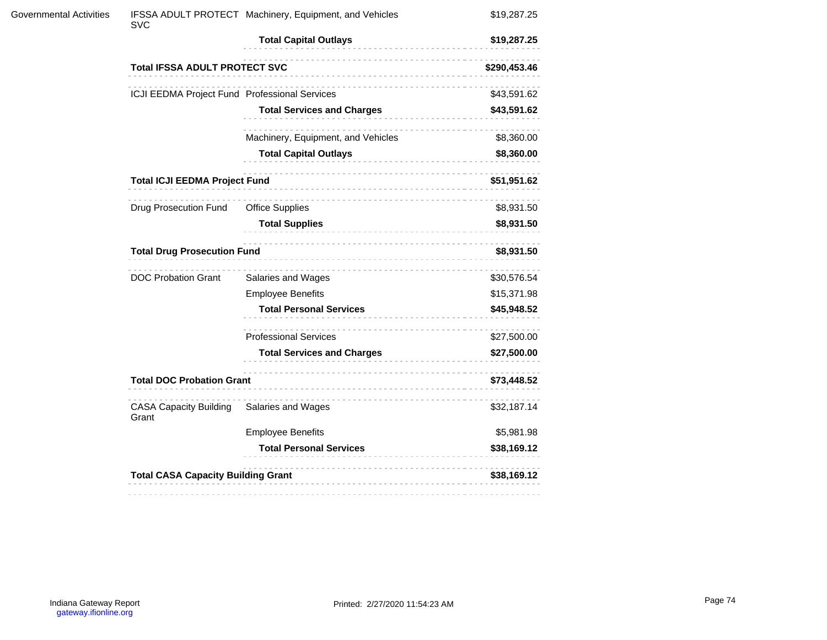| <b>Governmental Activities</b> | <b>SVC</b>                                    | IFSSA ADULT PROTECT Machinery, Equipment, and Vehicles | \$19,287.25  |
|--------------------------------|-----------------------------------------------|--------------------------------------------------------|--------------|
|                                |                                               | <b>Total Capital Outlays</b>                           | \$19,287.25  |
|                                | <b>Total IFSSA ADULT PROTECT SVC</b>          |                                                        | \$290,453.46 |
|                                | ICJI EEDMA Project Fund Professional Services |                                                        | \$43,591.62  |
|                                |                                               | <b>Total Services and Charges</b>                      | \$43,591.62  |
|                                |                                               | Machinery, Equipment, and Vehicles                     | \$8,360.00   |
|                                |                                               | <b>Total Capital Outlays</b><br>.                      | \$8,360.00   |
|                                | <b>Total ICJI EEDMA Project Fund</b>          |                                                        | \$51,951.62  |
|                                | Drug Prosecution Fund                         | <b>Office Supplies</b>                                 | \$8,931.50   |
|                                |                                               | <b>Total Supplies</b>                                  | \$8,931.50   |
|                                | <b>Total Drug Prosecution Fund</b>            |                                                        |              |
|                                | <b>DOC Probation Grant</b>                    | Salaries and Wages                                     | \$30,576.54  |
|                                |                                               | <b>Employee Benefits</b>                               | \$15,371.98  |
|                                |                                               | <b>Total Personal Services</b>                         | \$45,948.52  |
|                                |                                               | .<br><b>Professional Services</b>                      | \$27,500.00  |
|                                |                                               | <b>Total Services and Charges</b>                      | \$27,500.00  |
|                                |                                               | <b>Total DOC Probation Grant</b>                       |              |
|                                | <b>CASA Capacity Building</b><br>Grant        | Salaries and Wages                                     | \$32,187.14  |
|                                |                                               | <b>Employee Benefits</b>                               | \$5,981.98   |
|                                |                                               | <b>Total Personal Services</b>                         | \$38,169.12  |
|                                | <b>Total CASA Capacity Building Grant</b>     |                                                        | \$38,169.12  |
|                                |                                               |                                                        |              |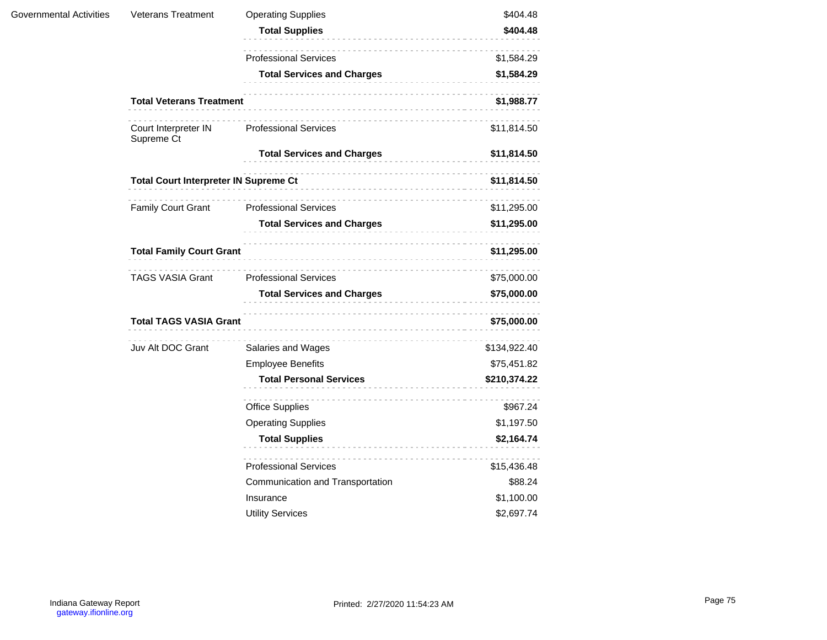| Governmental Activities | <b>Veterans Treatment</b>                    | <b>Operating Supplies</b>         | \$404.48     |
|-------------------------|----------------------------------------------|-----------------------------------|--------------|
|                         |                                              | <b>Total Supplies</b>             | \$404.48     |
|                         |                                              | <b>Professional Services</b>      | \$1,584.29   |
|                         |                                              | <b>Total Services and Charges</b> | \$1,584.29   |
|                         | <b>Total Veterans Treatment</b>              |                                   | \$1,988.77   |
|                         | Court Interpreter IN<br>Supreme Ct           | <b>Professional Services</b>      | \$11,814.50  |
|                         |                                              | <b>Total Services and Charges</b> | \$11,814.50  |
|                         | <b>Total Court Interpreter IN Supreme Ct</b> | .                                 | \$11,814.50  |
|                         | <b>Family Court Grant</b>                    | <b>Professional Services</b>      | \$11,295.00  |
|                         |                                              | <b>Total Services and Charges</b> | \$11,295.00  |
|                         | <b>Total Family Court Grant</b>              |                                   | \$11,295.00  |
|                         | <b>TAGS VASIA Grant</b>                      | <b>Professional Services</b>      | \$75,000.00  |
|                         |                                              | <b>Total Services and Charges</b> | \$75,000.00  |
|                         | <b>Total TAGS VASIA Grant</b>                |                                   | \$75,000.00  |
|                         | Juv Alt DOC Grant                            | Salaries and Wages                | \$134,922.40 |
|                         |                                              | <b>Employee Benefits</b>          | \$75,451.82  |
|                         |                                              | <b>Total Personal Services</b>    | \$210,374.22 |
|                         |                                              | <b>Office Supplies</b>            | \$967.24     |
|                         |                                              | <b>Operating Supplies</b>         | \$1,197.50   |
|                         |                                              | <b>Total Supplies</b>             | \$2,164.74   |
|                         |                                              | <b>Professional Services</b>      | \$15,436.48  |
|                         |                                              | Communication and Transportation  | \$88.24      |
|                         |                                              | Insurance                         | \$1,100.00   |
|                         |                                              | <b>Utility Services</b>           | \$2,697.74   |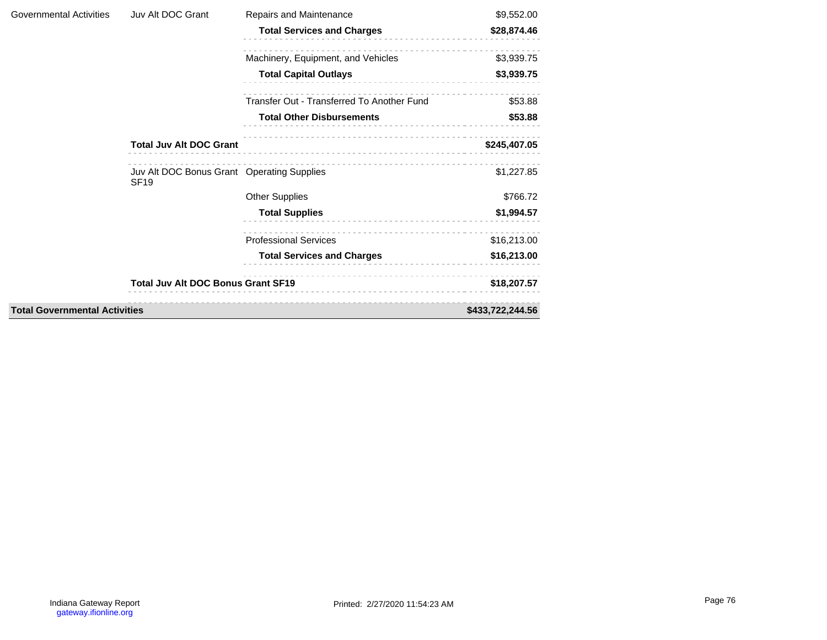| Governmental Activities              | Juv Alt DOC Grant                                         | Repairs and Maintenance                    | \$9,552.00       |
|--------------------------------------|-----------------------------------------------------------|--------------------------------------------|------------------|
|                                      |                                                           | <b>Total Services and Charges</b>          | \$28,874.46      |
|                                      |                                                           | Machinery, Equipment, and Vehicles         | \$3,939.75       |
|                                      |                                                           | <b>Total Capital Outlays</b>               | \$3,939.75       |
|                                      |                                                           | Transfer Out - Transferred To Another Fund | \$53.88          |
|                                      |                                                           | <b>Total Other Disbursements</b>           | \$53.88          |
|                                      | <b>Total Juv Alt DOC Grant</b>                            |                                            | \$245,407.05     |
|                                      | Juv Alt DOC Bonus Grant Operating Supplies<br><b>SF19</b> |                                            | \$1,227.85       |
|                                      |                                                           | <b>Other Supplies</b>                      | \$766.72         |
|                                      |                                                           | <b>Total Supplies</b>                      | \$1,994.57       |
|                                      |                                                           | <b>Professional Services</b>               | \$16,213.00      |
|                                      |                                                           | <b>Total Services and Charges</b>          | \$16,213.00      |
|                                      | <b>Total Juv Alt DOC Bonus Grant SF19</b>                 |                                            | \$18,207.57      |
| <b>Total Governmental Activities</b> |                                                           |                                            | \$433,722,244.56 |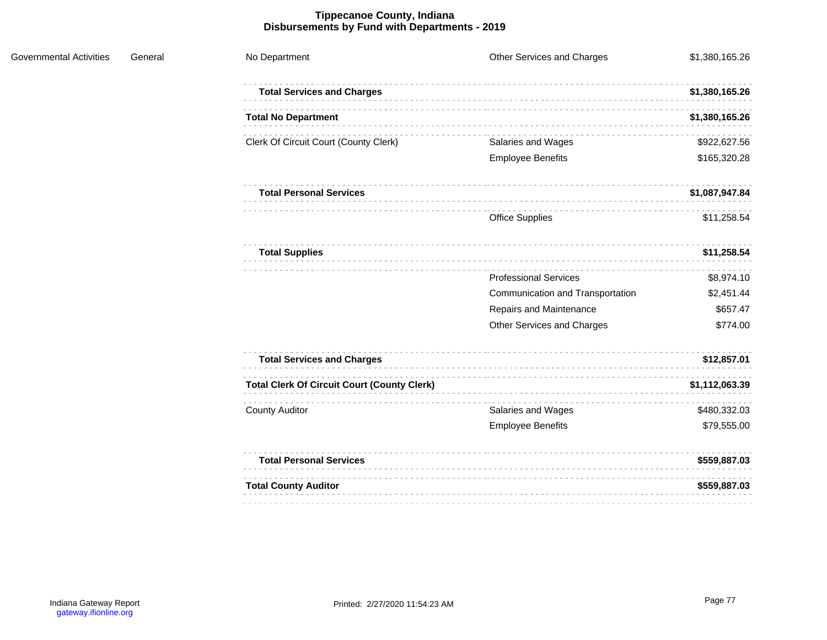## **Tippecanoe County, Indiana Disbursements by Fund with Departments - 2019**

| No Department                                      | Other Services and Charges       | \$1,380,165.26 |
|----------------------------------------------------|----------------------------------|----------------|
| <b>Total Services and Charges</b>                  |                                  | \$1,380,165.26 |
| <b>Total No Department</b>                         |                                  | \$1,380,165.26 |
| Clerk Of Circuit Court (County Clerk)              | Salaries and Wages               | \$922,627.56   |
|                                                    | <b>Employee Benefits</b>         | \$165,320.28   |
| <b>Total Personal Services</b>                     |                                  | \$1,087,947.84 |
|                                                    | <b>Office Supplies</b>           | \$11,258.54    |
| <b>Total Supplies</b>                              |                                  | \$11,258.54    |
|                                                    | <b>Professional Services</b>     | \$8,974.10     |
|                                                    | Communication and Transportation | \$2,451.44     |
|                                                    | Repairs and Maintenance          | \$657.47       |
|                                                    | Other Services and Charges       | \$774.00       |
| <b>Total Services and Charges</b>                  |                                  | \$12,857.01    |
| <b>Total Clerk Of Circuit Court (County Clerk)</b> |                                  | \$1,112,063.39 |
| <b>County Auditor</b>                              | Salaries and Wages               | \$480,332.03   |
|                                                    | <b>Employee Benefits</b>         | \$79,555.00    |
| <b>Total Personal Services</b>                     |                                  | \$559,887.03   |
| <b>Total County Auditor</b>                        |                                  | \$559,887.03   |
|                                                    |                                  |                |

Governmental Activities General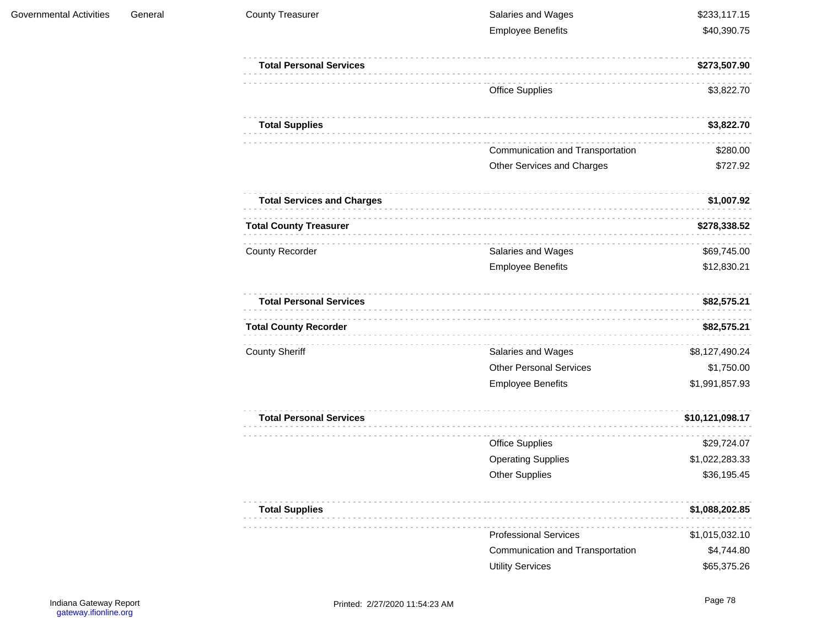| <b>County Treasurer</b>           | Salaries and Wages               | \$233,117.15    |
|-----------------------------------|----------------------------------|-----------------|
|                                   | <b>Employee Benefits</b>         | \$40,390.75     |
| <b>Total Personal Services</b>    |                                  | \$273,507.90    |
|                                   | <b>Office Supplies</b>           | \$3,822.70      |
| <b>Total Supplies</b>             |                                  | \$3,822.70      |
|                                   | Communication and Transportation | \$280.00        |
|                                   | Other Services and Charges       | \$727.92        |
| <b>Total Services and Charges</b> |                                  | \$1,007.92      |
| <b>Total County Treasurer</b>     |                                  | \$278,338.52    |
| <b>County Recorder</b>            | Salaries and Wages               | \$69,745.00     |
|                                   | <b>Employee Benefits</b>         | \$12,830.21     |
| <b>Total Personal Services</b>    |                                  | \$82,575.21     |
| <b>Total County Recorder</b>      |                                  | \$82,575.21     |
| <b>County Sheriff</b>             | Salaries and Wages               | \$8,127,490.24  |
|                                   | <b>Other Personal Services</b>   | \$1,750.00      |
|                                   | <b>Employee Benefits</b>         | \$1,991,857.93  |
| <b>Total Personal Services</b>    |                                  | \$10,121,098.17 |
|                                   | <b>Office Supplies</b>           | \$29,724.07     |
|                                   | <b>Operating Supplies</b>        | \$1,022,283.33  |
|                                   | <b>Other Supplies</b>            | \$36,195.45     |
| <b>Total Supplies</b>             | .                                | \$1,088,202.85  |
|                                   | <b>Professional Services</b>     | \$1,015,032.10  |
|                                   | Communication and Transportation | \$4,744.80      |
|                                   | <b>Utility Services</b>          | \$65,375.26     |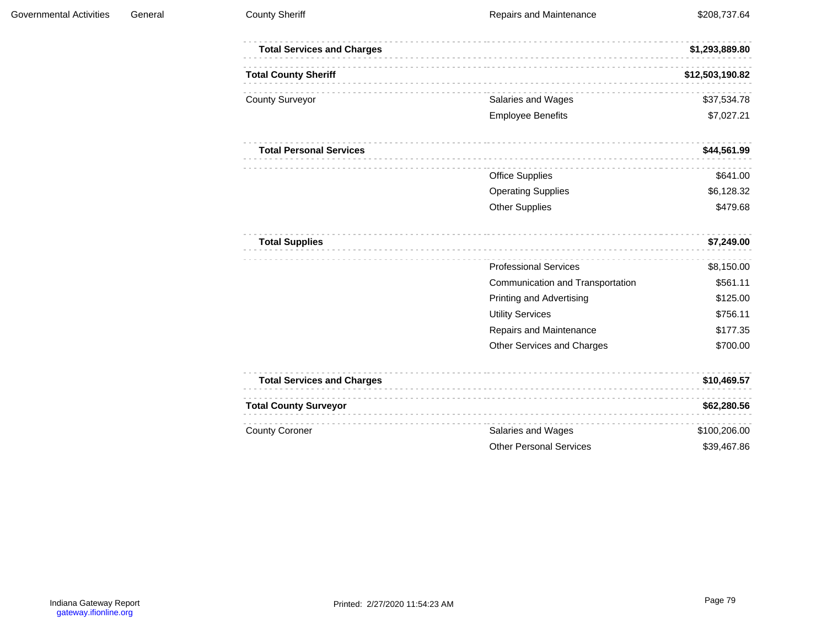| <b>Total Services and Charges</b> |                                  | \$1,293,889.80  |
|-----------------------------------|----------------------------------|-----------------|
| <b>Total County Sheriff</b>       |                                  | \$12,503,190.82 |
| <b>County Surveyor</b>            | Salaries and Wages               | \$37,534.78     |
|                                   | <b>Employee Benefits</b>         | \$7,027.21      |
| <b>Total Personal Services</b>    |                                  | \$44,561.99     |
|                                   | <b>Office Supplies</b>           | \$641.00        |
|                                   | <b>Operating Supplies</b>        | \$6,128.32      |
|                                   | <b>Other Supplies</b>            | \$479.68        |
| <b>Total Supplies</b>             |                                  | \$7,249.00      |
|                                   | <b>Professional Services</b>     | \$8,150.00      |
|                                   | Communication and Transportation | \$561.11        |
|                                   | <b>Printing and Advertising</b>  | \$125.00        |
|                                   | <b>Utility Services</b>          | \$756.11        |
|                                   | Repairs and Maintenance          | \$177.35        |
|                                   | Other Services and Charges       | \$700.00        |
| <b>Total Services and Charges</b> |                                  | \$10,469.57     |
| <b>Total County Surveyor</b>      |                                  | \$62,280.56     |
| <b>County Coroner</b>             | Salaries and Wages               | \$100,206.00    |
|                                   | <b>Other Personal Services</b>   | \$39,467.86     |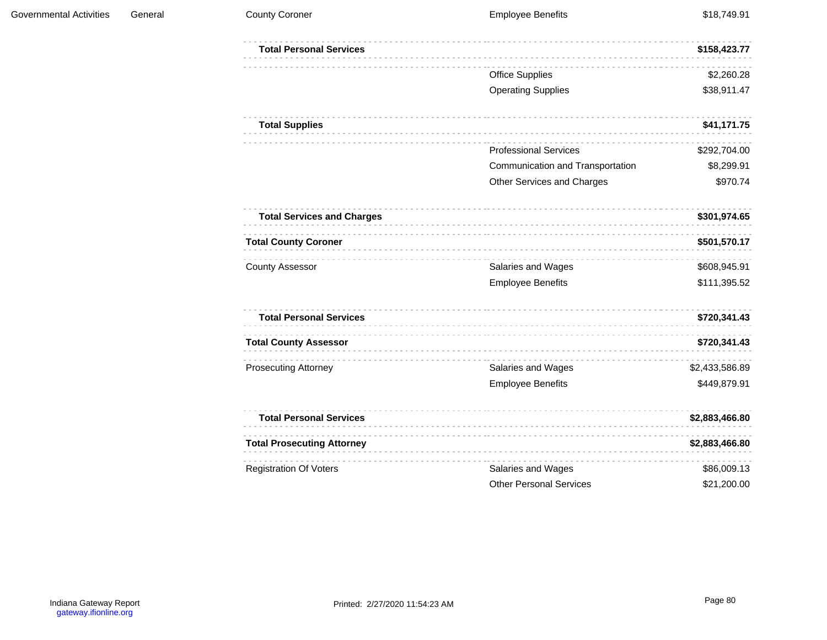| <b>Total Personal Services</b>    |                                  | \$158,423.77   |
|-----------------------------------|----------------------------------|----------------|
|                                   | <b>Office Supplies</b>           | \$2,260.28     |
|                                   | <b>Operating Supplies</b>        | \$38,911.47    |
| <b>Total Supplies</b>             |                                  | \$41,171.75    |
|                                   | <b>Professional Services</b>     | \$292,704.00   |
|                                   | Communication and Transportation | \$8,299.91     |
|                                   | Other Services and Charges       | \$970.74       |
| <b>Total Services and Charges</b> |                                  | \$301,974.65   |
| <b>Total County Coroner</b>       |                                  | \$501,570.17   |
| <b>County Assessor</b>            | Salaries and Wages               | \$608,945.91   |
|                                   | <b>Employee Benefits</b>         | \$111,395.52   |
| <b>Total Personal Services</b>    |                                  | \$720,341.43   |
| <b>Total County Assessor</b>      |                                  | \$720,341.43   |
| <b>Prosecuting Attorney</b>       | Salaries and Wages               | \$2,433,586.89 |
|                                   | <b>Employee Benefits</b>         | \$449,879.91   |
| <b>Total Personal Services</b>    |                                  | \$2,883,466.80 |
| <b>Total Prosecuting Attorney</b> |                                  | \$2,883,466.80 |
| <b>Registration Of Voters</b>     | Salaries and Wages               | \$86,009.13    |
|                                   | <b>Other Personal Services</b>   | \$21,200.00    |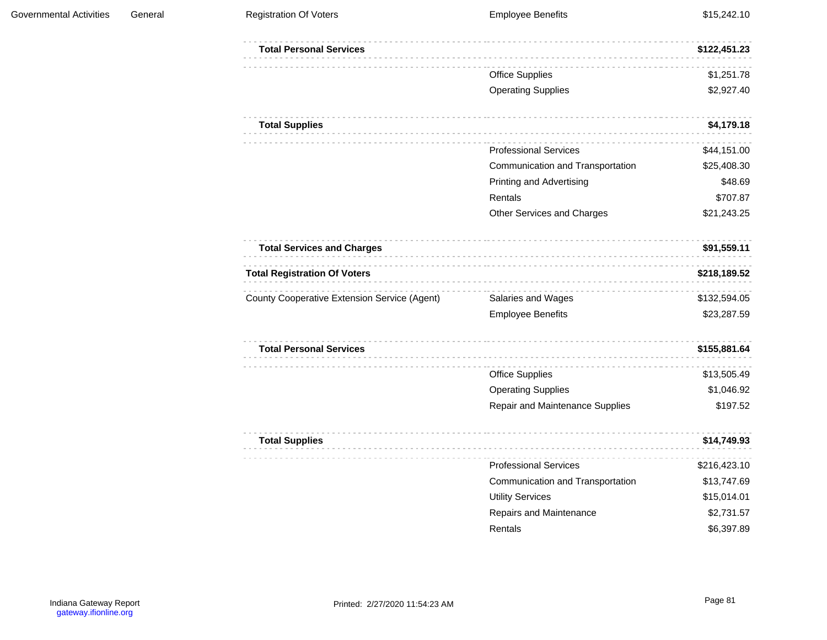|                                  | \$122,451.23 |
|----------------------------------|--------------|
| <b>Office Supplies</b>           | \$1,251.78   |
| <b>Operating Supplies</b>        | \$2,927.40   |
|                                  | \$4,179.18   |
| <b>Professional Services</b>     | \$44,151.00  |
| Communication and Transportation | \$25,408.30  |
| Printing and Advertising         | \$48.69      |
| Rentals                          | \$707.87     |
| Other Services and Charges       | \$21,243.25  |
|                                  | \$91,559.11  |
|                                  | \$218,189.52 |
| Salaries and Wages               | \$132,594.05 |
| <b>Employee Benefits</b>         | \$23,287.59  |
|                                  | \$155,881.64 |
| <b>Office Supplies</b>           | \$13,505.49  |
| <b>Operating Supplies</b>        | \$1,046.92   |
| Repair and Maintenance Supplies  | \$197.52     |
|                                  | \$14,749.93  |
| <b>Professional Services</b>     | \$216,423.10 |
| Communication and Transportation | \$13,747.69  |
| <b>Utility Services</b>          | \$15,014.01  |
| Repairs and Maintenance          | \$2,731.57   |
| Rentals                          | \$6,397.89   |
|                                  |              |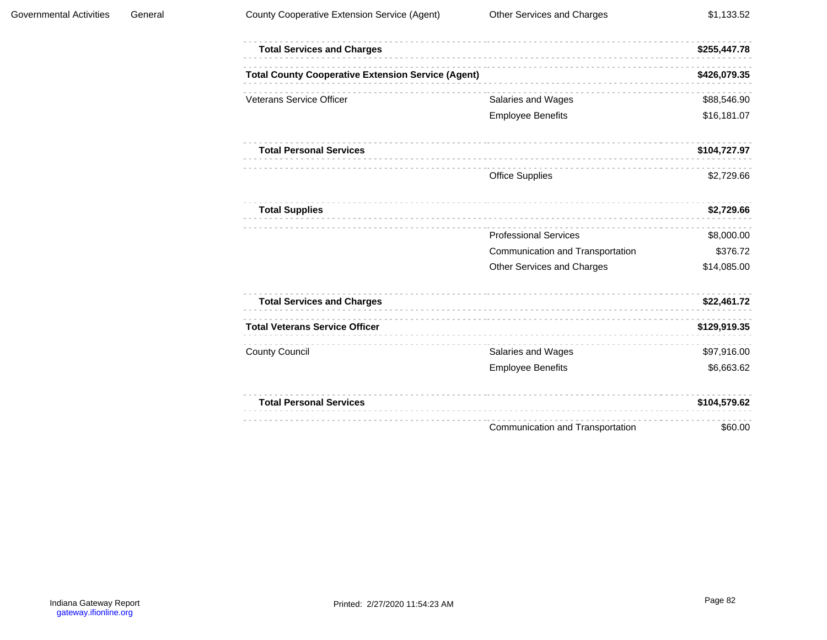| <b>Total Services and Charges</b>                         |                                  | \$255,447.78 |
|-----------------------------------------------------------|----------------------------------|--------------|
| <b>Total County Cooperative Extension Service (Agent)</b> |                                  | \$426,079.35 |
| <b>Veterans Service Officer</b>                           | Salaries and Wages               | \$88,546.90  |
|                                                           | <b>Employee Benefits</b>         | \$16,181.07  |
| <b>Total Personal Services</b>                            |                                  | \$104,727.97 |
|                                                           | <b>Office Supplies</b>           | \$2,729.66   |
| <b>Total Supplies</b>                                     | .                                | \$2,729.66   |
|                                                           | <b>Professional Services</b>     | \$8,000.00   |
|                                                           | Communication and Transportation | \$376.72     |
|                                                           | Other Services and Charges       | \$14,085.00  |
| <b>Total Services and Charges</b>                         |                                  | \$22,461.72  |
| <b>Total Veterans Service Officer</b>                     |                                  | \$129,919.35 |
| <b>County Council</b>                                     | Salaries and Wages               | \$97,916.00  |
|                                                           | <b>Employee Benefits</b>         | \$6,663.62   |
| <b>Total Personal Services</b>                            |                                  | \$104,579.62 |
|                                                           | Communication and Transportation | \$60.00      |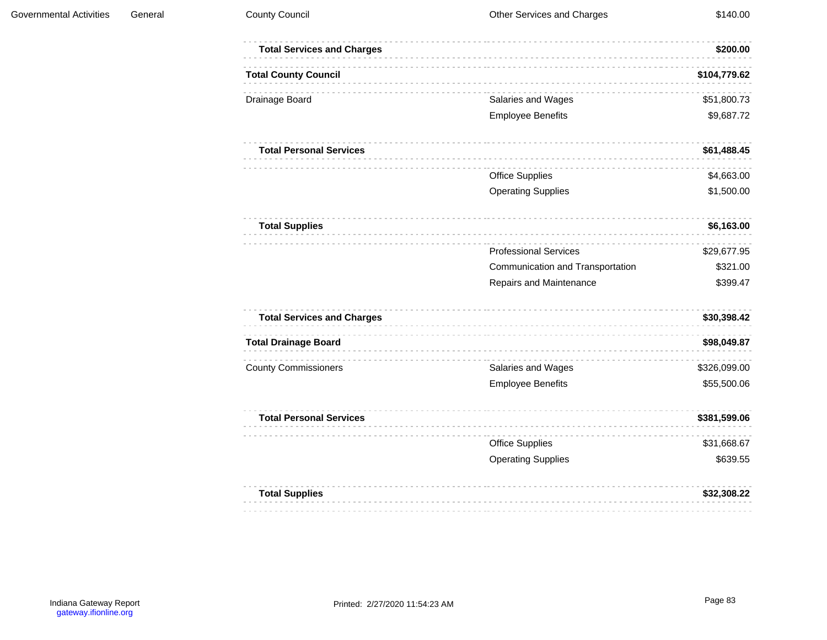| <b>Total Services and Charges</b> |                                  | \$200.00     |
|-----------------------------------|----------------------------------|--------------|
| <b>Total County Council</b>       |                                  | \$104,779.62 |
| Drainage Board                    | Salaries and Wages               | \$51,800.73  |
|                                   | <b>Employee Benefits</b>         | \$9,687.72   |
| <b>Total Personal Services</b>    |                                  | \$61,488.45  |
|                                   | <b>Office Supplies</b>           | \$4,663.00   |
|                                   | <b>Operating Supplies</b>        | \$1,500.00   |
| <b>Total Supplies</b>             |                                  | \$6,163.00   |
|                                   | <b>Professional Services</b>     | \$29,677.95  |
|                                   | Communication and Transportation | \$321.00     |
|                                   | Repairs and Maintenance          | \$399.47     |
| <b>Total Services and Charges</b> |                                  | \$30,398.42  |
| <b>Total Drainage Board</b>       |                                  | \$98,049.87  |
| <b>County Commissioners</b>       | Salaries and Wages               | \$326,099.00 |
|                                   | <b>Employee Benefits</b>         | \$55,500.06  |
| <b>Total Personal Services</b>    |                                  | \$381,599.06 |
|                                   | <b>Office Supplies</b>           | \$31,668.67  |
|                                   | <b>Operating Supplies</b>        | \$639.55     |
| <b>Total Supplies</b>             |                                  | \$32,308.22  |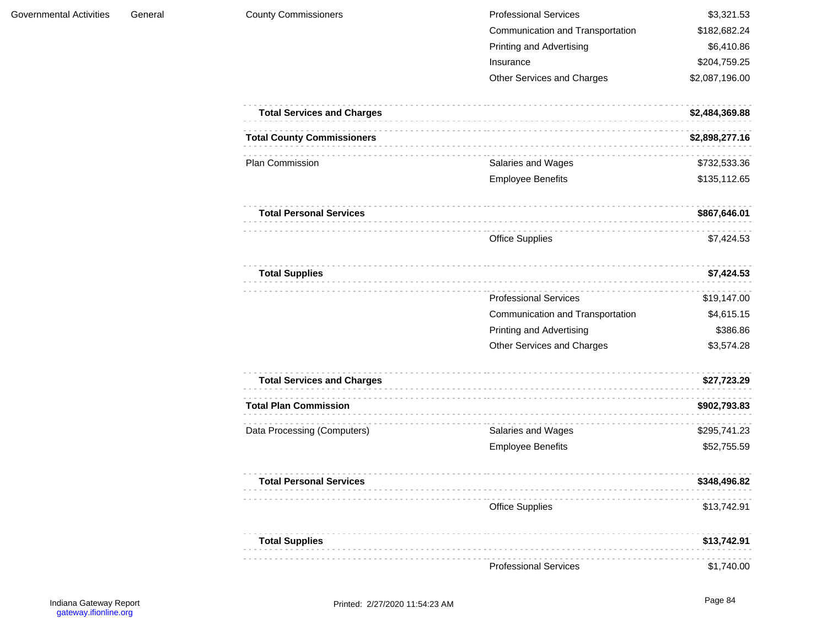| <b>County Commissioners</b>       | <b>Professional Services</b>     | \$3,321.53     |
|-----------------------------------|----------------------------------|----------------|
|                                   | Communication and Transportation | \$182,682.24   |
|                                   | <b>Printing and Advertising</b>  | \$6,410.86     |
|                                   | Insurance                        | \$204,759.25   |
|                                   | Other Services and Charges       | \$2,087,196.00 |
| <b>Total Services and Charges</b> |                                  | \$2,484,369.88 |
| <b>Total County Commissioners</b> |                                  | \$2,898,277.16 |
| Plan Commission                   | Salaries and Wages               | \$732,533.36   |
|                                   | <b>Employee Benefits</b>         | \$135,112.65   |
| <b>Total Personal Services</b>    |                                  | \$867,646.01   |
|                                   | <b>Office Supplies</b>           | \$7,424.53     |
| <b>Total Supplies</b>             |                                  | \$7,424.53     |
|                                   | <b>Professional Services</b>     | \$19,147.00    |
|                                   | Communication and Transportation | \$4,615.15     |
|                                   | <b>Printing and Advertising</b>  | \$386.86       |
|                                   | Other Services and Charges       | \$3,574.28     |
| <b>Total Services and Charges</b> |                                  | \$27,723.29    |
| <b>Total Plan Commission</b>      |                                  | \$902,793.83   |
| Data Processing (Computers)       | Salaries and Wages               | \$295,741.23   |
|                                   | <b>Employee Benefits</b>         | \$52,755.59    |
| <b>Total Personal Services</b>    |                                  | \$348,496.82   |
|                                   | <b>Office Supplies</b>           | \$13,742.91    |
| <b>Total Supplies</b>             |                                  | \$13,742.91    |
|                                   | <b>Professional Services</b>     | \$1,740.00     |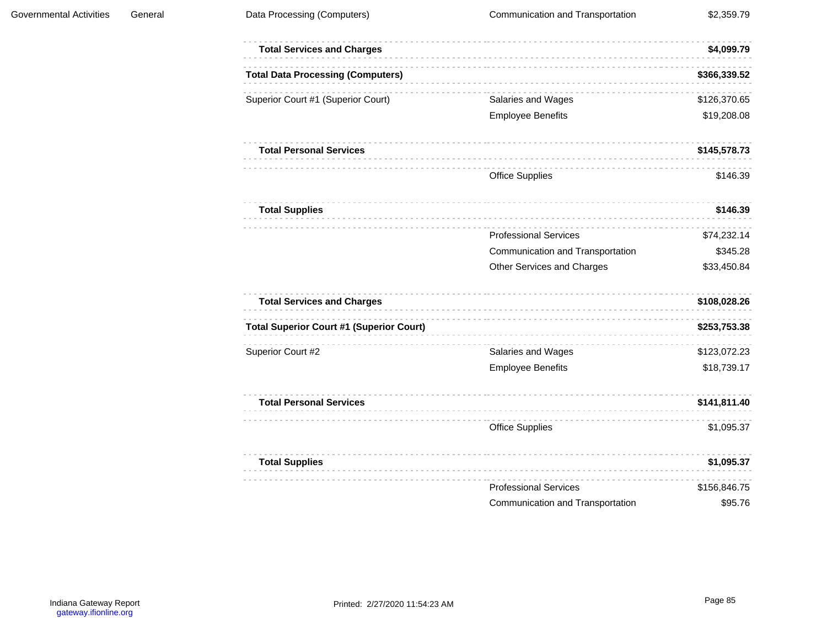$\alpha$  ,  $\alpha$  ,  $\alpha$  ,  $\alpha$  ,  $\alpha$  ,  $\alpha$ 

 $\label{eq:2.1} \begin{array}{cccccccccccccc} \dots & \dots & \dots & \dots & \dots & \dots \end{array}$ 

 $\label{eq:1.1} \begin{array}{cccccccccccccc} \cdots & \cdots & \cdots & \cdots & \cdots & \cdots & \cdots \end{array}$ 

 $\mathcal{L}^{\mathcal{A}}\left( \mathcal{A}^{\mathcal{A}}\right) =\mathcal{L}^{\mathcal{A}}\left( \mathcal{A}^{\mathcal{A}}\right) =\mathcal{L}^{\mathcal{A}}\left( \mathcal{A}^{\mathcal{A}}\right)$ 

 $\label{eq:2.1} \begin{array}{l} \alpha \cdot \alpha \cdot \alpha \cdot \alpha \cdot \alpha \cdot \alpha \cdot \alpha \cdot \alpha \end{array}$ 

 $\label{eq:1.1} \begin{array}{lllllllllllllllll} \alpha & \alpha & \alpha & \alpha & \alpha & \alpha & \alpha \end{array}$ 

 $\label{eq:2.1} \begin{array}{cccccccccccccc} \cdots & \cdots & \cdots & \cdots & \cdots & \cdots & \cdots \end{array}$ 

 $\label{eq:2.1} \begin{array}{l} \mathcal{L}^{\prime}(\mathcal{L}^{\prime})=\mathcal{L}^{\prime}(\mathcal{L}^{\prime})=\mathcal{L}^{\prime}(\mathcal{L}^{\prime})=\mathcal{L}^{\prime}(\mathcal{L}^{\prime})\end{array}$ 

 $\cdots \cdots \cdots \cdots \cdots \cdots$ 

 $\alpha$  is a set of  $\alpha$  .

 $\label{eq:2.1} \begin{array}{cccccccccccccc} \cdots & \cdots & \cdots & \cdots & \cdots & \cdots & \cdots \end{array}$ 

 $\label{eq:2.1} \begin{array}{lllllllllllllll} \alpha & \alpha & \alpha & \alpha & \alpha & \alpha & \alpha \end{array}$ 

| <b>Total Services and Charges</b>               |                                  | \$4,099.79   |
|-------------------------------------------------|----------------------------------|--------------|
| <b>Total Data Processing (Computers)</b>        |                                  | \$366,339.52 |
| Superior Court #1 (Superior Court)              | Salaries and Wages               | \$126,370.65 |
|                                                 | <b>Employee Benefits</b>         | \$19,208.08  |
| <b>Total Personal Services</b>                  |                                  | \$145,578.73 |
|                                                 | <b>Office Supplies</b>           | \$146.39     |
| <b>Total Supplies</b>                           |                                  | \$146.39     |
|                                                 | <b>Professional Services</b>     | \$74,232.14  |
|                                                 | Communication and Transportation | \$345.28     |
|                                                 | Other Services and Charges       | \$33,450.84  |
| <b>Total Services and Charges</b>               |                                  | \$108,028.26 |
| <b>Total Superior Court #1 (Superior Court)</b> |                                  | \$253,753.38 |
| Superior Court #2                               | Salaries and Wages               | \$123,072.23 |
|                                                 | <b>Employee Benefits</b>         | \$18,739.17  |
| <b>Total Personal Services</b>                  |                                  | \$141,811.40 |
|                                                 | <b>Office Supplies</b>           | \$1,095.37   |
| <b>Total Supplies</b>                           |                                  | \$1,095.37   |
|                                                 | <b>Professional Services</b>     | \$156,846.75 |
|                                                 | Communication and Transportation | \$95.76      |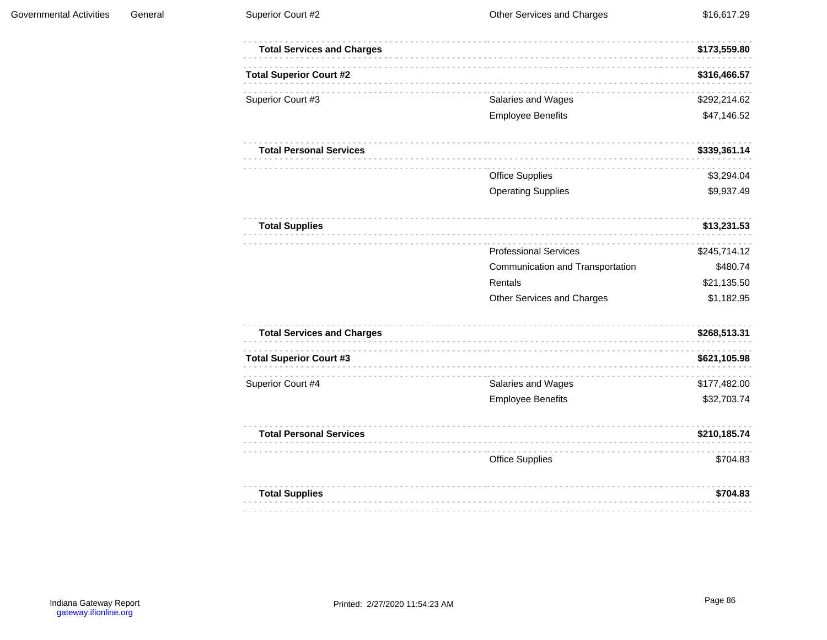| <b>Total Services and Charges</b> |                                  | \$173,559.80 |
|-----------------------------------|----------------------------------|--------------|
| <b>Total Superior Court #2</b>    |                                  | \$316,466.57 |
| Superior Court #3                 | Salaries and Wages               | \$292,214.62 |
|                                   | <b>Employee Benefits</b>         | \$47,146.52  |
| <b>Total Personal Services</b>    |                                  | \$339,361.14 |
|                                   | <b>Office Supplies</b>           | \$3,294.04   |
|                                   | <b>Operating Supplies</b>        | \$9,937.49   |
| <b>Total Supplies</b>             |                                  | \$13,231.53  |
|                                   | <b>Professional Services</b>     | \$245,714.12 |
|                                   | Communication and Transportation | \$480.74     |
|                                   | Rentals                          | \$21,135.50  |
|                                   | Other Services and Charges       | \$1,182.95   |
| <b>Total Services and Charges</b> |                                  | \$268,513.31 |
| <b>Total Superior Court #3</b>    |                                  | \$621,105.98 |
| Superior Court #4                 | Salaries and Wages               | \$177,482.00 |
|                                   | <b>Employee Benefits</b>         | \$32,703.74  |
| <b>Total Personal Services</b>    |                                  | \$210,185.74 |
|                                   | <b>Office Supplies</b>           | \$704.83     |
| <b>Total Supplies</b>             |                                  | \$704.83     |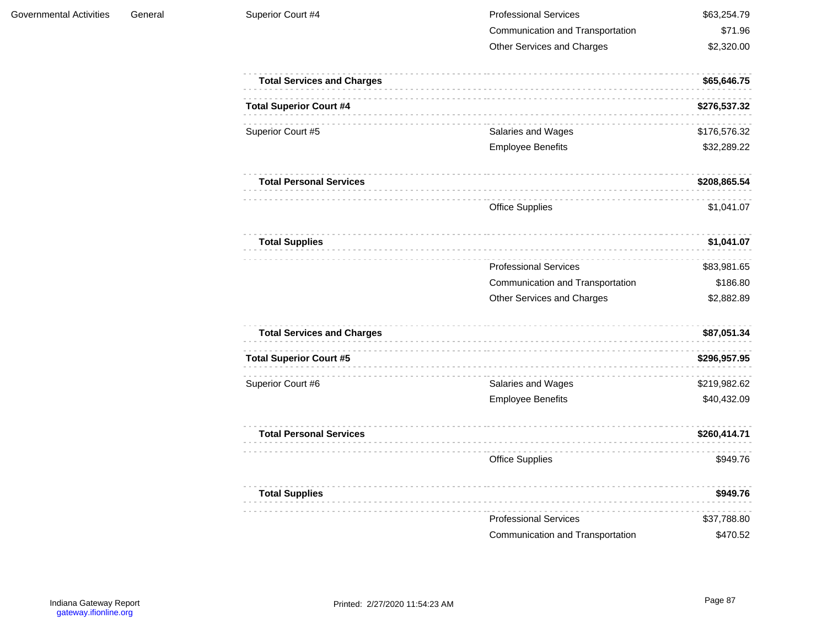| Superior Court #4                 | <b>Professional Services</b>     | \$63,254.79  |
|-----------------------------------|----------------------------------|--------------|
|                                   | Communication and Transportation | \$71.96      |
|                                   | Other Services and Charges       | \$2,320.00   |
| <b>Total Services and Charges</b> |                                  | \$65,646.75  |
| <b>Total Superior Court #4</b>    |                                  | \$276,537.32 |
| Superior Court #5                 | Salaries and Wages               | \$176,576.32 |
|                                   | <b>Employee Benefits</b>         | \$32,289.22  |
| <b>Total Personal Services</b>    |                                  | \$208,865.54 |
|                                   | <b>Office Supplies</b>           | \$1,041.07   |
| <b>Total Supplies</b>             |                                  | \$1,041.07   |
|                                   | <b>Professional Services</b>     | \$83,981.65  |
|                                   | Communication and Transportation | \$186.80     |
|                                   | Other Services and Charges       | \$2,882.89   |
| <b>Total Services and Charges</b> |                                  | \$87,051.34  |
| <b>Total Superior Court #5</b>    |                                  | \$296,957.95 |
| Superior Court #6                 | Salaries and Wages               | \$219,982.62 |
|                                   | <b>Employee Benefits</b>         | \$40,432.09  |
| <b>Total Personal Services</b>    |                                  | \$260,414.71 |
|                                   | <b>Office Supplies</b>           | \$949.76     |
| <b>Total Supplies</b>             |                                  | \$949.76     |
|                                   | <b>Professional Services</b>     | \$37,788.80  |
|                                   | Communication and Transportation | \$470.52     |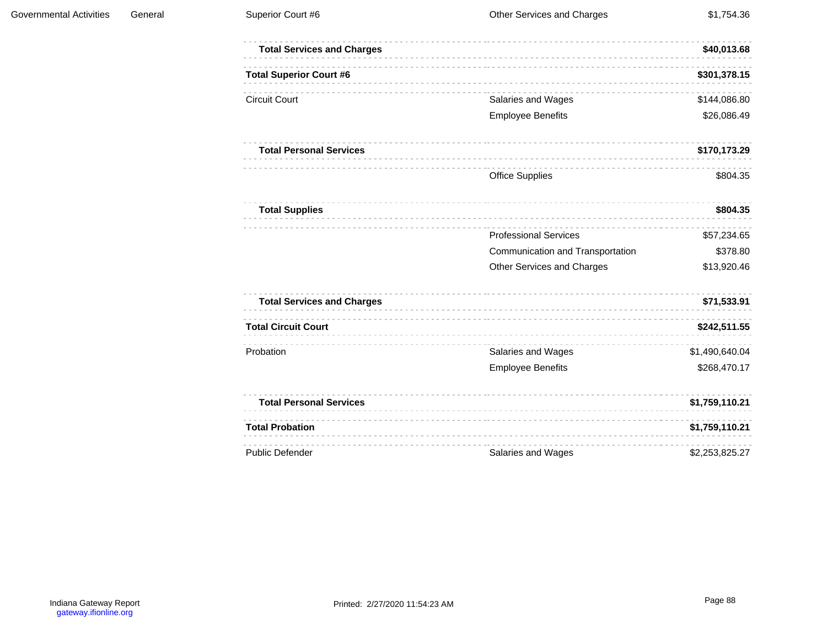| <b>Total Services and Charges</b> |                                  | \$40,013.68    |
|-----------------------------------|----------------------------------|----------------|
| <b>Total Superior Court #6</b>    |                                  | \$301,378.15   |
| <b>Circuit Court</b>              | Salaries and Wages               | \$144,086.80   |
|                                   | <b>Employee Benefits</b>         | \$26,086.49    |
| <b>Total Personal Services</b>    |                                  | \$170,173.29   |
|                                   | <b>Office Supplies</b>           | \$804.35       |
| <b>Total Supplies</b>             |                                  | \$804.35       |
|                                   | <b>Professional Services</b>     | \$57,234.65    |
|                                   | Communication and Transportation | \$378.80       |
|                                   | Other Services and Charges       | \$13,920.46    |
| <b>Total Services and Charges</b> |                                  | \$71,533.91    |
| <b>Total Circuit Court</b>        |                                  | \$242,511.55   |
| Probation                         | Salaries and Wages               | \$1,490,640.04 |
|                                   | <b>Employee Benefits</b>         | \$268,470.17   |
| <b>Total Personal Services</b>    |                                  | \$1,759,110.21 |
| <b>Total Probation</b>            |                                  | \$1,759,110.21 |
| <b>Public Defender</b>            | Salaries and Wages               | \$2,253,825.27 |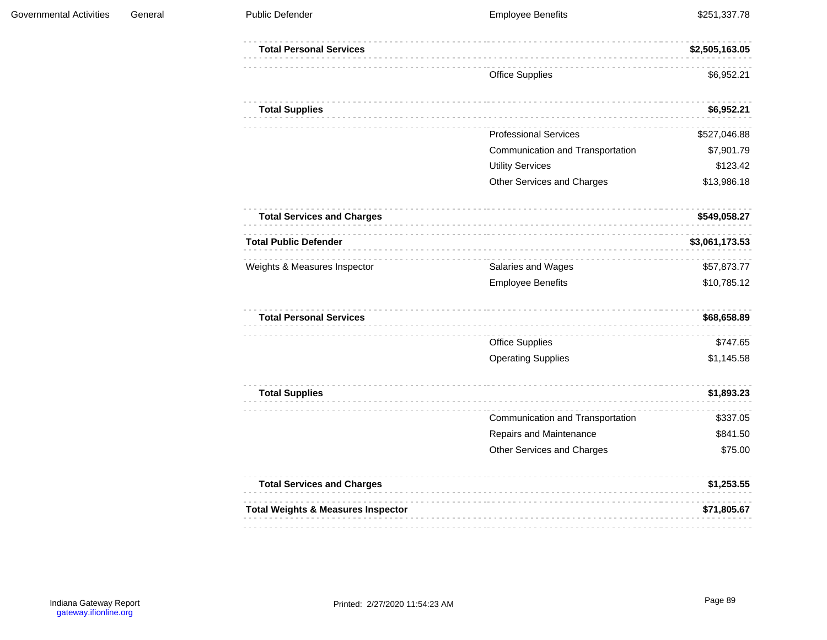| <b>Total Personal Services</b>                |                                  | \$2,505,163.05 |
|-----------------------------------------------|----------------------------------|----------------|
|                                               | <b>Office Supplies</b>           | \$6,952.21     |
| <b>Total Supplies</b>                         |                                  | \$6,952.21     |
|                                               | <b>Professional Services</b>     | \$527,046.88   |
|                                               | Communication and Transportation | \$7,901.79     |
|                                               | <b>Utility Services</b>          | \$123.42       |
|                                               | Other Services and Charges       | \$13,986.18    |
| <b>Total Services and Charges</b>             |                                  | \$549,058.27   |
| <b>Total Public Defender</b>                  |                                  | \$3,061,173.53 |
| Weights & Measures Inspector                  | Salaries and Wages               | \$57,873.77    |
|                                               | <b>Employee Benefits</b>         | \$10,785.12    |
| <b>Total Personal Services</b>                |                                  | \$68,658.89    |
|                                               | <b>Office Supplies</b>           | \$747.65       |
|                                               | <b>Operating Supplies</b>        | \$1,145.58     |
| <b>Total Supplies</b>                         |                                  | \$1,893.23     |
|                                               | Communication and Transportation | \$337.05       |
|                                               | Repairs and Maintenance          | \$841.50       |
|                                               | Other Services and Charges       | \$75.00        |
| <b>Total Services and Charges</b>             |                                  | \$1,253.55     |
| <b>Total Weights &amp; Measures Inspector</b> |                                  | \$71,805.67    |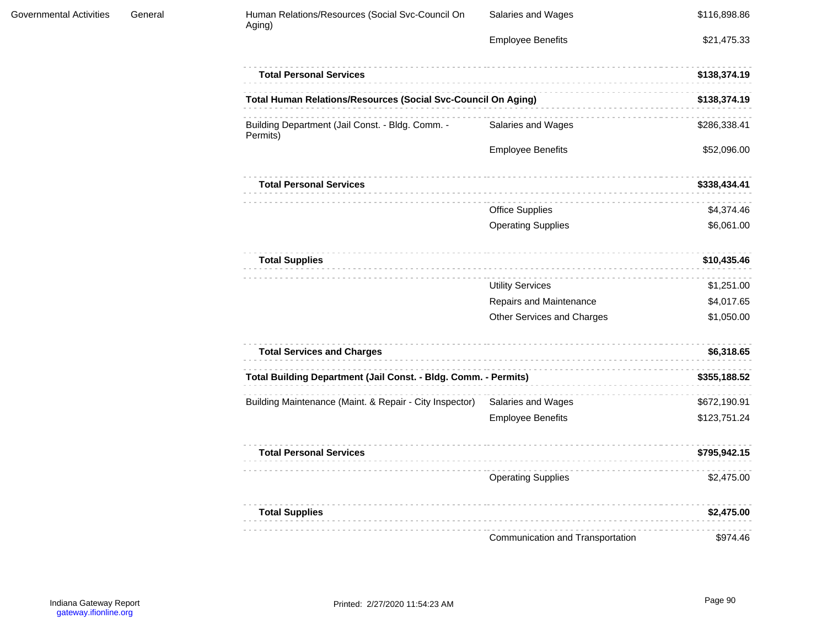| Human Relations/Resources (Social Svc-Council On<br>Aging)      | Salaries and Wages               | \$116,898.86 |
|-----------------------------------------------------------------|----------------------------------|--------------|
|                                                                 | <b>Employee Benefits</b>         | \$21,475.33  |
| <b>Total Personal Services</b>                                  |                                  | \$138,374.19 |
| Total Human Relations/Resources (Social Svc-Council On Aging)   |                                  | \$138,374.19 |
| Building Department (Jail Const. - Bldg. Comm. -<br>Permits)    | Salaries and Wages               | \$286,338.41 |
|                                                                 | <b>Employee Benefits</b>         | \$52,096.00  |
| <b>Total Personal Services</b>                                  |                                  | \$338,434.41 |
|                                                                 | <b>Office Supplies</b>           | \$4,374.46   |
|                                                                 | <b>Operating Supplies</b>        | \$6,061.00   |
| <b>Total Supplies</b>                                           |                                  | \$10,435.46  |
|                                                                 | <b>Utility Services</b>          | \$1,251.00   |
|                                                                 | Repairs and Maintenance          | \$4,017.65   |
|                                                                 | Other Services and Charges       | \$1,050.00   |
| <b>Total Services and Charges</b>                               |                                  | \$6,318.65   |
| Total Building Department (Jail Const. - Bldg. Comm. - Permits) |                                  | \$355,188.52 |
| Building Maintenance (Maint. & Repair - City Inspector)         | Salaries and Wages               | \$672,190.91 |
|                                                                 | <b>Employee Benefits</b>         | \$123,751.24 |
| <b>Total Personal Services</b>                                  |                                  | \$795,942.15 |
|                                                                 | <b>Operating Supplies</b>        | \$2,475.00   |
| <b>Total Supplies</b>                                           |                                  | \$2,475.00   |
|                                                                 | Communication and Transportation | \$974.46     |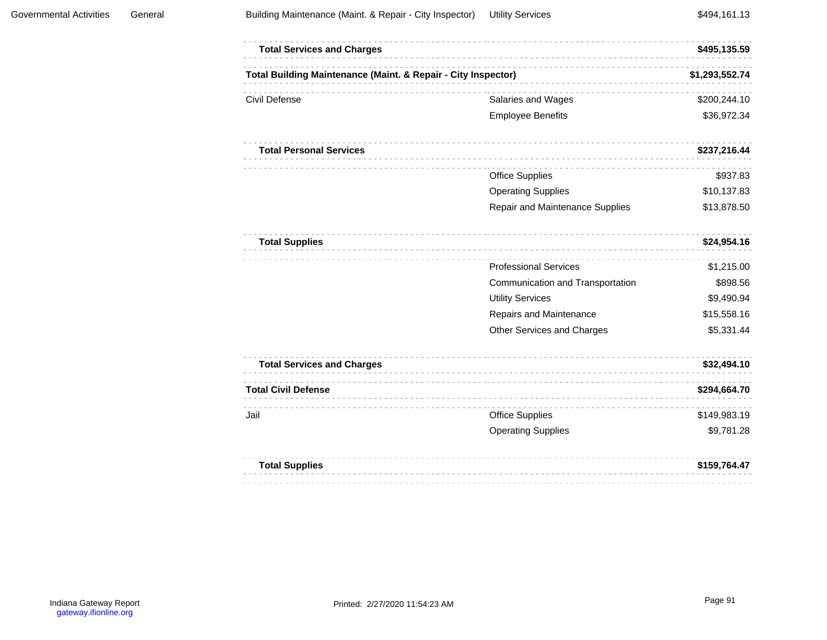| <b>Total Services and Charges</b>                             |                                  | \$495,135.59   |
|---------------------------------------------------------------|----------------------------------|----------------|
| Total Building Maintenance (Maint. & Repair - City Inspector) |                                  | \$1,293,552.74 |
| Civil Defense                                                 | Salaries and Wages               | \$200,244.10   |
|                                                               | <b>Employee Benefits</b>         | \$36,972.34    |
| <b>Total Personal Services</b>                                |                                  | \$237,216.44   |
|                                                               | <b>Office Supplies</b>           | \$937.83       |
|                                                               | <b>Operating Supplies</b>        | \$10,137.83    |
|                                                               | Repair and Maintenance Supplies  | \$13,878.50    |
| <b>Total Supplies</b>                                         |                                  | \$24,954.16    |
|                                                               | <b>Professional Services</b>     | \$1,215.00     |
|                                                               | Communication and Transportation | \$898.56       |
|                                                               | <b>Utility Services</b>          | \$9,490.94     |
|                                                               | Repairs and Maintenance          | \$15,558.16    |
|                                                               | Other Services and Charges       | \$5,331.44     |
| <b>Total Services and Charges</b>                             |                                  | \$32,494.10    |
| <b>Total Civil Defense</b>                                    |                                  | \$294,664.70   |
| Jail                                                          | <b>Office Supplies</b>           | \$149,983.19   |
|                                                               | <b>Operating Supplies</b>        | \$9,781.28     |
| <b>Total Supplies</b>                                         |                                  | \$159,764.47   |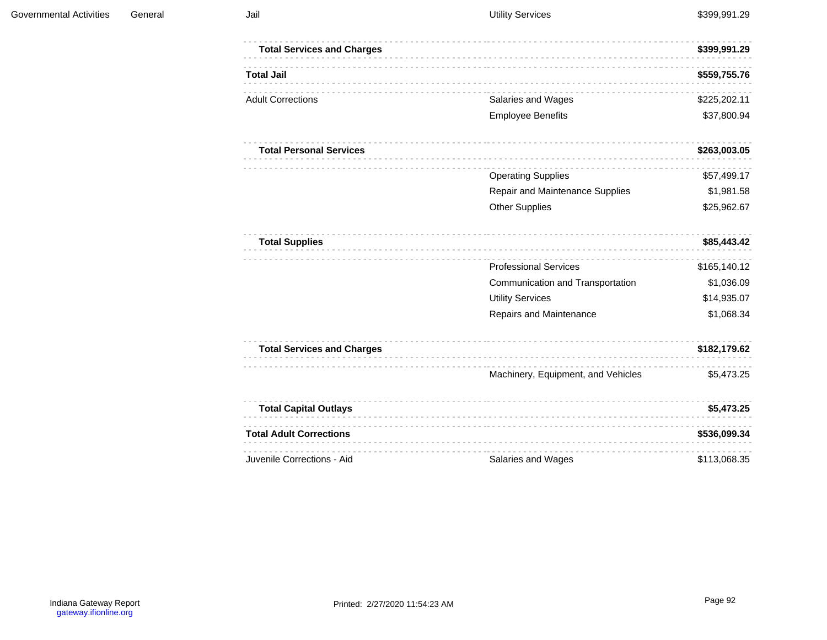| <b>Total Services and Charges</b> |                                    | \$399,991.29 |
|-----------------------------------|------------------------------------|--------------|
| <b>Total Jail</b>                 |                                    | \$559,755.76 |
| <b>Adult Corrections</b>          | Salaries and Wages                 | \$225,202.11 |
|                                   | <b>Employee Benefits</b>           | \$37,800.94  |
| <b>Total Personal Services</b>    |                                    | \$263,003.05 |
|                                   | <b>Operating Supplies</b>          | \$57,499.17  |
|                                   | Repair and Maintenance Supplies    | \$1,981.58   |
|                                   | <b>Other Supplies</b>              | \$25,962.67  |
| <b>Total Supplies</b>             |                                    | \$85,443.42  |
|                                   | <b>Professional Services</b>       | \$165,140.12 |
|                                   | Communication and Transportation   | \$1,036.09   |
|                                   | <b>Utility Services</b>            | \$14,935.07  |
|                                   | Repairs and Maintenance            | \$1,068.34   |
| <b>Total Services and Charges</b> |                                    | \$182,179.62 |
|                                   | Machinery, Equipment, and Vehicles | \$5,473.25   |
| <b>Total Capital Outlays</b>      |                                    | \$5,473.25   |
| <b>Total Adult Corrections</b>    |                                    | \$536,099.34 |
| Juvenile Corrections - Aid        | Salaries and Wages                 | \$113,068.35 |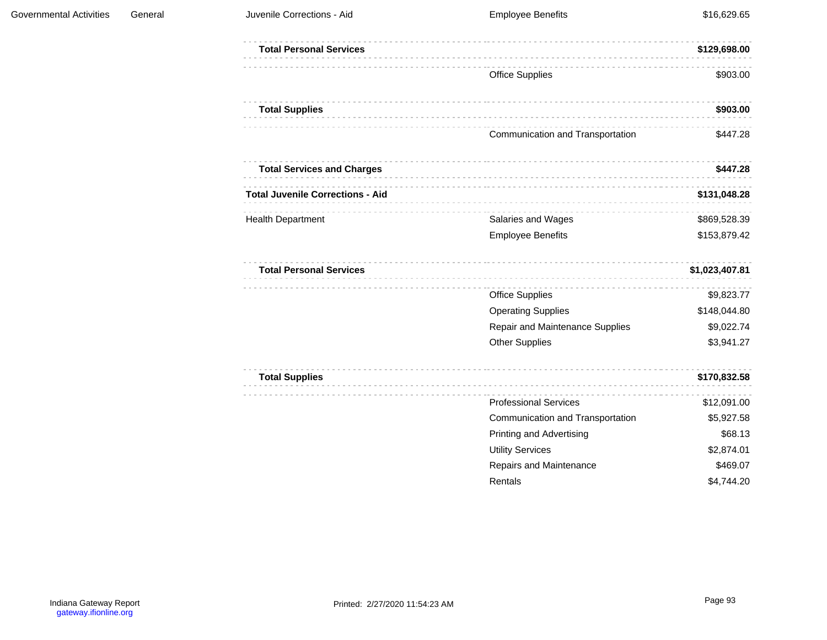| <b>Governmental Activities</b> | General | Juvenile Corrections - Aid              | <b>Employee Benefits</b>         | \$16,629.65    |
|--------------------------------|---------|-----------------------------------------|----------------------------------|----------------|
|                                |         | <b>Total Personal Services</b>          |                                  | \$129,698.00   |
|                                |         |                                         | <b>Office Supplies</b>           | \$903.00       |
|                                |         | <b>Total Supplies</b>                   |                                  | \$903.00       |
|                                |         |                                         | Communication and Transportation | \$447.28       |
|                                |         | <b>Total Services and Charges</b>       |                                  | \$447.28       |
|                                |         | <b>Total Juvenile Corrections - Aid</b> |                                  | \$131,048.28   |
|                                |         | <b>Health Department</b>                | Salaries and Wages               | \$869,528.39   |
|                                |         |                                         | <b>Employee Benefits</b>         | \$153,879.42   |
|                                |         | <b>Total Personal Services</b>          |                                  | \$1,023,407.81 |
|                                |         |                                         | <b>Office Supplies</b>           | \$9,823.77     |
|                                |         |                                         | <b>Operating Supplies</b>        | \$148,044.80   |
|                                |         |                                         | Repair and Maintenance Supplies  | \$9,022.74     |
|                                |         |                                         | <b>Other Supplies</b>            | \$3,941.27     |
|                                |         | <b>Total Supplies</b>                   |                                  | \$170,832.58   |
|                                |         |                                         | <b>Professional Services</b>     | \$12,091.00    |
|                                |         |                                         | Communication and Transportation | \$5,927.58     |
|                                |         |                                         | <b>Printing and Advertising</b>  | \$68.13        |
|                                |         |                                         | <b>Utility Services</b>          | \$2,874.01     |
|                                |         |                                         | Repairs and Maintenance          | \$469.07       |
|                                |         |                                         | Rentals                          | \$4,744.20     |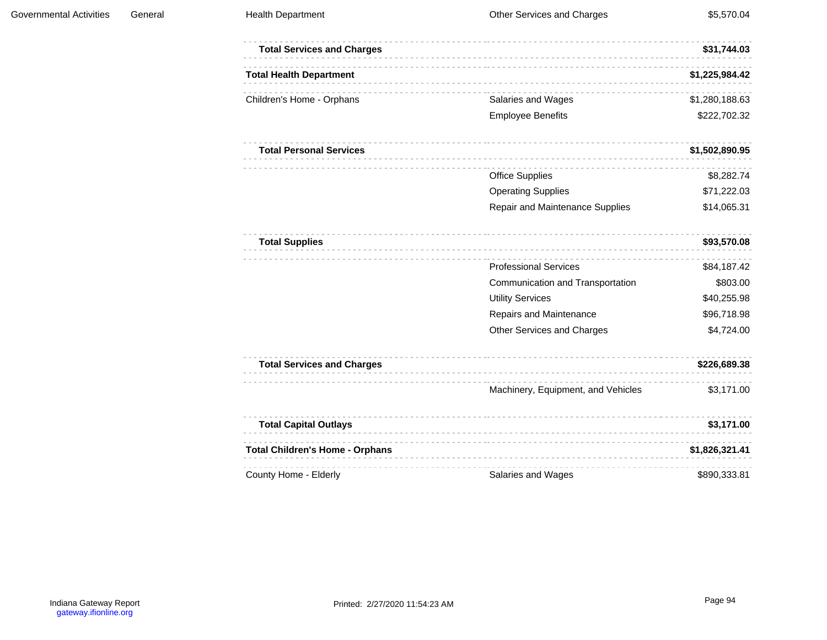| <b>Total Services and Charges</b>      |                                    | \$31,744.03    |
|----------------------------------------|------------------------------------|----------------|
| <b>Total Health Department</b>         |                                    | \$1,225,984.42 |
| Children's Home - Orphans              | Salaries and Wages                 | \$1,280,188.63 |
|                                        | <b>Employee Benefits</b>           | \$222,702.32   |
| <b>Total Personal Services</b>         |                                    | \$1,502,890.95 |
|                                        | <b>Office Supplies</b>             | \$8,282.74     |
|                                        | <b>Operating Supplies</b>          | \$71,222.03    |
|                                        | Repair and Maintenance Supplies    | \$14,065.31    |
| <b>Total Supplies</b>                  |                                    | \$93,570.08    |
|                                        | <b>Professional Services</b>       | \$84,187.42    |
|                                        | Communication and Transportation   | \$803.00       |
|                                        | <b>Utility Services</b>            | \$40,255.98    |
|                                        | Repairs and Maintenance            | \$96,718.98    |
|                                        | Other Services and Charges         | \$4,724.00     |
| <b>Total Services and Charges</b>      |                                    | \$226,689.38   |
|                                        | Machinery, Equipment, and Vehicles | \$3,171.00     |
| <b>Total Capital Outlays</b>           |                                    | \$3,171.00     |
| <b>Total Children's Home - Orphans</b> |                                    | \$1,826,321.41 |
| County Home - Elderly                  | Salaries and Wages                 | \$890,333.81   |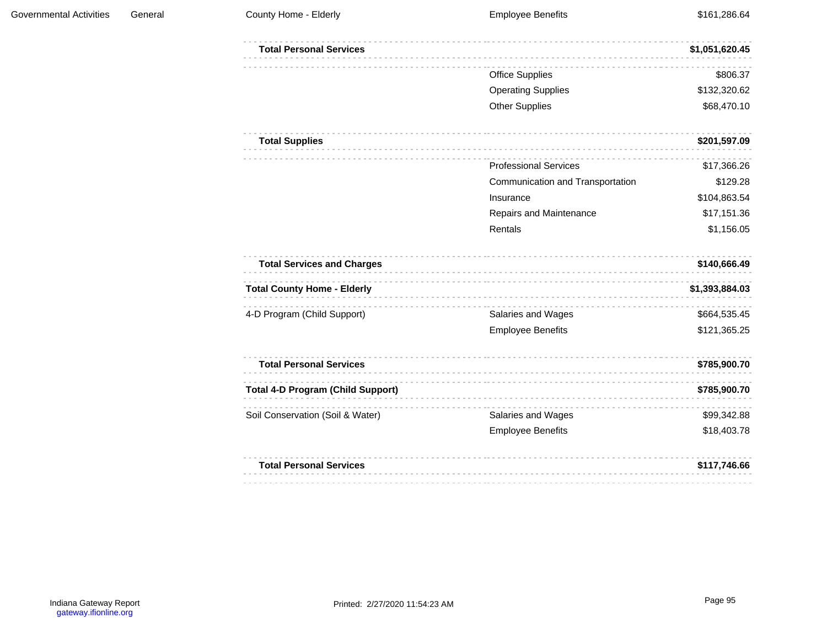| <b>Total Personal Services</b>           |                                  | \$1,051,620.45 |
|------------------------------------------|----------------------------------|----------------|
|                                          | <b>Office Supplies</b>           | \$806.37       |
|                                          | <b>Operating Supplies</b>        | \$132,320.62   |
|                                          | <b>Other Supplies</b>            | \$68,470.10    |
| <b>Total Supplies</b>                    |                                  | \$201,597.09   |
|                                          | <b>Professional Services</b>     | \$17,366.26    |
|                                          | Communication and Transportation | \$129.28       |
|                                          | Insurance                        | \$104,863.54   |
|                                          | Repairs and Maintenance          | \$17,151.36    |
|                                          | Rentals                          | \$1,156.05     |
| <b>Total Services and Charges</b>        |                                  | \$140,666.49   |
| <b>Total County Home - Elderly</b>       |                                  | \$1,393,884.03 |
| 4-D Program (Child Support)              | Salaries and Wages               | \$664,535.45   |
|                                          | <b>Employee Benefits</b>         | \$121,365.25   |
| <b>Total Personal Services</b>           |                                  | \$785,900.70   |
| <b>Total 4-D Program (Child Support)</b> |                                  | \$785,900.70   |
| Soil Conservation (Soil & Water)         | Salaries and Wages               | \$99,342.88    |
|                                          | <b>Employee Benefits</b>         | \$18,403.78    |
| <b>Total Personal Services</b>           |                                  | \$117,746.66   |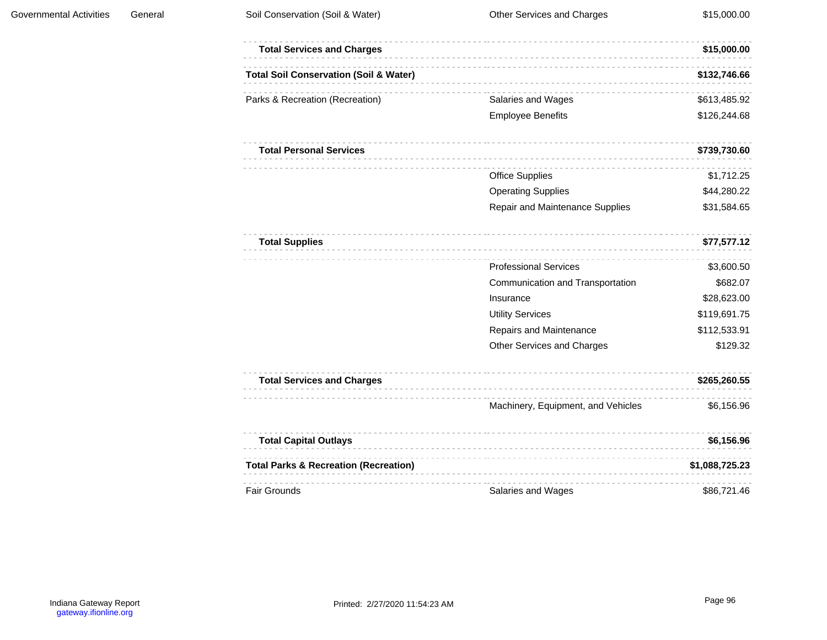| <b>Total Services and Charges</b>                 |                                    | \$15,000.00    |
|---------------------------------------------------|------------------------------------|----------------|
| <b>Total Soil Conservation (Soil &amp; Water)</b> |                                    | \$132,746.66   |
| Parks & Recreation (Recreation)                   | Salaries and Wages                 | \$613,485.92   |
|                                                   | <b>Employee Benefits</b>           | \$126,244.68   |
| <b>Total Personal Services</b>                    |                                    | \$739,730.60   |
|                                                   | <b>Office Supplies</b>             | \$1,712.25     |
|                                                   | <b>Operating Supplies</b>          | \$44,280.22    |
|                                                   | Repair and Maintenance Supplies    | \$31,584.65    |
| <b>Total Supplies</b>                             |                                    | \$77,577.12    |
|                                                   | <b>Professional Services</b>       | \$3,600.50     |
|                                                   | Communication and Transportation   | \$682.07       |
|                                                   | Insurance                          | \$28,623.00    |
|                                                   | <b>Utility Services</b>            | \$119,691.75   |
|                                                   | Repairs and Maintenance            | \$112,533.91   |
|                                                   | Other Services and Charges         | \$129.32       |
| <b>Total Services and Charges</b>                 |                                    | \$265,260.55   |
|                                                   | Machinery, Equipment, and Vehicles | \$6,156.96     |
| <b>Total Capital Outlays</b>                      |                                    | \$6,156.96     |
| <b>Total Parks &amp; Recreation (Recreation)</b>  |                                    | \$1,088,725.23 |
| Fair Grounds                                      | Salaries and Wages                 | \$86,721.46    |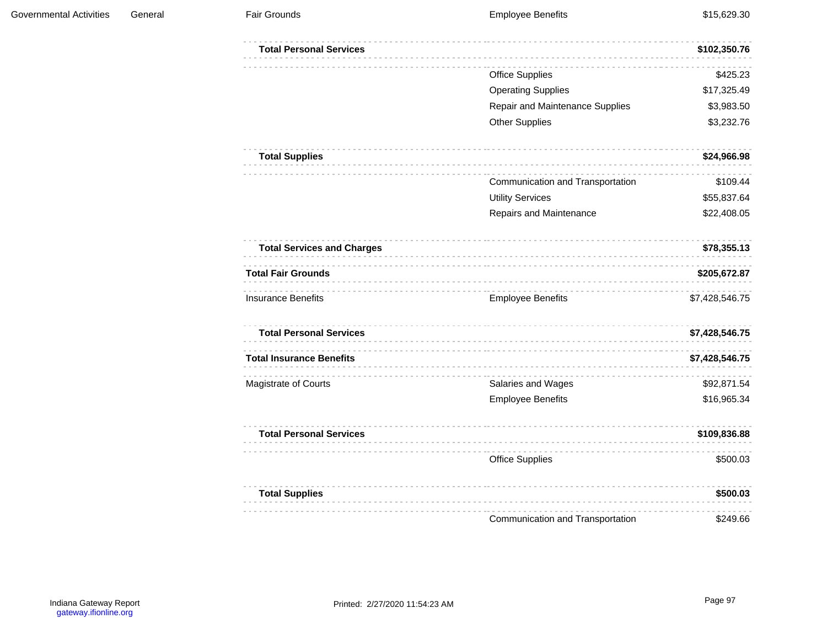| <b>Total Personal Services</b>    |                                  | \$102,350.76   |
|-----------------------------------|----------------------------------|----------------|
|                                   | <b>Office Supplies</b>           | \$425.23       |
|                                   | <b>Operating Supplies</b>        | \$17,325.49    |
|                                   | Repair and Maintenance Supplies  | \$3,983.50     |
|                                   | <b>Other Supplies</b>            | \$3,232.76     |
| <b>Total Supplies</b>             |                                  | \$24,966.98    |
|                                   | Communication and Transportation | \$109.44       |
|                                   | <b>Utility Services</b>          | \$55,837.64    |
|                                   | Repairs and Maintenance          | \$22,408.05    |
| <b>Total Services and Charges</b> |                                  | \$78,355.13    |
| <b>Total Fair Grounds</b>         |                                  | \$205,672.87   |
| <b>Insurance Benefits</b>         | <b>Employee Benefits</b>         | \$7,428,546.75 |
| <b>Total Personal Services</b>    |                                  | \$7,428,546.75 |
| <b>Total Insurance Benefits</b>   |                                  | \$7,428,546.75 |
| Magistrate of Courts              | Salaries and Wages               | \$92,871.54    |
|                                   | <b>Employee Benefits</b>         | \$16,965.34    |
| <b>Total Personal Services</b>    |                                  | \$109,836.88   |
|                                   | <b>Office Supplies</b>           | \$500.03       |
| <b>Total Supplies</b>             |                                  | \$500.03       |
|                                   |                                  |                |
|                                   | Communication and Transportation | \$249.66       |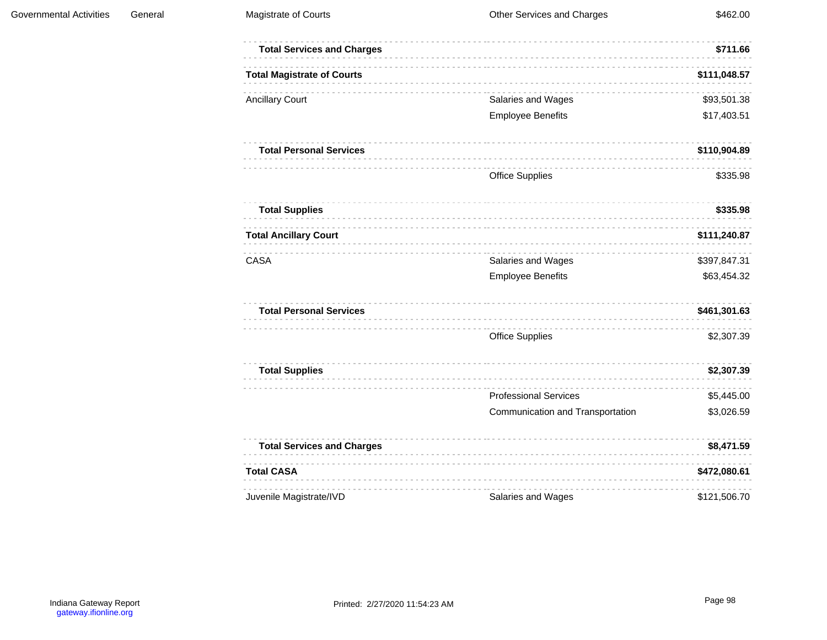| <b>Total Services and Charges</b> |                                  | \$711.66     |
|-----------------------------------|----------------------------------|--------------|
| <b>Total Magistrate of Courts</b> |                                  | \$111,048.57 |
| <b>Ancillary Court</b>            | Salaries and Wages               | \$93,501.38  |
|                                   | <b>Employee Benefits</b>         | \$17,403.51  |
| <b>Total Personal Services</b>    |                                  | \$110,904.89 |
|                                   | <b>Office Supplies</b>           | \$335.98     |
| <b>Total Supplies</b>             |                                  | \$335.98     |
| <b>Total Ancillary Court</b>      |                                  | \$111,240.87 |
| CASA                              | Salaries and Wages               | \$397,847.31 |
|                                   | <b>Employee Benefits</b>         | \$63,454.32  |
| <b>Total Personal Services</b>    |                                  | \$461,301.63 |
|                                   | <b>Office Supplies</b>           | \$2,307.39   |
| <b>Total Supplies</b>             |                                  | \$2,307.39   |
|                                   | <b>Professional Services</b>     | \$5,445.00   |
|                                   | Communication and Transportation | \$3,026.59   |
| <b>Total Services and Charges</b> |                                  | \$8,471.59   |
| <b>Total CASA</b>                 |                                  | \$472,080.61 |
| Juvenile Magistrate/IVD           | Salaries and Wages               | \$121,506.70 |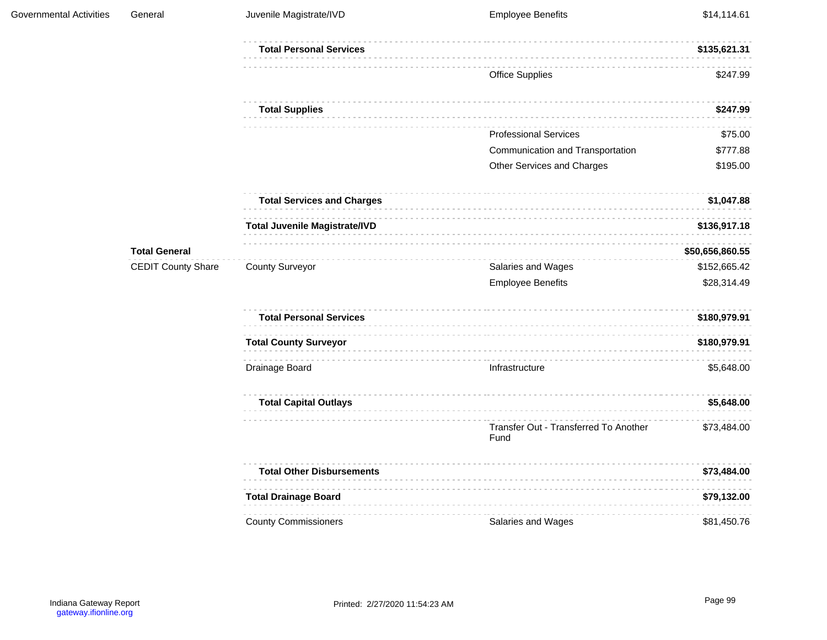| Governmental Activities | General                   | Juvenile Magistrate/IVD              | <b>Employee Benefits</b>                      | \$14,114.61     |
|-------------------------|---------------------------|--------------------------------------|-----------------------------------------------|-----------------|
|                         |                           | <b>Total Personal Services</b>       |                                               | \$135,621.31    |
|                         |                           |                                      | <b>Office Supplies</b>                        | \$247.99        |
|                         |                           | <b>Total Supplies</b>                |                                               | \$247.99        |
|                         |                           |                                      | <b>Professional Services</b>                  | \$75.00         |
|                         |                           |                                      | Communication and Transportation              | \$777.88        |
|                         |                           |                                      | Other Services and Charges                    | \$195.00        |
|                         |                           | <b>Total Services and Charges</b>    |                                               | \$1,047.88      |
|                         |                           | <b>Total Juvenile Magistrate/IVD</b> |                                               | \$136,917.18    |
|                         | <b>Total General</b>      |                                      |                                               | \$50,656,860.55 |
|                         | <b>CEDIT County Share</b> | <b>County Surveyor</b>               | Salaries and Wages                            | \$152,665.42    |
|                         |                           |                                      | <b>Employee Benefits</b>                      | \$28,314.49     |
|                         |                           | <b>Total Personal Services</b>       |                                               | \$180,979.91    |
|                         |                           | <b>Total County Surveyor</b>         |                                               | \$180,979.91    |
|                         |                           | Drainage Board                       | Infrastructure                                | \$5,648.00      |
|                         |                           | <b>Total Capital Outlays</b>         |                                               | \$5,648.00      |
|                         |                           |                                      | Transfer Out - Transferred To Another<br>Fund | \$73,484.00     |
|                         |                           | <b>Total Other Disbursements</b>     |                                               | \$73,484.00     |
|                         |                           | <b>Total Drainage Board</b>          |                                               | \$79,132.00     |
|                         |                           | <b>County Commissioners</b>          | Salaries and Wages                            | \$81,450.76     |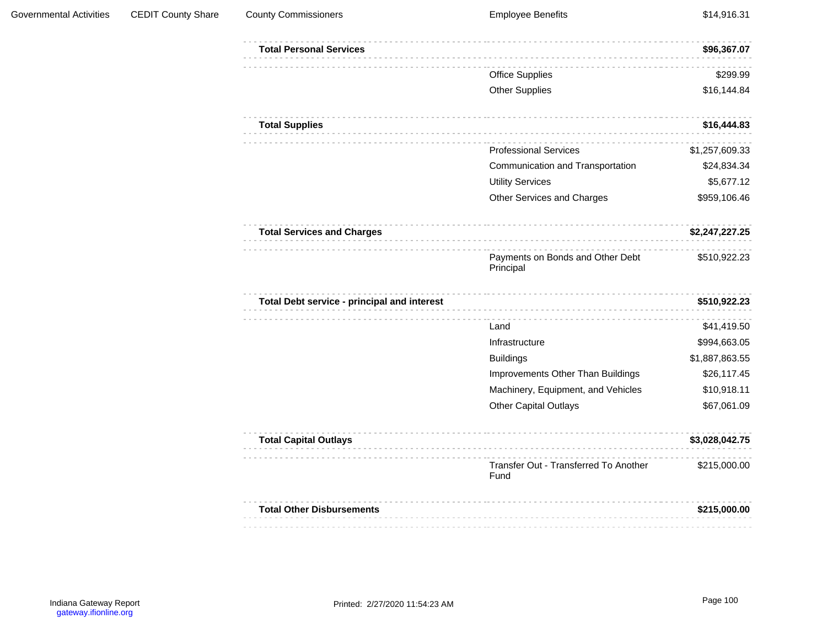| <b>Governmental Activities</b> | <b>CEDIT County Share</b> | <b>County Commissioners</b>                 | <b>Employee Benefits</b>                      | \$14,916.31    |
|--------------------------------|---------------------------|---------------------------------------------|-----------------------------------------------|----------------|
|                                |                           | <b>Total Personal Services</b>              |                                               | \$96,367.07    |
|                                |                           |                                             | <b>Office Supplies</b>                        | \$299.99       |
|                                |                           |                                             | <b>Other Supplies</b>                         | \$16,144.84    |
|                                |                           | <b>Total Supplies</b>                       |                                               | \$16,444.83    |
|                                |                           |                                             | <b>Professional Services</b>                  | \$1,257,609.33 |
|                                |                           |                                             | Communication and Transportation              | \$24,834.34    |
|                                |                           |                                             | <b>Utility Services</b>                       | \$5,677.12     |
|                                |                           |                                             | Other Services and Charges                    | \$959,106.46   |
|                                |                           | <b>Total Services and Charges</b>           |                                               | \$2,247,227.25 |
|                                |                           |                                             | Payments on Bonds and Other Debt<br>Principal | \$510,922.23   |
|                                |                           | Total Debt service - principal and interest |                                               | \$510,922.23   |
|                                |                           |                                             | Land                                          | \$41,419.50    |
|                                |                           |                                             | Infrastructure                                | \$994,663.05   |
|                                |                           |                                             | <b>Buildings</b>                              | \$1,887,863.55 |
|                                |                           |                                             | Improvements Other Than Buildings             | \$26,117.45    |
|                                |                           |                                             | Machinery, Equipment, and Vehicles            | \$10,918.11    |
|                                |                           |                                             | Other Capital Outlays                         | \$67,061.09    |
|                                |                           | <b>Total Capital Outlays</b>                |                                               | \$3,028,042.75 |
|                                |                           |                                             | Transfer Out - Transferred To Another<br>Fund | \$215,000.00   |
|                                |                           | <b>Total Other Disbursements</b>            |                                               | \$215,000.00   |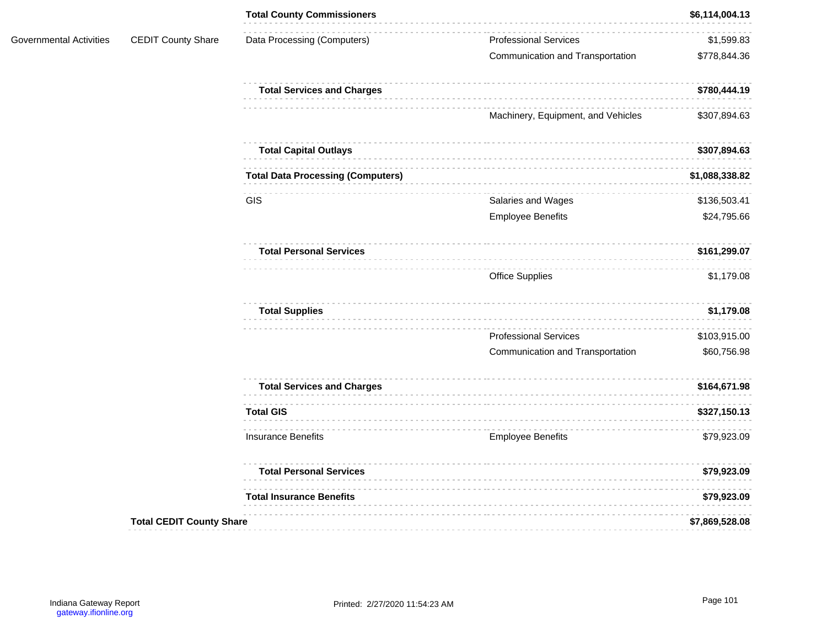| <b>CEDIT County Share</b><br>Data Processing (Computers)<br><b>Professional Services</b><br>Governmental Activities<br>Communication and Transportation<br><b>Total Services and Charges</b><br>Machinery, Equipment, and Vehicles<br><b>Total Capital Outlays</b><br><b>Total Data Processing (Computers)</b><br>GIS<br>Salaries and Wages<br><b>Employee Benefits</b><br><b>Total Personal Services</b><br><b>Office Supplies</b><br><b>Total Supplies</b><br><b>Professional Services</b><br>Communication and Transportation<br><b>Total Services and Charges</b><br><b>Total GIS</b> |  |  | <b>Total County Commissioners</b> | \$6,114,004.13 |
|-------------------------------------------------------------------------------------------------------------------------------------------------------------------------------------------------------------------------------------------------------------------------------------------------------------------------------------------------------------------------------------------------------------------------------------------------------------------------------------------------------------------------------------------------------------------------------------------|--|--|-----------------------------------|----------------|
|                                                                                                                                                                                                                                                                                                                                                                                                                                                                                                                                                                                           |  |  |                                   | \$1,599.83     |
|                                                                                                                                                                                                                                                                                                                                                                                                                                                                                                                                                                                           |  |  |                                   | \$778,844.36   |
|                                                                                                                                                                                                                                                                                                                                                                                                                                                                                                                                                                                           |  |  |                                   | \$780,444.19   |
|                                                                                                                                                                                                                                                                                                                                                                                                                                                                                                                                                                                           |  |  |                                   | \$307,894.63   |
|                                                                                                                                                                                                                                                                                                                                                                                                                                                                                                                                                                                           |  |  |                                   | \$307,894.63   |
|                                                                                                                                                                                                                                                                                                                                                                                                                                                                                                                                                                                           |  |  |                                   | \$1,088,338.82 |
|                                                                                                                                                                                                                                                                                                                                                                                                                                                                                                                                                                                           |  |  |                                   | \$136,503.41   |
|                                                                                                                                                                                                                                                                                                                                                                                                                                                                                                                                                                                           |  |  |                                   | \$24,795.66    |
|                                                                                                                                                                                                                                                                                                                                                                                                                                                                                                                                                                                           |  |  | \$161,299.07                      |                |
|                                                                                                                                                                                                                                                                                                                                                                                                                                                                                                                                                                                           |  |  | \$1,179.08                        |                |
|                                                                                                                                                                                                                                                                                                                                                                                                                                                                                                                                                                                           |  |  | \$1,179.08                        |                |
|                                                                                                                                                                                                                                                                                                                                                                                                                                                                                                                                                                                           |  |  |                                   | \$103,915.00   |
|                                                                                                                                                                                                                                                                                                                                                                                                                                                                                                                                                                                           |  |  |                                   | \$60,756.98    |
|                                                                                                                                                                                                                                                                                                                                                                                                                                                                                                                                                                                           |  |  |                                   | \$164,671.98   |
|                                                                                                                                                                                                                                                                                                                                                                                                                                                                                                                                                                                           |  |  |                                   | \$327,150.13   |
| <b>Insurance Benefits</b><br><b>Employee Benefits</b>                                                                                                                                                                                                                                                                                                                                                                                                                                                                                                                                     |  |  | \$79,923.09                       |                |
| <b>Total Personal Services</b>                                                                                                                                                                                                                                                                                                                                                                                                                                                                                                                                                            |  |  | \$79,923.09                       |                |
| <b>Total Insurance Benefits</b>                                                                                                                                                                                                                                                                                                                                                                                                                                                                                                                                                           |  |  |                                   | \$79,923.09    |
| <b>Total CEDIT County Share</b>                                                                                                                                                                                                                                                                                                                                                                                                                                                                                                                                                           |  |  |                                   | \$7,869,528.08 |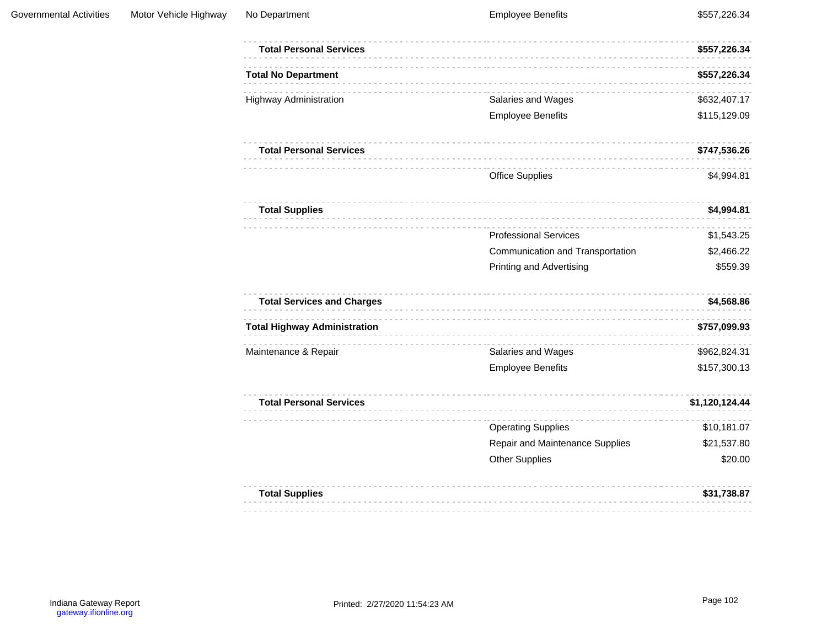| <b>Total Personal Services</b>      |                                  | \$557,226.34   |
|-------------------------------------|----------------------------------|----------------|
| <b>Total No Department</b>          |                                  | \$557,226.34   |
| <b>Highway Administration</b>       | Salaries and Wages               | \$632,407.17   |
|                                     | <b>Employee Benefits</b>         | \$115,129.09   |
| <b>Total Personal Services</b>      |                                  | \$747,536.26   |
|                                     | <b>Office Supplies</b>           | \$4,994.81     |
| <b>Total Supplies</b>               |                                  | \$4,994.81     |
|                                     | <b>Professional Services</b>     | \$1,543.25     |
|                                     | Communication and Transportation | \$2,466.22     |
|                                     | <b>Printing and Advertising</b>  | \$559.39       |
| <b>Total Services and Charges</b>   |                                  | \$4,568.86     |
| <b>Total Highway Administration</b> |                                  | \$757,099.93   |
| Maintenance & Repair                | Salaries and Wages               | \$962,824.31   |
|                                     | <b>Employee Benefits</b>         | \$157,300.13   |
| <b>Total Personal Services</b>      |                                  | \$1,120,124.44 |
|                                     | <b>Operating Supplies</b>        | \$10,181.07    |
|                                     | Repair and Maintenance Supplies  | \$21,537.80    |
|                                     | <b>Other Supplies</b>            | \$20.00        |
|                                     |                                  |                |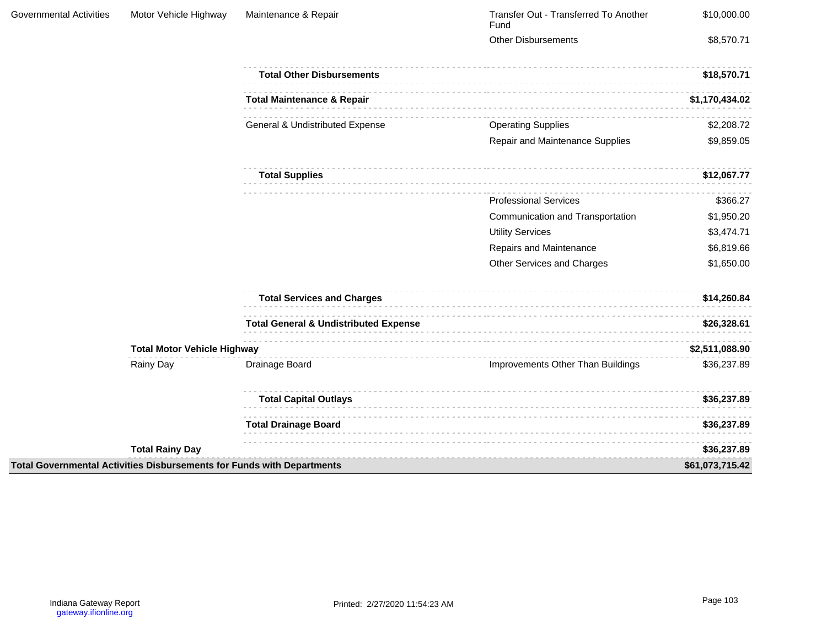| <b>Governmental Activities</b> | Motor Vehicle Highway                                                  | Maintenance & Repair                             | Transfer Out - Transferred To Another<br>Fund | \$10,000.00     |
|--------------------------------|------------------------------------------------------------------------|--------------------------------------------------|-----------------------------------------------|-----------------|
|                                |                                                                        |                                                  | <b>Other Disbursements</b>                    | \$8,570.71      |
|                                |                                                                        | <b>Total Other Disbursements</b>                 |                                               | \$18,570.71     |
|                                |                                                                        | <b>Total Maintenance &amp; Repair</b>            |                                               | \$1,170,434.02  |
|                                |                                                                        | General & Undistributed Expense                  | <b>Operating Supplies</b>                     | \$2,208.72      |
|                                |                                                                        |                                                  | Repair and Maintenance Supplies               | \$9,859.05      |
|                                |                                                                        | <b>Total Supplies</b>                            |                                               | \$12,067.77     |
|                                |                                                                        |                                                  | <b>Professional Services</b>                  | \$366.27        |
|                                |                                                                        |                                                  | Communication and Transportation              | \$1,950.20      |
|                                |                                                                        |                                                  | <b>Utility Services</b>                       | \$3,474.71      |
|                                |                                                                        |                                                  | Repairs and Maintenance                       | \$6,819.66      |
|                                |                                                                        |                                                  | Other Services and Charges                    | \$1,650.00      |
|                                |                                                                        | <b>Total Services and Charges</b>                |                                               | \$14,260.84     |
|                                |                                                                        | <b>Total General &amp; Undistributed Expense</b> |                                               | \$26,328.61     |
|                                | <b>Total Motor Vehicle Highway</b>                                     |                                                  |                                               | \$2,511,088.90  |
|                                | Rainy Day                                                              | Drainage Board                                   | Improvements Other Than Buildings             | \$36,237.89     |
|                                |                                                                        | <b>Total Capital Outlays</b>                     |                                               | \$36,237.89     |
|                                |                                                                        | <b>Total Drainage Board</b>                      |                                               | \$36,237.89     |
|                                | <b>Total Rainy Day</b>                                                 |                                                  |                                               | \$36,237.89     |
|                                | Total Governmental Activities Disbursements for Funds with Departments |                                                  |                                               | \$61,073,715.42 |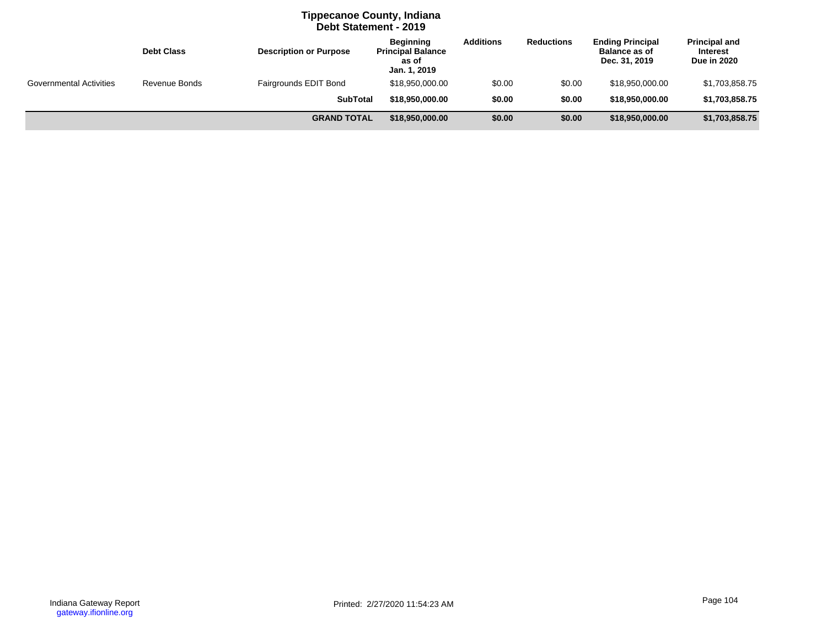# **Tippecanoe County, Indiana Debt Statement - 2019**

|                                | <b>Debt Class</b> | <b>Description or Purpose</b> | <b>Beginning</b><br><b>Principal Balance</b><br>as of<br>Jan. 1, 2019 | <b>Additions</b> | <b>Reductions</b> | <b>Ending Principal</b><br><b>Balance as of</b><br>Dec. 31, 2019 | <b>Principal and</b><br>Interest<br><b>Due in 2020</b> |
|--------------------------------|-------------------|-------------------------------|-----------------------------------------------------------------------|------------------|-------------------|------------------------------------------------------------------|--------------------------------------------------------|
| <b>Governmental Activities</b> | Revenue Bonds     | Fairgrounds EDIT Bond         | \$18,950,000.00                                                       | \$0.00           | \$0.00            | \$18,950,000.00                                                  | \$1,703,858.75                                         |
|                                |                   | <b>SubTotal</b>               | \$18,950,000,00                                                       | \$0.00           | \$0.00            | \$18,950,000.00                                                  | \$1,703,858.75                                         |
|                                |                   | <b>GRAND TOTAL</b>            | \$18,950,000.00                                                       | \$0.00           | \$0.00            | \$18,950,000.00                                                  | \$1,703,858.75                                         |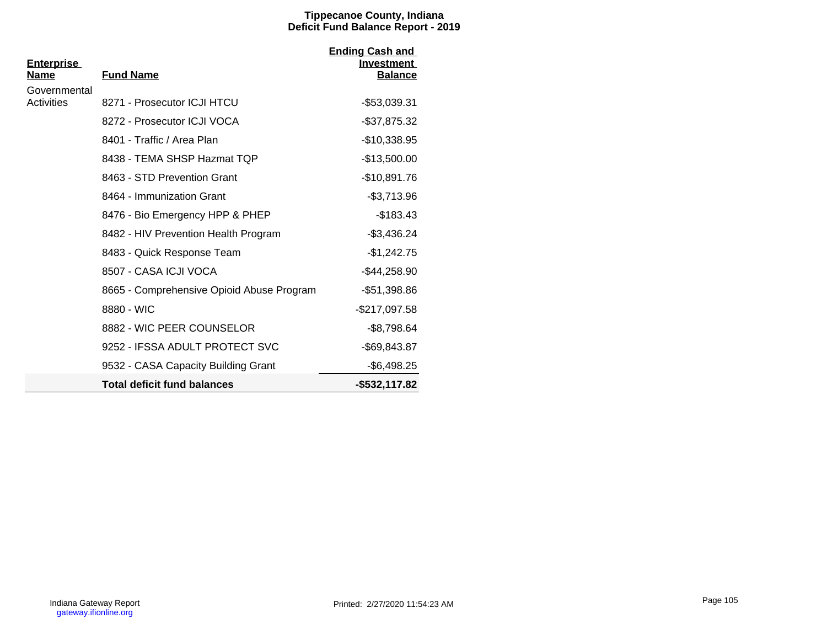### **Tippecanoe County, Indiana Deficit Fund Balance Report - 2019**

| <u>Enterprise</u><br>Name | <b>Fund Name</b>                          | <b>Ending Cash and</b><br><b>Investment</b> |
|---------------------------|-------------------------------------------|---------------------------------------------|
| Governmental              |                                           | <b>Balance</b>                              |
| Activities                | 8271 - Prosecutor ICJI HTCU               | $-$53,039.31$                               |
|                           | 8272 - Prosecutor ICJI VOCA               | $-$37,875.32$                               |
|                           | 8401 - Traffic / Area Plan                | $-$10,338.95$                               |
|                           | 8438 - TEMA SHSP Hazmat TQP               | $-$13,500.00$                               |
|                           | 8463 - STD Prevention Grant               | $-$10,891.76$                               |
|                           | 8464 - Immunization Grant                 | $-$3,713.96$                                |
|                           | 8476 - Bio Emergency HPP & PHEP           | $-$183.43$                                  |
|                           | 8482 - HIV Prevention Health Program      | $-$3,436.24$                                |
|                           | 8483 - Quick Response Team                | $-$1,242.75$                                |
|                           | 8507 - CASA ICJI VOCA                     | $-$44,258.90$                               |
|                           | 8665 - Comprehensive Opioid Abuse Program | $-$51,398.86$                               |
|                           | 8880 - WIC                                | $-$217,097.58$                              |
|                           | 8882 - WIC PEER COUNSELOR                 | $-$8,798.64$                                |
|                           | 9252 - IFSSA ADULT PROTECT SVC            | $-$ \$69,843.87                             |
|                           | 9532 - CASA Capacity Building Grant       | $-$6,498.25$                                |
|                           | <b>Total deficit fund balances</b>        | $-$ \$532,117.82                            |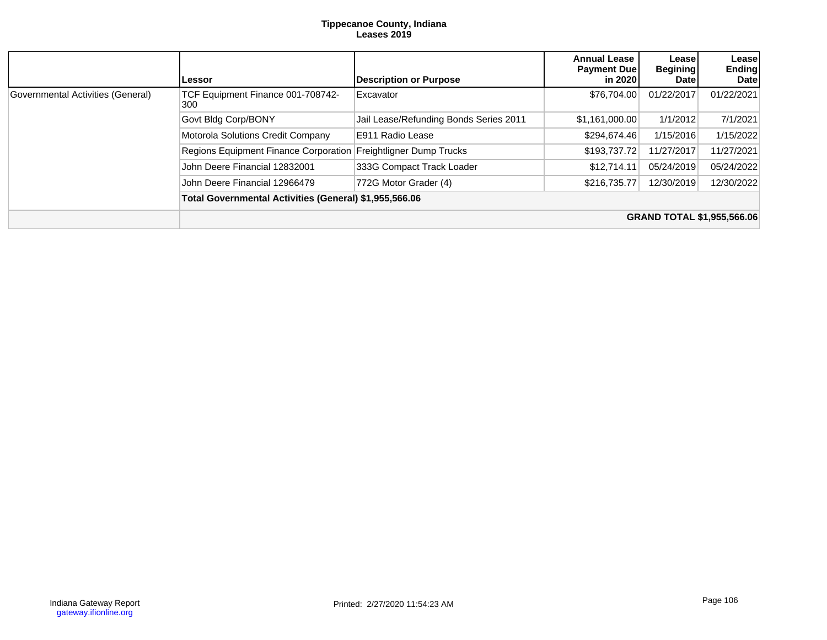#### **Tippecanoe County, Indiana Leases 2019**

|                                   | Lessor                                                 | <b>Description or Purpose</b>          | <b>Annual Lease</b><br><b>Payment Duel</b><br>in 2020 | Lease<br><b>Begining</b><br><b>Date</b> | Lease<br><b>Ending</b><br><b>Date</b> |
|-----------------------------------|--------------------------------------------------------|----------------------------------------|-------------------------------------------------------|-----------------------------------------|---------------------------------------|
| Governmental Activities (General) | TCF Equipment Finance 001-708742-<br>300               | Excavator                              | \$76,704.00                                           | 01/22/2017                              | 01/22/2021                            |
|                                   | Govt Bldg Corp/BONY                                    | Jail Lease/Refunding Bonds Series 2011 | \$1,161,000.00                                        | 1/1/2012                                | 7/1/2021                              |
|                                   | Motorola Solutions Credit Company                      | E911 Radio Lease                       | \$294,674.46                                          | 1/15/2016                               | 1/15/2022                             |
|                                   | Regions Equipment Finance Corporation                  | Freightligner Dump Trucks              | \$193,737.72                                          | 11/27/2017                              | 11/27/2021                            |
|                                   | John Deere Financial 12832001                          | 333G Compact Track Loader              | \$12,714.11                                           | 05/24/2019                              | 05/24/2022                            |
|                                   | John Deere Financial 12966479                          | 772G Motor Grader (4)                  | \$216,735,77                                          | 12/30/2019                              | 12/30/2022                            |
|                                   | Total Governmental Activities (General) \$1,955,566.06 |                                        |                                                       |                                         |                                       |
|                                   |                                                        |                                        |                                                       |                                         | <b>GRAND TOTAL \$1,955,566.06</b>     |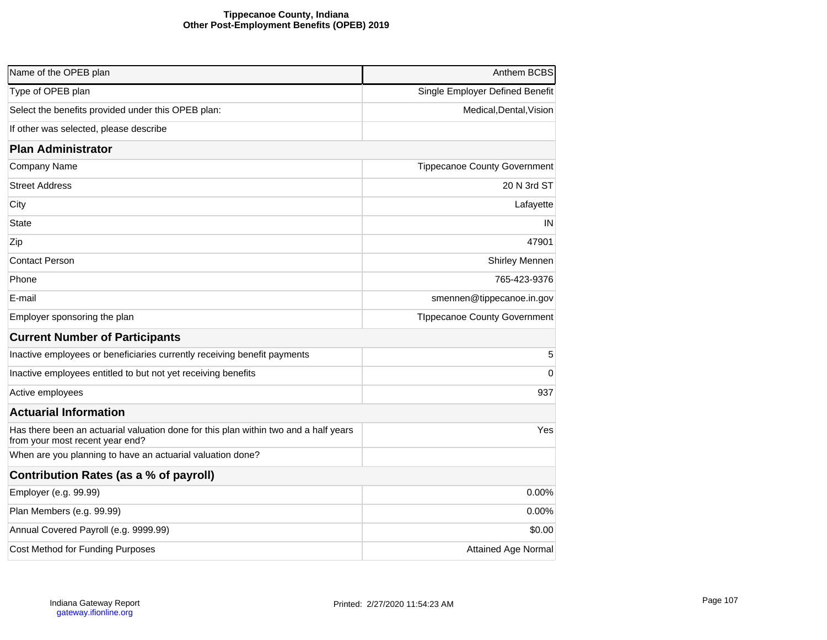### **Tippecanoe County, Indiana Other Post-Employment Benefits (OPEB) 2019**

| Name of the OPEB plan                                                                                                   | Anthem BCBS                         |
|-------------------------------------------------------------------------------------------------------------------------|-------------------------------------|
| Type of OPEB plan                                                                                                       | Single Employer Defined Benefit     |
| Select the benefits provided under this OPEB plan:                                                                      | Medical, Dental, Vision             |
| If other was selected, please describe                                                                                  |                                     |
| <b>Plan Administrator</b>                                                                                               |                                     |
| Company Name                                                                                                            | <b>Tippecanoe County Government</b> |
| <b>Street Address</b>                                                                                                   | 20 N 3rd ST                         |
| City                                                                                                                    | Lafayette                           |
| State                                                                                                                   | IN                                  |
| Zip                                                                                                                     | 47901                               |
| <b>Contact Person</b>                                                                                                   | Shirley Mennen                      |
| Phone                                                                                                                   | 765-423-9376                        |
| E-mail                                                                                                                  | smennen@tippecanoe.in.gov           |
| Employer sponsoring the plan                                                                                            | <b>TIppecanoe County Government</b> |
| <b>Current Number of Participants</b>                                                                                   |                                     |
| Inactive employees or beneficiaries currently receiving benefit payments                                                | 5                                   |
| Inactive employees entitled to but not yet receiving benefits                                                           | 0                                   |
| Active employees                                                                                                        | 937                                 |
| <b>Actuarial Information</b>                                                                                            |                                     |
| Has there been an actuarial valuation done for this plan within two and a half years<br>from your most recent year end? | Yes                                 |
| When are you planning to have an actuarial valuation done?                                                              |                                     |
| Contribution Rates (as a % of payroll)                                                                                  |                                     |
| Employer (e.g. 99.99)                                                                                                   | $0.00\%$                            |
| Plan Members (e.g. 99.99)                                                                                               | $0.00\%$                            |
| Annual Covered Payroll (e.g. 9999.99)                                                                                   | \$0.00                              |
| Cost Method for Funding Purposes                                                                                        | <b>Attained Age Normal</b>          |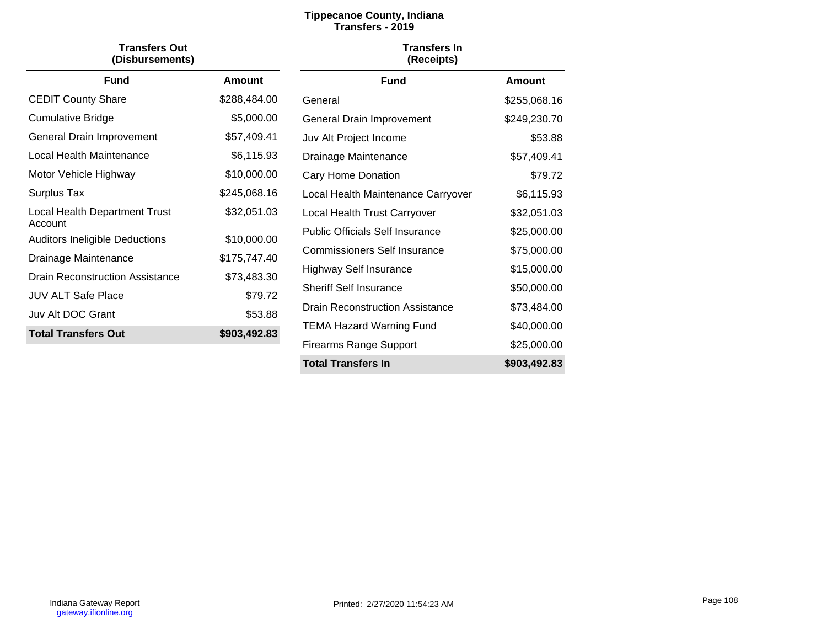# **Tippecanoe County, Indiana Transfers - 2019**

| <b>Transfers Out</b><br>(Disbursements)          |               | <b>Transfers In</b><br>(Receipts)      |               |
|--------------------------------------------------|---------------|----------------------------------------|---------------|
| <b>Fund</b>                                      | <b>Amount</b> | <b>Fund</b>                            | <b>Amount</b> |
| <b>CEDIT County Share</b>                        | \$288,484.00  | General                                | \$255,068.16  |
| Cumulative Bridge                                | \$5,000.00    | General Drain Improvement              | \$249,230.70  |
| General Drain Improvement                        | \$57,409.41   | Juv Alt Project Income                 | \$53.88       |
| Local Health Maintenance                         | \$6,115.93    | Drainage Maintenance                   | \$57,409.41   |
| Motor Vehicle Highway                            | \$10,000.00   | Cary Home Donation                     | \$79.72       |
| Surplus Tax                                      | \$245,068.16  | Local Health Maintenance Carryover     | \$6,115.93    |
| Local Health Department Trust                    | \$32,051.03   | Local Health Trust Carryover           | \$32,051.03   |
| Account<br><b>Auditors Ineligible Deductions</b> | \$10,000.00   | <b>Public Officials Self Insurance</b> | \$25,000.00   |
| Drainage Maintenance                             | \$175,747.40  | <b>Commissioners Self Insurance</b>    | \$75,000.00   |
| <b>Drain Reconstruction Assistance</b>           | \$73,483.30   | <b>Highway Self Insurance</b>          | \$15,000.00   |
| <b>JUV ALT Safe Place</b>                        | \$79.72       | <b>Sheriff Self Insurance</b>          | \$50,000.00   |
| Juv Alt DOC Grant                                | \$53.88       | <b>Drain Reconstruction Assistance</b> | \$73,484.00   |
| <b>Total Transfers Out</b>                       | \$903,492.83  | <b>TEMA Hazard Warning Fund</b>        | \$40,000.00   |
|                                                  |               | <b>Firearms Range Support</b>          | \$25,000.00   |
|                                                  |               | <b>Total Transfers In</b>              | \$903,492.83  |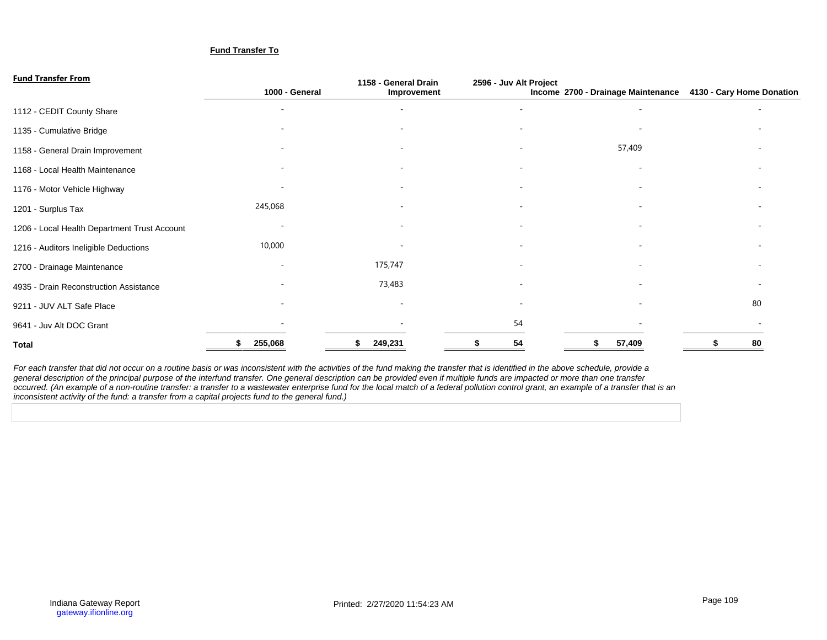#### **Fund Transfer To**

### **Fund Transfer From**

| <u>I UIIU TIAIISI CI TIUIII</u>              | 1000 - General | 1158 - General Drain<br>Improvement | 2596 - Juv Alt Project | Income 2700 - Drainage Maintenance | 4130 - Cary Home Donation |
|----------------------------------------------|----------------|-------------------------------------|------------------------|------------------------------------|---------------------------|
|                                              |                |                                     |                        |                                    |                           |
| 1112 - CEDIT County Share                    |                |                                     | ۰                      |                                    |                           |
| 1135 - Cumulative Bridge                     |                |                                     |                        |                                    |                           |
| 1158 - General Drain Improvement             |                |                                     |                        | 57,409                             |                           |
| 1168 - Local Health Maintenance              |                |                                     | ۰                      |                                    |                           |
| 1176 - Motor Vehicle Highway                 |                |                                     |                        |                                    |                           |
| 1201 - Surplus Tax                           | 245,068        |                                     |                        |                                    |                           |
| 1206 - Local Health Department Trust Account |                |                                     | ۰                      |                                    |                           |
| 1216 - Auditors Ineligible Deductions        | 10,000         |                                     |                        |                                    |                           |
| 2700 - Drainage Maintenance                  |                | 175,747                             |                        |                                    |                           |
| 4935 - Drain Reconstruction Assistance       |                | 73,483                              | ۰                      |                                    |                           |
| 9211 - JUV ALT Safe Place                    |                |                                     |                        |                                    | 80                        |
| 9641 - Juv Alt DOC Grant                     |                |                                     | 54                     |                                    |                           |
| <b>Total</b>                                 | 255,068        | 249,231                             | 54                     | 57,409                             | 80                        |

For each transfer that did not occur on a routine basis or was inconsistent with the activities of the fund making the transfer that is identified in the above schedule, provide a general description of the principal purpose of the interfund transfer. One general description can be provided even if multiple funds are impacted or more than one transfer occurred. (An example of a non-routine transfer: a transfer to a wastewater enterprise fund for the local match of a federal pollution control grant, an example of a transfer that is an inconsistent activity of the fund: a transfer from a capital projects fund to the general fund.)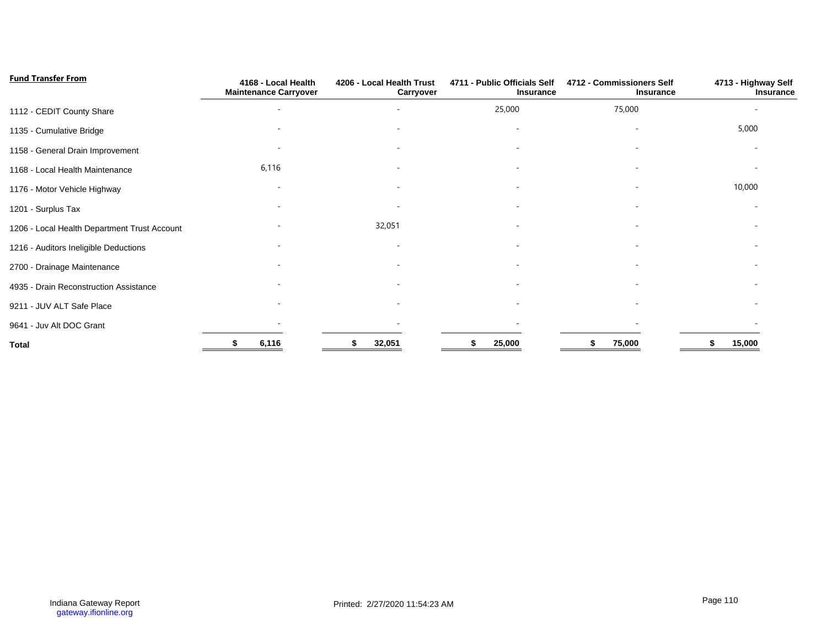| <b>Fund Transfer From</b>                    | 4168 - Local Health<br><b>Maintenance Carryover</b> | 4206 - Local Health Trust<br>Carryover | 4711 - Public Officials Self<br>Insurance | 4712 - Commissioners Self<br>Insurance | 4713 - Highway Self<br>Insurance |
|----------------------------------------------|-----------------------------------------------------|----------------------------------------|-------------------------------------------|----------------------------------------|----------------------------------|
| 1112 - CEDIT County Share                    |                                                     |                                        | 25,000                                    | 75,000                                 |                                  |
| 1135 - Cumulative Bridge                     |                                                     |                                        | $\overline{\phantom{a}}$                  | $\overline{\phantom{a}}$               | 5,000                            |
| 1158 - General Drain Improvement             |                                                     |                                        |                                           |                                        |                                  |
| 1168 - Local Health Maintenance              | 6,116                                               |                                        |                                           |                                        |                                  |
| 1176 - Motor Vehicle Highway                 |                                                     |                                        |                                           |                                        | 10,000                           |
| 1201 - Surplus Tax                           |                                                     |                                        |                                           |                                        |                                  |
| 1206 - Local Health Department Trust Account |                                                     | 32,051                                 |                                           |                                        |                                  |
| 1216 - Auditors Ineligible Deductions        |                                                     |                                        |                                           |                                        |                                  |
| 2700 - Drainage Maintenance                  |                                                     |                                        |                                           |                                        |                                  |
| 4935 - Drain Reconstruction Assistance       |                                                     |                                        |                                           |                                        |                                  |
| 9211 - JUV ALT Safe Place                    |                                                     |                                        |                                           |                                        |                                  |
| 9641 - Juv Alt DOC Grant                     |                                                     |                                        |                                           |                                        |                                  |
| <b>Total</b>                                 | 6,116                                               | 32,051                                 | 25,000                                    | 75,000                                 | 15,000                           |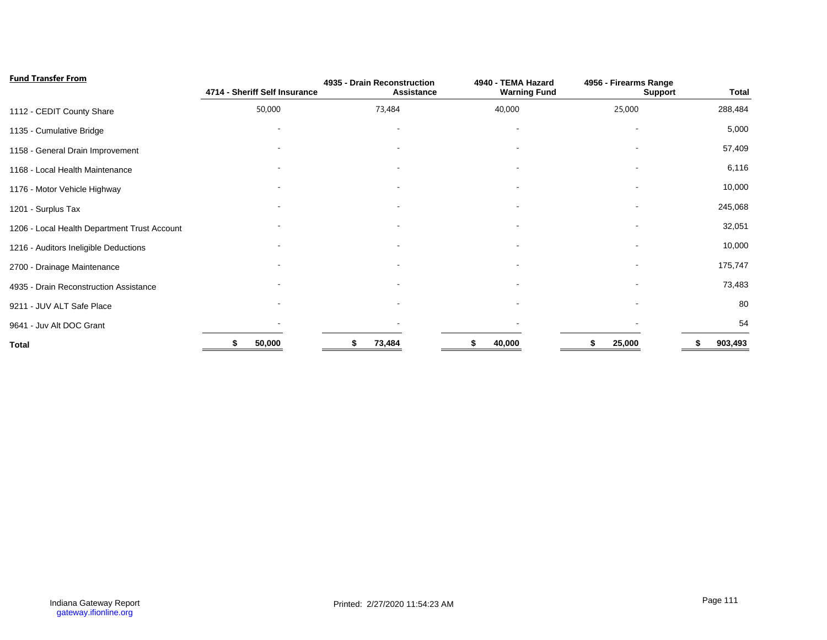| <b>Fund Transfer From</b>                    | 4714 - Sheriff Self Insurance | 4935 - Drain Reconstruction<br>Assistance | 4940 - TEMA Hazard<br><b>Warning Fund</b> | 4956 - Firearms Range<br><b>Support</b> | <b>Total</b> |
|----------------------------------------------|-------------------------------|-------------------------------------------|-------------------------------------------|-----------------------------------------|--------------|
| 1112 - CEDIT County Share                    | 50,000                        | 73,484                                    | 40,000                                    | 25,000                                  | 288,484      |
| 1135 - Cumulative Bridge                     |                               |                                           |                                           |                                         | 5,000        |
| 1158 - General Drain Improvement             |                               |                                           |                                           |                                         | 57,409       |
| 1168 - Local Health Maintenance              |                               |                                           |                                           |                                         | 6,116        |
| 1176 - Motor Vehicle Highway                 |                               |                                           |                                           |                                         | 10,000       |
| 1201 - Surplus Tax                           |                               |                                           |                                           |                                         | 245,068      |
| 1206 - Local Health Department Trust Account |                               |                                           |                                           |                                         | 32,051       |
| 1216 - Auditors Ineligible Deductions        |                               |                                           |                                           |                                         | 10,000       |
| 2700 - Drainage Maintenance                  |                               |                                           |                                           |                                         | 175,747      |
| 4935 - Drain Reconstruction Assistance       |                               |                                           |                                           |                                         | 73,483       |
| 9211 - JUV ALT Safe Place                    |                               |                                           |                                           |                                         | 80           |
| 9641 - Juv Alt DOC Grant                     |                               |                                           |                                           |                                         | 54           |
| <b>Total</b>                                 | 50,000                        | 73,484<br>S                               | 40,000                                    | 25,000                                  | 903,493      |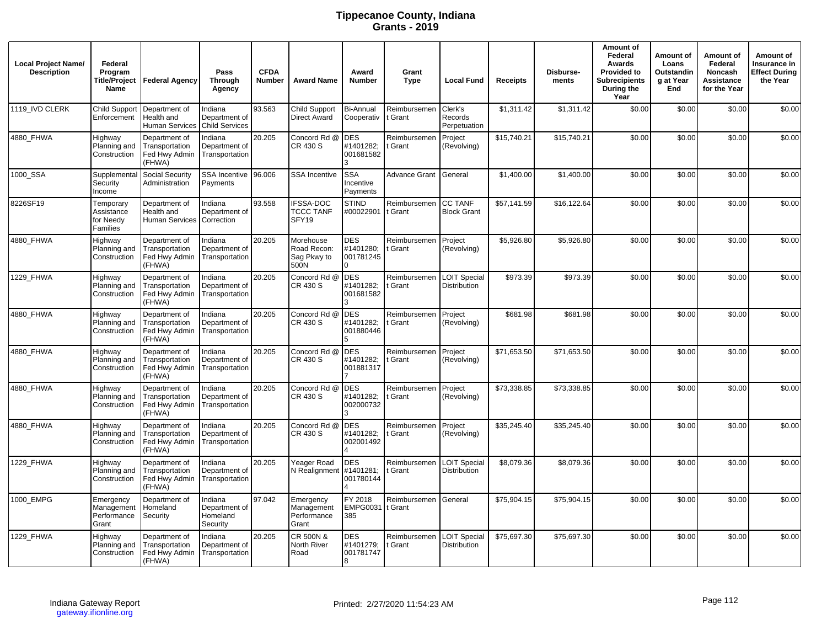# **Tippecanoe County, Indiana Grants - 2019**

| <b>Local Project Name/</b><br><b>Description</b> | Federal<br>Program<br>Name                       | Title/Project   Federal Agency                             | Pass<br><b>Through</b><br>Agency                  | <b>CFDA</b><br><b>Number</b> | <b>Award Name</b>                               | Award<br><b>Number</b>               | Grant<br><b>Type</b>    | <b>Local Fund</b>                          | <b>Receipts</b> | Disburse-<br>ments | Amount of<br>Federal<br>Awards<br><b>Provided to</b><br><b>Subrecipients</b><br>During the<br>Year | Amount of<br>Loans<br>Outstandin<br>a at Year<br>End | Amount of<br>Federal<br>Noncash<br>Assistance<br>for the Year | Amount of<br>Insurance in<br><b>Effect During</b><br>the Year |
|--------------------------------------------------|--------------------------------------------------|------------------------------------------------------------|---------------------------------------------------|------------------------------|-------------------------------------------------|--------------------------------------|-------------------------|--------------------------------------------|-----------------|--------------------|----------------------------------------------------------------------------------------------------|------------------------------------------------------|---------------------------------------------------------------|---------------------------------------------------------------|
| 1119_IVD CLERK                                   | <b>Child Support</b><br>Enforcement              | Department of<br>Health and<br><b>Human Services</b>       | Indiana<br>Department of<br><b>Child Services</b> | 93.563                       | <b>Child Support</b><br><b>Direct Award</b>     | <b>Bi-Annual</b><br>Cooperativ       | Reimbursemen<br>t Grant | Clerk's<br>Records<br>Perpetuation         | \$1,311.42      | \$1,311.42         | \$0.00                                                                                             | \$0.00                                               | \$0.00                                                        | \$0.00                                                        |
| 4880_FHWA                                        | Highway<br>Planning and<br>Construction          | Department of<br>Transportation<br>Fed Hwy Admin<br>(FHWA) | Indiana<br>Department of<br>Transportation        | 20.205                       | Concord Rd @<br>CR 430 S                        | <b>DES</b><br>#1401282;<br>001681582 | Reimbursemen<br>Grant   | Project<br>(Revolving)                     | \$15,740.21     | \$15,740.21        | \$0.00                                                                                             | \$0.00                                               | \$0.00                                                        | \$0.00                                                        |
| 1000 SSA                                         | Supplemental<br>Security<br>Income               | Social Security<br>Administration                          | SSA Incentive 96.006<br>Payments                  |                              | <b>SSA Incentive</b>                            | <b>SSA</b><br>Incentive<br>Payments  | Advance Grant           | General                                    | \$1,400.00      | \$1,400.00         | \$0.00                                                                                             | \$0.00                                               | \$0.00                                                        | \$0.00                                                        |
| 8226SF19                                         | Temporary<br>Assistance<br>for Needy<br>Families | Department of<br>Health and<br><b>Human Services</b>       | Indiana<br>Department of<br>Correction            | 93.558                       | <b>IFSSA-DOC</b><br><b>TCCC TANF</b><br>SFY19   | <b>STIND</b><br>#00022901            | Reimbursemen<br>t Grant | <b>CC TANF</b><br><b>Block Grant</b>       | \$57,141.59     | \$16,122.64        | \$0.00                                                                                             | \$0.00                                               | \$0.00                                                        | \$0.00                                                        |
| 4880_FHWA                                        | Highway<br>Planning and<br>Construction          | Department of<br>Transportation<br>Fed Hwy Admin<br>(FHWA) | Indiana<br>Department of<br>Transportation        | 20.205                       | Morehouse<br>Road Recon:<br>Sag Pkwy to<br>500N | DES<br>#1401280;<br>001781245        | Reimbursemen<br>t Grant | Project<br>(Revolving)                     | \$5,926.80      | \$5,926.80         | \$0.00                                                                                             | \$0.00                                               | \$0.00                                                        | \$0.00                                                        |
| 1229 FHWA                                        | Highway<br>Planning and<br>Construction          | Department of<br>Transportation<br>Fed Hwy Admin<br>(FHWA) | Indiana<br>Department of<br>Transportation        | 20.205                       | Concord Rd @<br>CR 430 S                        | <b>DES</b><br>#1401282;<br>001681582 | Reimbursemen<br>t Grant | LOIT Special<br><b>Distribution</b>        | \$973.39        | \$973.39           | \$0.00                                                                                             | \$0.00                                               | \$0.00                                                        | \$0.00                                                        |
| 4880 FHWA                                        | Highway<br>Planning and<br>Construction          | Department of<br>Transportation<br>Fed Hwy Admin<br>(FHWA) | Indiana<br>Department of<br>Transportation        | 20.205                       | Concord Rd @<br>CR 430 S                        | <b>DES</b><br>#1401282:<br>001880446 | Reimbursemen<br>t Grant | Project<br>(Revolving)                     | \$681.98        | \$681.98           | \$0.00                                                                                             | \$0.00                                               | \$0.00                                                        | \$0.00                                                        |
| 4880 FHWA                                        | Highway<br>Planning and<br>Construction          | Department of<br>Transportation<br>Fed Hwy Admin<br>(FHWA) | Indiana<br>Department of<br><b>Transportation</b> | 20.205                       | Concord Rd @<br>CR 430 S                        | <b>DES</b><br>#1401282:<br>001881317 | Reimbursemen<br>t Grant | Project<br>(Revolving)                     | \$71,653.50     | \$71,653.50        | \$0.00                                                                                             | \$0.00                                               | \$0.00                                                        | \$0.00                                                        |
| 4880_FHWA                                        | Highway<br>Planning and<br>Construction          | Department of<br>Transportation<br>Fed Hwy Admin<br>(FHWA) | Indiana<br>Department of<br>Transportation        | 20.205                       | Concord Rd @<br>CR 430 S                        | <b>DES</b><br>#1401282:<br>002000732 | Reimbursemen<br>t Grant | Project<br>(Revolving)                     | \$73,338.85     | \$73,338.85        | \$0.00                                                                                             | \$0.00                                               | \$0.00                                                        | \$0.00                                                        |
| 4880 FHWA                                        | Highway<br>Planning and<br>Construction          | Department of<br>Transportation<br>Fed Hwy Admin<br>(FHWA) | Indiana<br>Department of<br>Transportation        | 20.205                       | Concord Rd @<br>CR 430 S                        | <b>DES</b><br>#1401282:<br>002001492 | Reimbursemen<br>: Grant | Project<br>(Revolving)                     | \$35,245.40     | \$35,245.40        | \$0.00                                                                                             | \$0.00                                               | \$0.00                                                        | \$0.00                                                        |
| 1229 FHWA                                        | Highway<br>Planning and<br>Construction          | Department of<br>Transportation<br>Fed Hwy Admin<br>(FHWA) | Indiana<br>Department of<br>Transportation        | 20.205                       | Yeager Road<br>N Realignment                    | <b>DES</b><br>#1401281;<br>001780144 | Reimbursemen<br>t Grant | <b>LOIT Special</b><br><b>Distribution</b> | \$8,079.36      | \$8,079.36         | \$0.00                                                                                             | \$0.00                                               | \$0.00                                                        | \$0.00                                                        |
| 1000 EMPG                                        | Emergency<br>Management<br>Performance<br>Grant  | Department of<br>Homeland<br>Security                      | Indiana<br>Department of<br>Homeland<br>Security  | 97.042                       | Emergency<br>Management<br>Performance<br>Grant | FY 2018<br>EMPG0031 t Grant<br>385   | Reimbursemen            | General                                    | \$75,904.15     | \$75,904.15        | \$0.00                                                                                             | \$0.00                                               | \$0.00                                                        | \$0.00                                                        |
| 1229 FHWA                                        | Highway<br>Planning and<br>Construction          | Department of<br>Transportation<br>Fed Hwy Admin<br>(FHWA) | Indiana<br>Department of<br>Transportation        | 20.205                       | CR 500N &<br>North River<br>Road                | DES<br>#1401279;<br>001781747<br>R   | Reimbursemen<br>Grant   | <b>LOIT Special</b><br><b>Distribution</b> | \$75.697.30     | \$75,697.30        | \$0.00                                                                                             | \$0.00                                               | \$0.00                                                        | \$0.00                                                        |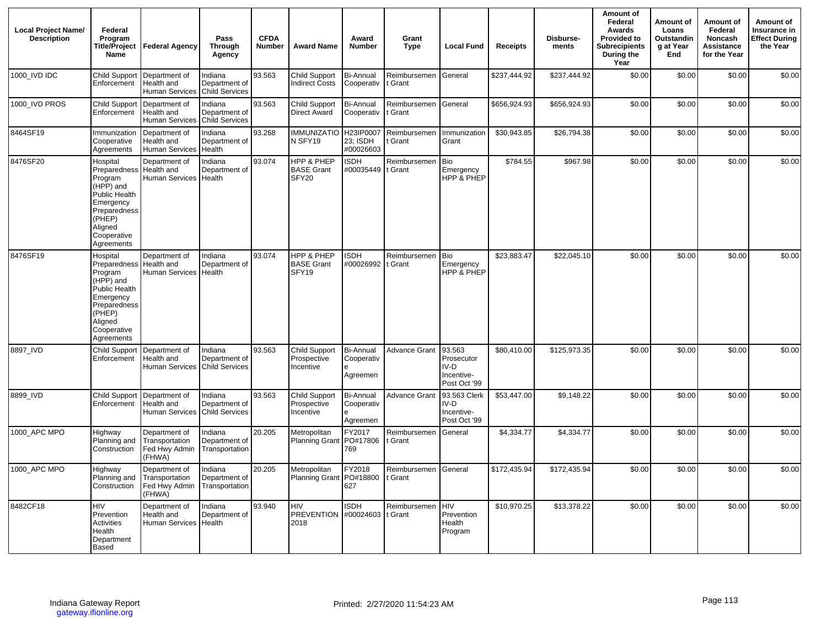| <b>Local Project Name/</b><br><b>Description</b> | Federal<br>Program<br>Title/Project<br>Name                                                                                                             | Federal Agency                                             | Pass<br><b>Through</b><br>Agency                  | <b>CFDA</b><br><b>Number</b> | <b>Award Name</b>                                | Award<br><b>Number</b>                     | Grant<br><b>Type</b>    | <b>Local Fund</b>                                            | <b>Receipts</b> | Disburse-<br>ments | Amount of<br>Federal<br>Awards<br><b>Provided to</b><br><b>Subrecipients</b><br>During the<br>Year | Amount of<br>Loans<br>Outstandin<br>g at Year<br>End | Amount of<br>Federal<br>Noncash<br>Assistance<br>for the Year | Amount of<br>Insurance in<br><b>Effect During</b><br>the Year |
|--------------------------------------------------|---------------------------------------------------------------------------------------------------------------------------------------------------------|------------------------------------------------------------|---------------------------------------------------|------------------------------|--------------------------------------------------|--------------------------------------------|-------------------------|--------------------------------------------------------------|-----------------|--------------------|----------------------------------------------------------------------------------------------------|------------------------------------------------------|---------------------------------------------------------------|---------------------------------------------------------------|
| 1000 IVD IDC                                     | <b>Child Support</b><br>Enforcement                                                                                                                     | Department of<br>Health and<br><b>Human Services</b>       | Indiana<br>Department of<br><b>Child Services</b> | 93.563                       | <b>Child Support</b><br><b>Indirect Costs</b>    | <b>Bi-Annual</b><br>Cooperativ             | Reimbursemen<br>t Grant | General                                                      | \$237,444.92    | \$237,444.92       | \$0.00                                                                                             | \$0.00                                               | \$0.00                                                        | \$0.00                                                        |
| 1000 IVD PROS                                    | <b>Child Support</b><br>Enforcement                                                                                                                     | Department of<br>Health and<br><b>Human Services</b>       | Indiana<br>Department of<br><b>Child Services</b> | 93.563                       | Child Support<br><b>Direct Award</b>             | <b>Bi-Annual</b><br>Cooperativ             | Reimbursemen<br>t Grant | General                                                      | \$656,924.93    | \$656,924.93       | \$0.00                                                                                             | \$0.00                                               | \$0.00                                                        | \$0.00                                                        |
| 8464SF19                                         | Immunization<br>Cooperative<br>Agreements                                                                                                               | Department of<br>Health and<br><b>Human Services</b>       | Indiana<br>Department of<br>Health                | 93.268                       | <b>IMMUNIZATIO</b><br>N SFY19                    | H23IP0007<br>23; ISDH<br>#00026603         | Reimbursemen<br>t Grant | Immunization<br>Grant                                        | \$30,943.85     | \$26,794.38        | \$0.00                                                                                             | \$0.00                                               | \$0.00                                                        | \$0.00                                                        |
| 8476SF20                                         | Hospital<br>Preparedness<br>Program<br>(HPP) and<br>Public Health<br>Emergency<br>Preparedness<br>(PHEP)<br>Aligned<br>Cooperative<br>Agreements        | Department of<br>Health and<br>Human Services              | Indiana<br>Department of<br>Health                | 93.074                       | HPP & PHEP<br><b>BASE Grant</b><br>SFY20         | <b>ISDH</b><br>#00035449 It Grant          | Reimbursemen            | Bio<br>Emergency<br>HPP & PHEP                               | \$784.55        | \$967.98           | \$0.00                                                                                             | \$0.00                                               | \$0.00                                                        | \$0.00                                                        |
| 8476SF19                                         | Hospital<br><b>Preparedness</b><br>Program<br>(HPP) and<br>Public Health<br>Emergency<br>Preparedness<br>(PHEP)<br>Aligned<br>Cooperative<br>Agreements | Department of<br>Health and<br><b>Human Services</b>       | Indiana<br>Department of<br>Health                | 93.074                       | HPP & PHEP<br><b>BASE Grant</b><br>SFY19         | <b>ISDH</b><br>#00026992 t Grant           | Reimbursemen            | <b>Bio</b><br>Emergency<br>HPP & PHEP                        | \$23,883.47     | \$22,045.10        | \$0.00                                                                                             | \$0.00                                               | \$0.00                                                        | \$0.00                                                        |
| 8897 IVD                                         | <b>Child Support</b><br>Enforcement                                                                                                                     | Department of<br>Health and<br>Human Services              | Indiana<br>Department of<br>Child Services        | 93.563                       | <b>Child Support</b><br>Prospective<br>Incentive | Bi-Annual<br>Cooperativ<br>Agreemen        | <b>Advance Grant</b>    | 93.563<br>Prosecutor<br>$IV-D$<br>Incentive-<br>Post Oct '99 | \$80,410.00     | \$125,973.35       | \$0.00                                                                                             | \$0.00                                               | \$0.00                                                        | \$0.00                                                        |
| 8899_IVD                                         | <b>Child Support</b><br>Enforcement                                                                                                                     | Department of<br>Health and<br><b>Human Services</b>       | Indiana<br>Department of<br><b>Child Services</b> | 93.563                       | <b>Child Support</b><br>Prospective<br>Incentive | <b>Bi-Annual</b><br>Cooperativ<br>Agreemen | <b>Advance Grant</b>    | 93.563 Clerk<br>$IV-D$<br>Incentive-<br>Post Oct '99         | \$53,447.00     | \$9,148.22         | \$0.00                                                                                             | \$0.00                                               | \$0.00                                                        | \$0.00                                                        |
| 1000 APC MPO                                     | Highway<br>Planning and<br>Construction                                                                                                                 | Department of<br>Transportation<br>Fed Hwy Admin<br>(FHWA) | Indiana<br>Department of<br>Transportation        | 20.205                       | Metropolitan<br>Planning Grant PO#17806          | FY2017<br>769                              | Reimbursemen<br>t Grant | General                                                      | \$4,334.77      | \$4,334.77         | \$0.00                                                                                             | \$0.00                                               | \$0.00                                                        | \$0.00                                                        |
| 1000 APC MPO                                     | Highway<br>Planning and<br>Construction                                                                                                                 | Department of<br>Transportation<br>Fed Hwy Admin<br>(FHWA) | Indiana<br>Department of<br>Transportation        | 20.205                       | Metropolitan<br><b>Planning Grant</b>            | FY2018<br>PO#18800<br>627                  | Reimbursemen<br>t Grant | General                                                      | \$172,435.94    | \$172,435.94       | \$0.00                                                                                             | \$0.00                                               | \$0.00                                                        | \$0.00                                                        |
| 8482CF18                                         | <b>HIV</b><br>Prevention<br><b>Activities</b><br>Health<br>Department<br>Based                                                                          | Department of<br>Health and<br><b>Human Services</b>       | Indiana<br>Department of<br>Health                | 93.940                       | HIV<br>PREVENTION #00024603<br>2018              | <b>ISDH</b>                                | Reimbursemen<br>t Grant | <b>HIV</b><br>Prevention<br>Health<br>Program                | \$10,970.25     | \$13,378.22        | \$0.00                                                                                             | \$0.00                                               | \$0.00                                                        | \$0.00                                                        |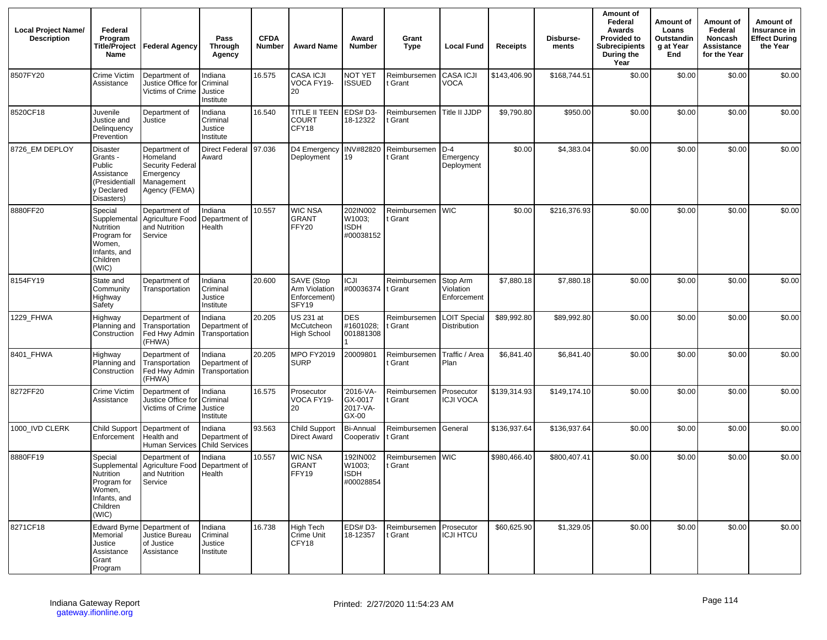| <b>Local Project Name/</b><br><b>Description</b> | Federal<br>Program<br><b>Title/Project</b><br>Name                                                 | <b>Federal Agency</b>                                                                     | Pass<br>Through<br>Agency                         | <b>CFDA</b><br><b>Number</b> | <b>Award Name</b>                                    | Award<br><b>Number</b>                         | Grant<br><b>Type</b>            | <b>Local Fund</b>                    | <b>Receipts</b> | Disburse-<br>ments | Amount of<br>Federal<br>Awards<br><b>Provided to</b><br>Subrecipients<br>During the<br>Year | Amount of<br>Loans<br>Outstandin<br>g at Year<br>End | Amount of<br>Federal<br>Noncash<br>Assistance<br>for the Year | Amount of<br>Insurance in<br><b>Effect During</b><br>the Year |
|--------------------------------------------------|----------------------------------------------------------------------------------------------------|-------------------------------------------------------------------------------------------|---------------------------------------------------|------------------------------|------------------------------------------------------|------------------------------------------------|---------------------------------|--------------------------------------|-----------------|--------------------|---------------------------------------------------------------------------------------------|------------------------------------------------------|---------------------------------------------------------------|---------------------------------------------------------------|
| 8507FY20                                         | Crime Victim<br>Assistance                                                                         | Department of<br>Justice Office for<br>Victims of Crime   Justice                         | Indiana<br>Criminal<br>Institute                  | 16.575                       | CASA ICJI<br>VOCA FY19-<br>20                        | NOT YET<br><b>ISSUED</b>                       | Reimbursemen<br>t Grant         | CASA ICJI<br><b>VOCA</b>             | \$143,406.90    | \$168,744.51       | \$0.00                                                                                      | \$0.00                                               | \$0.00                                                        | \$0.00                                                        |
| 8520CF18                                         | Juvenile<br>Justice and<br>Delinquency<br>Prevention                                               | Department of<br>Justice                                                                  | Indiana<br>Criminal<br>Justice<br>Institute       | 16.540                       | TITLE II TEEN<br><b>COURT</b><br>CFY18               | EDS#D3-<br>18-12322                            | Reimbursemen<br>: Grant         | Title II JJDP                        | \$9,790.80      | \$950.00           | \$0.00                                                                                      | \$0.00                                               | \$0.00                                                        | \$0.00                                                        |
| 8726 EM DEPLOY                                   | Disaster<br>Grants -<br>Public<br>Assistance<br>(Presidentiall<br>y Declared<br>Disasters)         | Department of<br>Homeland<br>Security Federal<br>Emergency<br>Management<br>Agency (FEMA) | <b>Direct Federal</b><br>Award                    | 97.036                       | D4 Emergency<br>Deployment                           | INV#82820<br>19                                | Reimbursemen<br>t Grant         | $D-4$<br>Emergency<br>Deployment     | \$0.00          | \$4,383.04         | \$0.00                                                                                      | \$0.00                                               | \$0.00                                                        | \$0.00                                                        |
| 8880FF20                                         | Special<br>Supplemental<br>Nutrition<br>Program for<br>Women,<br>Infants, and<br>Children<br>(WIC) | Department of<br>Agriculture Food<br>and Nutrition<br>Service                             | Indiana<br>Department of<br>Health                | 10.557                       | <b>WIC NSA</b><br><b>GRANT</b><br>FFY20              | 202IN002<br>W1003:<br><b>ISDH</b><br>#00038152 | Reimbursemen<br>t Grant         | <b>WIC</b>                           | \$0.00          | \$216,376.93       | \$0.00                                                                                      | \$0.00                                               | \$0.00                                                        | \$0.00                                                        |
| 8154FY19                                         | State and<br>Community<br>Highway<br>Safety                                                        | Department of<br>Transportation                                                           | Indiana<br>Criminal<br>Justice<br>Institute       | 20.600                       | SAVE (Stop<br>Arm Violation<br>Enforcement)<br>SFY19 | <b>ICJI</b><br>#00036374 t Grant               | Reimbursemen                    | Stop Arm<br>Violation<br>Enforcement | \$7,880.18      | \$7,880.18         | \$0.00                                                                                      | \$0.00                                               | \$0.00                                                        | \$0.00                                                        |
| 1229_FHWA                                        | Highway<br>Planning and<br>Construction                                                            | Department of<br>Transportation<br>Fed Hwy Admin<br>(FHWA)                                | Indiana<br>Department of<br>Transportation        | 20.205                       | US 231 at<br>McCutcheon<br><b>High School</b>        | <b>DES</b><br>#1601028;<br>001881308           | Reimbursemer<br>t Grant         | <b>LOIT Special</b><br>Distribution  | \$89,992.80     | \$89,992.80        | \$0.00                                                                                      | \$0.00                                               | \$0.00                                                        | \$0.00                                                        |
| 8401_FHWA                                        | Highway<br>Planning and<br>Construction                                                            | Department of<br>Transportation<br>Fed Hwy Admin<br>(FHWA)                                | Indiana<br>Department of<br>Transportation        | 20.205                       | MPO FY2019<br><b>SURP</b>                            | 20009801                                       | Reimbursemen<br>t Grant         | Traffic / Area<br>Plan               | \$6,841.40      | \$6,841.40         | \$0.00                                                                                      | \$0.00                                               | \$0.00                                                        | \$0.00                                                        |
| 8272FF20                                         | Crime Victim<br>Assistance                                                                         | Department of<br>Justice Office for<br>Victims of Crime                                   | Indiana<br>Criminal<br>Justice<br>Institute       | 16.575                       | Prosecutor<br>VOCA FY19-<br>20                       | '2016-VA-<br>GX-0017<br>2017-VA-<br>GX-00      | Reimbursemen<br>Grant           | Prosecutor<br><b>ICJI VOCA</b>       | \$139,314.93    | \$149,174.10       | \$0.00                                                                                      | \$0.00                                               | \$0.00                                                        | \$0.00                                                        |
| 1000 IVD CLERK                                   | <b>Child Support</b><br>Enforcement                                                                | Department of<br>Health and<br>Human Services                                             | Indiana<br>Department of<br><b>Child Services</b> | 93.563                       | Child Support<br><b>Direct Award</b>                 | <b>Bi-Annual</b><br>Cooperativ                 | Reimbursemen General<br>t Grant |                                      | \$136,937.64    | \$136,937.64       | \$0.00                                                                                      | \$0.00                                               | \$0.00                                                        | \$0.00                                                        |
| 8880FF19                                         | Special<br>Supplemental<br>Nutrition<br>Program for<br>Women,<br>Infants, and<br>Children<br>(WIC) | Department of<br>Agriculture Food<br>and Nutrition<br>Service                             | Indiana<br>Department of<br>Health                | 10.557                       | WIC NSA<br><b>GRANT</b><br>FFY19                     | 192IN002<br>W1003;<br><b>ISDH</b><br>#00028854 | Reimbursemen<br>t Grant         | <b>I</b> WIC                         | \$980,466.40    | \$800,407.41       | \$0.00                                                                                      | \$0.00                                               | \$0.00                                                        | \$0.00                                                        |
| 8271CF18                                         | <b>Edward Byrne</b><br>Memorial<br>Justice<br>Assistance<br>Grant<br>Program                       | Department of<br>Justice Bureau<br>of Justice<br>Assistance                               | Indiana<br>Criminal<br>Justice<br>Institute       | 16.738                       | <b>High Tech</b><br><b>Crime Unit</b><br>CFY18       | EDS#D3-<br>18-12357                            | Reimbursemen<br>t Grant         | Prosecutor<br><b>ICJI HTCU</b>       | \$60,625.90     | \$1,329.05         | \$0.00                                                                                      | \$0.00                                               | \$0.00                                                        | \$0.00                                                        |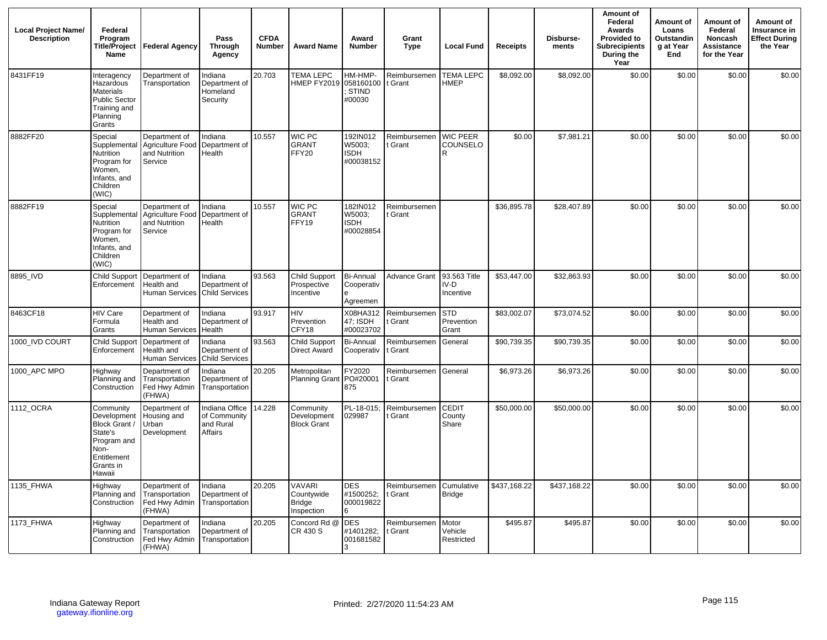| <b>Local Project Name/</b><br><b>Description</b> | Federal<br>Program<br>Title/Project<br>Name                                                                       | Federal Agency                                                | Pass<br><b>Through</b><br>Agency                       | <b>CFDA</b><br><b>Number</b> | <b>Award Name</b>                                          | Award<br><b>Number</b>                         | Grant<br><b>Type</b>    | <b>Local Fund</b>                   | <b>Receipts</b> | Disburse-<br>ments | Amount of<br>Federal<br>Awards<br><b>Provided to</b><br><b>Subrecipients</b><br>During the<br>Year | Amount of<br>Loans<br>Outstandin<br>g at Year<br>End | Amount of<br>Federal<br>Noncash<br>Assistance<br>for the Year | Amount of<br>Insurance in<br><b>Effect During</b><br>the Year |
|--------------------------------------------------|-------------------------------------------------------------------------------------------------------------------|---------------------------------------------------------------|--------------------------------------------------------|------------------------------|------------------------------------------------------------|------------------------------------------------|-------------------------|-------------------------------------|-----------------|--------------------|----------------------------------------------------------------------------------------------------|------------------------------------------------------|---------------------------------------------------------------|---------------------------------------------------------------|
| 8431FF19                                         | Interagency<br>Hazardous<br>Materials<br><b>Public Sector</b><br>Training and<br>Planning<br>Grants               | Department of<br>Transportation                               | Indiana<br>Department of<br>Homeland<br>Security       | 20.703                       | <b>TEMA LEPC</b><br>HMEP FY2019                            | HM-HMP-<br>058160100<br>STIND<br>#00030        | Reimbursemen<br>t Grant | <b>TEMA LEPC</b><br><b>HMEP</b>     | \$8,092.00      | \$8,092.00         | \$0.00                                                                                             | \$0.00                                               | \$0.00                                                        | \$0.00                                                        |
| 8882FF20                                         | Special<br>Supplemental<br>Nutrition<br>Program for<br>Women,<br>Infants, and<br>Children<br>(WIC)                | Department of<br>Agriculture Food<br>and Nutrition<br>Service | Indiana<br>Department of<br>Health                     | 10.557                       | WIC PC<br><b>GRANT</b><br>FFY20                            | 192IN012<br>W5003;<br><b>ISDH</b><br>#00038152 | Reimbursemen<br>t Grant | <b>WIC PEER</b><br>COUNSELO<br>R    | \$0.00          | \$7,981.21         | \$0.00                                                                                             | \$0.00                                               | \$0.00                                                        | \$0.00                                                        |
| 8882FF19                                         | Special<br>Supplemental<br>Nutrition<br>Program for<br>Women,<br>Infants, and<br>Children<br>(WIC)                | Department of<br>Agriculture Food<br>and Nutrition<br>Service | Indiana<br>Department of<br>Health                     | 10.557                       | WIC PC<br><b>GRANT</b><br>FFY19                            | 182IN012<br>W5003:<br><b>ISDH</b><br>#00028854 | Reimbursemen<br>t Grant |                                     | \$36,895.78     | \$28,407.89        | \$0.00                                                                                             | \$0.00                                               | \$0.00                                                        | \$0.00                                                        |
| 8895 IVD                                         | Child Support<br>Enforcement                                                                                      | Department of<br>Health and<br>Human Services Child Services  | Indiana<br>Department of                               | 93.563                       | Child Support<br>Prospective<br>Incentive                  | <b>Bi-Annual</b><br>Cooperativ<br>Agreemen     | Advance Grant           | 93.563 Title<br>$IV-D$<br>Incentive | \$53,447.00     | \$32,863.93        | \$0.00                                                                                             | \$0.00                                               | \$0.00                                                        | \$0.00                                                        |
| 8463CF18                                         | <b>HIV Care</b><br>Formula<br>Grants                                                                              | Department of<br>Health and<br><b>Human Services</b>          | Indiana<br>Department of<br>Health                     | 93.917                       | HIV<br>Prevention<br>CFY18                                 | X08HA312<br>47: ISDH<br>#00023702              | Reimbursemen<br>t Grant | <b>STD</b><br>Prevention<br>Grant   | \$83,002.07     | \$73,074.52        | \$0.00                                                                                             | \$0.00                                               | \$0.00                                                        | \$0.00                                                        |
| 1000_IVD COURT                                   | <b>Child Support</b><br>Enforcement                                                                               | Department of<br>Health and<br>Human Services                 | Indiana<br>Department of<br><b>Child Services</b>      | 93.563                       | Child Support<br><b>Direct Award</b>                       | <b>Bi-Annual</b><br>Cooperativ                 | Reimbursemen<br>t Grant | General                             | \$90,739.35     | \$90,739.35        | \$0.00                                                                                             | \$0.00                                               | \$0.00                                                        | \$0.00                                                        |
| 1000_APC MPO                                     | Highway<br>Planning and<br>Construction                                                                           | Department of<br>Transportation<br>Fed Hwy Admin<br>(FHWA)    | Indiana<br>Department of<br>Transportation             | 20.205                       | Metropolitan<br><b>Planning Grant</b>                      | FY2020<br>PO#20001<br>875                      | Reimbursemen<br>t Grant | General                             | \$6,973.26      | \$6,973.26         | \$0.00                                                                                             | \$0.00                                               | \$0.00                                                        | \$0.00                                                        |
| 1112_OCRA                                        | Community<br>Development<br>Block Grant /<br>State's<br>Program and<br>Non-<br>Entitlement<br>Grants in<br>Hawaii | Department of<br>Housing and<br>Urban<br>Development          | Indiana Office<br>of Community<br>and Rural<br>Affairs | 14.228                       | Community<br>Development<br><b>Block Grant</b>             | PL-18-015:<br>029987                           | Reimbursemen<br>t Grant | <b>CEDIT</b><br>County<br>Share     | \$50,000.00     | \$50,000.00        | \$0.00                                                                                             | \$0.00                                               | \$0.00                                                        | \$0.00                                                        |
| 1135_FHWA                                        | Highway<br>Planning and<br>Construction                                                                           | Department of<br>Transportation<br>Fed Hwy Admin<br>(FHWA)    | Indiana<br>Department of<br>Transportation             | 20.205                       | <b>VAVARI</b><br>Countvwide<br><b>Bridge</b><br>Inspection | <b>DES</b><br>#1500252;<br>000019822<br>6      | Reimbursemen<br>t Grant | Cumulative<br><b>Bridge</b>         | \$437,168.22    | \$437,168.22       | \$0.00                                                                                             | \$0.00                                               | \$0.00                                                        | \$0.00                                                        |
| 1173_FHWA                                        | Highway<br>Planning and<br>Construction                                                                           | Department of<br>Transportation<br>Fed Hwy Admin<br>(FHWA)    | Indiana<br>Department of<br>Transportation             | 20.205                       | Concord Rd @<br>CR 430 S                                   | <b>DES</b><br>#1401282;<br>001681582           | Reimbursemen<br>t Grant | Motor<br>Vehicle<br>Restricted      | \$495.87        | \$495.87           | \$0.00                                                                                             | \$0.00                                               | \$0.00                                                        | \$0.00                                                        |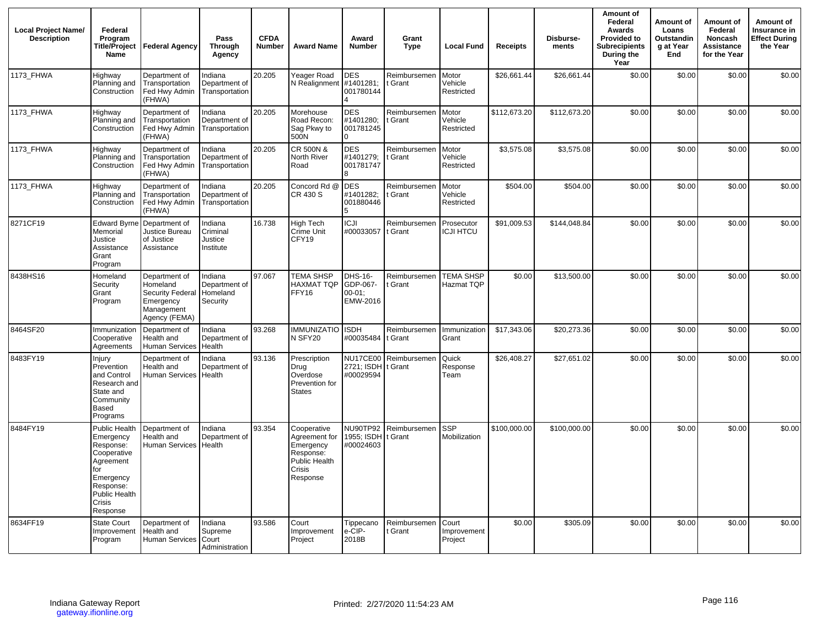| <b>Local Project Name/</b><br><b>Description</b> | Federal<br>Program<br><b>Title/Project</b><br><b>Name</b>                                                                                   | <b>Federal Agency</b>                                                                     | Pass<br>Through<br>Agency                        | <b>CFDA</b><br><b>Number</b> | <b>Award Name</b>                                                                             | Award<br><b>Number</b>                           | Grant<br><b>Type</b>    | <b>Local Fund</b>               | <b>Receipts</b> | Disburse-<br>ments | Amount of<br>Federal<br>Awards<br>Provided to<br><b>Subrecipients</b><br>During the<br>Year | Amount of<br>Loans<br>Outstandin<br>g at Year<br>End | Amount of<br>Federal<br>Noncash<br>Assistance<br>for the Year | Amount of<br>Insurance in<br><b>Effect During</b><br>the Year |
|--------------------------------------------------|---------------------------------------------------------------------------------------------------------------------------------------------|-------------------------------------------------------------------------------------------|--------------------------------------------------|------------------------------|-----------------------------------------------------------------------------------------------|--------------------------------------------------|-------------------------|---------------------------------|-----------------|--------------------|---------------------------------------------------------------------------------------------|------------------------------------------------------|---------------------------------------------------------------|---------------------------------------------------------------|
| 1173 FHWA                                        | Highway<br>Planning and<br>Construction                                                                                                     | Department of<br>Transportation<br>Fed Hwy Admin<br>(FHWA)                                | Indiana<br>Department of<br>Transportation       | 20.205                       | Yeager Road<br>N Realignment                                                                  | <b>DES</b><br>#1401281;<br>001780144             | Reimbursemen<br>Grant   | Motor<br>Vehicle<br>Restricted  | \$26,661.44     | \$26,661.44        | \$0.00                                                                                      | \$0.00                                               | \$0.00                                                        | \$0.00                                                        |
| 1173 FHWA                                        | Highway<br>Planning and<br>Construction                                                                                                     | Department of<br>Transportation<br>Fed Hwy Admin<br>(FHWA)                                | Indiana<br>Department of<br>Transportation       | 20.205                       | Morehouse<br>Road Recon:<br>Sag Pkwy to<br>500N                                               | <b>DES</b><br>#1401280;<br>001781245<br>$\Omega$ | Reimbursemen<br>Grant   | Motor<br>Vehicle<br>Restricted  | \$112,673.20    | \$112,673.20       | \$0.00                                                                                      | \$0.00                                               | \$0.00                                                        | \$0.00                                                        |
| 1173 FHWA                                        | Highway<br>Planning and<br>Construction                                                                                                     | Department of<br>Transportation<br>Fed Hwy Admin<br>(FHWA)                                | Indiana<br>Department of<br>Transportation       | 20.205                       | CR 500N &<br>North River<br>Road                                                              | <b>DES</b><br>#1401279;<br>001781747             | Reimbursemen<br>Grant   | Motor<br>Vehicle<br>Restricted  | \$3,575.08      | \$3,575.08         | \$0.00                                                                                      | \$0.00                                               | \$0.00                                                        | \$0.00                                                        |
| 1173_FHWA                                        | Highway<br>Planning and<br>Construction                                                                                                     | Department of<br>Transportation<br>Fed Hwy Admin<br>(FHWA)                                | Indiana<br>Department of<br>Transportation       | 20.205                       | Concord Rd @<br>CR 430 S                                                                      | <b>DES</b><br>#1401282:<br>001880446             | Reimbursemen<br>t Grant | Motor<br>Vehicle<br>Restricted  | \$504.00        | \$504.00           | \$0.00                                                                                      | \$0.00                                               | \$0.00                                                        | \$0.00                                                        |
| 8271CF19                                         | <b>Edward Byrne</b><br>Memorial<br>Justice<br>Assistance<br>Grant<br>Program                                                                | Department of<br>Justice Bureau<br>of Justice<br>Assistance                               | Indiana<br>Criminal<br>Justice<br>Institute      | 16.738                       | <b>High Tech</b><br>Crime Unit<br>CFY19                                                       | <b>ICJI</b><br>#00033057                         | Reimbursemen<br>t Grant | Prosecutor<br><b>ICJI HTCU</b>  | \$91,009.53     | \$144,048.84       | \$0.00                                                                                      | \$0.00                                               | \$0.00                                                        | \$0.00                                                        |
| 8438HS16                                         | Homeland<br>Security<br>Grant<br>Program                                                                                                    | Department of<br>Homeland<br>Security Federal<br>Emergency<br>Management<br>Agency (FEMA) | Indiana<br>Department of<br>Homeland<br>Security | 97.067                       | <b>TEMA SHSP</b><br>HAXMAT TQP<br>FFY16                                                       | DHS-16-<br>GDP-067-<br>$00 - 01$ :<br>EMW-2016   | Reimbursemen<br>Grant   | <b>TEMA SHSP</b><br>Hazmat TQP  | \$0.00          | \$13,500.00        | \$0.00                                                                                      | \$0.00                                               | \$0.00                                                        | \$0.00                                                        |
| 8464SF20                                         | Immunization<br>Cooperative<br>Agreements                                                                                                   | Department of<br>Health and<br><b>Human Services</b>                                      | Indiana<br>Department of<br>Health               | 93.268                       | <b>IMMUNIZATIO</b><br>N SFY20                                                                 | <b>ISDH</b><br>#00035484                         | Reimbursemen<br>t Grant | Immunization<br>Grant           | \$17,343.06     | \$20,273.36        | \$0.00                                                                                      | \$0.00                                               | \$0.00                                                        | \$0.00                                                        |
| 8483FY19                                         | Injury<br>Prevention<br>and Control<br>Research and<br>State and<br>Community<br>Based<br>Programs                                          | Department of<br>Health and<br><b>Human Services</b>                                      | Indiana<br>Department of<br>Health               | 93.136                       | Prescription<br>Drug<br>Overdose<br>Prevention for<br><b>States</b>                           | <b>NU17CE00</b><br>2721; ISDH<br>#00029594       | Reimbursemen<br>t Grant | Quick<br>Response<br>Team       | \$26,408.27     | \$27,651.02        | \$0.00                                                                                      | \$0.00                                               | \$0.00                                                        | \$0.00                                                        |
| 8484FY19                                         | Public Health<br>Emergency<br>Response:<br>Cooperative<br>Agreement<br>for<br>Emergency<br>Response:<br>Public Health<br>Crisis<br>Response | Department of<br>Health and<br>Human Services   Health                                    | Indiana<br>Department of                         | 93.354                       | Cooperative<br>Agreement for<br>Emergency<br>Response:<br>Public Health<br>Crisis<br>Response | <b>NU90TP92</b><br>1955: ISDH<br>#00024603       | Reimbursemen<br>: Grant | <b>SSP</b><br>Mobilization      | \$100,000.00    | \$100,000.00       | \$0.00                                                                                      | \$0.00                                               | \$0.00                                                        | \$0.00                                                        |
| 8634FF19                                         | <b>State Court</b><br>Improvement<br>Program                                                                                                | Department of<br>Health and<br>Human Services Court                                       | Indiana<br>Supreme<br>Administration             | 93.586                       | Court<br>Improvement<br>Project                                                               | Tippecano<br>e-CIP-<br>2018B                     | Reimbursemen<br>: Grant | Court<br>Improvement<br>Project | \$0.00          | \$305.09           | \$0.00                                                                                      | \$0.00                                               | \$0.00                                                        | \$0.00                                                        |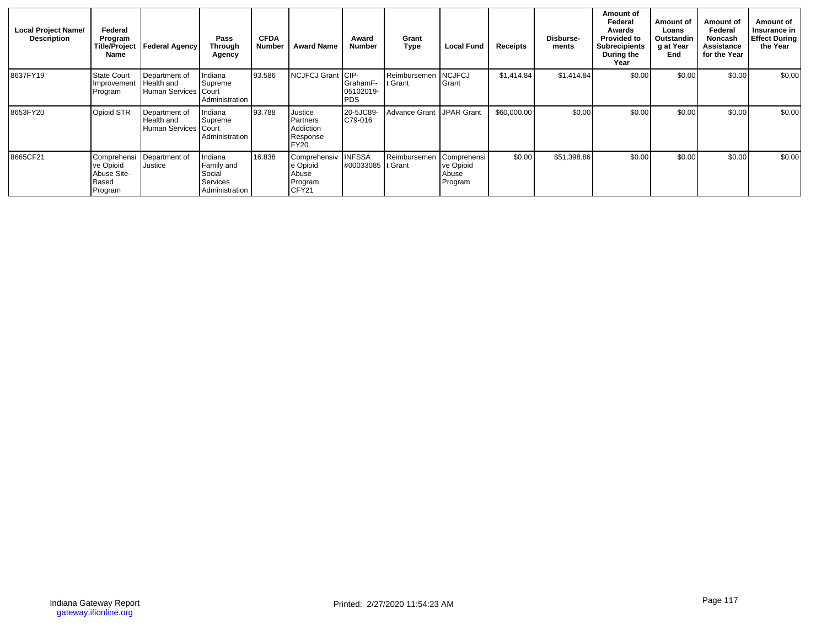| <b>Local Project Name/</b><br><b>Description</b> | Federal<br>Program<br>Name                   | Title/Project   Federal Agency                        | Pass<br>Through<br>Agency                                            | <b>CFDA</b><br><b>Number</b> | <b>Award Name</b>                                                  | Award<br><b>Number</b>                       | Grant<br>Type             | <b>Local Fund</b>                            | Receipts    | Disburse-<br>ments | Amount of<br>Federal<br>Awards<br><b>Provided to</b><br><b>Subrecipients</b><br>During the<br>Year | Amount of<br>Loans<br>Outstandin<br>g at Year<br>End | Amount of<br>Federal<br>Noncash<br>Assistance<br>for the Year | Amount of<br>Insurance in<br><b>Effect During</b><br>the Year |
|--------------------------------------------------|----------------------------------------------|-------------------------------------------------------|----------------------------------------------------------------------|------------------------------|--------------------------------------------------------------------|----------------------------------------------|---------------------------|----------------------------------------------|-------------|--------------------|----------------------------------------------------------------------------------------------------|------------------------------------------------------|---------------------------------------------------------------|---------------------------------------------------------------|
| 8637FY19                                         | <b>State Court</b><br>Improvement<br>Program | Department of<br>Health and<br>Human Services   Court | Indiana<br>Supreme<br>Administration                                 | 93.586                       | NCJFCJ Grant                                                       | ICIP-<br>GrahamF-<br>05102019-<br><b>PDS</b> | Reimbursemen<br>t Grant   | <b>NCJFCJ</b><br>Grant                       | \$1,414.84  | \$1,414.84         | \$0.00                                                                                             | \$0.00                                               | \$0.00                                                        | \$0.00                                                        |
| 8653FY20                                         | Opioid STR                                   | Department of<br>Health and<br>Human Services   Court | Indiana<br>Supreme<br>Administration                                 | 93.788                       | Justice<br><b>Partners</b><br>Addiction<br>Response<br><b>FY20</b> | 20-5JC89-<br>C79-016                         | Advance Grant IJPAR Grant |                                              | \$60,000.00 | \$0.00             | \$0.00                                                                                             | \$0.00                                               | \$0.00                                                        | \$0.00                                                        |
| 8665CF21                                         | ve Opioid<br>Abuse Site-<br>Based<br>Program | Comprehensi Department of<br>Justice                  | Indiana<br>Family and<br>Social<br><b>Services</b><br>Administration | 16.838                       | Comprehensiv<br>e Opioid<br>Abuse<br>Program<br>CFY21              | <b>INFSSA</b><br>#00033085 It Grant          | Reimbursemen              | Comprehensi<br>ve Opioid<br>Abuse<br>Program | \$0.00      | \$51,398.86        | \$0.00                                                                                             | \$0.00                                               | \$0.00                                                        | \$0.00                                                        |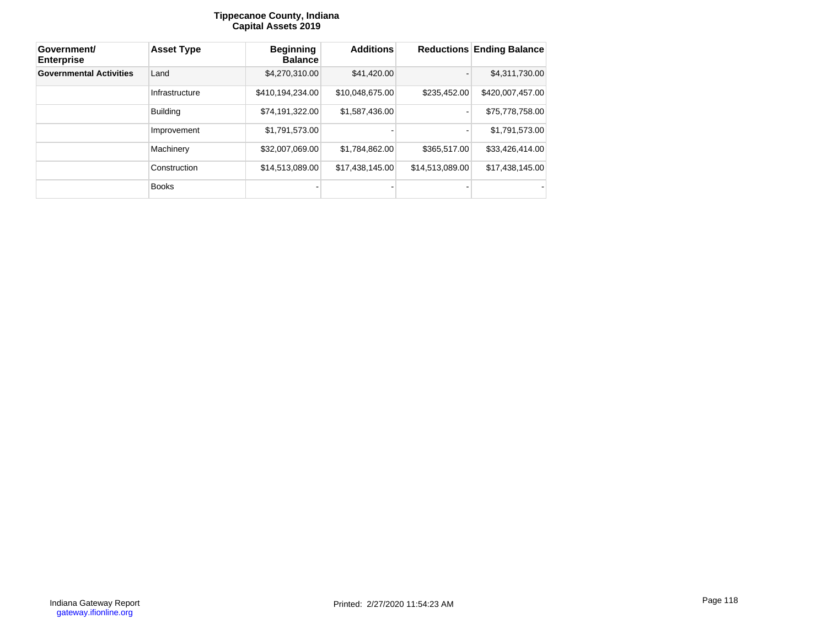### **Tippecanoe County, Indiana Capital Assets 2019**

| Government/<br><b>Enterprise</b> | <b>Asset Type</b> | <b>Beginning</b><br><b>Balance</b> | <b>Additions</b> |                 | <b>Reductions Ending Balance</b> |
|----------------------------------|-------------------|------------------------------------|------------------|-----------------|----------------------------------|
| <b>Governmental Activities</b>   | Land              | \$4,270,310.00                     | \$41,420.00      |                 | \$4,311,730.00                   |
|                                  | Infrastructure    | \$410,194,234.00                   | \$10.048.675.00  | \$235,452.00    | \$420,007,457.00                 |
|                                  | <b>Building</b>   | \$74,191,322.00                    | \$1,587,436.00   |                 | \$75,778,758.00                  |
|                                  | Improvement       | \$1,791,573.00                     |                  |                 | \$1,791,573.00                   |
|                                  | Machinery         | \$32,007,069.00                    | \$1,784,862.00   | \$365,517.00    | \$33,426,414.00                  |
|                                  | Construction      | \$14,513,089.00                    | \$17,438,145.00  | \$14,513,089.00 | \$17,438,145.00                  |
|                                  | <b>Books</b>      |                                    |                  |                 |                                  |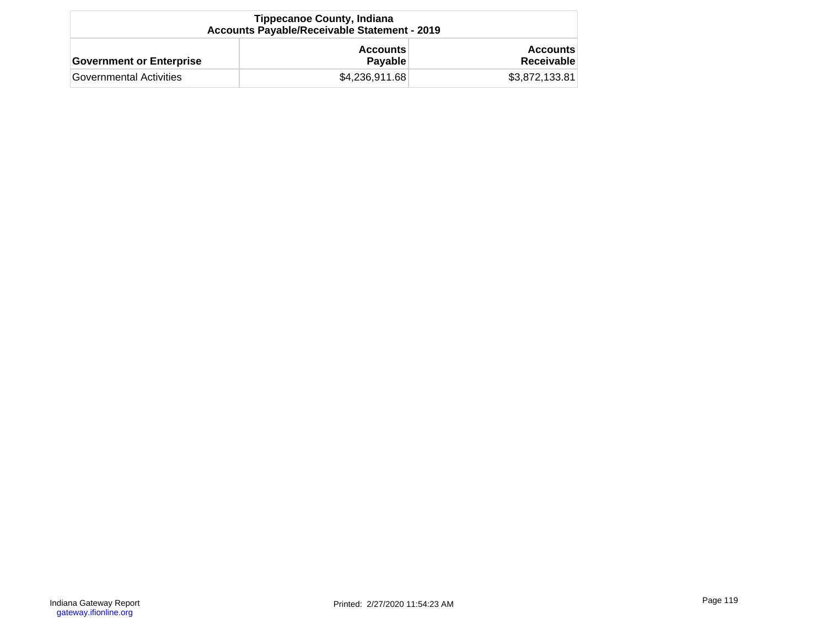| <b>Tippecanoe County, Indiana</b><br><b>Accounts Payable/Receivable Statement - 2019</b> |                                   |                               |  |  |  |  |  |  |  |
|------------------------------------------------------------------------------------------|-----------------------------------|-------------------------------|--|--|--|--|--|--|--|
| <b>Government or Enterprise</b>                                                          | <b>Accounts</b><br><b>Payable</b> | <b>Accounts</b><br>Receivable |  |  |  |  |  |  |  |
| Governmental Activities                                                                  | \$4,236,911.68                    | \$3,872,133.81                |  |  |  |  |  |  |  |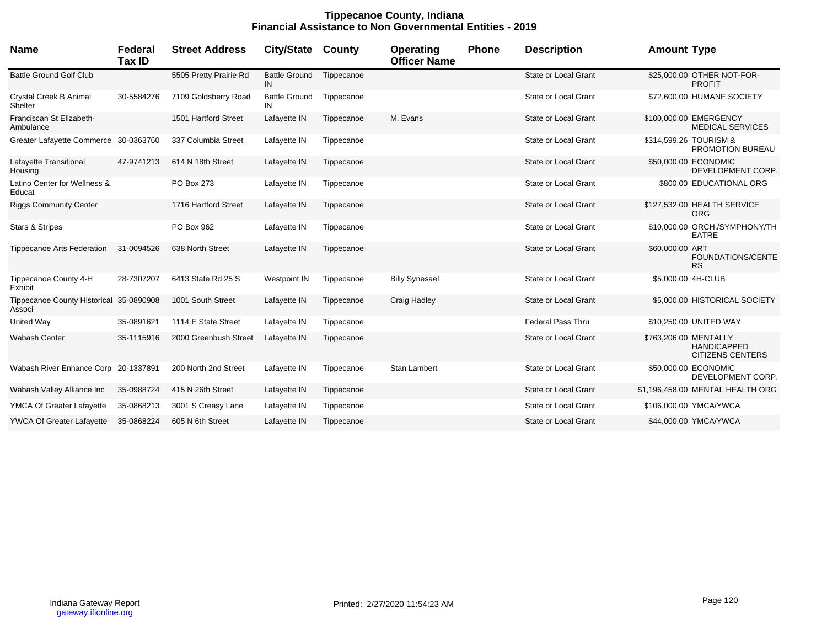## **Tippecanoe County, Indiana Financial Assistance to Non Governmental Entities - 2019**

| <b>Name</b>                                       | Federal<br>Tax ID | <b>Street Address</b>  | <b>City/State</b>          | County     | <b>Operating</b><br><b>Officer Name</b> | <b>Phone</b> | <b>Description</b>          | <b>Amount Type</b>                                                     |
|---------------------------------------------------|-------------------|------------------------|----------------------------|------------|-----------------------------------------|--------------|-----------------------------|------------------------------------------------------------------------|
| <b>Battle Ground Golf Club</b>                    |                   | 5505 Pretty Prairie Rd | <b>Battle Ground</b><br>IN | Tippecanoe |                                         |              | <b>State or Local Grant</b> | \$25,000.00 OTHER NOT-FOR-<br><b>PROFIT</b>                            |
| Crystal Creek B Animal<br>Shelter                 | 30-5584276        | 7109 Goldsberry Road   | <b>Battle Ground</b><br>IN | Tippecanoe |                                         |              | State or Local Grant        | \$72,600.00 HUMANE SOCIETY                                             |
| Franciscan St Elizabeth-<br>Ambulance             |                   | 1501 Hartford Street   | Lafayette IN               | Tippecanoe | M. Evans                                |              | State or Local Grant        | \$100,000.00 EMERGENCY<br><b>MEDICAL SERVICES</b>                      |
| Greater Lafayette Commerce 30-0363760             |                   | 337 Columbia Street    | Lafayette IN               | Tippecanoe |                                         |              | State or Local Grant        | \$314,599.26 TOURISM &<br>PROMOTION BUREAU                             |
| Lafayette Transitional<br>Housing                 | 47-9741213        | 614 N 18th Street      | Lafayette IN               | Tippecanoe |                                         |              | State or Local Grant        | \$50,000.00 ECONOMIC<br>DEVELOPMENT CORP.                              |
| Latino Center for Wellness &<br>Educat            |                   | PO Box 273             | Lafayette IN               | Tippecanoe |                                         |              | State or Local Grant        | \$800.00 EDUCATIONAL ORG                                               |
| <b>Riggs Community Center</b>                     |                   | 1716 Hartford Street   | Lafayette IN               | Tippecanoe |                                         |              | State or Local Grant        | \$127,532.00 HEALTH SERVICE<br><b>ORG</b>                              |
| <b>Stars &amp; Stripes</b>                        |                   | PO Box 962             | Lafayette IN               | Tippecanoe |                                         |              | State or Local Grant        | \$10,000.00 ORCH./SYMPHONY/TH<br><b>EATRE</b>                          |
| <b>Tippecanoe Arts Federation</b>                 | 31-0094526        | 638 North Street       | Lafayette IN               | Tippecanoe |                                         |              | State or Local Grant        | \$60,000.00 ART<br>FOUNDATIONS/CENTE<br><b>RS</b>                      |
| Tippecanoe County 4-H<br>Exhibit                  | 28-7307207        | 6413 State Rd 25 S     | <b>Westpoint IN</b>        | Tippecanoe | <b>Billy Synesael</b>                   |              | <b>State or Local Grant</b> | \$5,000.00 4H-CLUB                                                     |
| Tippecanoe County Historical 35-0890908<br>Associ |                   | 1001 South Street      | Lafayette IN               | Tippecanoe | Craig Hadley                            |              | <b>State or Local Grant</b> | \$5,000.00 HISTORICAL SOCIETY                                          |
| United Way                                        | 35-0891621        | 1114 E State Street    | Lafayette IN               | Tippecanoe |                                         |              | <b>Federal Pass Thru</b>    | \$10,250.00 UNITED WAY                                                 |
| <b>Wabash Center</b>                              | 35-1115916        | 2000 Greenbush Street  | Lafayette IN               | Tippecanoe |                                         |              | State or Local Grant        | \$763,206.00 MENTALLY<br><b>HANDICAPPED</b><br><b>CITIZENS CENTERS</b> |
| Wabash River Enhance Corp 20-1337891              |                   | 200 North 2nd Street   | Lafayette IN               | Tippecanoe | Stan Lambert                            |              | State or Local Grant        | \$50,000.00 ECONOMIC<br>DEVELOPMENT CORP.                              |
| Wabash Valley Alliance Inc                        | 35-0988724        | 415 N 26th Street      | Lafayette IN               | Tippecanoe |                                         |              | State or Local Grant        | \$1,196,458.00 MENTAL HEALTH ORG                                       |
| YMCA Of Greater Lafayette                         | 35-0868213        | 3001 S Creasy Lane     | Lafayette IN               | Tippecanoe |                                         |              | State or Local Grant        | \$106,000.00 YMCA/YWCA                                                 |
| <b>YWCA Of Greater Lafayette</b>                  | 35-0868224        | 605 N 6th Street       | Lafayette IN               | Tippecanoe |                                         |              | <b>State or Local Grant</b> | \$44,000.00 YMCA/YWCA                                                  |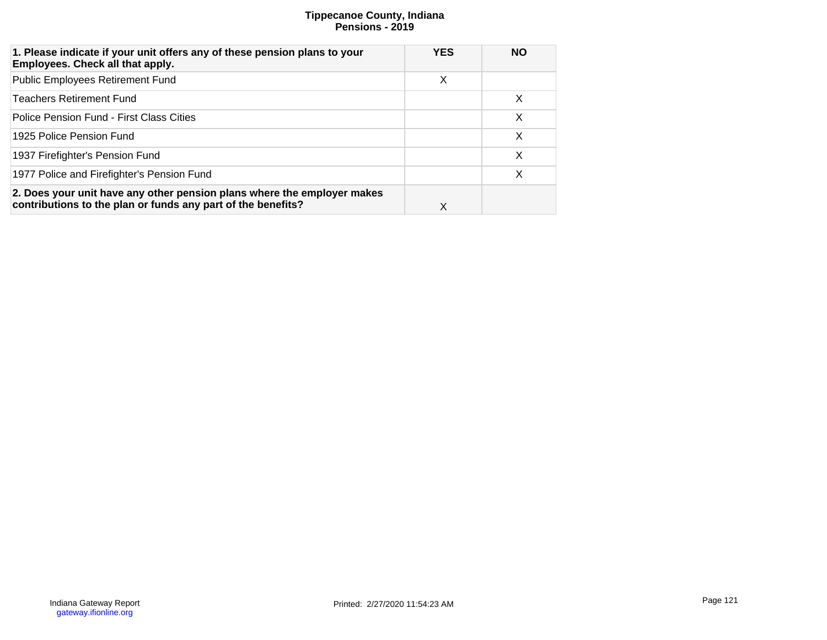# **Tippecanoe County, Indiana Pensions - 2019**

| 1. Please indicate if your unit offers any of these pension plans to your<br>Employees. Check all that apply.                           | <b>YES</b> | <b>NO</b> |
|-----------------------------------------------------------------------------------------------------------------------------------------|------------|-----------|
| <b>Public Employees Retirement Fund</b>                                                                                                 | X          |           |
| <b>Teachers Retirement Fund</b>                                                                                                         |            | $\times$  |
| Police Pension Fund - First Class Cities                                                                                                |            | X         |
| 1925 Police Pension Fund                                                                                                                |            | X         |
| 1937 Firefighter's Pension Fund                                                                                                         |            | X         |
| 1977 Police and Firefighter's Pension Fund                                                                                              |            | X         |
| 2. Does your unit have any other pension plans where the employer makes<br>contributions to the plan or funds any part of the benefits? | X          |           |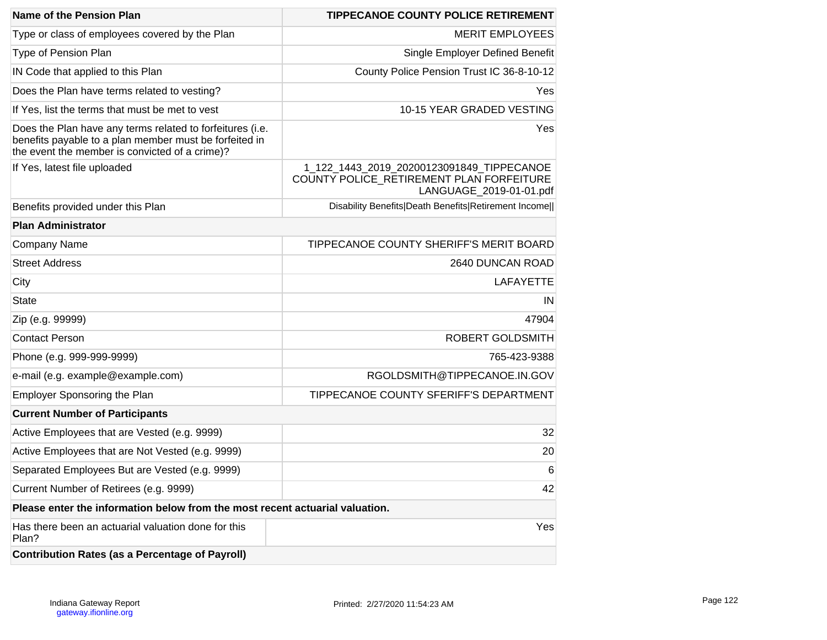| Name of the Pension Plan                                                                                                                                              | <b>TIPPECANOE COUNTY POLICE RETIREMENT</b>                                                                       |
|-----------------------------------------------------------------------------------------------------------------------------------------------------------------------|------------------------------------------------------------------------------------------------------------------|
| Type or class of employees covered by the Plan                                                                                                                        | <b>MERIT EMPLOYEES</b>                                                                                           |
| Type of Pension Plan                                                                                                                                                  | Single Employer Defined Benefit                                                                                  |
| IN Code that applied to this Plan                                                                                                                                     | County Police Pension Trust IC 36-8-10-12                                                                        |
| Does the Plan have terms related to vesting?                                                                                                                          | Yes                                                                                                              |
| If Yes, list the terms that must be met to vest                                                                                                                       | 10-15 YEAR GRADED VESTING                                                                                        |
| Does the Plan have any terms related to forfeitures (i.e.<br>benefits payable to a plan member must be forfeited in<br>the event the member is convicted of a crime)? | Yes                                                                                                              |
| If Yes, latest file uploaded                                                                                                                                          | 1_122_1443_2019_20200123091849_TIPPECANOE<br>COUNTY POLICE_RETIREMENT PLAN FORFEITURE<br>LANGUAGE_2019-01-01.pdf |
| Benefits provided under this Plan                                                                                                                                     | Disability Benefits Death Benefits Retirement Income                                                             |
| <b>Plan Administrator</b>                                                                                                                                             |                                                                                                                  |
| <b>Company Name</b>                                                                                                                                                   | TIPPECANOE COUNTY SHERIFF'S MERIT BOARD                                                                          |
| <b>Street Address</b>                                                                                                                                                 | 2640 DUNCAN ROAD                                                                                                 |
| City                                                                                                                                                                  | <b>LAFAYETTE</b>                                                                                                 |
| <b>State</b>                                                                                                                                                          | IN                                                                                                               |
| Zip (e.g. 99999)                                                                                                                                                      | 47904                                                                                                            |
| <b>Contact Person</b>                                                                                                                                                 | ROBERT GOLDSMITH                                                                                                 |
| Phone (e.g. 999-999-9999)                                                                                                                                             | 765-423-9388                                                                                                     |
| e-mail (e.g. example@example.com)                                                                                                                                     | RGOLDSMITH@TIPPECANOE.IN.GOV                                                                                     |
| <b>Employer Sponsoring the Plan</b>                                                                                                                                   | TIPPECANOE COUNTY SFERIFF'S DEPARTMENT                                                                           |
| <b>Current Number of Participants</b>                                                                                                                                 |                                                                                                                  |
| Active Employees that are Vested (e.g. 9999)                                                                                                                          | 32                                                                                                               |
| Active Employees that are Not Vested (e.g. 9999)                                                                                                                      | 20                                                                                                               |
| Separated Employees But are Vested (e.g. 9999)                                                                                                                        | 6                                                                                                                |
| Current Number of Retirees (e.g. 9999)                                                                                                                                | 42                                                                                                               |
| Please enter the information below from the most recent actuarial valuation.                                                                                          |                                                                                                                  |
| Has there been an actuarial valuation done for this<br>Plan?                                                                                                          | Yes                                                                                                              |
| <b>Contribution Rates (as a Percentage of Payroll)</b>                                                                                                                |                                                                                                                  |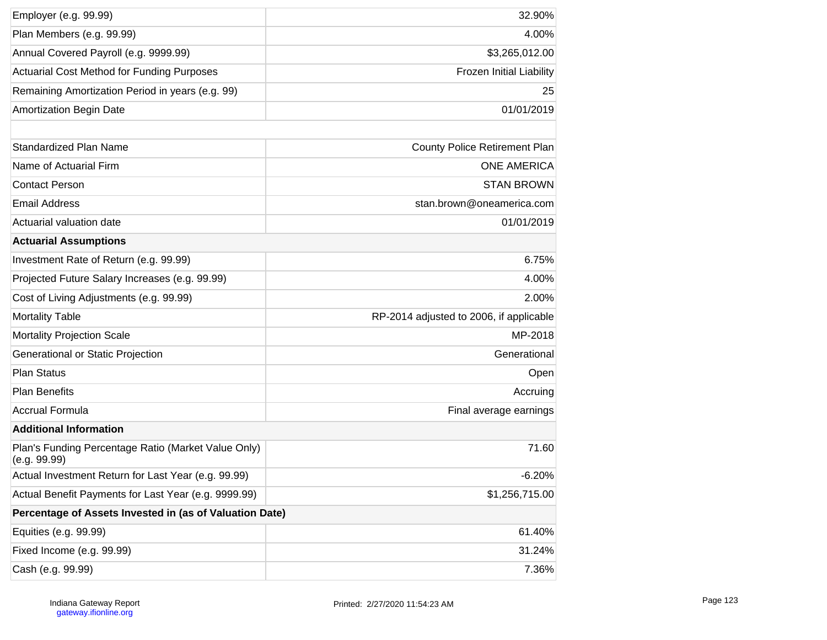| Employer (e.g. 99.99)                                               | 32.90%                                  |
|---------------------------------------------------------------------|-----------------------------------------|
| Plan Members (e.g. 99.99)                                           | 4.00%                                   |
| Annual Covered Payroll (e.g. 9999.99)                               | \$3,265,012.00                          |
| <b>Actuarial Cost Method for Funding Purposes</b>                   | Frozen Initial Liability                |
| Remaining Amortization Period in years (e.g. 99)                    | 25                                      |
| <b>Amortization Begin Date</b>                                      | 01/01/2019                              |
|                                                                     |                                         |
| <b>Standardized Plan Name</b>                                       | County Police Retirement Plan           |
| Name of Actuarial Firm                                              | <b>ONE AMERICA</b>                      |
| <b>Contact Person</b>                                               | <b>STAN BROWN</b>                       |
| <b>Email Address</b>                                                | stan.brown@oneamerica.com               |
| Actuarial valuation date                                            | 01/01/2019                              |
| <b>Actuarial Assumptions</b>                                        |                                         |
| Investment Rate of Return (e.g. 99.99)                              | 6.75%                                   |
| Projected Future Salary Increases (e.g. 99.99)                      | 4.00%                                   |
| Cost of Living Adjustments (e.g. 99.99)                             | 2.00%                                   |
| <b>Mortality Table</b>                                              | RP-2014 adjusted to 2006, if applicable |
| <b>Mortality Projection Scale</b>                                   | MP-2018                                 |
| Generational or Static Projection                                   | Generational                            |
| <b>Plan Status</b>                                                  | Open                                    |
| <b>Plan Benefits</b>                                                | Accruing                                |
| <b>Accrual Formula</b>                                              | Final average earnings                  |
| <b>Additional Information</b>                                       |                                         |
| Plan's Funding Percentage Ratio (Market Value Only)<br>(e.g. 99.99) | 71.60                                   |
| Actual Investment Return for Last Year (e.g. 99.99)                 | $-6.20%$                                |
| Actual Benefit Payments for Last Year (e.g. 9999.99)                | \$1,256,715.00                          |
| Percentage of Assets Invested in (as of Valuation Date)             |                                         |
| Equities (e.g. 99.99)                                               | 61.40%                                  |
| Fixed Income (e.g. 99.99)                                           | 31.24%                                  |
| Cash (e.g. 99.99)                                                   | 7.36%                                   |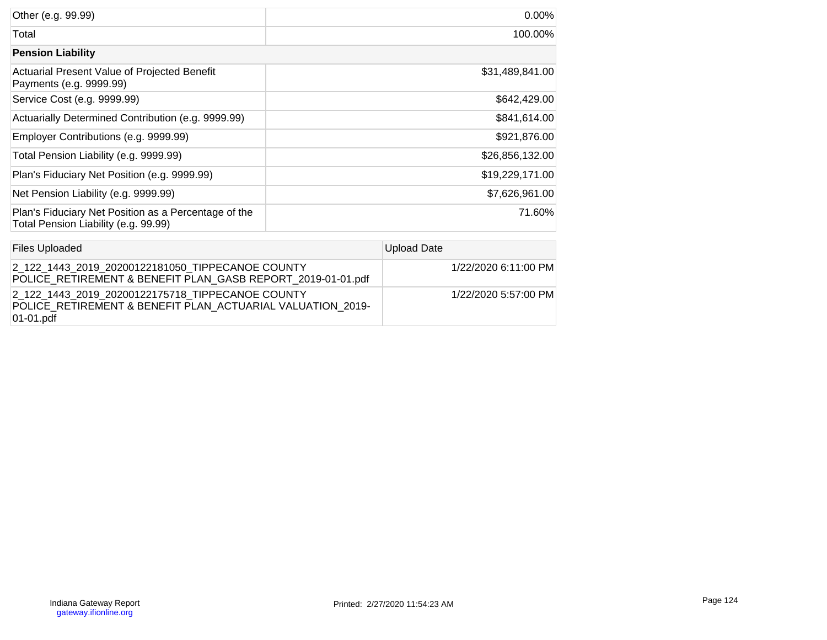| Other (e.g. 99.99)                                                                           | $0.00\%$        |
|----------------------------------------------------------------------------------------------|-----------------|
| Total                                                                                        | 100.00%         |
| <b>Pension Liability</b>                                                                     |                 |
| Actuarial Present Value of Projected Benefit<br>Payments (e.g. 9999.99)                      | \$31,489,841.00 |
| Service Cost (e.g. 9999.99)                                                                  | \$642,429.00    |
| Actuarially Determined Contribution (e.g. 9999.99)                                           | \$841,614.00    |
| Employer Contributions (e.g. 9999.99)                                                        | \$921,876.00    |
| Total Pension Liability (e.g. 9999.99)                                                       | \$26,856,132.00 |
| Plan's Fiduciary Net Position (e.g. 9999.99)                                                 | \$19,229,171.00 |
| Net Pension Liability (e.g. 9999.99)                                                         | \$7,626,961.00  |
| Plan's Fiduciary Net Position as a Percentage of the<br>Total Pension Liability (e.g. 99.99) | 71.60%          |

| <b>Files Uploaded</b>                                                                                                       | Upload Date          |
|-----------------------------------------------------------------------------------------------------------------------------|----------------------|
| 2 122 1443 2019 20200122181050 TIPPECANOE COUNTY<br>POLICE RETIREMENT & BENEFIT PLAN GASB REPORT 2019-01-01.pdf             | 1/22/2020 6:11:00 PM |
| 2 122 1443 2019 20200122175718 TIPPECANOE COUNTY<br>POLICE RETIREMENT & BENEFIT PLAN ACTUARIAL VALUATION 2019-<br>01-01.pdf | 1/22/2020 5:57:00 PM |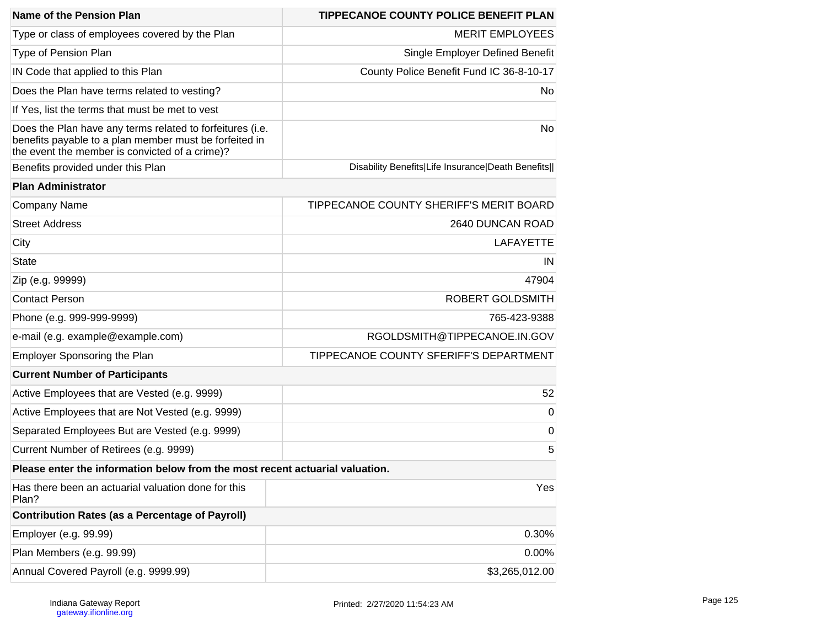| Name of the Pension Plan                                                                                                                                              | <b>TIPPECANOE COUNTY POLICE BENEFIT PLAN</b>      |
|-----------------------------------------------------------------------------------------------------------------------------------------------------------------------|---------------------------------------------------|
| Type or class of employees covered by the Plan                                                                                                                        | <b>MERIT EMPLOYEES</b>                            |
| Type of Pension Plan                                                                                                                                                  | Single Employer Defined Benefit                   |
| IN Code that applied to this Plan                                                                                                                                     | County Police Benefit Fund IC 36-8-10-17          |
| Does the Plan have terms related to vesting?                                                                                                                          | No.                                               |
| If Yes, list the terms that must be met to vest                                                                                                                       |                                                   |
| Does the Plan have any terms related to forfeitures (i.e.<br>benefits payable to a plan member must be forfeited in<br>the event the member is convicted of a crime)? | No                                                |
| Benefits provided under this Plan                                                                                                                                     | Disability Benefits Life Insurance Death Benefits |
| <b>Plan Administrator</b>                                                                                                                                             |                                                   |
| <b>Company Name</b>                                                                                                                                                   | TIPPECANOE COUNTY SHERIFF'S MERIT BOARD           |
| <b>Street Address</b>                                                                                                                                                 | 2640 DUNCAN ROAD                                  |
| City                                                                                                                                                                  | <b>LAFAYETTE</b>                                  |
| <b>State</b>                                                                                                                                                          | IN                                                |
| Zip (e.g. 99999)                                                                                                                                                      | 47904                                             |
| <b>Contact Person</b>                                                                                                                                                 | ROBERT GOLDSMITH                                  |
| Phone (e.g. 999-999-9999)                                                                                                                                             | 765-423-9388                                      |
| e-mail (e.g. example@example.com)                                                                                                                                     | RGOLDSMITH@TIPPECANOE.IN.GOV                      |
| Employer Sponsoring the Plan                                                                                                                                          | TIPPECANOE COUNTY SFERIFF'S DEPARTMENT            |
| <b>Current Number of Participants</b>                                                                                                                                 |                                                   |
| Active Employees that are Vested (e.g. 9999)                                                                                                                          | 52                                                |
| Active Employees that are Not Vested (e.g. 9999)                                                                                                                      | $\mathbf 0$                                       |
| Separated Employees But are Vested (e.g. 9999)                                                                                                                        | 0                                                 |
| Current Number of Retirees (e.g. 9999)                                                                                                                                | 5                                                 |
| Please enter the information below from the most recent actuarial valuation.                                                                                          |                                                   |
| Has there been an actuarial valuation done for this<br>Plan?                                                                                                          | Yes                                               |
| <b>Contribution Rates (as a Percentage of Payroll)</b>                                                                                                                |                                                   |
| Employer (e.g. 99.99)                                                                                                                                                 | 0.30%                                             |
| Plan Members (e.g. 99.99)                                                                                                                                             | 0.00%                                             |
| Annual Covered Payroll (e.g. 9999.99)                                                                                                                                 | \$3,265,012.00                                    |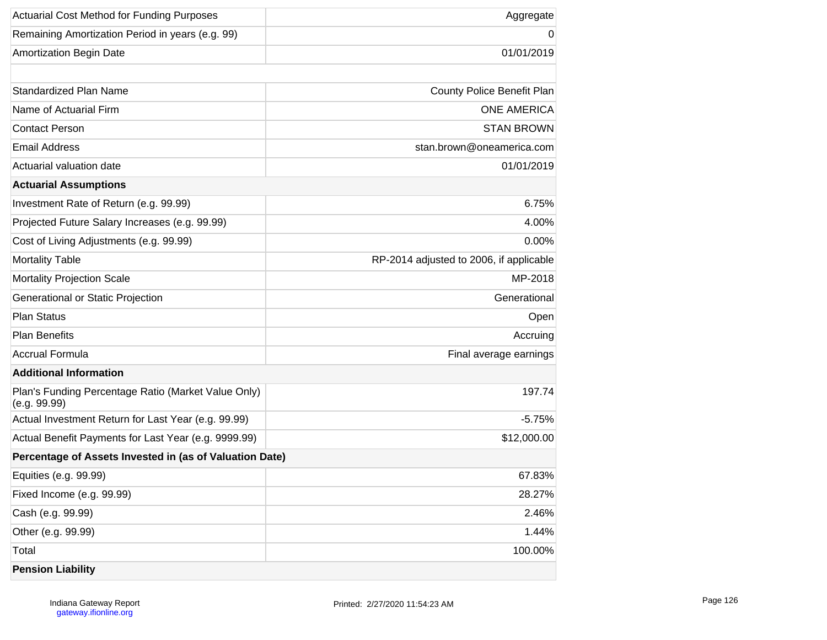| <b>Actuarial Cost Method for Funding Purposes</b>                   | Aggregate                               |
|---------------------------------------------------------------------|-----------------------------------------|
| Remaining Amortization Period in years (e.g. 99)                    | 0                                       |
| <b>Amortization Begin Date</b>                                      | 01/01/2019                              |
|                                                                     |                                         |
| Standardized Plan Name                                              | County Police Benefit Plan              |
| Name of Actuarial Firm                                              | <b>ONE AMERICA</b>                      |
| <b>Contact Person</b>                                               | <b>STAN BROWN</b>                       |
| <b>Email Address</b>                                                | stan.brown@oneamerica.com               |
| Actuarial valuation date                                            | 01/01/2019                              |
| <b>Actuarial Assumptions</b>                                        |                                         |
| Investment Rate of Return (e.g. 99.99)                              | 6.75%                                   |
| Projected Future Salary Increases (e.g. 99.99)                      | 4.00%                                   |
| Cost of Living Adjustments (e.g. 99.99)                             | 0.00%                                   |
| <b>Mortality Table</b>                                              | RP-2014 adjusted to 2006, if applicable |
| <b>Mortality Projection Scale</b>                                   | MP-2018                                 |
| Generational or Static Projection                                   | Generational                            |
| <b>Plan Status</b>                                                  | Open                                    |
| <b>Plan Benefits</b>                                                | Accruing                                |
| <b>Accrual Formula</b>                                              | Final average earnings                  |
| <b>Additional Information</b>                                       |                                         |
| Plan's Funding Percentage Ratio (Market Value Only)<br>(e.g. 99.99) | 197.74                                  |
| Actual Investment Return for Last Year (e.g. 99.99)                 | $-5.75%$                                |
| Actual Benefit Payments for Last Year (e.g. 9999.99)                | \$12,000.00                             |
| Percentage of Assets Invested in (as of Valuation Date)             |                                         |
| Equities (e.g. 99.99)                                               | 67.83%                                  |
| Fixed Income (e.g. 99.99)                                           | 28.27%                                  |
| Cash (e.g. 99.99)                                                   | 2.46%                                   |
| Other (e.g. 99.99)                                                  | 1.44%                                   |
| Total                                                               | 100.00%                                 |
| <b>Pension Liability</b>                                            |                                         |